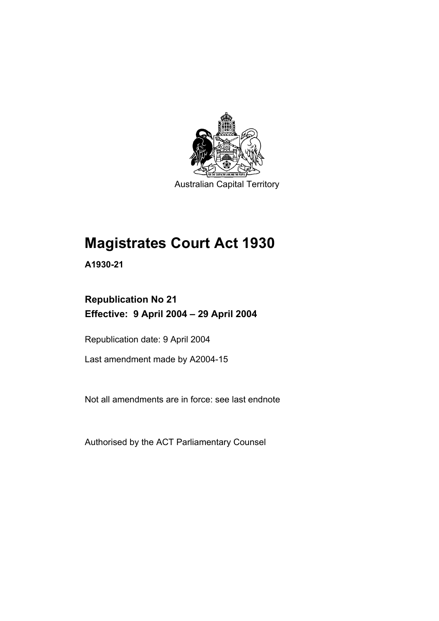

Australian Capital Territory

# **Magistrates Court Act 1930**

**A1930-21** 

## **Republication No 21 Effective: 9 April 2004 – 29 April 2004**

Republication date: 9 April 2004

Last amendment made by A2004-15

Not all amendments are in force: see last endnote

Authorised by the ACT Parliamentary Counsel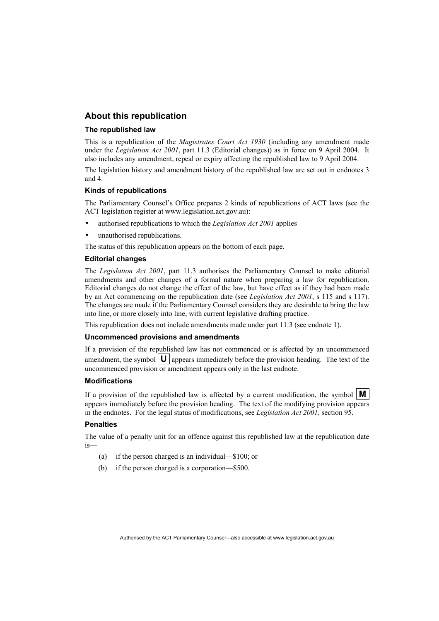#### **About this republication**

#### **The republished law**

This is a republication of the *Magistrates Court Act 1930* (including any amendment made under the *Legislation Act 2001*, part 11.3 (Editorial changes)) as in force on 9 April 2004*.* It also includes any amendment, repeal or expiry affecting the republished law to 9 April 2004.

The legislation history and amendment history of the republished law are set out in endnotes 3 and 4.

#### **Kinds of republications**

The Parliamentary Counsel's Office prepares 2 kinds of republications of ACT laws (see the ACT legislation register at www.legislation.act.gov.au):

- authorised republications to which the *Legislation Act 2001* applies
- unauthorised republications.

The status of this republication appears on the bottom of each page.

#### **Editorial changes**

The *Legislation Act 2001*, part 11.3 authorises the Parliamentary Counsel to make editorial amendments and other changes of a formal nature when preparing a law for republication. Editorial changes do not change the effect of the law, but have effect as if they had been made by an Act commencing on the republication date (see *Legislation Act 2001*, s 115 and s 117). The changes are made if the Parliamentary Counsel considers they are desirable to bring the law into line, or more closely into line, with current legislative drafting practice.

This republication does not include amendments made under part 11.3 (see endnote 1).

#### **Uncommenced provisions and amendments**

If a provision of the republished law has not commenced or is affected by an uncommenced amendment, the symbol  $\mathbf{U}$  appears immediately before the provision heading. The text of the uncommenced provision or amendment appears only in the last endnote.

#### **Modifications**

If a provision of the republished law is affected by a current modification, the symbol  $\mathbf{M}$ appears immediately before the provision heading. The text of the modifying provision appears in the endnotes. For the legal status of modifications, see *Legislation Act 2001*, section 95.

#### **Penalties**

The value of a penalty unit for an offence against this republished law at the republication date is—

- (a) if the person charged is an individual—\$100; or
- (b) if the person charged is a corporation—\$500.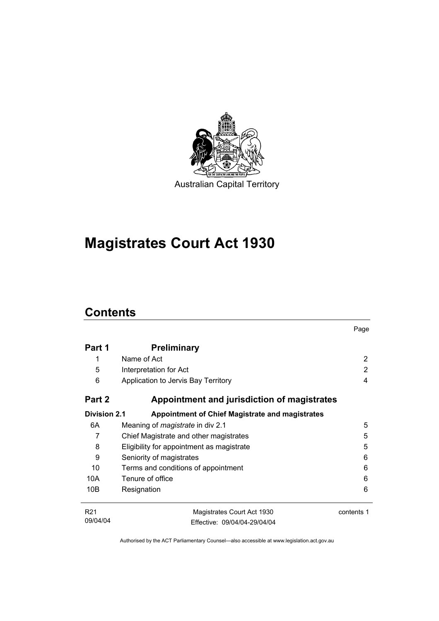

**Magistrates Court Act 1930** 

## **Contents**

|                     |                                                        | Page       |
|---------------------|--------------------------------------------------------|------------|
| Part 1              | <b>Preliminary</b>                                     |            |
| 1                   | Name of Act                                            | 2          |
| 5                   | Interpretation for Act                                 | 2          |
| 6                   | Application to Jervis Bay Territory                    | 4          |
| Part 2              | Appointment and jurisdiction of magistrates            |            |
| <b>Division 2.1</b> | <b>Appointment of Chief Magistrate and magistrates</b> |            |
| 6A                  | Meaning of <i>magistrate</i> in div 2.1                | 5          |
| 7                   | Chief Magistrate and other magistrates                 | 5          |
| 8                   | Eligibility for appointment as magistrate              | 5          |
| 9                   | Seniority of magistrates                               | 6          |
| 10                  | Terms and conditions of appointment                    | 6          |
| 10A                 | Tenure of office                                       | 6          |
| 10B                 | Resignation                                            | 6          |
| R <sub>21</sub>     | Magistrates Court Act 1930                             | contents 1 |
| 09/04/04            | Effective: 09/04/04-29/04/04                           |            |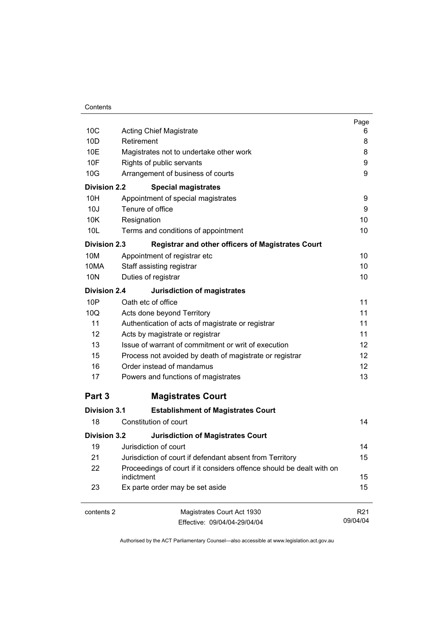| Contents |
|----------|
|----------|

|                     |                                                                      | Page            |
|---------------------|----------------------------------------------------------------------|-----------------|
| 10 <sub>C</sub>     | <b>Acting Chief Magistrate</b>                                       | 6               |
| 10 <sub>D</sub>     | Retirement                                                           | 8               |
| 10E                 | Magistrates not to undertake other work                              | 8               |
| 10F                 | Rights of public servants                                            | 9               |
| 10G                 | Arrangement of business of courts                                    | 9               |
| <b>Division 2.2</b> | <b>Special magistrates</b>                                           |                 |
| 10H                 | Appointment of special magistrates                                   | 9               |
| 10J                 | Tenure of office                                                     | 9               |
| 10K                 | Resignation                                                          | 10              |
| 10 <sub>L</sub>     | Terms and conditions of appointment                                  | 10              |
| <b>Division 2.3</b> | <b>Registrar and other officers of Magistrates Court</b>             |                 |
| 10M                 | Appointment of registrar etc                                         | 10              |
| 10MA                | Staff assisting registrar                                            | 10              |
| 10N                 | Duties of registrar                                                  | 10              |
| <b>Division 2.4</b> | <b>Jurisdiction of magistrates</b>                                   |                 |
| 10P                 | Oath etc of office                                                   | 11              |
| 10Q                 | Acts done beyond Territory                                           | 11              |
| 11                  | Authentication of acts of magistrate or registrar                    | 11              |
| 12                  | Acts by magistrate or registrar                                      | 11              |
| 13                  | Issue of warrant of commitment or writ of execution                  | 12              |
| 15                  | Process not avoided by death of magistrate or registrar              | 12              |
| 16                  | Order instead of mandamus                                            | 12 <sup>2</sup> |
| 17                  | Powers and functions of magistrates                                  | 13              |
| Part 3              | <b>Magistrates Court</b>                                             |                 |
| <b>Division 3.1</b> | <b>Establishment of Magistrates Court</b>                            |                 |
| 18                  | Constitution of court                                                | 14              |
| <b>Division 3.2</b> | <b>Jurisdiction of Magistrates Court</b>                             |                 |
| 19                  | Jurisdiction of court                                                | 14              |
| 21                  | Jurisdiction of court if defendant absent from Territory             | 15              |
| 22                  | Proceedings of court if it considers offence should be dealt with on |                 |
|                     | indictment                                                           | 15              |
| 23                  | Ex parte order may be set aside                                      | 15              |
| contents 2          | Magistrates Court Act 1930                                           | R <sub>21</sub> |
|                     | Effective: 09/04/04-29/04/04                                         | 09/04/04        |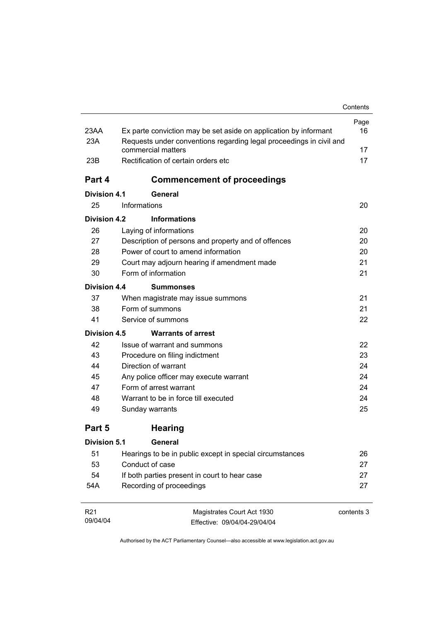|                     |                                                                     | Contents   |
|---------------------|---------------------------------------------------------------------|------------|
|                     |                                                                     | Page       |
| 23AA                | Ex parte conviction may be set aside on application by informant    | 16         |
| 23A                 | Requests under conventions regarding legal proceedings in civil and |            |
| 23B                 | commercial matters<br>Rectification of certain orders etc           | 17<br>17   |
|                     |                                                                     |            |
| Part 4              | <b>Commencement of proceedings</b>                                  |            |
| Division 4.1        | General                                                             |            |
| 25                  | Informations                                                        | 20         |
| Division 4.2        | <b>Informations</b>                                                 |            |
| 26                  | Laying of informations                                              | 20         |
| 27                  | Description of persons and property and of offences                 | 20         |
| 28                  | Power of court to amend information                                 | 20         |
| 29                  | Court may adjourn hearing if amendment made                         | 21         |
| 30                  | Form of information                                                 | 21         |
| Division 4.4        | <b>Summonses</b>                                                    |            |
| 37                  | When magistrate may issue summons                                   | 21         |
| 38                  | Form of summons                                                     | 21         |
| 41                  | Service of summons                                                  | 22         |
| Division 4.5        | <b>Warrants of arrest</b>                                           |            |
| 42                  | Issue of warrant and summons                                        | 22         |
| 43                  | Procedure on filing indictment                                      | 23         |
| 44                  | Direction of warrant                                                | 24         |
| 45                  | Any police officer may execute warrant                              | 24         |
| 47                  | Form of arrest warrant                                              | 24         |
| 48                  | Warrant to be in force till executed                                | 24         |
| 49                  | Sunday warrants                                                     | 25         |
| Part 5              | <b>Hearing</b>                                                      |            |
| <b>Division 5.1</b> | General                                                             |            |
| 51                  | Hearings to be in public except in special circumstances            | 26         |
| 53                  | Conduct of case                                                     | 27         |
| 54                  | If both parties present in court to hear case                       | 27         |
| 54A                 | Recording of proceedings                                            | 27         |
| R <sub>21</sub>     | Magistrates Court Act 1930                                          | contents 3 |
| 09/04/04            | Fffective: 09/04/04-29/04/04                                        |            |

Authorised by the ACT Parliamentary Counsel—also accessible at www.legislation.act.gov.au

Effective: 09/04/04-29/04/04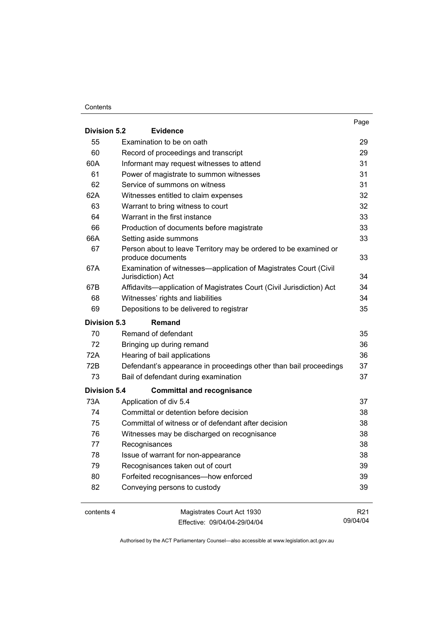#### **Contents**

|                     |                                                                                       | Page            |
|---------------------|---------------------------------------------------------------------------------------|-----------------|
| <b>Division 5.2</b> | <b>Evidence</b>                                                                       |                 |
| 55                  | Examination to be on oath                                                             | 29              |
| 60                  | Record of proceedings and transcript                                                  | 29              |
| 60A                 | Informant may request witnesses to attend                                             | 31              |
| 61                  | Power of magistrate to summon witnesses                                               | 31              |
| 62                  | Service of summons on witness                                                         | 31              |
| 62A                 | Witnesses entitled to claim expenses                                                  | 32              |
| 63                  | Warrant to bring witness to court                                                     | 32              |
| 64                  | Warrant in the first instance                                                         | 33              |
| 66                  | Production of documents before magistrate                                             | 33              |
| 66A                 | Setting aside summons                                                                 | 33              |
| 67                  | Person about to leave Territory may be ordered to be examined or<br>produce documents | 33              |
| 67A                 | Examination of witnesses—application of Magistrates Court (Civil<br>Jurisdiction) Act | 34              |
| 67B                 | Affidavits-application of Magistrates Court (Civil Jurisdiction) Act                  | 34              |
| 68                  | Witnesses' rights and liabilities                                                     | 34              |
| 69                  | Depositions to be delivered to registrar                                              | 35              |
| <b>Division 5.3</b> | Remand                                                                                |                 |
| 70                  | Remand of defendant                                                                   | 35              |
| 72                  | Bringing up during remand                                                             | 36              |
| 72A                 | Hearing of bail applications                                                          | 36              |
| 72B                 | Defendant's appearance in proceedings other than bail proceedings                     | 37              |
| 73                  | Bail of defendant during examination                                                  | 37              |
| <b>Division 5.4</b> | <b>Committal and recognisance</b>                                                     |                 |
| 73A                 | Application of div 5.4                                                                | 37              |
| 74                  | Committal or detention before decision                                                | 38              |
| 75                  | Committal of witness or of defendant after decision                                   | 38              |
| 76                  | Witnesses may be discharged on recognisance                                           | 38              |
| 77                  | Recognisances                                                                         | 38              |
| 78                  | Issue of warrant for non-appearance                                                   | 38              |
| 79                  | Recognisances taken out of court                                                      | 39              |
| 80                  | Forfeited recognisances-how enforced                                                  | 39              |
| 82                  | Conveying persons to custody                                                          | 39              |
| contents 4          | Magistrates Court Act 1930                                                            | R <sub>21</sub> |
|                     | Fffective: 09/04/04-29/04/04                                                          | 09/04/04        |

Effective: 09/04/04-29/04/04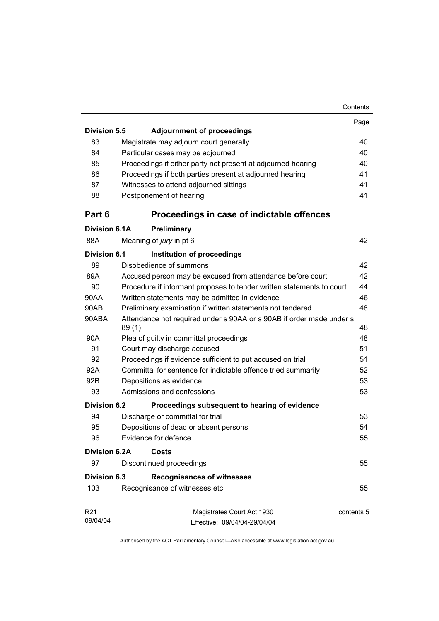|                      |                                                                               | Contents   |
|----------------------|-------------------------------------------------------------------------------|------------|
|                      |                                                                               | Page       |
| <b>Division 5.5</b>  | <b>Adjournment of proceedings</b>                                             |            |
| 83                   | Magistrate may adjourn court generally                                        | 40         |
| 84                   | Particular cases may be adjourned                                             | 40         |
| 85                   | Proceedings if either party not present at adjourned hearing                  | 40         |
| 86                   | Proceedings if both parties present at adjourned hearing                      | 41         |
| 87                   | Witnesses to attend adjourned sittings                                        | 41         |
| 88                   | Postponement of hearing                                                       | 41         |
| Part 6               | Proceedings in case of indictable offences                                    |            |
| Division 6.1A        | Preliminary                                                                   |            |
| 88A                  | Meaning of jury in pt 6                                                       | 42         |
| Division 6.1         | Institution of proceedings                                                    |            |
| 89                   | Disobedience of summons                                                       | 42         |
| 89A                  | Accused person may be excused from attendance before court                    | 42         |
| 90                   | Procedure if informant proposes to tender written statements to court         | 44         |
| 90AA                 | Written statements may be admitted in evidence                                | 46         |
| 90AB                 | Preliminary examination if written statements not tendered                    | 48         |
| 90ABA                | Attendance not required under s 90AA or s 90AB if order made under s<br>89(1) | 48         |
| 90A                  | Plea of guilty in committal proceedings                                       | 48         |
| 91                   | Court may discharge accused                                                   | 51         |
| 92                   | Proceedings if evidence sufficient to put accused on trial                    | 51         |
| 92A                  | Committal for sentence for indictable offence tried summarily                 | 52         |
| 92B                  | Depositions as evidence                                                       | 53         |
| 93                   | Admissions and confessions                                                    | 53         |
| Division 6.2         | Proceedings subsequent to hearing of evidence                                 |            |
| 94                   | Discharge or committal for trial                                              | 53         |
| 95                   | Depositions of dead or absent persons                                         | 54         |
| 96                   | Evidence for defence                                                          | 55         |
| <b>Division 6.2A</b> | Costs                                                                         |            |
| 97                   | Discontinued proceedings                                                      | 55         |
| <b>Division 6.3</b>  | <b>Recognisances of witnesses</b>                                             |            |
| 103                  | Recognisance of witnesses etc                                                 | 55         |
| R <sub>21</sub>      | Magistrates Court Act 1930                                                    | contents 5 |
| 09/04/04             | Effective: 09/04/04-29/04/04                                                  |            |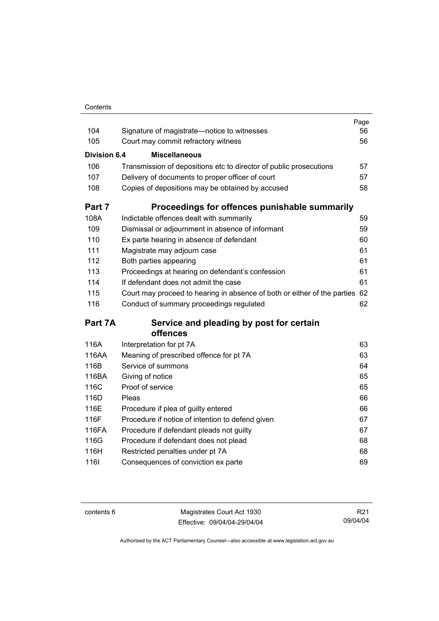| Contents |
|----------|

| 104                 | Signature of magistrate-notice to witnesses                              | Page<br>56 |
|---------------------|--------------------------------------------------------------------------|------------|
| 105                 | Court may commit refractory witness                                      | 56         |
|                     |                                                                          |            |
| <b>Division 6.4</b> | <b>Miscellaneous</b>                                                     |            |
| 106                 | Transmission of depositions etc to director of public prosecutions       | 57         |
| 107                 | Delivery of documents to proper officer of court                         | 57         |
| 108                 | Copies of depositions may be obtained by accused                         | 58         |
| Part 7              | Proceedings for offences punishable summarily                            |            |
| 108A                | Indictable offences dealt with summarily                                 | 59         |
| 109                 | Dismissal or adjournment in absence of informant                         | 59         |
| 110                 | Ex parte hearing in absence of defendant                                 | 60         |
| 111                 | Magistrate may adjourn case                                              | 61         |
| 112                 | Both parties appearing                                                   | 61         |
| 113                 | Proceedings at hearing on defendant's confession                         | 61         |
| 114                 | If defendant does not admit the case                                     | 61         |
| 115                 | Court may proceed to hearing in absence of both or either of the parties | 62         |
| 116                 | Conduct of summary proceedings regulated                                 | 62         |
| Part 7A             | Service and pleading by post for certain                                 |            |
|                     | offences                                                                 |            |
| 116A                | Interpretation for pt 7A                                                 | 63         |
| 116AA               | Meaning of prescribed offence for pt 7A                                  | 63         |
| 116B                | Service of summons                                                       | 64         |
| 116BA               | Giving of notice                                                         | 65         |
| 116C                | Proof of service                                                         | 65         |
| 116D                | Pleas                                                                    | 66         |
| 116E                | Procedure if plea of guilty entered                                      | 66         |
| 116F                | Procedure if notice of intention to defend given                         | 67         |
| 116FA               | Procedure if defendant pleads not guilty                                 | 67         |
| 116G                | Procedure if defendant does not plead                                    | 68         |
| 116H                | Restricted penalties under pt 7A                                         | 68         |
| 1161                | Consequences of conviction ex parte                                      | 69         |

contents 6 Magistrates Court Act 1930 Effective: 09/04/04-29/04/04

R21 09/04/04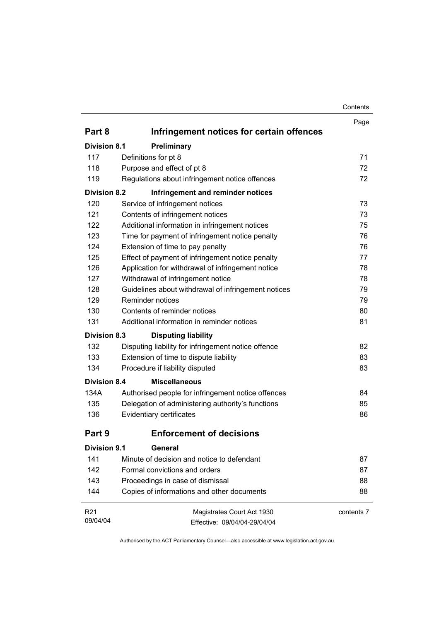| Contents |
|----------|
|----------|

|                     |                                                     | Contents   |
|---------------------|-----------------------------------------------------|------------|
|                     |                                                     | Page       |
| Part 8              | Infringement notices for certain offences           |            |
| <b>Division 8.1</b> | Preliminary                                         |            |
| 117                 | Definitions for pt 8                                | 71         |
| 118                 | Purpose and effect of pt 8                          | 72         |
| 119                 | Regulations about infringement notice offences      | 72         |
| <b>Division 8.2</b> | Infringement and reminder notices                   |            |
| 120                 | Service of infringement notices                     | 73         |
| 121                 | Contents of infringement notices                    | 73         |
| 122                 | Additional information in infringement notices      | 75         |
| 123                 | Time for payment of infringement notice penalty     | 76         |
| 124                 | Extension of time to pay penalty                    | 76         |
| 125                 | Effect of payment of infringement notice penalty    | 77         |
| 126                 | Application for withdrawal of infringement notice   | 78         |
| 127                 | Withdrawal of infringement notice                   | 78         |
| 128                 | Guidelines about withdrawal of infringement notices | 79         |
| 129                 | Reminder notices                                    | 79         |
| 130                 | Contents of reminder notices                        | 80         |
| 131                 | Additional information in reminder notices          | 81         |
| <b>Division 8.3</b> | <b>Disputing liability</b>                          |            |
| 132                 | Disputing liability for infringement notice offence | 82         |
| 133                 | Extension of time to dispute liability              | 83         |
| 134                 | Procedure if liability disputed                     | 83         |
| <b>Division 8.4</b> | <b>Miscellaneous</b>                                |            |
| 134A                | Authorised people for infringement notice offences  | 84         |
| 135                 | Delegation of administering authority's functions   | 85         |
| 136                 | Evidentiary certificates                            | 86         |
| Part 9              | Enforcement of decisions                            |            |
| <b>Division 9.1</b> | <b>General</b>                                      |            |
| 141                 | Minute of decision and notice to defendant          | 87         |
| 142                 | Formal convictions and orders                       | 87         |
| 143                 | Proceedings in case of dismissal                    | 88         |
| 144                 | Copies of informations and other documents          | 88         |
| R <sub>21</sub>     | Magistrates Court Act 1930                          | contents 7 |
| 09/04/04            | Effective: 09/04/04-29/04/04                        |            |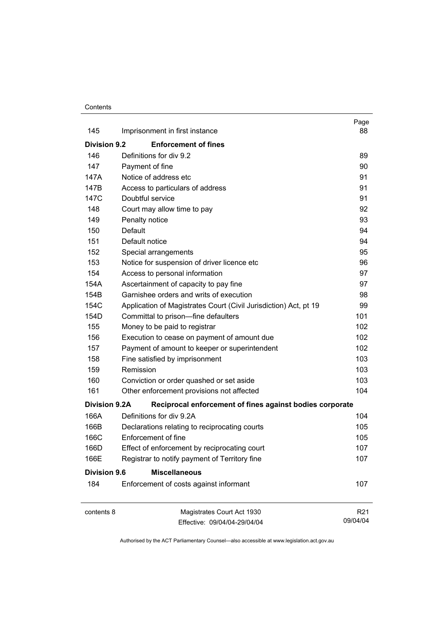#### **Contents**

|                      |                                                                  | Page                        |
|----------------------|------------------------------------------------------------------|-----------------------------|
| 145                  | Imprisonment in first instance                                   | 88                          |
| <b>Division 9.2</b>  | <b>Enforcement of fines</b>                                      |                             |
| 146                  | Definitions for div 9.2                                          | 89                          |
| 147                  | Payment of fine                                                  | 90                          |
| 147A                 | Notice of address etc                                            | 91                          |
| 147B                 | Access to particulars of address                                 | 91                          |
| 147C                 | Doubtful service                                                 | 91                          |
| 148                  | Court may allow time to pay                                      | 92                          |
| 149                  | Penalty notice                                                   | 93                          |
| 150                  | Default                                                          | 94                          |
| 151                  | Default notice                                                   | 94                          |
| 152                  | Special arrangements                                             | 95                          |
| 153                  | Notice for suspension of driver licence etc                      | 96                          |
| 154                  | Access to personal information                                   | 97                          |
| 154A                 | Ascertainment of capacity to pay fine                            | 97                          |
| 154B                 | Garnishee orders and writs of execution                          | 98                          |
| 154C                 | Application of Magistrates Court (Civil Jurisdiction) Act, pt 19 | 99                          |
| 154D                 | Committal to prison-fine defaulters                              | 101                         |
| 155                  | Money to be paid to registrar                                    | 102                         |
| 156                  | Execution to cease on payment of amount due                      | 102                         |
| 157                  | Payment of amount to keeper or superintendent                    | 102                         |
| 158                  | Fine satisfied by imprisonment                                   | 103                         |
| 159                  | Remission                                                        | 103                         |
| 160                  | Conviction or order quashed or set aside                         | 103                         |
| 161                  | Other enforcement provisions not affected                        | 104                         |
| <b>Division 9.2A</b> | Reciprocal enforcement of fines against bodies corporate         |                             |
| 166A                 | Definitions for div 9.2A                                         | 104                         |
| 166B                 | Declarations relating to reciprocating courts                    | 105                         |
| 166C                 | Enforcement of fine                                              | 105                         |
| 166D                 | Effect of enforcement by reciprocating court                     | 107                         |
| 166E                 | Registrar to notify payment of Territory fine                    | 107                         |
| <b>Division 9.6</b>  | <b>Miscellaneous</b>                                             |                             |
| 184                  | Enforcement of costs against informant                           | 107                         |
| contents 8           | Magistrates Court Act 1930                                       | R <sub>21</sub><br>09/04/04 |
|                      | Effective: 09/04/04-29/04/04                                     |                             |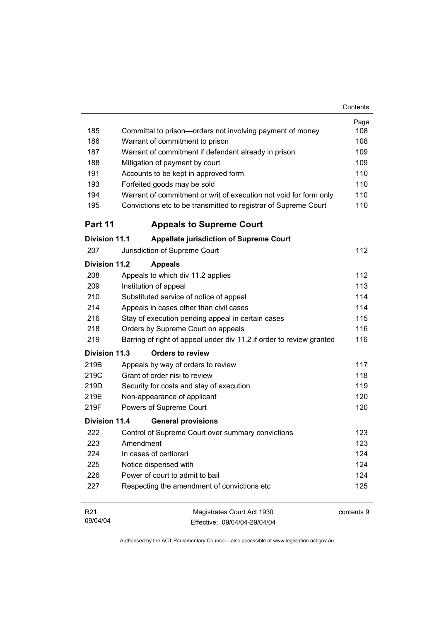|                      |                                                                      | Contents   |
|----------------------|----------------------------------------------------------------------|------------|
|                      |                                                                      | Page       |
| 185                  | Committal to prison-orders not involving payment of money            | 108        |
| 186                  | Warrant of commitment to prison                                      | 108        |
| 187                  | Warrant of commitment if defendant already in prison                 | 109        |
| 188                  | Mitigation of payment by court                                       | 109        |
| 191                  | Accounts to be kept in approved form                                 | 110        |
| 193                  | Forfeited goods may be sold                                          | 110        |
| 194                  | Warrant of commitment or writ of execution not void for form only    | 110        |
| 195                  | Convictions etc to be transmitted to registrar of Supreme Court      | 110        |
| Part 11              | <b>Appeals to Supreme Court</b>                                      |            |
| <b>Division 11.1</b> | <b>Appellate jurisdiction of Supreme Court</b>                       |            |
| 207                  | Jurisdiction of Supreme Court                                        | 112        |
| <b>Division 11.2</b> | <b>Appeals</b>                                                       |            |
| 208                  | Appeals to which div 11.2 applies                                    | 112        |
| 209                  | Institution of appeal                                                | 113        |
| 210                  | Substituted service of notice of appeal                              | 114        |
| 214                  | Appeals in cases other than civil cases                              | 114        |
| 216                  | Stay of execution pending appeal in certain cases                    | 115        |
| 218                  | Orders by Supreme Court on appeals                                   | 116        |
| 219                  | Barring of right of appeal under div 11.2 if order to review granted | 116        |
| Division 11.3        | <b>Orders to review</b>                                              |            |
| 219B                 | Appeals by way of orders to review                                   | 117        |
| 219C                 | Grant of order nisi to review                                        | 118        |
| 219D                 | Security for costs and stay of execution                             | 119        |
| 219E                 | Non-appearance of applicant                                          | 120        |
| 219F                 | Powers of Supreme Court                                              | 120        |
| <b>Division 11.4</b> | <b>General provisions</b>                                            |            |
| 222                  | Control of Supreme Court over summary convictions                    | 123        |
| 223                  | Amendment                                                            | 123        |
| 224                  | In cases of certiorari                                               | 124        |
| 225                  | Notice dispensed with                                                | 124        |
| 226                  | Power of court to admit to bail                                      | 124        |
| 227                  | Respecting the amendment of convictions etc                          | 125        |
| R <sub>21</sub>      | Magistrates Court Act 1930                                           | contents 9 |
| 09/04/04             | Effective: 09/04/04-29/04/04                                         |            |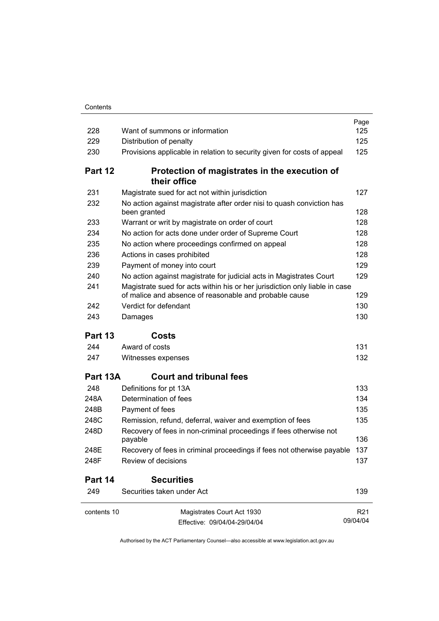| 228         | Want of summons or information                                                                                                        | Page<br>125     |
|-------------|---------------------------------------------------------------------------------------------------------------------------------------|-----------------|
| 229         | Distribution of penalty                                                                                                               | 125             |
| 230         | Provisions applicable in relation to security given for costs of appeal                                                               | 125             |
| Part 12     | Protection of magistrates in the execution of<br>their office                                                                         |                 |
| 231         | Magistrate sued for act not within jurisdiction                                                                                       | 127             |
| 232         | No action against magistrate after order nisi to quash conviction has<br>been granted                                                 | 128             |
| 233         | Warrant or writ by magistrate on order of court                                                                                       | 128             |
| 234         | No action for acts done under order of Supreme Court                                                                                  | 128             |
| 235         | No action where proceedings confirmed on appeal                                                                                       | 128             |
| 236         | Actions in cases prohibited                                                                                                           | 128             |
| 239         | Payment of money into court                                                                                                           | 129             |
| 240         | No action against magistrate for judicial acts in Magistrates Court                                                                   | 129             |
| 241         | Magistrate sued for acts within his or her jurisdiction only liable in case<br>of malice and absence of reasonable and probable cause | 129             |
| 242         | Verdict for defendant                                                                                                                 | 130             |
| 243         | Damages                                                                                                                               | 130             |
| Part 13     | Costs                                                                                                                                 |                 |
| 244         | Award of costs                                                                                                                        | 131             |
| 247         | Witnesses expenses                                                                                                                    | 132             |
| Part 13A    | <b>Court and tribunal fees</b>                                                                                                        |                 |
| 248         | Definitions for pt 13A                                                                                                                | 133             |
| 248A        | Determination of fees                                                                                                                 | 134             |
| 248B        | Payment of fees                                                                                                                       | 135             |
| 248C        | Remission, refund, deferral, waiver and exemption of fees                                                                             | 135             |
| 248D        | Recovery of fees in non-criminal proceedings if fees otherwise not<br>payable                                                         | 136             |
| 248E        | Recovery of fees in criminal proceedings if fees not otherwise payable                                                                | 137             |
| 248F        | Review of decisions                                                                                                                   | 137             |
| Part 14     | <b>Securities</b>                                                                                                                     |                 |
| 249         | Securities taken under Act                                                                                                            | 139             |
| contents 10 | Magistrates Court Act 1930                                                                                                            | R <sub>21</sub> |
|             | Effective: 09/04/04-29/04/04                                                                                                          | 09/04/04        |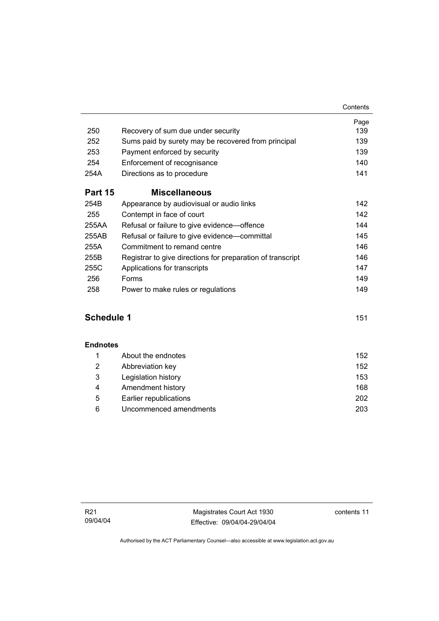|                                                            | Page<br>139                                                                               |
|------------------------------------------------------------|-------------------------------------------------------------------------------------------|
|                                                            |                                                                                           |
|                                                            | 139                                                                                       |
| Payment enforced by security                               | 139                                                                                       |
| Enforcement of recognisance                                | 140                                                                                       |
| Directions as to procedure                                 | 141                                                                                       |
| <b>Miscellaneous</b>                                       |                                                                                           |
| Appearance by audiovisual or audio links                   | 142                                                                                       |
| Contempt in face of court                                  | 142                                                                                       |
| Refusal or failure to give evidence—offence                | 144                                                                                       |
| Refusal or failure to give evidence—committal              | 145                                                                                       |
| Commitment to remand centre                                | 146                                                                                       |
| Registrar to give directions for preparation of transcript | 146                                                                                       |
| Applications for transcripts                               | 147                                                                                       |
| Forms                                                      | 149                                                                                       |
| Power to make rules or regulations                         | 149                                                                                       |
|                                                            | Recovery of sum due under security<br>Sums paid by surety may be recovered from principal |

### **Schedule 1** 151

#### **Endnotes**

|                | About the endnotes     | 152 |
|----------------|------------------------|-----|
| $\overline{2}$ | Abbreviation key       | 152 |
| 3              | Legislation history    | 153 |
| 4              | Amendment history      | 168 |
| 5              | Earlier republications | 202 |
| 6              | Uncommenced amendments | 203 |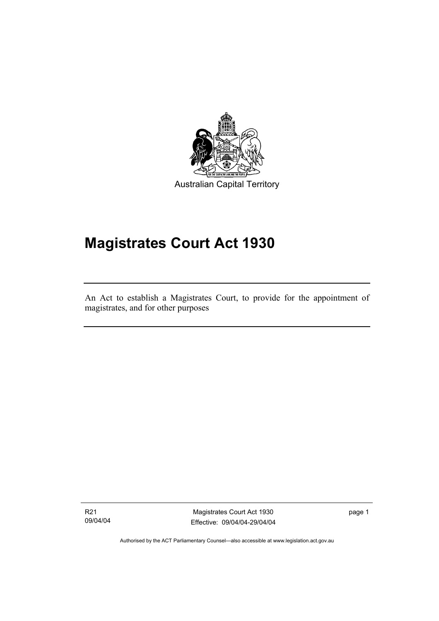

Australian Capital Territory

# **Magistrates Court Act 1930**

An Act to establish a Magistrates Court, to provide for the appointment of magistrates, and for other purposes

R21 09/04/04

I

Magistrates Court Act 1930 Effective: 09/04/04-29/04/04 page 1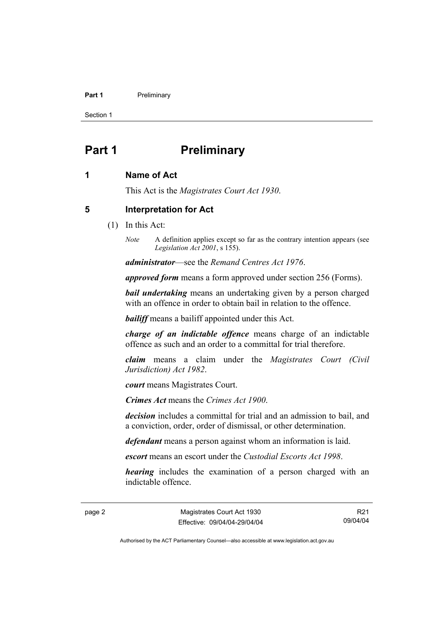#### **Part 1** Preliminary

Section 1

## **Part 1** Preliminary

#### **1 Name of Act**

This Act is the *Magistrates Court Act 1930*.

#### **5 Interpretation for Act**

- (1) In this Act:
	- *Note* A definition applies except so far as the contrary intention appears (see *Legislation Act 2001*, s 155).

*administrator*—see the *Remand Centres Act 1976*.

*approved form* means a form approved under section 256 (Forms).

*bail undertaking* means an undertaking given by a person charged with an offence in order to obtain bail in relation to the offence.

*bailiff* means a bailiff appointed under this Act.

*charge of an indictable offence* means charge of an indictable offence as such and an order to a committal for trial therefore.

*claim* means a claim under the *Magistrates Court (Civil Jurisdiction) Act 1982*.

*court* means Magistrates Court.

*Crimes Act* means the *Crimes Act 1900*.

*decision* includes a committal for trial and an admission to bail, and a conviction, order, order of dismissal, or other determination.

*defendant* means a person against whom an information is laid.

*escort* means an escort under the *Custodial Escorts Act 1998*.

*hearing* includes the examination of a person charged with an indictable offence.

page 2 Magistrates Court Act 1930 Effective: 09/04/04-29/04/04

R21 09/04/04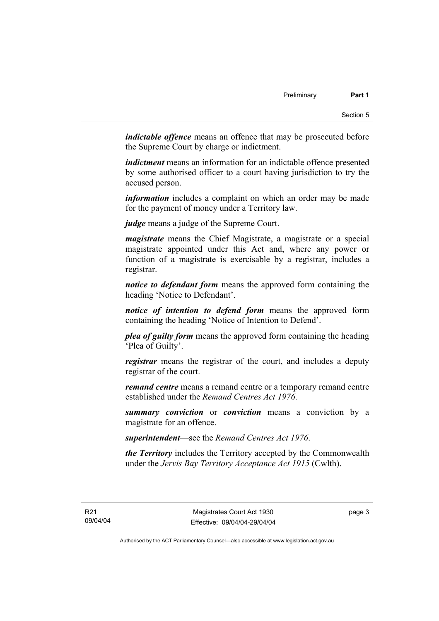*indictable offence* means an offence that may be prosecuted before the Supreme Court by charge or indictment.

*indictment* means an information for an indictable offence presented by some authorised officer to a court having jurisdiction to try the accused person.

*information* includes a complaint on which an order may be made for the payment of money under a Territory law.

*judge* means a judge of the Supreme Court.

*magistrate* means the Chief Magistrate, a magistrate or a special magistrate appointed under this Act and, where any power or function of a magistrate is exercisable by a registrar, includes a registrar.

*notice to defendant form* means the approved form containing the heading 'Notice to Defendant'.

*notice of intention to defend form* means the approved form containing the heading 'Notice of Intention to Defend'.

*plea of guilty form* means the approved form containing the heading 'Plea of Guilty'.

*registrar* means the registrar of the court, and includes a deputy registrar of the court.

*remand centre* means a remand centre or a temporary remand centre established under the *Remand Centres Act 1976*.

*summary conviction* or *conviction* means a conviction by a magistrate for an offence.

*superintendent*—see the *Remand Centres Act 1976*.

*the Territory* includes the Territory accepted by the Commonwealth under the *Jervis Bay Territory Acceptance Act 1915* (Cwlth).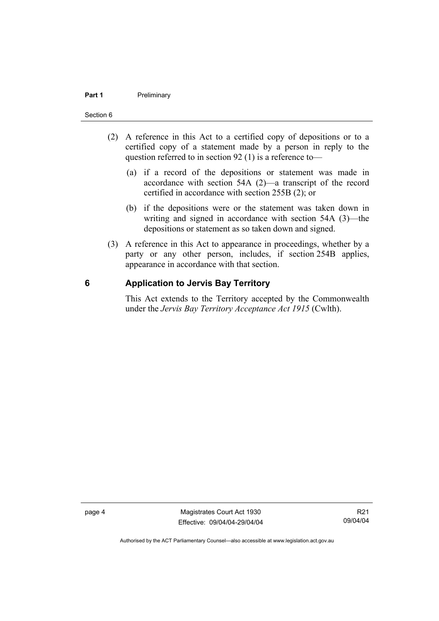#### **Part 1** Preliminary

#### Section 6

- (2) A reference in this Act to a certified copy of depositions or to a certified copy of a statement made by a person in reply to the question referred to in section 92 (1) is a reference to—
	- (a) if a record of the depositions or statement was made in accordance with section 54A (2)—a transcript of the record certified in accordance with section 255B (2); or
	- (b) if the depositions were or the statement was taken down in writing and signed in accordance with section 54A (3)—the depositions or statement as so taken down and signed.
- (3) A reference in this Act to appearance in proceedings, whether by a party or any other person, includes, if section 254B applies, appearance in accordance with that section.

#### **6 Application to Jervis Bay Territory**

This Act extends to the Territory accepted by the Commonwealth under the *Jervis Bay Territory Acceptance Act 1915* (Cwlth).

page 4 Magistrates Court Act 1930 Effective: 09/04/04-29/04/04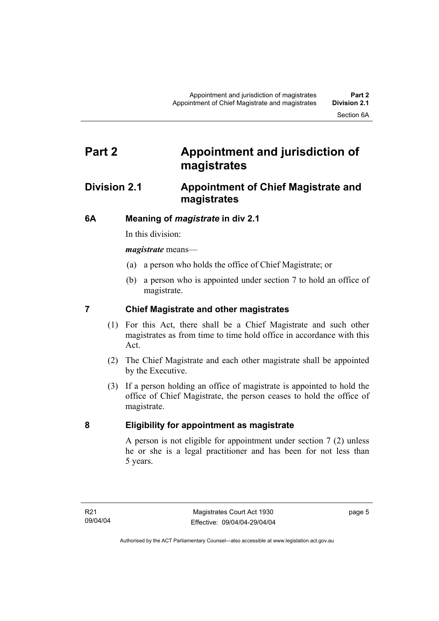## **Part 2 Appointment and jurisdiction of magistrates**

### **Division 2.1 Appointment of Chief Magistrate and magistrates**

### **6A Meaning of** *magistrate* **in div 2.1**

In this division:

*magistrate* means—

- (a) a person who holds the office of Chief Magistrate; or
- (b) a person who is appointed under section 7 to hold an office of magistrate.

### **7 Chief Magistrate and other magistrates**

- (1) For this Act, there shall be a Chief Magistrate and such other magistrates as from time to time hold office in accordance with this Act.
- (2) The Chief Magistrate and each other magistrate shall be appointed by the Executive.
- (3) If a person holding an office of magistrate is appointed to hold the office of Chief Magistrate, the person ceases to hold the office of magistrate.

#### **8 Eligibility for appointment as magistrate**

A person is not eligible for appointment under section 7 (2) unless he or she is a legal practitioner and has been for not less than 5 years.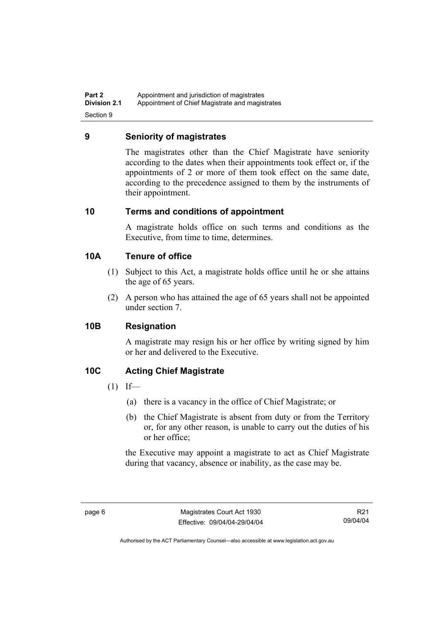**Part 2 Appointment and jurisdiction of magistrates**<br>**Division 2.1** Appointment of Chief Magistrate and magis Appointment of Chief Magistrate and magistrates Section 9

#### **9 Seniority of magistrates**

The magistrates other than the Chief Magistrate have seniority according to the dates when their appointments took effect or, if the appointments of 2 or more of them took effect on the same date, according to the precedence assigned to them by the instruments of their appointment.

#### **10 Terms and conditions of appointment**

A magistrate holds office on such terms and conditions as the Executive, from time to time, determines.

#### **10A Tenure of office**

- (1) Subject to this Act, a magistrate holds office until he or she attains the age of 65 years.
- (2) A person who has attained the age of 65 years shall not be appointed under section 7.

#### **10B Resignation**

A magistrate may resign his or her office by writing signed by him or her and delivered to the Executive.

#### **10C Acting Chief Magistrate**

- $(1)$  If—
	- (a) there is a vacancy in the office of Chief Magistrate; or
	- (b) the Chief Magistrate is absent from duty or from the Territory or, for any other reason, is unable to carry out the duties of his or her office;

the Executive may appoint a magistrate to act as Chief Magistrate during that vacancy, absence or inability, as the case may be.

R21 09/04/04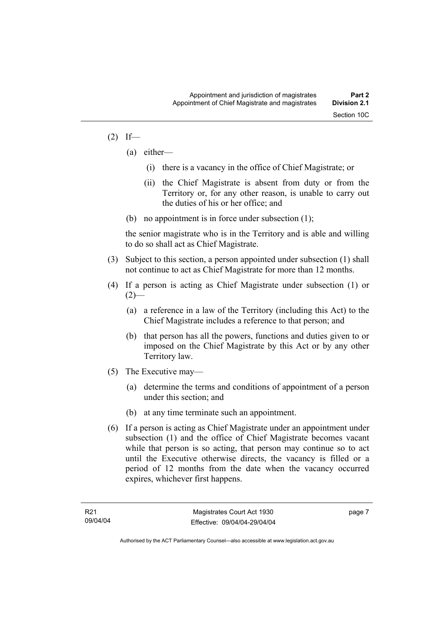#### $(2)$  If—

- (a) either—
	- (i) there is a vacancy in the office of Chief Magistrate; or
	- (ii) the Chief Magistrate is absent from duty or from the Territory or, for any other reason, is unable to carry out the duties of his or her office; and
- (b) no appointment is in force under subsection (1);

the senior magistrate who is in the Territory and is able and willing to do so shall act as Chief Magistrate.

- (3) Subject to this section, a person appointed under subsection (1) shall not continue to act as Chief Magistrate for more than 12 months.
- (4) If a person is acting as Chief Magistrate under subsection (1) or  $(2)$ —
	- (a) a reference in a law of the Territory (including this Act) to the Chief Magistrate includes a reference to that person; and
	- (b) that person has all the powers, functions and duties given to or imposed on the Chief Magistrate by this Act or by any other Territory law.
- (5) The Executive may—
	- (a) determine the terms and conditions of appointment of a person under this section; and
	- (b) at any time terminate such an appointment.
- (6) If a person is acting as Chief Magistrate under an appointment under subsection (1) and the office of Chief Magistrate becomes vacant while that person is so acting, that person may continue so to act until the Executive otherwise directs, the vacancy is filled or a period of 12 months from the date when the vacancy occurred expires, whichever first happens.

page 7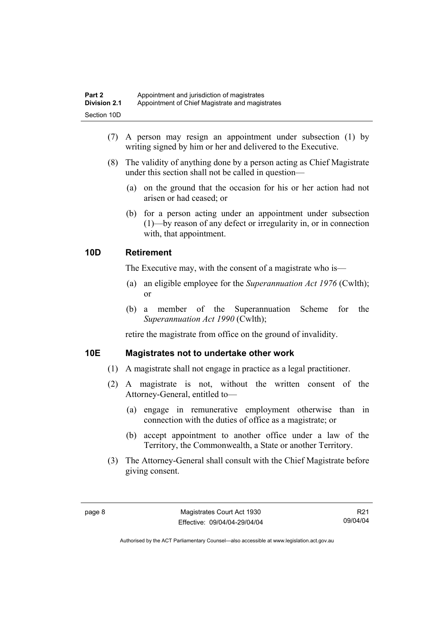| Part 2              | Appointment and jurisdiction of magistrates     |
|---------------------|-------------------------------------------------|
| <b>Division 2.1</b> | Appointment of Chief Magistrate and magistrates |
| Section 10D         |                                                 |

- (7) A person may resign an appointment under subsection (1) by writing signed by him or her and delivered to the Executive.
- (8) The validity of anything done by a person acting as Chief Magistrate under this section shall not be called in question—
	- (a) on the ground that the occasion for his or her action had not arisen or had ceased; or
	- (b) for a person acting under an appointment under subsection (1)—by reason of any defect or irregularity in, or in connection with, that appointment.

#### **10D Retirement**

The Executive may, with the consent of a magistrate who is—

- (a) an eligible employee for the *Superannuation Act 1976* (Cwlth); or
- (b) a member of the Superannuation Scheme for the *Superannuation Act 1990* (Cwlth);

retire the magistrate from office on the ground of invalidity.

#### **10E Magistrates not to undertake other work**

- (1) A magistrate shall not engage in practice as a legal practitioner.
- (2) A magistrate is not, without the written consent of the Attorney-General, entitled to—
	- (a) engage in remunerative employment otherwise than in connection with the duties of office as a magistrate; or
	- (b) accept appointment to another office under a law of the Territory, the Commonwealth, a State or another Territory.
- (3) The Attorney-General shall consult with the Chief Magistrate before giving consent.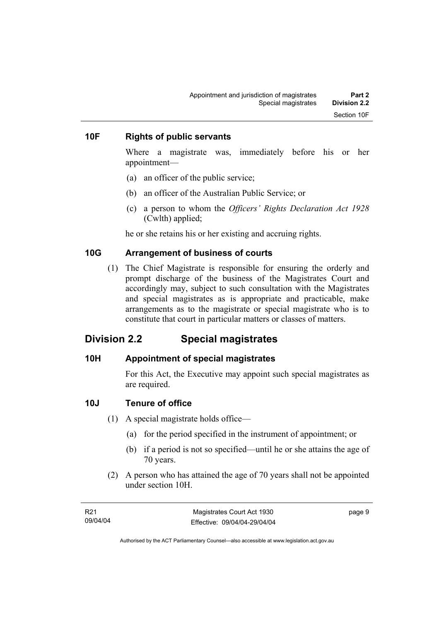#### **10F Rights of public servants**

Where a magistrate was, immediately before his or her appointment—

- (a) an officer of the public service;
- (b) an officer of the Australian Public Service; or
- (c) a person to whom the *Officers' Rights Declaration Act 1928* (Cwlth) applied;

he or she retains his or her existing and accruing rights.

#### **10G Arrangement of business of courts**

 (1) The Chief Magistrate is responsible for ensuring the orderly and prompt discharge of the business of the Magistrates Court and accordingly may, subject to such consultation with the Magistrates and special magistrates as is appropriate and practicable, make arrangements as to the magistrate or special magistrate who is to constitute that court in particular matters or classes of matters.

### **Division 2.2 Special magistrates**

#### **10H Appointment of special magistrates**

For this Act, the Executive may appoint such special magistrates as are required.

#### **10J Tenure of office**

- (1) A special magistrate holds office—
	- (a) for the period specified in the instrument of appointment; or
	- (b) if a period is not so specified—until he or she attains the age of 70 years.
- (2) A person who has attained the age of 70 years shall not be appointed under section 10H.

| R21      | Magistrates Court Act 1930   | page 9 |
|----------|------------------------------|--------|
| 09/04/04 | Effective: 09/04/04-29/04/04 |        |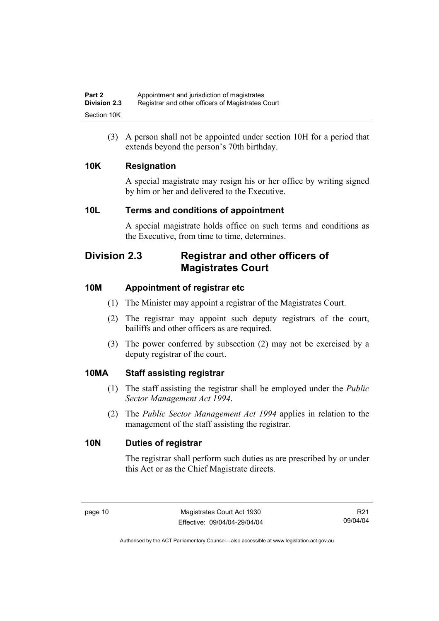(3) A person shall not be appointed under section 10H for a period that extends beyond the person's 70th birthday.

### **10K Resignation**

A special magistrate may resign his or her office by writing signed by him or her and delivered to the Executive.

### **10L Terms and conditions of appointment**

A special magistrate holds office on such terms and conditions as the Executive, from time to time, determines.

## **Division 2.3 Registrar and other officers of Magistrates Court**

### **10M Appointment of registrar etc**

- (1) The Minister may appoint a registrar of the Magistrates Court.
- (2) The registrar may appoint such deputy registrars of the court, bailiffs and other officers as are required.
- (3) The power conferred by subsection (2) may not be exercised by a deputy registrar of the court.

#### **10MA Staff assisting registrar**

- (1) The staff assisting the registrar shall be employed under the *Public Sector Management Act 1994*.
- (2) The *Public Sector Management Act 1994* applies in relation to the management of the staff assisting the registrar.

#### **10N Duties of registrar**

The registrar shall perform such duties as are prescribed by or under this Act or as the Chief Magistrate directs.

R21 09/04/04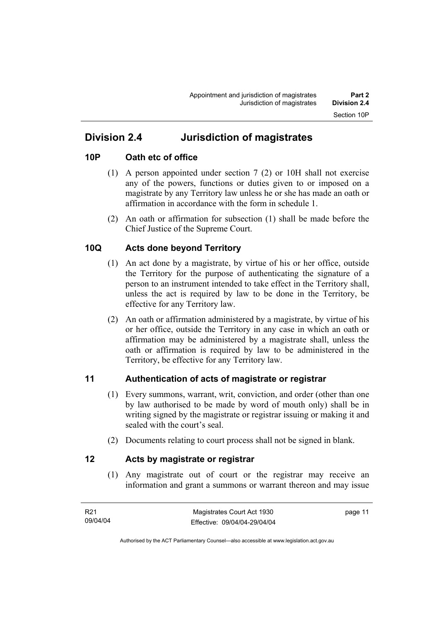## **Division 2.4 Jurisdiction of magistrates**

#### **10P Oath etc of office**

- (1) A person appointed under section 7 (2) or 10H shall not exercise any of the powers, functions or duties given to or imposed on a magistrate by any Territory law unless he or she has made an oath or affirmation in accordance with the form in schedule 1.
- (2) An oath or affirmation for subsection (1) shall be made before the Chief Justice of the Supreme Court.

### **10Q Acts done beyond Territory**

- (1) An act done by a magistrate, by virtue of his or her office, outside the Territory for the purpose of authenticating the signature of a person to an instrument intended to take effect in the Territory shall, unless the act is required by law to be done in the Territory, be effective for any Territory law.
- (2) An oath or affirmation administered by a magistrate, by virtue of his or her office, outside the Territory in any case in which an oath or affirmation may be administered by a magistrate shall, unless the oath or affirmation is required by law to be administered in the Territory, be effective for any Territory law.

#### **11 Authentication of acts of magistrate or registrar**

- (1) Every summons, warrant, writ, conviction, and order (other than one by law authorised to be made by word of mouth only) shall be in writing signed by the magistrate or registrar issuing or making it and sealed with the court's seal.
- (2) Documents relating to court process shall not be signed in blank.

#### **12 Acts by magistrate or registrar**

 (1) Any magistrate out of court or the registrar may receive an information and grant a summons or warrant thereon and may issue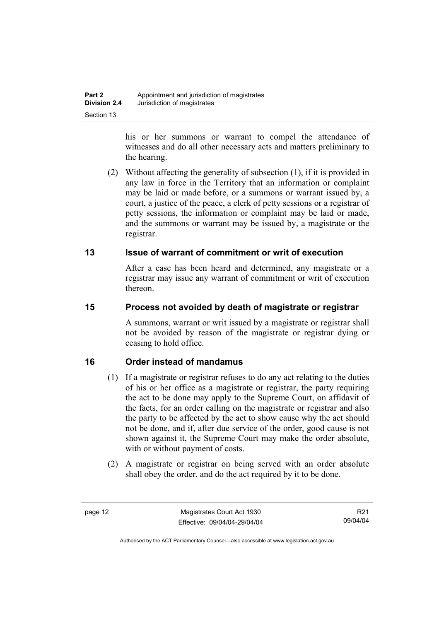his or her summons or warrant to compel the attendance of witnesses and do all other necessary acts and matters preliminary to the hearing.

 (2) Without affecting the generality of subsection (1), if it is provided in any law in force in the Territory that an information or complaint may be laid or made before, or a summons or warrant issued by, a court, a justice of the peace, a clerk of petty sessions or a registrar of petty sessions, the information or complaint may be laid or made, and the summons or warrant may be issued by, a magistrate or the registrar.

### **13 Issue of warrant of commitment or writ of execution**

After a case has been heard and determined, any magistrate or a registrar may issue any warrant of commitment or writ of execution thereon.

### **15 Process not avoided by death of magistrate or registrar**

A summons, warrant or writ issued by a magistrate or registrar shall not be avoided by reason of the magistrate or registrar dying or ceasing to hold office.

### **16 Order instead of mandamus**

- (1) If a magistrate or registrar refuses to do any act relating to the duties of his or her office as a magistrate or registrar, the party requiring the act to be done may apply to the Supreme Court, on affidavit of the facts, for an order calling on the magistrate or registrar and also the party to be affected by the act to show cause why the act should not be done, and if, after due service of the order, good cause is not shown against it, the Supreme Court may make the order absolute, with or without payment of costs.
- (2) A magistrate or registrar on being served with an order absolute shall obey the order, and do the act required by it to be done.

R21 09/04/04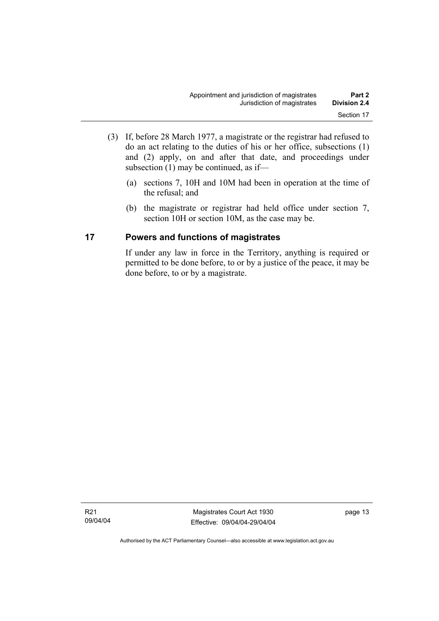- (3) If, before 28 March 1977, a magistrate or the registrar had refused to do an act relating to the duties of his or her office, subsections (1) and (2) apply, on and after that date, and proceedings under subsection (1) may be continued, as if—
	- (a) sections 7, 10H and 10M had been in operation at the time of the refusal; and
	- (b) the magistrate or registrar had held office under section 7, section 10H or section 10M, as the case may be.

#### **17 Powers and functions of magistrates**

If under any law in force in the Territory, anything is required or permitted to be done before, to or by a justice of the peace, it may be done before, to or by a magistrate.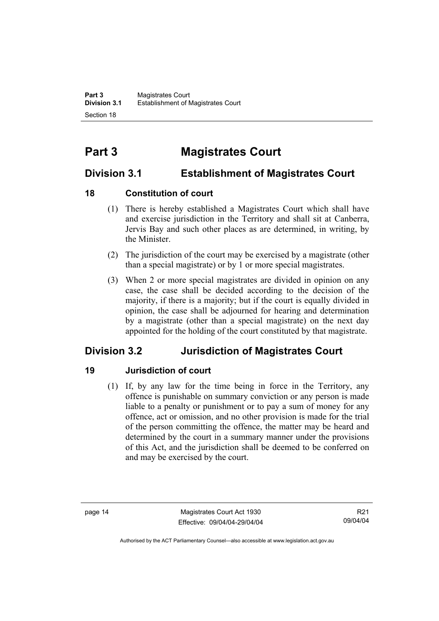## **Part 3 Magistrates Court**

## **Division 3.1 Establishment of Magistrates Court**

### **18 Constitution of court**

- (1) There is hereby established a Magistrates Court which shall have and exercise jurisdiction in the Territory and shall sit at Canberra, Jervis Bay and such other places as are determined, in writing, by the Minister.
- (2) The jurisdiction of the court may be exercised by a magistrate (other than a special magistrate) or by 1 or more special magistrates.
- (3) When 2 or more special magistrates are divided in opinion on any case, the case shall be decided according to the decision of the majority, if there is a majority; but if the court is equally divided in opinion, the case shall be adjourned for hearing and determination by a magistrate (other than a special magistrate) on the next day appointed for the holding of the court constituted by that magistrate.

## **Division 3.2 Jurisdiction of Magistrates Court**

### **19 Jurisdiction of court**

 (1) If, by any law for the time being in force in the Territory, any offence is punishable on summary conviction or any person is made liable to a penalty or punishment or to pay a sum of money for any offence, act or omission, and no other provision is made for the trial of the person committing the offence, the matter may be heard and determined by the court in a summary manner under the provisions of this Act, and the jurisdiction shall be deemed to be conferred on and may be exercised by the court.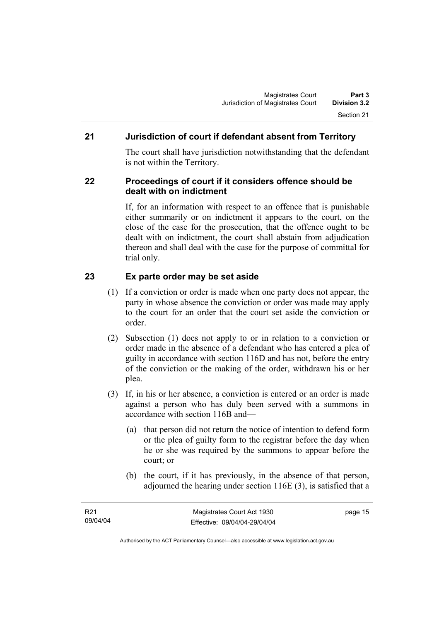### **21 Jurisdiction of court if defendant absent from Territory**

The court shall have jurisdiction notwithstanding that the defendant is not within the Territory.

#### **22 Proceedings of court if it considers offence should be dealt with on indictment**

If, for an information with respect to an offence that is punishable either summarily or on indictment it appears to the court, on the close of the case for the prosecution, that the offence ought to be dealt with on indictment, the court shall abstain from adjudication thereon and shall deal with the case for the purpose of committal for trial only.

### **23 Ex parte order may be set aside**

- (1) If a conviction or order is made when one party does not appear, the party in whose absence the conviction or order was made may apply to the court for an order that the court set aside the conviction or order.
- (2) Subsection (1) does not apply to or in relation to a conviction or order made in the absence of a defendant who has entered a plea of guilty in accordance with section 116D and has not, before the entry of the conviction or the making of the order, withdrawn his or her plea.
- (3) If, in his or her absence, a conviction is entered or an order is made against a person who has duly been served with a summons in accordance with section 116B and—
	- (a) that person did not return the notice of intention to defend form or the plea of guilty form to the registrar before the day when he or she was required by the summons to appear before the court; or
	- (b) the court, if it has previously, in the absence of that person, adjourned the hearing under section 116E (3), is satisfied that a

page 15

Authorised by the ACT Parliamentary Counsel—also accessible at www.legislation.act.gov.au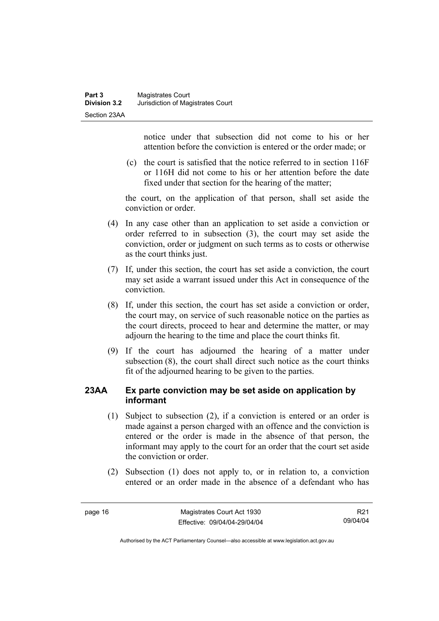notice under that subsection did not come to his or her attention before the conviction is entered or the order made; or

 (c) the court is satisfied that the notice referred to in section 116F or 116H did not come to his or her attention before the date fixed under that section for the hearing of the matter;

the court, on the application of that person, shall set aside the conviction or order.

- (4) In any case other than an application to set aside a conviction or order referred to in subsection (3), the court may set aside the conviction, order or judgment on such terms as to costs or otherwise as the court thinks just.
- (7) If, under this section, the court has set aside a conviction, the court may set aside a warrant issued under this Act in consequence of the conviction.
- (8) If, under this section, the court has set aside a conviction or order, the court may, on service of such reasonable notice on the parties as the court directs, proceed to hear and determine the matter, or may adjourn the hearing to the time and place the court thinks fit.
- (9) If the court has adjourned the hearing of a matter under subsection (8), the court shall direct such notice as the court thinks fit of the adjourned hearing to be given to the parties.

#### **23AA Ex parte conviction may be set aside on application by informant**

- (1) Subject to subsection (2), if a conviction is entered or an order is made against a person charged with an offence and the conviction is entered or the order is made in the absence of that person, the informant may apply to the court for an order that the court set aside the conviction or order.
- (2) Subsection (1) does not apply to, or in relation to, a conviction entered or an order made in the absence of a defendant who has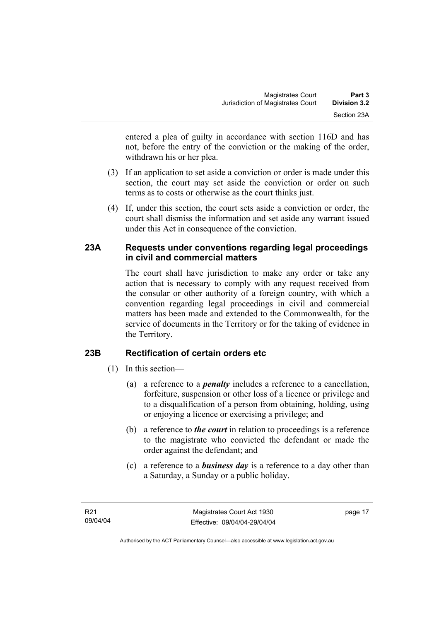entered a plea of guilty in accordance with section 116D and has not, before the entry of the conviction or the making of the order, withdrawn his or her plea.

- (3) If an application to set aside a conviction or order is made under this section, the court may set aside the conviction or order on such terms as to costs or otherwise as the court thinks just.
- (4) If, under this section, the court sets aside a conviction or order, the court shall dismiss the information and set aside any warrant issued under this Act in consequence of the conviction.

#### **23A Requests under conventions regarding legal proceedings in civil and commercial matters**

The court shall have jurisdiction to make any order or take any action that is necessary to comply with any request received from the consular or other authority of a foreign country, with which a convention regarding legal proceedings in civil and commercial matters has been made and extended to the Commonwealth, for the service of documents in the Territory or for the taking of evidence in the Territory.

### **23B Rectification of certain orders etc**

- (1) In this section—
	- (a) a reference to a *penalty* includes a reference to a cancellation, forfeiture, suspension or other loss of a licence or privilege and to a disqualification of a person from obtaining, holding, using or enjoying a licence or exercising a privilege; and
	- (b) a reference to *the court* in relation to proceedings is a reference to the magistrate who convicted the defendant or made the order against the defendant; and
	- (c) a reference to a *business day* is a reference to a day other than a Saturday, a Sunday or a public holiday.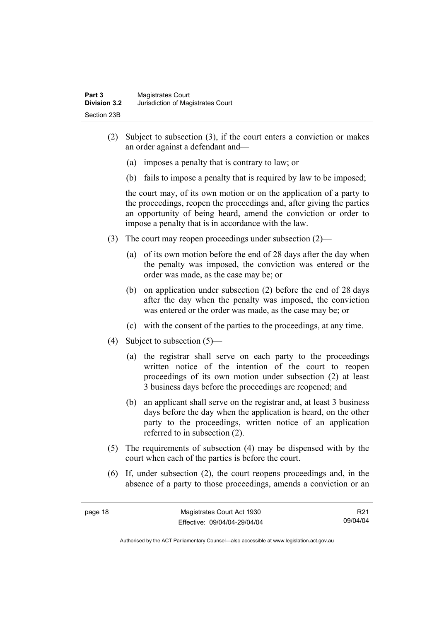- (2) Subject to subsection (3), if the court enters a conviction or makes an order against a defendant and—
	- (a) imposes a penalty that is contrary to law; or
	- (b) fails to impose a penalty that is required by law to be imposed;

the court may, of its own motion or on the application of a party to the proceedings, reopen the proceedings and, after giving the parties an opportunity of being heard, amend the conviction or order to impose a penalty that is in accordance with the law.

- (3) The court may reopen proceedings under subsection (2)—
	- (a) of its own motion before the end of 28 days after the day when the penalty was imposed, the conviction was entered or the order was made, as the case may be; or
	- (b) on application under subsection (2) before the end of 28 days after the day when the penalty was imposed, the conviction was entered or the order was made, as the case may be; or
	- (c) with the consent of the parties to the proceedings, at any time.
- (4) Subject to subsection (5)—
	- (a) the registrar shall serve on each party to the proceedings written notice of the intention of the court to reopen proceedings of its own motion under subsection (2) at least 3 business days before the proceedings are reopened; and
	- (b) an applicant shall serve on the registrar and, at least 3 business days before the day when the application is heard, on the other party to the proceedings, written notice of an application referred to in subsection (2).
- (5) The requirements of subsection (4) may be dispensed with by the court when each of the parties is before the court.
- (6) If, under subsection (2), the court reopens proceedings and, in the absence of a party to those proceedings, amends a conviction or an

R21 09/04/04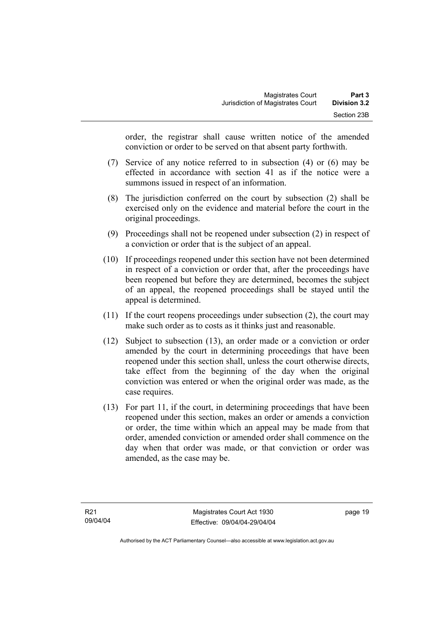order, the registrar shall cause written notice of the amended conviction or order to be served on that absent party forthwith.

- (7) Service of any notice referred to in subsection (4) or (6) may be effected in accordance with section 41 as if the notice were a summons issued in respect of an information.
- (8) The jurisdiction conferred on the court by subsection (2) shall be exercised only on the evidence and material before the court in the original proceedings.
- (9) Proceedings shall not be reopened under subsection (2) in respect of a conviction or order that is the subject of an appeal.
- (10) If proceedings reopened under this section have not been determined in respect of a conviction or order that, after the proceedings have been reopened but before they are determined, becomes the subject of an appeal, the reopened proceedings shall be stayed until the appeal is determined.
- (11) If the court reopens proceedings under subsection (2), the court may make such order as to costs as it thinks just and reasonable.
- (12) Subject to subsection (13), an order made or a conviction or order amended by the court in determining proceedings that have been reopened under this section shall, unless the court otherwise directs, take effect from the beginning of the day when the original conviction was entered or when the original order was made, as the case requires.
- (13) For part 11, if the court, in determining proceedings that have been reopened under this section, makes an order or amends a conviction or order, the time within which an appeal may be made from that order, amended conviction or amended order shall commence on the day when that order was made, or that conviction or order was amended, as the case may be.

page 19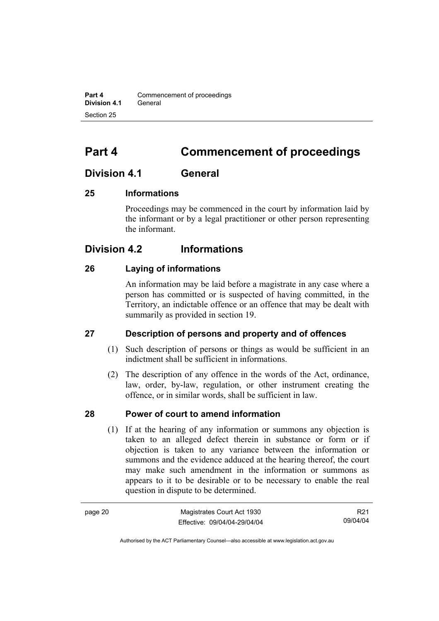**Part 4 Commencement of proceedings Division 4.1** General Section 25

## **Part 4 Commencement of proceedings**

### **Division 4.1 General**

#### **25 Informations**

Proceedings may be commenced in the court by information laid by the informant or by a legal practitioner or other person representing the informant.

### **Division 4.2 Informations**

#### **26 Laying of informations**

An information may be laid before a magistrate in any case where a person has committed or is suspected of having committed, in the Territory, an indictable offence or an offence that may be dealt with summarily as provided in section 19.

#### **27 Description of persons and property and of offences**

- (1) Such description of persons or things as would be sufficient in an indictment shall be sufficient in informations.
- (2) The description of any offence in the words of the Act, ordinance, law, order, by-law, regulation, or other instrument creating the offence, or in similar words, shall be sufficient in law.

#### **28 Power of court to amend information**

 (1) If at the hearing of any information or summons any objection is taken to an alleged defect therein in substance or form or if objection is taken to any variance between the information or summons and the evidence adduced at the hearing thereof, the court may make such amendment in the information or summons as appears to it to be desirable or to be necessary to enable the real question in dispute to be determined.

| page 20 | Magistrates Court Act 1930   | R <sub>21</sub> |
|---------|------------------------------|-----------------|
|         | Effective: 09/04/04-29/04/04 | 09/04/04        |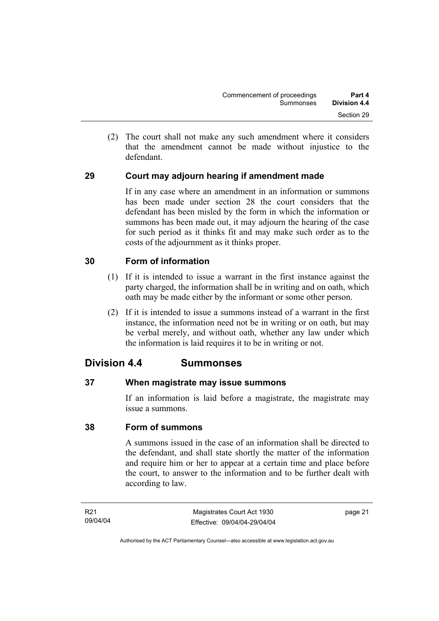(2) The court shall not make any such amendment where it considers that the amendment cannot be made without injustice to the defendant.

### **29 Court may adjourn hearing if amendment made**

If in any case where an amendment in an information or summons has been made under section 28 the court considers that the defendant has been misled by the form in which the information or summons has been made out, it may adjourn the hearing of the case for such period as it thinks fit and may make such order as to the costs of the adjournment as it thinks proper.

#### **30 Form of information**

- (1) If it is intended to issue a warrant in the first instance against the party charged, the information shall be in writing and on oath, which oath may be made either by the informant or some other person.
- (2) If it is intended to issue a summons instead of a warrant in the first instance, the information need not be in writing or on oath, but may be verbal merely, and without oath, whether any law under which the information is laid requires it to be in writing or not.

### **Division 4.4 Summonses**

#### **37 When magistrate may issue summons**

If an information is laid before a magistrate, the magistrate may issue a summons.

#### **38 Form of summons**

A summons issued in the case of an information shall be directed to the defendant, and shall state shortly the matter of the information and require him or her to appear at a certain time and place before the court, to answer to the information and to be further dealt with according to law.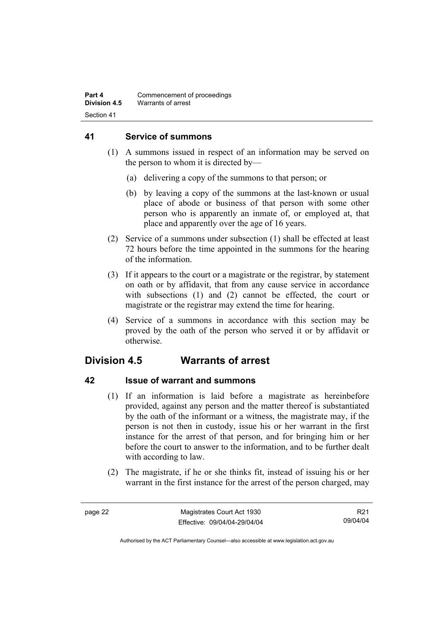#### **41 Service of summons**

- (1) A summons issued in respect of an information may be served on the person to whom it is directed by—
	- (a) delivering a copy of the summons to that person; or
	- (b) by leaving a copy of the summons at the last-known or usual place of abode or business of that person with some other person who is apparently an inmate of, or employed at, that place and apparently over the age of 16 years.
- (2) Service of a summons under subsection (1) shall be effected at least 72 hours before the time appointed in the summons for the hearing of the information.
- (3) If it appears to the court or a magistrate or the registrar, by statement on oath or by affidavit, that from any cause service in accordance with subsections (1) and (2) cannot be effected, the court or magistrate or the registrar may extend the time for hearing.
- (4) Service of a summons in accordance with this section may be proved by the oath of the person who served it or by affidavit or otherwise.

## **Division 4.5 Warrants of arrest**

### **42 Issue of warrant and summons**

- (1) If an information is laid before a magistrate as hereinbefore provided, against any person and the matter thereof is substantiated by the oath of the informant or a witness, the magistrate may, if the person is not then in custody, issue his or her warrant in the first instance for the arrest of that person, and for bringing him or her before the court to answer to the information, and to be further dealt with according to law.
- (2) The magistrate, if he or she thinks fit, instead of issuing his or her warrant in the first instance for the arrest of the person charged, may

R21 09/04/04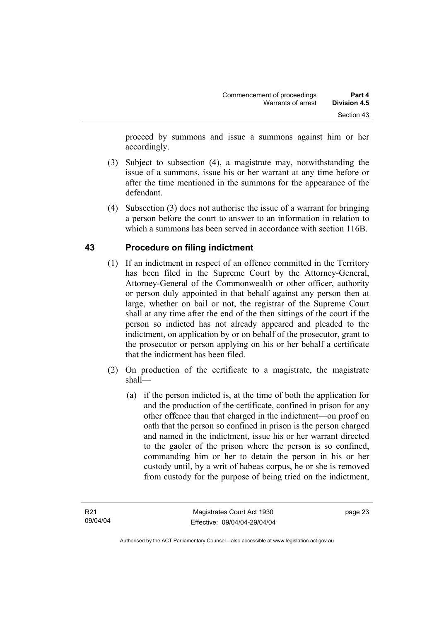proceed by summons and issue a summons against him or her accordingly.

- (3) Subject to subsection (4), a magistrate may, notwithstanding the issue of a summons, issue his or her warrant at any time before or after the time mentioned in the summons for the appearance of the defendant.
- (4) Subsection (3) does not authorise the issue of a warrant for bringing a person before the court to answer to an information in relation to which a summons has been served in accordance with section 116B.

### **43 Procedure on filing indictment**

- (1) If an indictment in respect of an offence committed in the Territory has been filed in the Supreme Court by the Attorney-General, Attorney-General of the Commonwealth or other officer, authority or person duly appointed in that behalf against any person then at large, whether on bail or not, the registrar of the Supreme Court shall at any time after the end of the then sittings of the court if the person so indicted has not already appeared and pleaded to the indictment, on application by or on behalf of the prosecutor, grant to the prosecutor or person applying on his or her behalf a certificate that the indictment has been filed.
- (2) On production of the certificate to a magistrate, the magistrate shall—
	- (a) if the person indicted is, at the time of both the application for and the production of the certificate, confined in prison for any other offence than that charged in the indictment—on proof on oath that the person so confined in prison is the person charged and named in the indictment, issue his or her warrant directed to the gaoler of the prison where the person is so confined, commanding him or her to detain the person in his or her custody until, by a writ of habeas corpus, he or she is removed from custody for the purpose of being tried on the indictment,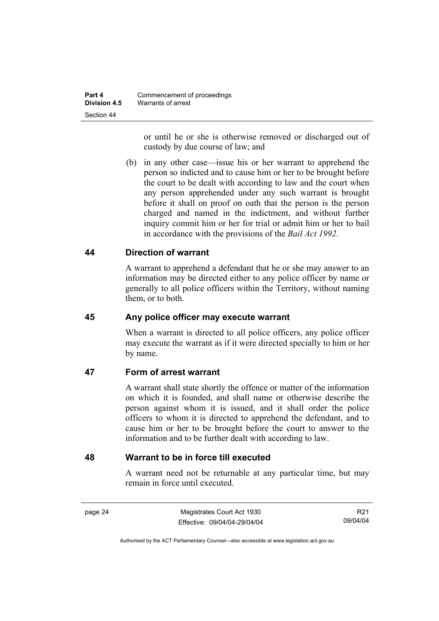or until he or she is otherwise removed or discharged out of custody by due course of law; and

 (b) in any other case—issue his or her warrant to apprehend the person so indicted and to cause him or her to be brought before the court to be dealt with according to law and the court when any person apprehended under any such warrant is brought before it shall on proof on oath that the person is the person charged and named in the indictment, and without further inquiry commit him or her for trial or admit him or her to bail in accordance with the provisions of the *Bail Act 1992*.

### **44 Direction of warrant**

A warrant to apprehend a defendant that he or she may answer to an information may be directed either to any police officer by name or generally to all police officers within the Territory, without naming them, or to both.

### **45 Any police officer may execute warrant**

When a warrant is directed to all police officers, any police officer may execute the warrant as if it were directed specially to him or her by name.

### **47 Form of arrest warrant**

A warrant shall state shortly the offence or matter of the information on which it is founded, and shall name or otherwise describe the person against whom it is issued, and it shall order the police officers to whom it is directed to apprehend the defendant, and to cause him or her to be brought before the court to answer to the information and to be further dealt with according to law.

### **48 Warrant to be in force till executed**

A warrant need not be returnable at any particular time, but may remain in force until executed.

page 24 Magistrates Court Act 1930 Effective: 09/04/04-29/04/04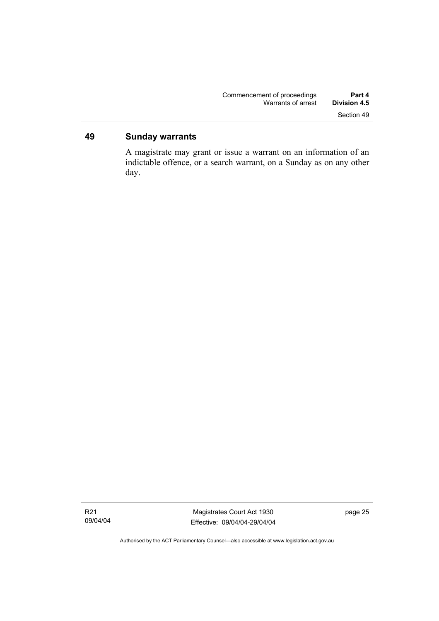### **49 Sunday warrants**

A magistrate may grant or issue a warrant on an information of an indictable offence, or a search warrant, on a Sunday as on any other day.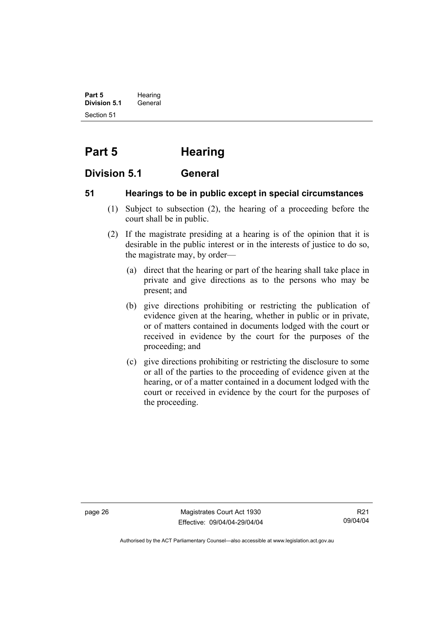**Part 5** Hearing **Division 5.1** General Section 51

# **Part 5 Hearing**

### **Division 5.1 General**

### **51 Hearings to be in public except in special circumstances**

- (1) Subject to subsection (2), the hearing of a proceeding before the court shall be in public.
- (2) If the magistrate presiding at a hearing is of the opinion that it is desirable in the public interest or in the interests of justice to do so, the magistrate may, by order—
	- (a) direct that the hearing or part of the hearing shall take place in private and give directions as to the persons who may be present; and
	- (b) give directions prohibiting or restricting the publication of evidence given at the hearing, whether in public or in private, or of matters contained in documents lodged with the court or received in evidence by the court for the purposes of the proceeding; and
	- (c) give directions prohibiting or restricting the disclosure to some or all of the parties to the proceeding of evidence given at the hearing, or of a matter contained in a document lodged with the court or received in evidence by the court for the purposes of the proceeding.

page 26 Magistrates Court Act 1930 Effective: 09/04/04-29/04/04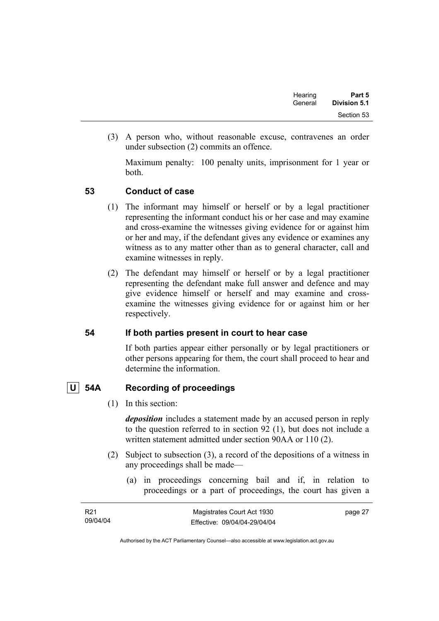| Hearing | Part 5       |
|---------|--------------|
| General | Division 5.1 |
|         | Section 53   |

 (3) A person who, without reasonable excuse, contravenes an order under subsection (2) commits an offence.

Maximum penalty: 100 penalty units, imprisonment for 1 year or both.

### **53 Conduct of case**

- (1) The informant may himself or herself or by a legal practitioner representing the informant conduct his or her case and may examine and cross-examine the witnesses giving evidence for or against him or her and may, if the defendant gives any evidence or examines any witness as to any matter other than as to general character, call and examine witnesses in reply.
- (2) The defendant may himself or herself or by a legal practitioner representing the defendant make full answer and defence and may give evidence himself or herself and may examine and crossexamine the witnesses giving evidence for or against him or her respectively.

### **54 If both parties present in court to hear case**

If both parties appear either personally or by legal practitioners or other persons appearing for them, the court shall proceed to hear and determine the information.

### **U 54A Recording of proceedings**

(1) In this section:

*deposition* includes a statement made by an accused person in reply to the question referred to in section 92 (1), but does not include a written statement admitted under section 90AA or 110 (2).

- (2) Subject to subsection (3), a record of the depositions of a witness in any proceedings shall be made—
	- (a) in proceedings concerning bail and if, in relation to proceedings or a part of proceedings, the court has given a

| R <sub>21</sub> | Magistrates Court Act 1930   | page 27 |
|-----------------|------------------------------|---------|
| 09/04/04        | Effective: 09/04/04-29/04/04 |         |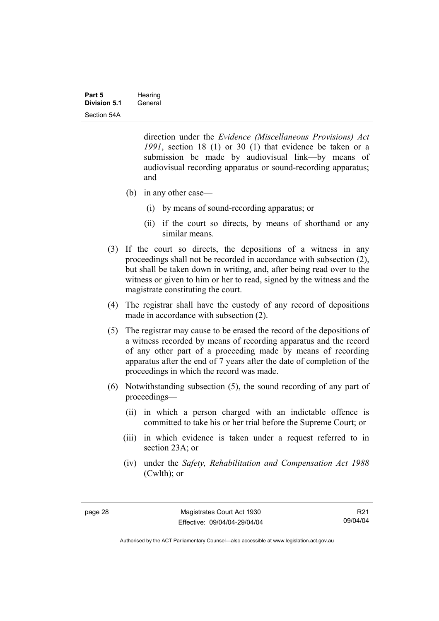direction under the *Evidence (Miscellaneous Provisions) Act 1991*, section 18 (1) or 30 (1) that evidence be taken or a submission be made by audiovisual link—by means of audiovisual recording apparatus or sound-recording apparatus; and

- (b) in any other case—
	- (i) by means of sound-recording apparatus; or
	- (ii) if the court so directs, by means of shorthand or any similar means.
- (3) If the court so directs, the depositions of a witness in any proceedings shall not be recorded in accordance with subsection (2), but shall be taken down in writing, and, after being read over to the witness or given to him or her to read, signed by the witness and the magistrate constituting the court.
- (4) The registrar shall have the custody of any record of depositions made in accordance with subsection (2).
- (5) The registrar may cause to be erased the record of the depositions of a witness recorded by means of recording apparatus and the record of any other part of a proceeding made by means of recording apparatus after the end of 7 years after the date of completion of the proceedings in which the record was made.
- (6) Notwithstanding subsection (5), the sound recording of any part of proceedings—
	- (ii) in which a person charged with an indictable offence is committed to take his or her trial before the Supreme Court; or
	- (iii) in which evidence is taken under a request referred to in section 23A; or
	- (iv) under the *Safety, Rehabilitation and Compensation Act 1988* (Cwlth); or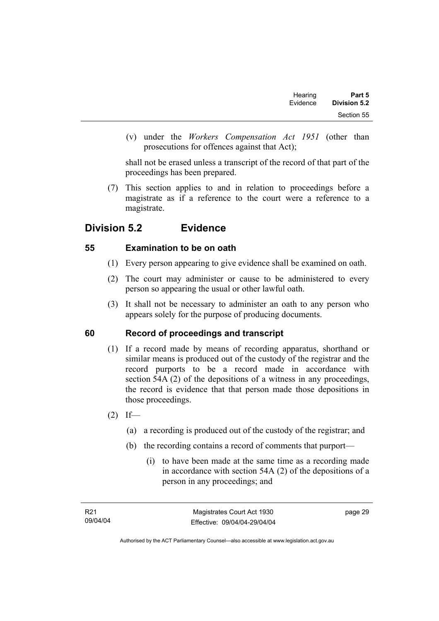| Part 5       | Hearing  |
|--------------|----------|
| Division 5.2 | Evidence |
| Section 55   |          |

 (v) under the *Workers Compensation Act 1951* (other than prosecutions for offences against that Act);

shall not be erased unless a transcript of the record of that part of the proceedings has been prepared.

 (7) This section applies to and in relation to proceedings before a magistrate as if a reference to the court were a reference to a magistrate.

# **Division 5.2 Evidence**

### **55 Examination to be on oath**

- (1) Every person appearing to give evidence shall be examined on oath.
- (2) The court may administer or cause to be administered to every person so appearing the usual or other lawful oath.
- (3) It shall not be necessary to administer an oath to any person who appears solely for the purpose of producing documents.

### **60 Record of proceedings and transcript**

- (1) If a record made by means of recording apparatus, shorthand or similar means is produced out of the custody of the registrar and the record purports to be a record made in accordance with section 54A (2) of the depositions of a witness in any proceedings, the record is evidence that that person made those depositions in those proceedings.
- $(2)$  If—
	- (a) a recording is produced out of the custody of the registrar; and
	- (b) the recording contains a record of comments that purport—
		- (i) to have been made at the same time as a recording made in accordance with section 54A (2) of the depositions of a person in any proceedings; and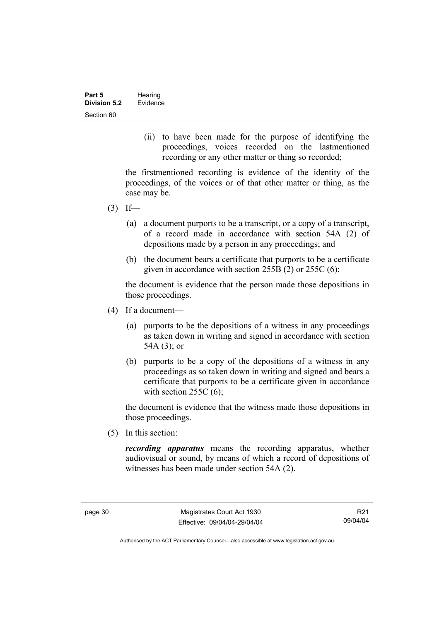(ii) to have been made for the purpose of identifying the proceedings, voices recorded on the lastmentioned recording or any other matter or thing so recorded;

the firstmentioned recording is evidence of the identity of the proceedings, of the voices or of that other matter or thing, as the case may be.

- $(3)$  If—
	- (a) a document purports to be a transcript, or a copy of a transcript, of a record made in accordance with section 54A (2) of depositions made by a person in any proceedings; and
	- (b) the document bears a certificate that purports to be a certificate given in accordance with section 255B (2) or 255C (6);

the document is evidence that the person made those depositions in those proceedings.

- (4) If a document—
	- (a) purports to be the depositions of a witness in any proceedings as taken down in writing and signed in accordance with section 54A (3); or
	- (b) purports to be a copy of the depositions of a witness in any proceedings as so taken down in writing and signed and bears a certificate that purports to be a certificate given in accordance with section  $255C(6)$ ;

the document is evidence that the witness made those depositions in those proceedings.

(5) In this section:

*recording apparatus* means the recording apparatus, whether audiovisual or sound, by means of which a record of depositions of witnesses has been made under section 54A (2).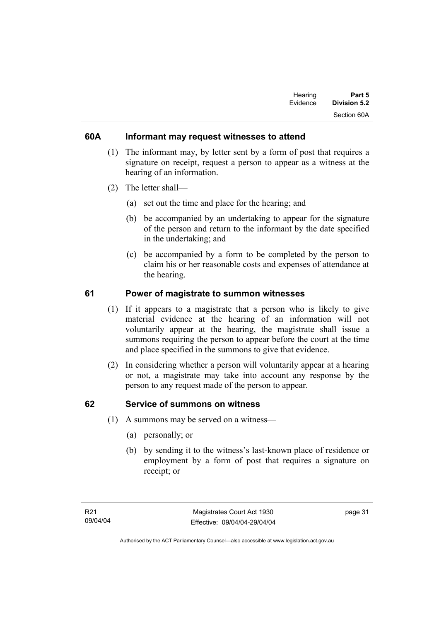| Hearing  | Part 5       |
|----------|--------------|
| Evidence | Division 5.2 |
|          | Section 60A  |

### **60A Informant may request witnesses to attend**

- (1) The informant may, by letter sent by a form of post that requires a signature on receipt, request a person to appear as a witness at the hearing of an information.
- (2) The letter shall—
	- (a) set out the time and place for the hearing; and
	- (b) be accompanied by an undertaking to appear for the signature of the person and return to the informant by the date specified in the undertaking; and
	- (c) be accompanied by a form to be completed by the person to claim his or her reasonable costs and expenses of attendance at the hearing.

### **61 Power of magistrate to summon witnesses**

- (1) If it appears to a magistrate that a person who is likely to give material evidence at the hearing of an information will not voluntarily appear at the hearing, the magistrate shall issue a summons requiring the person to appear before the court at the time and place specified in the summons to give that evidence.
- (2) In considering whether a person will voluntarily appear at a hearing or not, a magistrate may take into account any response by the person to any request made of the person to appear.

### **62 Service of summons on witness**

- (1) A summons may be served on a witness—
	- (a) personally; or
	- (b) by sending it to the witness's last-known place of residence or employment by a form of post that requires a signature on receipt; or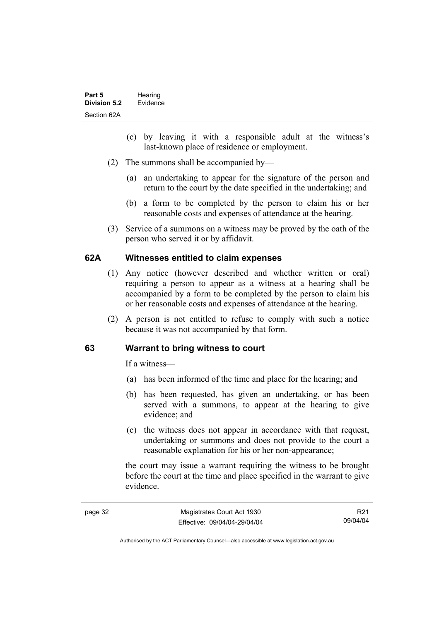- (c) by leaving it with a responsible adult at the witness's last-known place of residence or employment.
- (2) The summons shall be accompanied by—
	- (a) an undertaking to appear for the signature of the person and return to the court by the date specified in the undertaking; and
	- (b) a form to be completed by the person to claim his or her reasonable costs and expenses of attendance at the hearing.
- (3) Service of a summons on a witness may be proved by the oath of the person who served it or by affidavit.

### **62A Witnesses entitled to claim expenses**

- (1) Any notice (however described and whether written or oral) requiring a person to appear as a witness at a hearing shall be accompanied by a form to be completed by the person to claim his or her reasonable costs and expenses of attendance at the hearing.
- (2) A person is not entitled to refuse to comply with such a notice because it was not accompanied by that form.

### **63 Warrant to bring witness to court**

If a witness—

- (a) has been informed of the time and place for the hearing; and
- (b) has been requested, has given an undertaking, or has been served with a summons, to appear at the hearing to give evidence; and
- (c) the witness does not appear in accordance with that request, undertaking or summons and does not provide to the court a reasonable explanation for his or her non-appearance;

the court may issue a warrant requiring the witness to be brought before the court at the time and place specified in the warrant to give evidence.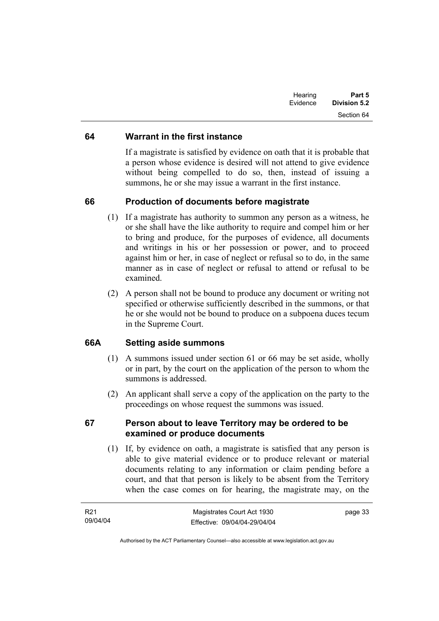| Hearing<br>Evidence | Part 5<br><b>Division 5.2</b> |
|---------------------|-------------------------------|
|                     | Section 64                    |

### **64 Warrant in the first instance**

If a magistrate is satisfied by evidence on oath that it is probable that a person whose evidence is desired will not attend to give evidence without being compelled to do so, then, instead of issuing a summons, he or she may issue a warrant in the first instance.

### **66 Production of documents before magistrate**

- (1) If a magistrate has authority to summon any person as a witness, he or she shall have the like authority to require and compel him or her to bring and produce, for the purposes of evidence, all documents and writings in his or her possession or power, and to proceed against him or her, in case of neglect or refusal so to do, in the same manner as in case of neglect or refusal to attend or refusal to be examined.
- (2) A person shall not be bound to produce any document or writing not specified or otherwise sufficiently described in the summons, or that he or she would not be bound to produce on a subpoena duces tecum in the Supreme Court.

### **66A Setting aside summons**

- (1) A summons issued under section 61 or 66 may be set aside, wholly or in part, by the court on the application of the person to whom the summons is addressed.
- (2) An applicant shall serve a copy of the application on the party to the proceedings on whose request the summons was issued.

### **67 Person about to leave Territory may be ordered to be examined or produce documents**

 (1) If, by evidence on oath, a magistrate is satisfied that any person is able to give material evidence or to produce relevant or material documents relating to any information or claim pending before a court, and that that person is likely to be absent from the Territory when the case comes on for hearing, the magistrate may, on the

| R21      | Magistrates Court Act 1930   | page 33 |
|----------|------------------------------|---------|
| 09/04/04 | Effective: 09/04/04-29/04/04 |         |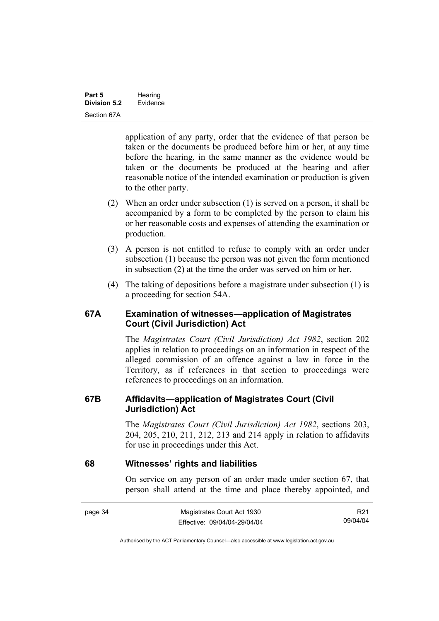application of any party, order that the evidence of that person be taken or the documents be produced before him or her, at any time before the hearing, in the same manner as the evidence would be taken or the documents be produced at the hearing and after reasonable notice of the intended examination or production is given to the other party.

- (2) When an order under subsection (1) is served on a person, it shall be accompanied by a form to be completed by the person to claim his or her reasonable costs and expenses of attending the examination or production.
- (3) A person is not entitled to refuse to comply with an order under subsection (1) because the person was not given the form mentioned in subsection (2) at the time the order was served on him or her.
- (4) The taking of depositions before a magistrate under subsection (1) is a proceeding for section 54A.

### **67A Examination of witnesses—application of Magistrates Court (Civil Jurisdiction) Act**

The *Magistrates Court (Civil Jurisdiction) Act 1982*, section 202 applies in relation to proceedings on an information in respect of the alleged commission of an offence against a law in force in the Territory, as if references in that section to proceedings were references to proceedings on an information.

### **67B Affidavits—application of Magistrates Court (Civil Jurisdiction) Act**

The *Magistrates Court (Civil Jurisdiction) Act 1982*, sections 203, 204, 205, 210, 211, 212, 213 and 214 apply in relation to affidavits for use in proceedings under this Act.

### **68 Witnesses' rights and liabilities**

On service on any person of an order made under section 67, that person shall attend at the time and place thereby appointed, and

| page 34 | Magistrates Court Act 1930   | R21      |
|---------|------------------------------|----------|
|         | Effective: 09/04/04-29/04/04 | 09/04/04 |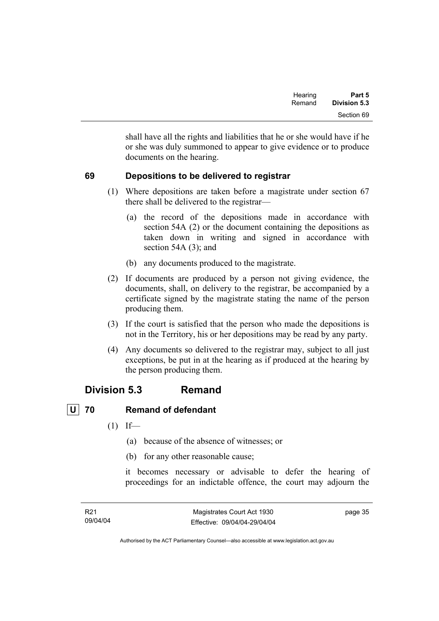| Part 5       | Hearing |
|--------------|---------|
| Division 5.3 | Remand  |
| Section 69   |         |

shall have all the rights and liabilities that he or she would have if he or she was duly summoned to appear to give evidence or to produce documents on the hearing.

### **69 Depositions to be delivered to registrar**

- (1) Where depositions are taken before a magistrate under section 67 there shall be delivered to the registrar—
	- (a) the record of the depositions made in accordance with section 54A (2) or the document containing the depositions as taken down in writing and signed in accordance with section 54A (3); and
	- (b) any documents produced to the magistrate.
- (2) If documents are produced by a person not giving evidence, the documents, shall, on delivery to the registrar, be accompanied by a certificate signed by the magistrate stating the name of the person producing them.
- (3) If the court is satisfied that the person who made the depositions is not in the Territory, his or her depositions may be read by any party.
- (4) Any documents so delivered to the registrar may, subject to all just exceptions, be put in at the hearing as if produced at the hearing by the person producing them.

### **Division 5.3 Remand**

# **U 70 Remand of defendant**

- $(1)$  If—
	- (a) because of the absence of witnesses; or
	- (b) for any other reasonable cause;

it becomes necessary or advisable to defer the hearing of proceedings for an indictable offence, the court may adjourn the

page 35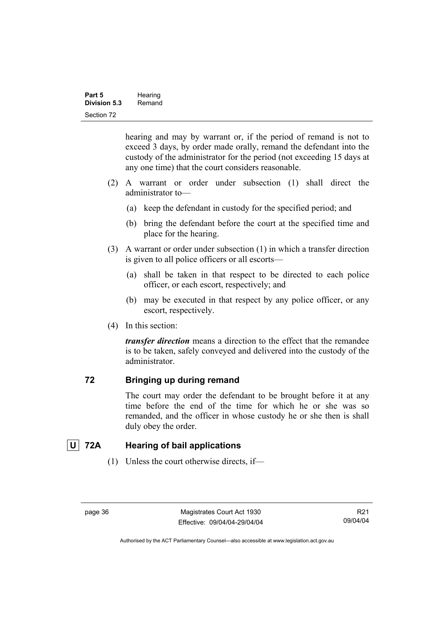hearing and may by warrant or, if the period of remand is not to exceed 3 days, by order made orally, remand the defendant into the custody of the administrator for the period (not exceeding 15 days at any one time) that the court considers reasonable.

- (2) A warrant or order under subsection (1) shall direct the administrator to—
	- (a) keep the defendant in custody for the specified period; and
	- (b) bring the defendant before the court at the specified time and place for the hearing.
- (3) A warrant or order under subsection (1) in which a transfer direction is given to all police officers or all escorts—
	- (a) shall be taken in that respect to be directed to each police officer, or each escort, respectively; and
	- (b) may be executed in that respect by any police officer, or any escort, respectively.
- (4) In this section:

*transfer direction* means a direction to the effect that the remandee is to be taken, safely conveyed and delivered into the custody of the administrator.

### **72 Bringing up during remand**

The court may order the defendant to be brought before it at any time before the end of the time for which he or she was so remanded, and the officer in whose custody he or she then is shall duly obey the order.

# **U 72A Hearing of bail applications**

(1) Unless the court otherwise directs, if—

Authorised by the ACT Parliamentary Counsel—also accessible at www.legislation.act.gov.au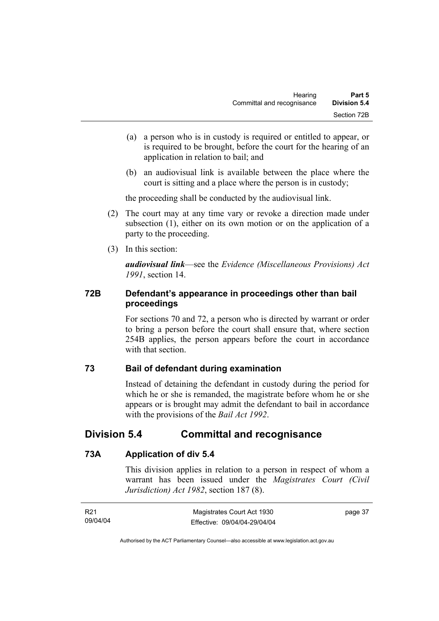- (a) a person who is in custody is required or entitled to appear, or is required to be brought, before the court for the hearing of an application in relation to bail; and
- (b) an audiovisual link is available between the place where the court is sitting and a place where the person is in custody;

the proceeding shall be conducted by the audiovisual link.

- (2) The court may at any time vary or revoke a direction made under subsection (1), either on its own motion or on the application of a party to the proceeding.
- (3) In this section:

*audiovisual link*—see the *Evidence (Miscellaneous Provisions) Act 1991*, section 14.

### **72B Defendant's appearance in proceedings other than bail proceedings**

For sections 70 and 72, a person who is directed by warrant or order to bring a person before the court shall ensure that, where section 254B applies, the person appears before the court in accordance with that section

### **73 Bail of defendant during examination**

Instead of detaining the defendant in custody during the period for which he or she is remanded, the magistrate before whom he or she appears or is brought may admit the defendant to bail in accordance with the provisions of the *Bail Act 1992*.

# **Division 5.4 Committal and recognisance**

### **73A Application of div 5.4**

This division applies in relation to a person in respect of whom a warrant has been issued under the *Magistrates Court (Civil Jurisdiction) Act 1982*, section 187 (8).

| R21      | Magistrates Court Act 1930   | page 37 |
|----------|------------------------------|---------|
| 09/04/04 | Effective: 09/04/04-29/04/04 |         |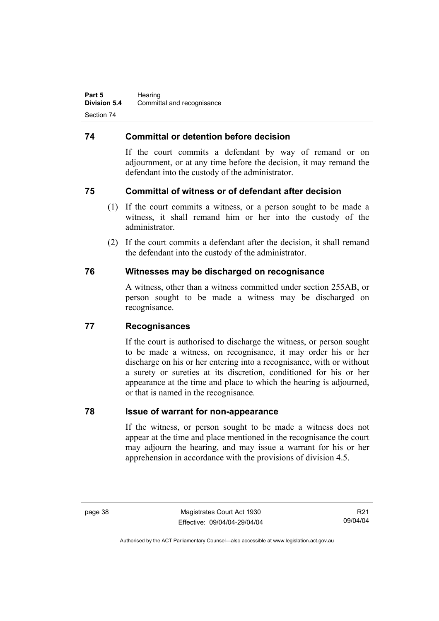### **74 Committal or detention before decision**

If the court commits a defendant by way of remand or on adjournment, or at any time before the decision, it may remand the defendant into the custody of the administrator.

### **75 Committal of witness or of defendant after decision**

- (1) If the court commits a witness, or a person sought to be made a witness, it shall remand him or her into the custody of the administrator.
- (2) If the court commits a defendant after the decision, it shall remand the defendant into the custody of the administrator.

### **76 Witnesses may be discharged on recognisance**

A witness, other than a witness committed under section 255AB, or person sought to be made a witness may be discharged on recognisance.

### **77 Recognisances**

If the court is authorised to discharge the witness, or person sought to be made a witness, on recognisance, it may order his or her discharge on his or her entering into a recognisance, with or without a surety or sureties at its discretion, conditioned for his or her appearance at the time and place to which the hearing is adjourned, or that is named in the recognisance.

### **78 Issue of warrant for non-appearance**

If the witness, or person sought to be made a witness does not appear at the time and place mentioned in the recognisance the court may adjourn the hearing, and may issue a warrant for his or her apprehension in accordance with the provisions of division 4.5.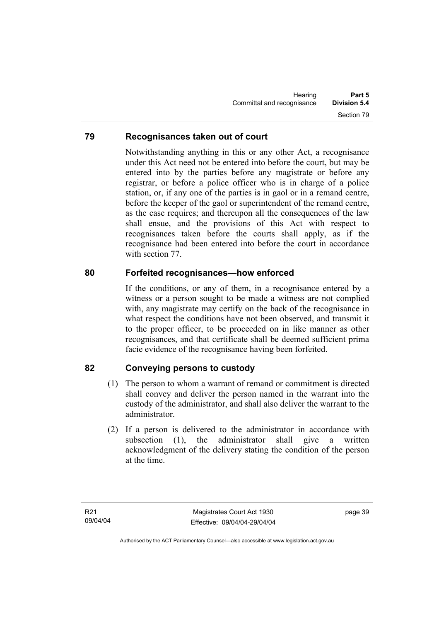### **79 Recognisances taken out of court**

Notwithstanding anything in this or any other Act, a recognisance under this Act need not be entered into before the court, but may be entered into by the parties before any magistrate or before any registrar, or before a police officer who is in charge of a police station, or, if any one of the parties is in gaol or in a remand centre, before the keeper of the gaol or superintendent of the remand centre, as the case requires; and thereupon all the consequences of the law shall ensue, and the provisions of this Act with respect to recognisances taken before the courts shall apply, as if the recognisance had been entered into before the court in accordance with section 77.

### **80 Forfeited recognisances—how enforced**

If the conditions, or any of them, in a recognisance entered by a witness or a person sought to be made a witness are not complied with, any magistrate may certify on the back of the recognisance in what respect the conditions have not been observed, and transmit it to the proper officer, to be proceeded on in like manner as other recognisances, and that certificate shall be deemed sufficient prima facie evidence of the recognisance having been forfeited.

### **82 Conveying persons to custody**

- (1) The person to whom a warrant of remand or commitment is directed shall convey and deliver the person named in the warrant into the custody of the administrator, and shall also deliver the warrant to the administrator.
- (2) If a person is delivered to the administrator in accordance with subsection (1), the administrator shall give a written acknowledgment of the delivery stating the condition of the person at the time.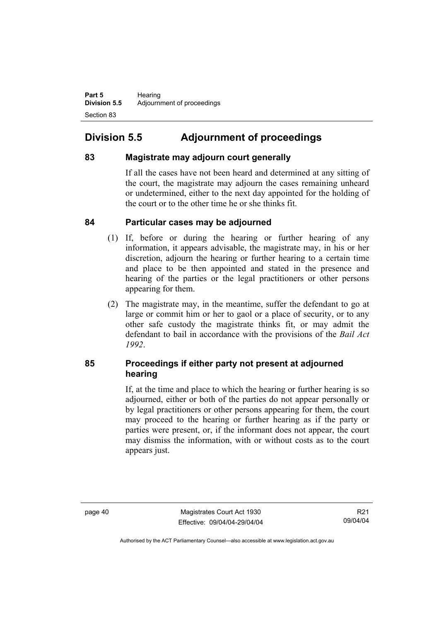Part 5 **Hearing Division 5.5** Adjournment of proceedings Section 83

# **Division 5.5 Adjournment of proceedings**

### **83 Magistrate may adjourn court generally**

If all the cases have not been heard and determined at any sitting of the court, the magistrate may adjourn the cases remaining unheard or undetermined, either to the next day appointed for the holding of the court or to the other time he or she thinks fit.

### **84 Particular cases may be adjourned**

- (1) If, before or during the hearing or further hearing of any information, it appears advisable, the magistrate may, in his or her discretion, adjourn the hearing or further hearing to a certain time and place to be then appointed and stated in the presence and hearing of the parties or the legal practitioners or other persons appearing for them.
- (2) The magistrate may, in the meantime, suffer the defendant to go at large or commit him or her to gaol or a place of security, or to any other safe custody the magistrate thinks fit, or may admit the defendant to bail in accordance with the provisions of the *Bail Act 1992*.

### **85 Proceedings if either party not present at adjourned hearing**

If, at the time and place to which the hearing or further hearing is so adjourned, either or both of the parties do not appear personally or by legal practitioners or other persons appearing for them, the court may proceed to the hearing or further hearing as if the party or parties were present, or, if the informant does not appear, the court may dismiss the information, with or without costs as to the court appears just.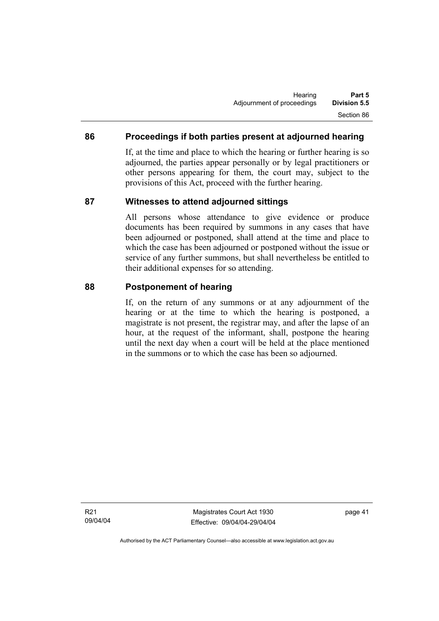### **86 Proceedings if both parties present at adjourned hearing**

If, at the time and place to which the hearing or further hearing is so adjourned, the parties appear personally or by legal practitioners or other persons appearing for them, the court may, subject to the provisions of this Act, proceed with the further hearing.

### **87 Witnesses to attend adjourned sittings**

All persons whose attendance to give evidence or produce documents has been required by summons in any cases that have been adjourned or postponed, shall attend at the time and place to which the case has been adjourned or postponed without the issue or service of any further summons, but shall nevertheless be entitled to their additional expenses for so attending.

### **88 Postponement of hearing**

If, on the return of any summons or at any adjournment of the hearing or at the time to which the hearing is postponed, a magistrate is not present, the registrar may, and after the lapse of an hour, at the request of the informant, shall, postpone the hearing until the next day when a court will be held at the place mentioned in the summons or to which the case has been so adjourned.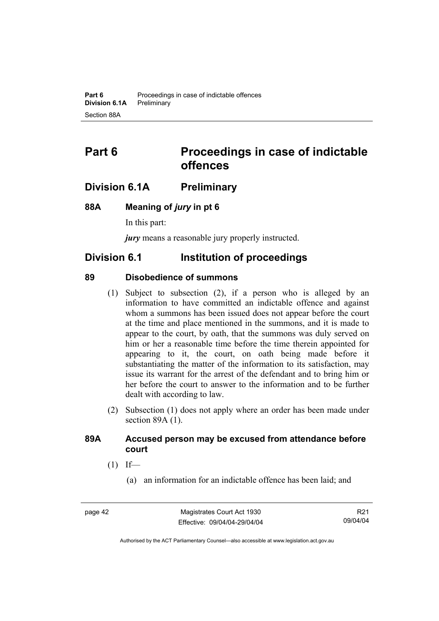# **Part 6 Proceedings in case of indictable offences**

## **Division 6.1A Preliminary**

### **88A Meaning of** *jury* **in pt 6**

In this part:

*jury* means a reasonable jury properly instructed.

### **Division 6.1 Institution of proceedings**

### **89 Disobedience of summons**

- (1) Subject to subsection (2), if a person who is alleged by an information to have committed an indictable offence and against whom a summons has been issued does not appear before the court at the time and place mentioned in the summons, and it is made to appear to the court, by oath, that the summons was duly served on him or her a reasonable time before the time therein appointed for appearing to it, the court, on oath being made before it substantiating the matter of the information to its satisfaction, may issue its warrant for the arrest of the defendant and to bring him or her before the court to answer to the information and to be further dealt with according to law.
- (2) Subsection (1) does not apply where an order has been made under section 89A (1).

### **89A Accused person may be excused from attendance before court**

- $(1)$  If—
	- (a) an information for an indictable offence has been laid; and

R21 09/04/04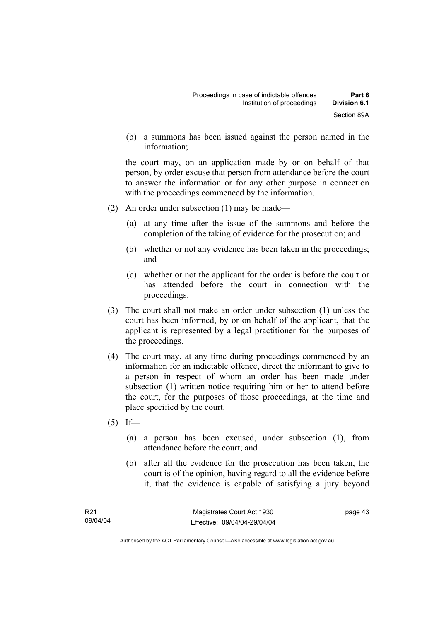(b) a summons has been issued against the person named in the information;

the court may, on an application made by or on behalf of that person, by order excuse that person from attendance before the court to answer the information or for any other purpose in connection with the proceedings commenced by the information.

- (2) An order under subsection (1) may be made—
	- (a) at any time after the issue of the summons and before the completion of the taking of evidence for the prosecution; and
	- (b) whether or not any evidence has been taken in the proceedings; and
	- (c) whether or not the applicant for the order is before the court or has attended before the court in connection with the proceedings.
- (3) The court shall not make an order under subsection (1) unless the court has been informed, by or on behalf of the applicant, that the applicant is represented by a legal practitioner for the purposes of the proceedings.
- (4) The court may, at any time during proceedings commenced by an information for an indictable offence, direct the informant to give to a person in respect of whom an order has been made under subsection (1) written notice requiring him or her to attend before the court, for the purposes of those proceedings, at the time and place specified by the court.
- $(5)$  If—
	- (a) a person has been excused, under subsection (1), from attendance before the court; and
	- (b) after all the evidence for the prosecution has been taken, the court is of the opinion, having regard to all the evidence before it, that the evidence is capable of satisfying a jury beyond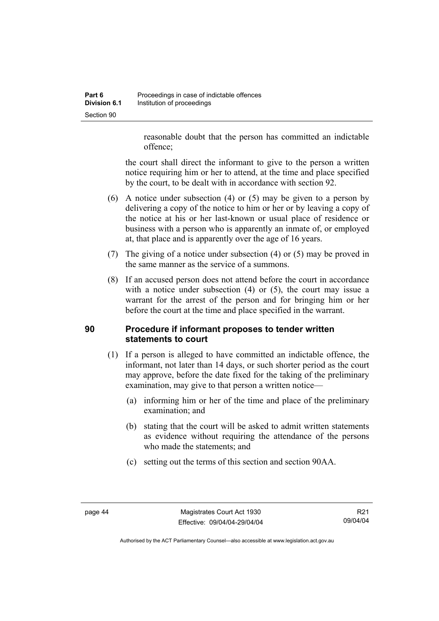reasonable doubt that the person has committed an indictable offence;

the court shall direct the informant to give to the person a written notice requiring him or her to attend, at the time and place specified by the court, to be dealt with in accordance with section 92.

- (6) A notice under subsection (4) or (5) may be given to a person by delivering a copy of the notice to him or her or by leaving a copy of the notice at his or her last-known or usual place of residence or business with a person who is apparently an inmate of, or employed at, that place and is apparently over the age of 16 years.
- (7) The giving of a notice under subsection (4) or (5) may be proved in the same manner as the service of a summons.
- (8) If an accused person does not attend before the court in accordance with a notice under subsection (4) or (5), the court may issue a warrant for the arrest of the person and for bringing him or her before the court at the time and place specified in the warrant.

### **90 Procedure if informant proposes to tender written statements to court**

- (1) If a person is alleged to have committed an indictable offence, the informant, not later than 14 days, or such shorter period as the court may approve, before the date fixed for the taking of the preliminary examination, may give to that person a written notice—
	- (a) informing him or her of the time and place of the preliminary examination; and
	- (b) stating that the court will be asked to admit written statements as evidence without requiring the attendance of the persons who made the statements; and
	- (c) setting out the terms of this section and section 90AA.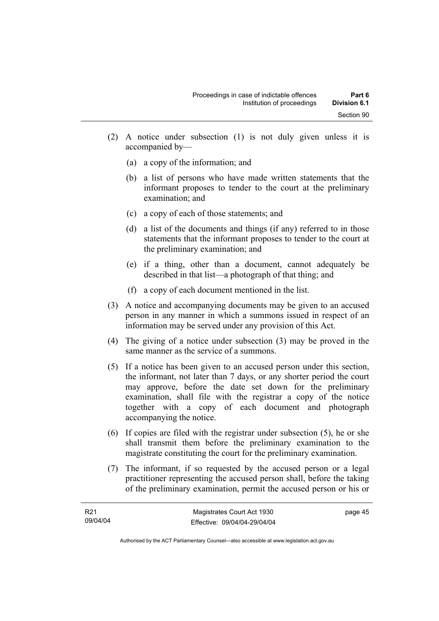- (2) A notice under subsection (1) is not duly given unless it is accompanied by—
	- (a) a copy of the information; and
	- (b) a list of persons who have made written statements that the informant proposes to tender to the court at the preliminary examination; and
	- (c) a copy of each of those statements; and
	- (d) a list of the documents and things (if any) referred to in those statements that the informant proposes to tender to the court at the preliminary examination; and
	- (e) if a thing, other than a document, cannot adequately be described in that list—a photograph of that thing; and
	- (f) a copy of each document mentioned in the list.
- (3) A notice and accompanying documents may be given to an accused person in any manner in which a summons issued in respect of an information may be served under any provision of this Act.
- (4) The giving of a notice under subsection (3) may be proved in the same manner as the service of a summons.
- (5) If a notice has been given to an accused person under this section, the informant, not later than 7 days, or any shorter period the court may approve, before the date set down for the preliminary examination, shall file with the registrar a copy of the notice together with a copy of each document and photograph accompanying the notice.
- (6) If copies are filed with the registrar under subsection (5), he or she shall transmit them before the preliminary examination to the magistrate constituting the court for the preliminary examination.
- (7) The informant, if so requested by the accused person or a legal practitioner representing the accused person shall, before the taking of the preliminary examination, permit the accused person or his or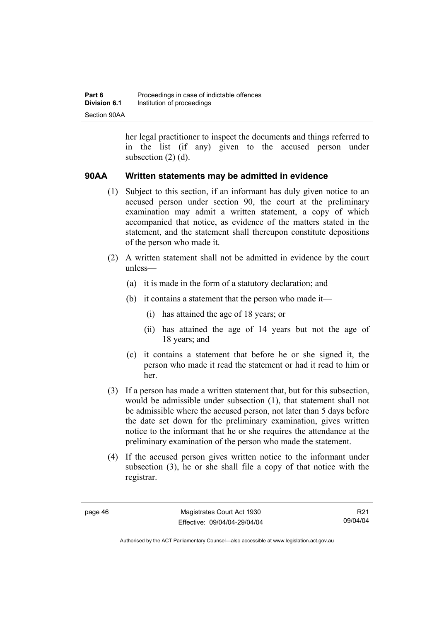her legal practitioner to inspect the documents and things referred to in the list (if any) given to the accused person under subsection (2) (d).

### **90AA Written statements may be admitted in evidence**

- (1) Subject to this section, if an informant has duly given notice to an accused person under section 90, the court at the preliminary examination may admit a written statement, a copy of which accompanied that notice, as evidence of the matters stated in the statement, and the statement shall thereupon constitute depositions of the person who made it.
- (2) A written statement shall not be admitted in evidence by the court unless—
	- (a) it is made in the form of a statutory declaration; and
	- (b) it contains a statement that the person who made it—
		- (i) has attained the age of 18 years; or
		- (ii) has attained the age of 14 years but not the age of 18 years; and
	- (c) it contains a statement that before he or she signed it, the person who made it read the statement or had it read to him or her.
- (3) If a person has made a written statement that, but for this subsection, would be admissible under subsection (1), that statement shall not be admissible where the accused person, not later than 5 days before the date set down for the preliminary examination, gives written notice to the informant that he or she requires the attendance at the preliminary examination of the person who made the statement.
- (4) If the accused person gives written notice to the informant under subsection (3), he or she shall file a copy of that notice with the registrar.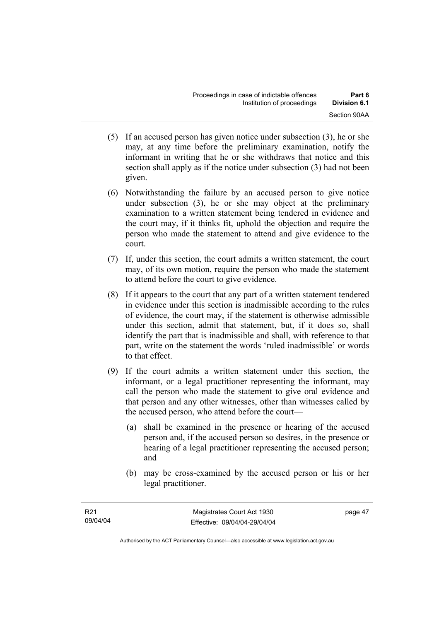- (5) If an accused person has given notice under subsection (3), he or she may, at any time before the preliminary examination, notify the informant in writing that he or she withdraws that notice and this section shall apply as if the notice under subsection (3) had not been given.
- (6) Notwithstanding the failure by an accused person to give notice under subsection (3), he or she may object at the preliminary examination to a written statement being tendered in evidence and the court may, if it thinks fit, uphold the objection and require the person who made the statement to attend and give evidence to the court.
- (7) If, under this section, the court admits a written statement, the court may, of its own motion, require the person who made the statement to attend before the court to give evidence.
- (8) If it appears to the court that any part of a written statement tendered in evidence under this section is inadmissible according to the rules of evidence, the court may, if the statement is otherwise admissible under this section, admit that statement, but, if it does so, shall identify the part that is inadmissible and shall, with reference to that part, write on the statement the words 'ruled inadmissible' or words to that effect.
- (9) If the court admits a written statement under this section, the informant, or a legal practitioner representing the informant, may call the person who made the statement to give oral evidence and that person and any other witnesses, other than witnesses called by the accused person, who attend before the court—
	- (a) shall be examined in the presence or hearing of the accused person and, if the accused person so desires, in the presence or hearing of a legal practitioner representing the accused person; and
	- (b) may be cross-examined by the accused person or his or her legal practitioner.

Authorised by the ACT Parliamentary Counsel—also accessible at www.legislation.act.gov.au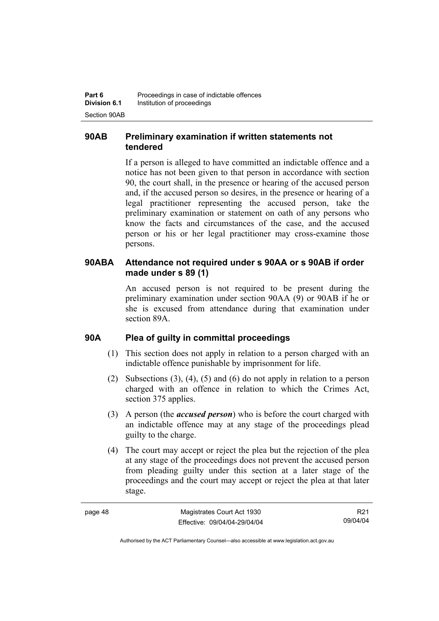### **90AB Preliminary examination if written statements not tendered**

If a person is alleged to have committed an indictable offence and a notice has not been given to that person in accordance with section 90, the court shall, in the presence or hearing of the accused person and, if the accused person so desires, in the presence or hearing of a legal practitioner representing the accused person, take the preliminary examination or statement on oath of any persons who know the facts and circumstances of the case, and the accused person or his or her legal practitioner may cross-examine those persons.

### **90ABA Attendance not required under s 90AA or s 90AB if order made under s 89 (1)**

An accused person is not required to be present during the preliminary examination under section 90AA (9) or 90AB if he or she is excused from attendance during that examination under section 89A.

### **90A Plea of guilty in committal proceedings**

- (1) This section does not apply in relation to a person charged with an indictable offence punishable by imprisonment for life.
- (2) Subsections (3), (4), (5) and (6) do not apply in relation to a person charged with an offence in relation to which the Crimes Act, section 375 applies.
- (3) A person (the *accused person*) who is before the court charged with an indictable offence may at any stage of the proceedings plead guilty to the charge.
- (4) The court may accept or reject the plea but the rejection of the plea at any stage of the proceedings does not prevent the accused person from pleading guilty under this section at a later stage of the proceedings and the court may accept or reject the plea at that later stage.

| Magistrates Court Act 1930   | R21      |
|------------------------------|----------|
| Effective: 09/04/04-29/04/04 | 09/04/04 |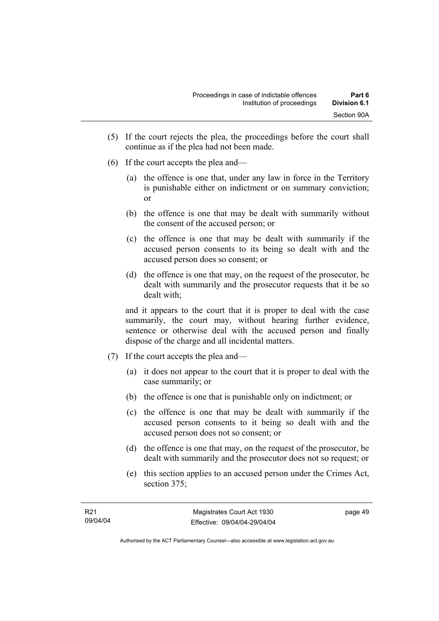- (5) If the court rejects the plea, the proceedings before the court shall continue as if the plea had not been made.
- (6) If the court accepts the plea and—
	- (a) the offence is one that, under any law in force in the Territory is punishable either on indictment or on summary conviction; or
	- (b) the offence is one that may be dealt with summarily without the consent of the accused person; or
	- (c) the offence is one that may be dealt with summarily if the accused person consents to its being so dealt with and the accused person does so consent; or
	- (d) the offence is one that may, on the request of the prosecutor, be dealt with summarily and the prosecutor requests that it be so dealt with;

and it appears to the court that it is proper to deal with the case summarily, the court may, without hearing further evidence, sentence or otherwise deal with the accused person and finally dispose of the charge and all incidental matters.

- (7) If the court accepts the plea and—
	- (a) it does not appear to the court that it is proper to deal with the case summarily; or
	- (b) the offence is one that is punishable only on indictment; or
	- (c) the offence is one that may be dealt with summarily if the accused person consents to it being so dealt with and the accused person does not so consent; or
	- (d) the offence is one that may, on the request of the prosecutor, be dealt with summarily and the prosecutor does not so request; or
	- (e) this section applies to an accused person under the Crimes Act, section 375;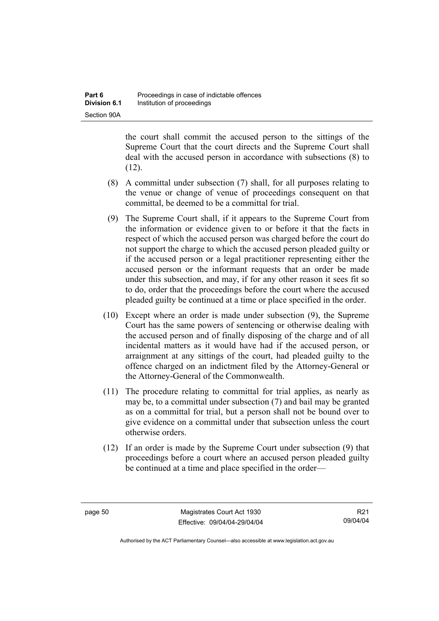the court shall commit the accused person to the sittings of the Supreme Court that the court directs and the Supreme Court shall deal with the accused person in accordance with subsections (8) to  $(12)$ .

- (8) A committal under subsection (7) shall, for all purposes relating to the venue or change of venue of proceedings consequent on that committal, be deemed to be a committal for trial.
- (9) The Supreme Court shall, if it appears to the Supreme Court from the information or evidence given to or before it that the facts in respect of which the accused person was charged before the court do not support the charge to which the accused person pleaded guilty or if the accused person or a legal practitioner representing either the accused person or the informant requests that an order be made under this subsection, and may, if for any other reason it sees fit so to do, order that the proceedings before the court where the accused pleaded guilty be continued at a time or place specified in the order.
- (10) Except where an order is made under subsection (9), the Supreme Court has the same powers of sentencing or otherwise dealing with the accused person and of finally disposing of the charge and of all incidental matters as it would have had if the accused person, or arraignment at any sittings of the court, had pleaded guilty to the offence charged on an indictment filed by the Attorney-General or the Attorney-General of the Commonwealth.
- (11) The procedure relating to committal for trial applies, as nearly as may be, to a committal under subsection (7) and bail may be granted as on a committal for trial, but a person shall not be bound over to give evidence on a committal under that subsection unless the court otherwise orders.
- (12) If an order is made by the Supreme Court under subsection (9) that proceedings before a court where an accused person pleaded guilty be continued at a time and place specified in the order—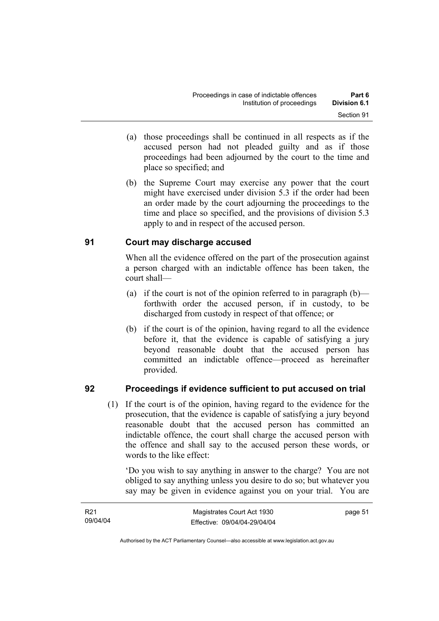- (a) those proceedings shall be continued in all respects as if the accused person had not pleaded guilty and as if those proceedings had been adjourned by the court to the time and place so specified; and
- (b) the Supreme Court may exercise any power that the court might have exercised under division 5.3 if the order had been an order made by the court adjourning the proceedings to the time and place so specified, and the provisions of division 5.3 apply to and in respect of the accused person.

### **91 Court may discharge accused**

When all the evidence offered on the part of the prosecution against a person charged with an indictable offence has been taken, the court shall—

- (a) if the court is not of the opinion referred to in paragraph  $(b)$  forthwith order the accused person, if in custody, to be discharged from custody in respect of that offence; or
- (b) if the court is of the opinion, having regard to all the evidence before it, that the evidence is capable of satisfying a jury beyond reasonable doubt that the accused person has committed an indictable offence—proceed as hereinafter provided.

### **92 Proceedings if evidence sufficient to put accused on trial**

 (1) If the court is of the opinion, having regard to the evidence for the prosecution, that the evidence is capable of satisfying a jury beyond reasonable doubt that the accused person has committed an indictable offence, the court shall charge the accused person with the offence and shall say to the accused person these words, or words to the like effect:

'Do you wish to say anything in answer to the charge? You are not obliged to say anything unless you desire to do so; but whatever you say may be given in evidence against you on your trial. You are

| R <sub>21</sub> | Magistrates Court Act 1930   | page 51 |
|-----------------|------------------------------|---------|
| 09/04/04        | Effective: 09/04/04-29/04/04 |         |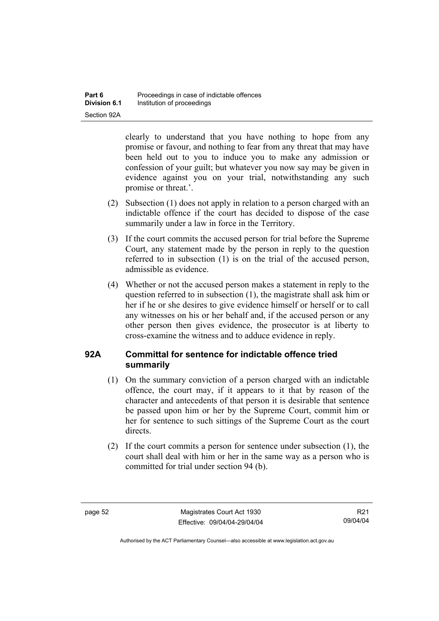clearly to understand that you have nothing to hope from any promise or favour, and nothing to fear from any threat that may have been held out to you to induce you to make any admission or confession of your guilt; but whatever you now say may be given in evidence against you on your trial, notwithstanding any such promise or threat.'.

- (2) Subsection (1) does not apply in relation to a person charged with an indictable offence if the court has decided to dispose of the case summarily under a law in force in the Territory.
- (3) If the court commits the accused person for trial before the Supreme Court, any statement made by the person in reply to the question referred to in subsection (1) is on the trial of the accused person, admissible as evidence.
- (4) Whether or not the accused person makes a statement in reply to the question referred to in subsection (1), the magistrate shall ask him or her if he or she desires to give evidence himself or herself or to call any witnesses on his or her behalf and, if the accused person or any other person then gives evidence, the prosecutor is at liberty to cross-examine the witness and to adduce evidence in reply.

### **92A Committal for sentence for indictable offence tried summarily**

- (1) On the summary conviction of a person charged with an indictable offence, the court may, if it appears to it that by reason of the character and antecedents of that person it is desirable that sentence be passed upon him or her by the Supreme Court, commit him or her for sentence to such sittings of the Supreme Court as the court directs.
- (2) If the court commits a person for sentence under subsection (1), the court shall deal with him or her in the same way as a person who is committed for trial under section 94 (b).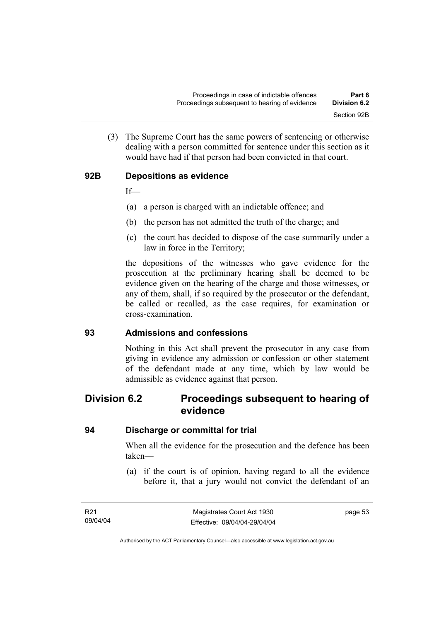(3) The Supreme Court has the same powers of sentencing or otherwise dealing with a person committed for sentence under this section as it would have had if that person had been convicted in that court.

### **92B Depositions as evidence**

If—

- (a) a person is charged with an indictable offence; and
- (b) the person has not admitted the truth of the charge; and
- (c) the court has decided to dispose of the case summarily under a law in force in the Territory;

the depositions of the witnesses who gave evidence for the prosecution at the preliminary hearing shall be deemed to be evidence given on the hearing of the charge and those witnesses, or any of them, shall, if so required by the prosecutor or the defendant, be called or recalled, as the case requires, for examination or cross-examination.

### **93 Admissions and confessions**

Nothing in this Act shall prevent the prosecutor in any case from giving in evidence any admission or confession or other statement of the defendant made at any time, which by law would be admissible as evidence against that person.

## **Division 6.2 Proceedings subsequent to hearing of evidence**

### **94 Discharge or committal for trial**

When all the evidence for the prosecution and the defence has been taken—

 (a) if the court is of opinion, having regard to all the evidence before it, that a jury would not convict the defendant of an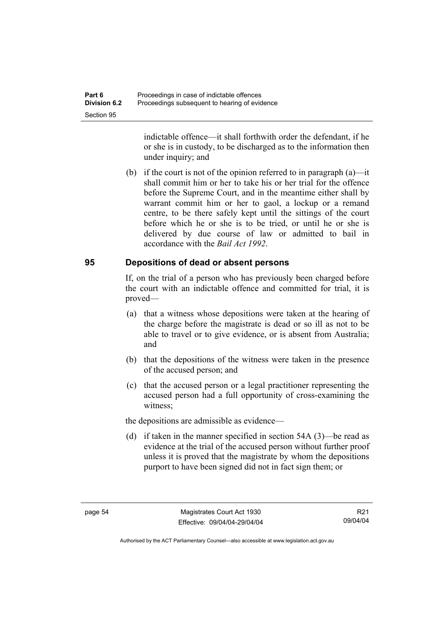indictable offence—it shall forthwith order the defendant, if he or she is in custody, to be discharged as to the information then under inquiry; and

 (b) if the court is not of the opinion referred to in paragraph (a)—it shall commit him or her to take his or her trial for the offence before the Supreme Court, and in the meantime either shall by warrant commit him or her to gaol, a lockup or a remand centre, to be there safely kept until the sittings of the court before which he or she is to be tried, or until he or she is delivered by due course of law or admitted to bail in accordance with the *Bail Act 1992*.

### **95 Depositions of dead or absent persons**

If, on the trial of a person who has previously been charged before the court with an indictable offence and committed for trial, it is proved—

- (a) that a witness whose depositions were taken at the hearing of the charge before the magistrate is dead or so ill as not to be able to travel or to give evidence, or is absent from Australia; and
- (b) that the depositions of the witness were taken in the presence of the accused person; and
- (c) that the accused person or a legal practitioner representing the accused person had a full opportunity of cross-examining the witness;

the depositions are admissible as evidence—

 (d) if taken in the manner specified in section 54A (3)—be read as evidence at the trial of the accused person without further proof unless it is proved that the magistrate by whom the depositions purport to have been signed did not in fact sign them; or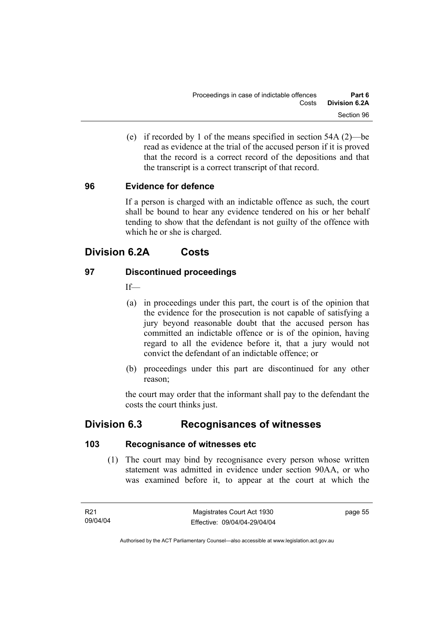(e) if recorded by 1 of the means specified in section 54A (2)—be read as evidence at the trial of the accused person if it is proved that the record is a correct record of the depositions and that the transcript is a correct transcript of that record.

### **96 Evidence for defence**

If a person is charged with an indictable offence as such, the court shall be bound to hear any evidence tendered on his or her behalf tending to show that the defendant is not guilty of the offence with which he or she is charged.

# **Division 6.2A Costs**

### **97 Discontinued proceedings**

 $If$ 

- (a) in proceedings under this part, the court is of the opinion that the evidence for the prosecution is not capable of satisfying a jury beyond reasonable doubt that the accused person has committed an indictable offence or is of the opinion, having regard to all the evidence before it, that a jury would not convict the defendant of an indictable offence; or
- (b) proceedings under this part are discontinued for any other reason;

the court may order that the informant shall pay to the defendant the costs the court thinks just.

# **Division 6.3 Recognisances of witnesses**

### **103 Recognisance of witnesses etc**

 (1) The court may bind by recognisance every person whose written statement was admitted in evidence under section 90AA, or who was examined before it, to appear at the court at which the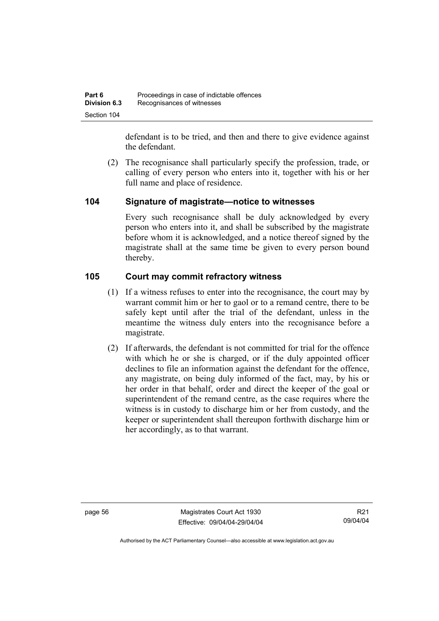defendant is to be tried, and then and there to give evidence against the defendant.

 (2) The recognisance shall particularly specify the profession, trade, or calling of every person who enters into it, together with his or her full name and place of residence.

### **104 Signature of magistrate—notice to witnesses**

Every such recognisance shall be duly acknowledged by every person who enters into it, and shall be subscribed by the magistrate before whom it is acknowledged, and a notice thereof signed by the magistrate shall at the same time be given to every person bound thereby.

### **105 Court may commit refractory witness**

- (1) If a witness refuses to enter into the recognisance, the court may by warrant commit him or her to gaol or to a remand centre, there to be safely kept until after the trial of the defendant, unless in the meantime the witness duly enters into the recognisance before a magistrate.
- (2) If afterwards, the defendant is not committed for trial for the offence with which he or she is charged, or if the duly appointed officer declines to file an information against the defendant for the offence, any magistrate, on being duly informed of the fact, may, by his or her order in that behalf, order and direct the keeper of the goal or superintendent of the remand centre, as the case requires where the witness is in custody to discharge him or her from custody, and the keeper or superintendent shall thereupon forthwith discharge him or her accordingly, as to that warrant.

page 56 Magistrates Court Act 1930 Effective: 09/04/04-29/04/04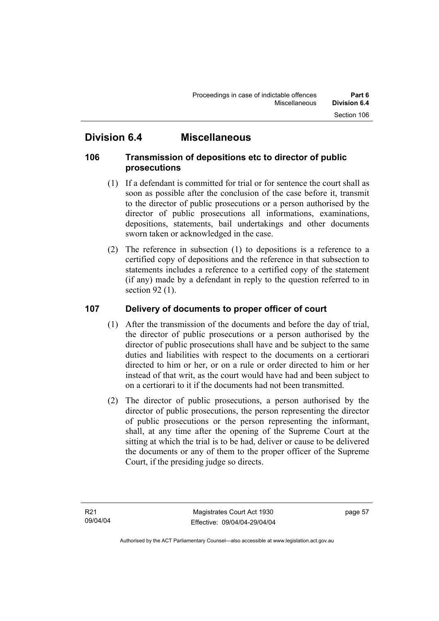# **Division 6.4 Miscellaneous**

### **106 Transmission of depositions etc to director of public prosecutions**

- (1) If a defendant is committed for trial or for sentence the court shall as soon as possible after the conclusion of the case before it, transmit to the director of public prosecutions or a person authorised by the director of public prosecutions all informations, examinations, depositions, statements, bail undertakings and other documents sworn taken or acknowledged in the case.
- (2) The reference in subsection (1) to depositions is a reference to a certified copy of depositions and the reference in that subsection to statements includes a reference to a certified copy of the statement (if any) made by a defendant in reply to the question referred to in section 92 (1).

### **107 Delivery of documents to proper officer of court**

- (1) After the transmission of the documents and before the day of trial, the director of public prosecutions or a person authorised by the director of public prosecutions shall have and be subject to the same duties and liabilities with respect to the documents on a certiorari directed to him or her, or on a rule or order directed to him or her instead of that writ, as the court would have had and been subject to on a certiorari to it if the documents had not been transmitted.
- (2) The director of public prosecutions, a person authorised by the director of public prosecutions, the person representing the director of public prosecutions or the person representing the informant, shall, at any time after the opening of the Supreme Court at the sitting at which the trial is to be had, deliver or cause to be delivered the documents or any of them to the proper officer of the Supreme Court, if the presiding judge so directs.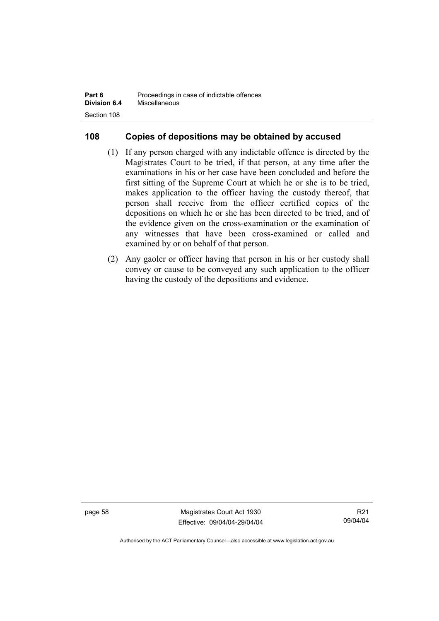| Part 6              | Proceedings in case of indictable offences |
|---------------------|--------------------------------------------|
| <b>Division 6.4</b> | Miscellaneous                              |
| Section 108         |                                            |

### **108 Copies of depositions may be obtained by accused**

- (1) If any person charged with any indictable offence is directed by the Magistrates Court to be tried, if that person, at any time after the examinations in his or her case have been concluded and before the first sitting of the Supreme Court at which he or she is to be tried, makes application to the officer having the custody thereof, that person shall receive from the officer certified copies of the depositions on which he or she has been directed to be tried, and of the evidence given on the cross-examination or the examination of any witnesses that have been cross-examined or called and examined by or on behalf of that person.
- (2) Any gaoler or officer having that person in his or her custody shall convey or cause to be conveyed any such application to the officer having the custody of the depositions and evidence.

page 58 Magistrates Court Act 1930 Effective: 09/04/04-29/04/04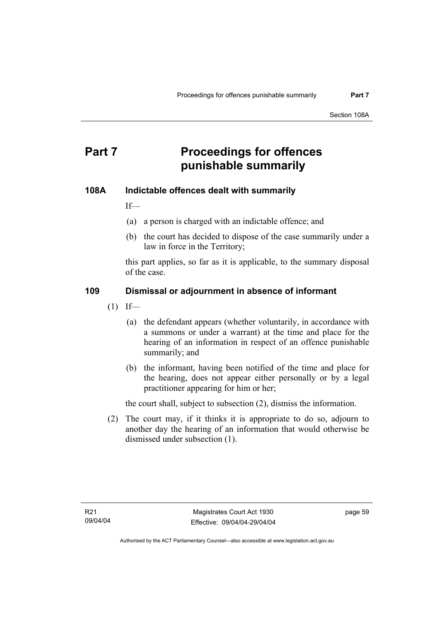# **Part 7** Proceedings for offences **punishable summarily**

#### **108A Indictable offences dealt with summarily**

If—

- (a) a person is charged with an indictable offence; and
- (b) the court has decided to dispose of the case summarily under a law in force in the Territory;

this part applies, so far as it is applicable, to the summary disposal of the case.

## **109 Dismissal or adjournment in absence of informant**

- $(1)$  If—
	- (a) the defendant appears (whether voluntarily, in accordance with a summons or under a warrant) at the time and place for the hearing of an information in respect of an offence punishable summarily; and
	- (b) the informant, having been notified of the time and place for the hearing, does not appear either personally or by a legal practitioner appearing for him or her;

the court shall, subject to subsection (2), dismiss the information.

 (2) The court may, if it thinks it is appropriate to do so, adjourn to another day the hearing of an information that would otherwise be dismissed under subsection (1).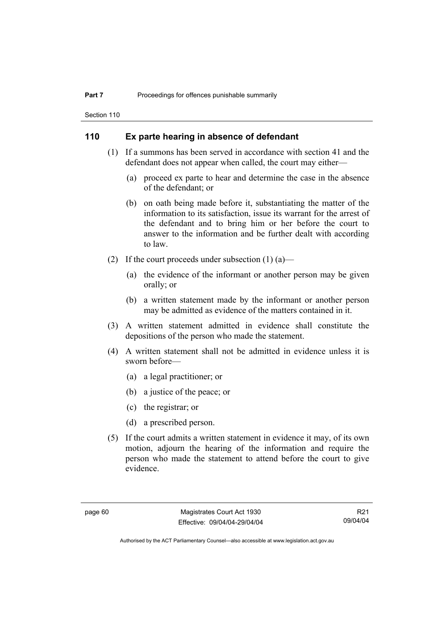Section 110

#### **110 Ex parte hearing in absence of defendant**

- (1) If a summons has been served in accordance with section 41 and the defendant does not appear when called, the court may either—
	- (a) proceed ex parte to hear and determine the case in the absence of the defendant; or
	- (b) on oath being made before it, substantiating the matter of the information to its satisfaction, issue its warrant for the arrest of the defendant and to bring him or her before the court to answer to the information and be further dealt with according to law.
- (2) If the court proceeds under subsection  $(1)$  (a)—
	- (a) the evidence of the informant or another person may be given orally; or
	- (b) a written statement made by the informant or another person may be admitted as evidence of the matters contained in it.
- (3) A written statement admitted in evidence shall constitute the depositions of the person who made the statement.
- (4) A written statement shall not be admitted in evidence unless it is sworn before—
	- (a) a legal practitioner; or
	- (b) a justice of the peace; or
	- (c) the registrar; or
	- (d) a prescribed person.
- (5) If the court admits a written statement in evidence it may, of its own motion, adjourn the hearing of the information and require the person who made the statement to attend before the court to give evidence.

R21 09/04/04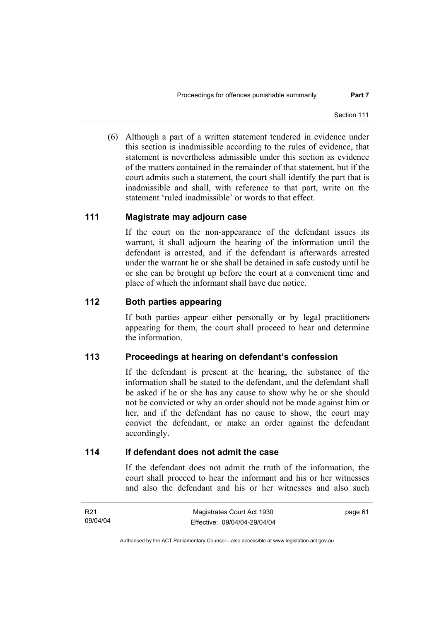(6) Although a part of a written statement tendered in evidence under this section is inadmissible according to the rules of evidence, that statement is nevertheless admissible under this section as evidence of the matters contained in the remainder of that statement, but if the court admits such a statement, the court shall identify the part that is inadmissible and shall, with reference to that part, write on the statement 'ruled inadmissible' or words to that effect.

#### **111 Magistrate may adjourn case**

If the court on the non-appearance of the defendant issues its warrant, it shall adjourn the hearing of the information until the defendant is arrested, and if the defendant is afterwards arrested under the warrant he or she shall be detained in safe custody until he or she can be brought up before the court at a convenient time and place of which the informant shall have due notice.

## **112 Both parties appearing**

If both parties appear either personally or by legal practitioners appearing for them, the court shall proceed to hear and determine the information.

## **113 Proceedings at hearing on defendant's confession**

If the defendant is present at the hearing, the substance of the information shall be stated to the defendant, and the defendant shall be asked if he or she has any cause to show why he or she should not be convicted or why an order should not be made against him or her, and if the defendant has no cause to show, the court may convict the defendant, or make an order against the defendant accordingly.

#### **114 If defendant does not admit the case**

If the defendant does not admit the truth of the information, the court shall proceed to hear the informant and his or her witnesses and also the defendant and his or her witnesses and also such

| R21      | Magistrates Court Act 1930   | page 61 |
|----------|------------------------------|---------|
| 09/04/04 | Effective: 09/04/04-29/04/04 |         |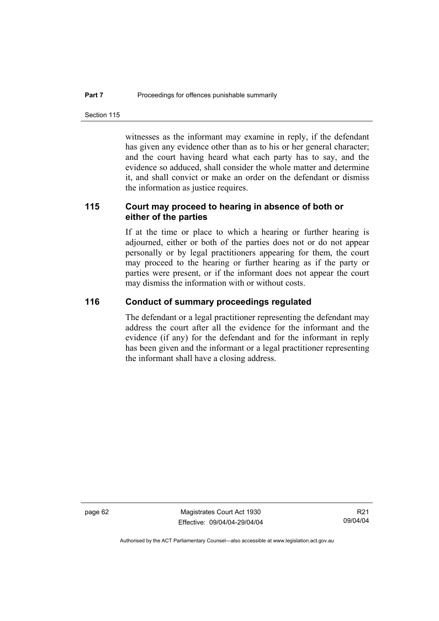Section 115

witnesses as the informant may examine in reply, if the defendant has given any evidence other than as to his or her general character; and the court having heard what each party has to say, and the evidence so adduced, shall consider the whole matter and determine it, and shall convict or make an order on the defendant or dismiss the information as justice requires.

## **115 Court may proceed to hearing in absence of both or either of the parties**

If at the time or place to which a hearing or further hearing is adjourned, either or both of the parties does not or do not appear personally or by legal practitioners appearing for them, the court may proceed to the hearing or further hearing as if the party or parties were present, or if the informant does not appear the court may dismiss the information with or without costs.

#### **116 Conduct of summary proceedings regulated**

The defendant or a legal practitioner representing the defendant may address the court after all the evidence for the informant and the evidence (if any) for the defendant and for the informant in reply has been given and the informant or a legal practitioner representing the informant shall have a closing address.

page 62 Magistrates Court Act 1930 Effective: 09/04/04-29/04/04

R21 09/04/04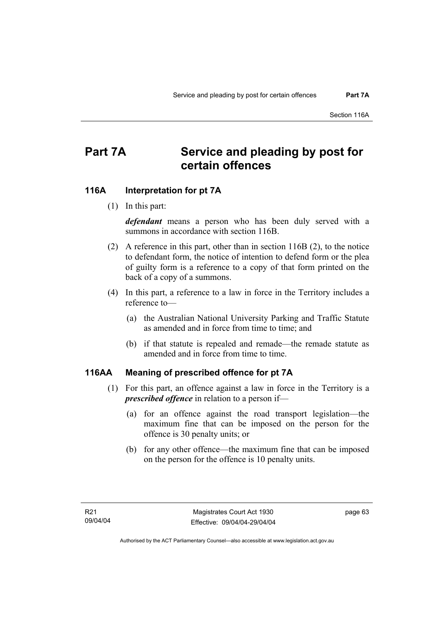# **Part 7A Service and pleading by post for certain offences**

#### **116A Interpretation for pt 7A**

(1) In this part:

*defendant* means a person who has been duly served with a summons in accordance with section 116B.

- (2) A reference in this part, other than in section 116B (2), to the notice to defendant form, the notice of intention to defend form or the plea of guilty form is a reference to a copy of that form printed on the back of a copy of a summons.
- (4) In this part, a reference to a law in force in the Territory includes a reference to—
	- (a) the Australian National University Parking and Traffic Statute as amended and in force from time to time; and
	- (b) if that statute is repealed and remade—the remade statute as amended and in force from time to time.

#### **116AA Meaning of prescribed offence for pt 7A**

- (1) For this part, an offence against a law in force in the Territory is a *prescribed offence* in relation to a person if—
	- (a) for an offence against the road transport legislation—the maximum fine that can be imposed on the person for the offence is 30 penalty units; or
	- (b) for any other offence—the maximum fine that can be imposed on the person for the offence is 10 penalty units.

page 63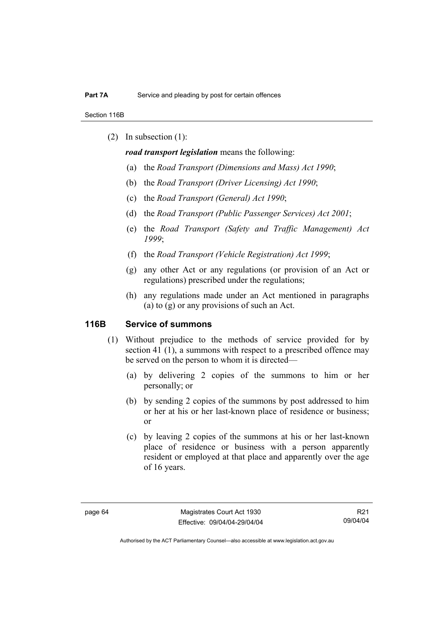Section 116B

(2) In subsection (1):

*road transport legislation* means the following:

- (a) the *Road Transport (Dimensions and Mass) Act 1990*;
- (b) the *Road Transport (Driver Licensing) Act 1990*;
- (c) the *Road Transport (General) Act 1990*;
- (d) the *Road Transport (Public Passenger Services) Act 2001*;
- (e) the *Road Transport (Safety and Traffic Management) Act 1999*;
- (f) the *Road Transport (Vehicle Registration) Act 1999*;
- (g) any other Act or any regulations (or provision of an Act or regulations) prescribed under the regulations;
- (h) any regulations made under an Act mentioned in paragraphs (a) to (g) or any provisions of such an Act.

#### **116B Service of summons**

- (1) Without prejudice to the methods of service provided for by section 41 (1), a summons with respect to a prescribed offence may be served on the person to whom it is directed—
	- (a) by delivering 2 copies of the summons to him or her personally; or
	- (b) by sending 2 copies of the summons by post addressed to him or her at his or her last-known place of residence or business; or
	- (c) by leaving 2 copies of the summons at his or her last-known place of residence or business with a person apparently resident or employed at that place and apparently over the age of 16 years.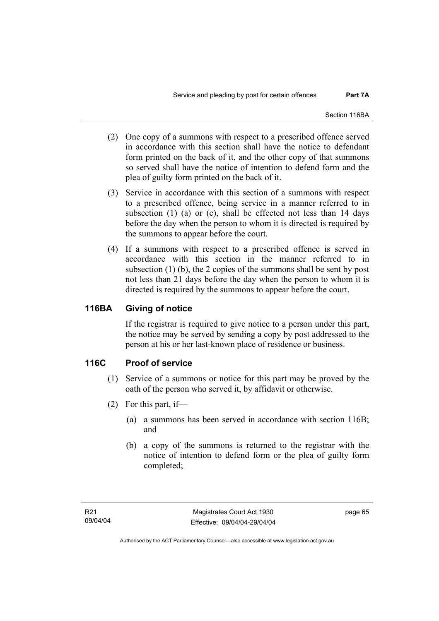- (2) One copy of a summons with respect to a prescribed offence served in accordance with this section shall have the notice to defendant form printed on the back of it, and the other copy of that summons so served shall have the notice of intention to defend form and the plea of guilty form printed on the back of it.
- (3) Service in accordance with this section of a summons with respect to a prescribed offence, being service in a manner referred to in subsection (1) (a) or (c), shall be effected not less than 14 days before the day when the person to whom it is directed is required by the summons to appear before the court.
- (4) If a summons with respect to a prescribed offence is served in accordance with this section in the manner referred to in subsection (1) (b), the 2 copies of the summons shall be sent by post not less than 21 days before the day when the person to whom it is directed is required by the summons to appear before the court.

## **116BA Giving of notice**

If the registrar is required to give notice to a person under this part, the notice may be served by sending a copy by post addressed to the person at his or her last-known place of residence or business.

## **116C Proof of service**

- (1) Service of a summons or notice for this part may be proved by the oath of the person who served it, by affidavit or otherwise.
- (2) For this part, if—
	- (a) a summons has been served in accordance with section 116B; and
	- (b) a copy of the summons is returned to the registrar with the notice of intention to defend form or the plea of guilty form completed;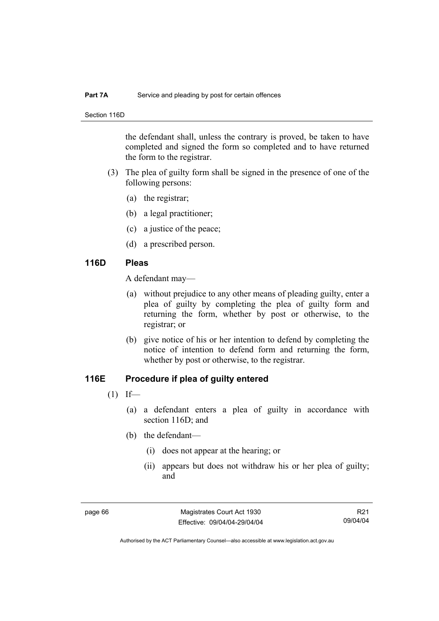#### **Part 7A** Service and pleading by post for certain offences

Section 116D

the defendant shall, unless the contrary is proved, be taken to have completed and signed the form so completed and to have returned the form to the registrar.

- (3) The plea of guilty form shall be signed in the presence of one of the following persons:
	- (a) the registrar;
	- (b) a legal practitioner;
	- (c) a justice of the peace;
	- (d) a prescribed person.

#### **116D Pleas**

A defendant may—

- (a) without prejudice to any other means of pleading guilty, enter a plea of guilty by completing the plea of guilty form and returning the form, whether by post or otherwise, to the registrar; or
- (b) give notice of his or her intention to defend by completing the notice of intention to defend form and returning the form, whether by post or otherwise, to the registrar.

## **116E Procedure if plea of guilty entered**

- $(1)$  If—
	- (a) a defendant enters a plea of guilty in accordance with section 116D; and
	- (b) the defendant—
		- (i) does not appear at the hearing; or
		- (ii) appears but does not withdraw his or her plea of guilty; and

R21 09/04/04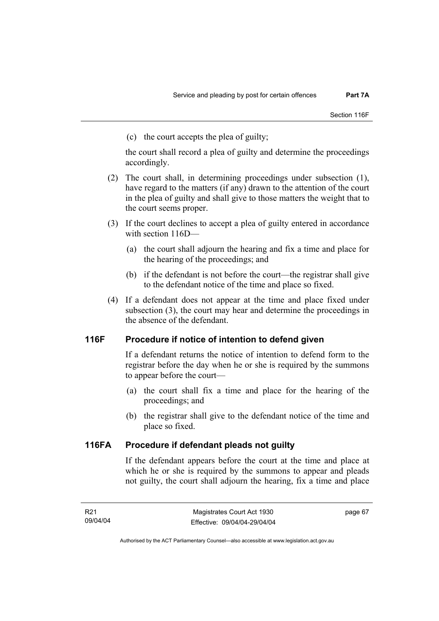(c) the court accepts the plea of guilty;

the court shall record a plea of guilty and determine the proceedings accordingly.

- (2) The court shall, in determining proceedings under subsection (1), have regard to the matters (if any) drawn to the attention of the court in the plea of guilty and shall give to those matters the weight that to the court seems proper.
- (3) If the court declines to accept a plea of guilty entered in accordance with section 116D—
	- (a) the court shall adjourn the hearing and fix a time and place for the hearing of the proceedings; and
	- (b) if the defendant is not before the court—the registrar shall give to the defendant notice of the time and place so fixed.
- (4) If a defendant does not appear at the time and place fixed under subsection (3), the court may hear and determine the proceedings in the absence of the defendant.

## **116F Procedure if notice of intention to defend given**

If a defendant returns the notice of intention to defend form to the registrar before the day when he or she is required by the summons to appear before the court—

- (a) the court shall fix a time and place for the hearing of the proceedings; and
- (b) the registrar shall give to the defendant notice of the time and place so fixed.

## **116FA Procedure if defendant pleads not guilty**

If the defendant appears before the court at the time and place at which he or she is required by the summons to appear and pleads not guilty, the court shall adjourn the hearing, fix a time and place

page 67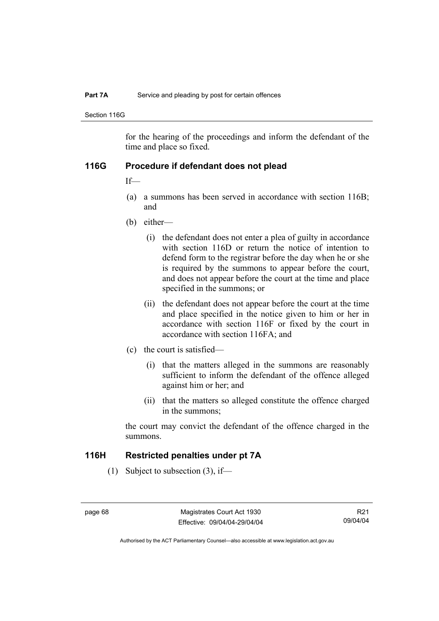#### **Part 7A** Service and pleading by post for certain offences

Section 116G

for the hearing of the proceedings and inform the defendant of the time and place so fixed.

#### **116G Procedure if defendant does not plead**

If—

- (a) a summons has been served in accordance with section 116B; and
- (b) either—
	- (i) the defendant does not enter a plea of guilty in accordance with section 116D or return the notice of intention to defend form to the registrar before the day when he or she is required by the summons to appear before the court, and does not appear before the court at the time and place specified in the summons; or
	- (ii) the defendant does not appear before the court at the time and place specified in the notice given to him or her in accordance with section 116F or fixed by the court in accordance with section 116FA; and
- (c) the court is satisfied—
	- (i) that the matters alleged in the summons are reasonably sufficient to inform the defendant of the offence alleged against him or her; and
	- (ii) that the matters so alleged constitute the offence charged in the summons;

the court may convict the defendant of the offence charged in the summons.

#### **116H Restricted penalties under pt 7A**

(1) Subject to subsection (3), if—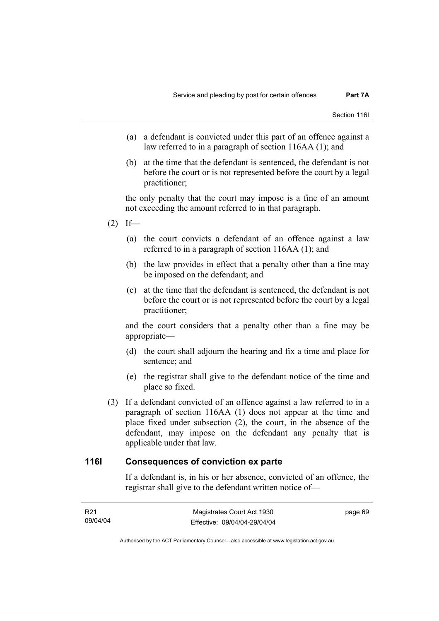- (a) a defendant is convicted under this part of an offence against a law referred to in a paragraph of section 116AA (1); and
- (b) at the time that the defendant is sentenced, the defendant is not before the court or is not represented before the court by a legal practitioner;

the only penalty that the court may impose is a fine of an amount not exceeding the amount referred to in that paragraph.

- $(2)$  If—
	- (a) the court convicts a defendant of an offence against a law referred to in a paragraph of section 116AA (1); and
	- (b) the law provides in effect that a penalty other than a fine may be imposed on the defendant; and
	- (c) at the time that the defendant is sentenced, the defendant is not before the court or is not represented before the court by a legal practitioner;

and the court considers that a penalty other than a fine may be appropriate—

- (d) the court shall adjourn the hearing and fix a time and place for sentence; and
- (e) the registrar shall give to the defendant notice of the time and place so fixed.
- (3) If a defendant convicted of an offence against a law referred to in a paragraph of section 116AA (1) does not appear at the time and place fixed under subsection (2), the court, in the absence of the defendant, may impose on the defendant any penalty that is applicable under that law.

#### **116I Consequences of conviction ex parte**

If a defendant is, in his or her absence, convicted of an offence, the registrar shall give to the defendant written notice of—

| R21      | Magistrates Court Act 1930   | page 69 |
|----------|------------------------------|---------|
| 09/04/04 | Effective: 09/04/04-29/04/04 |         |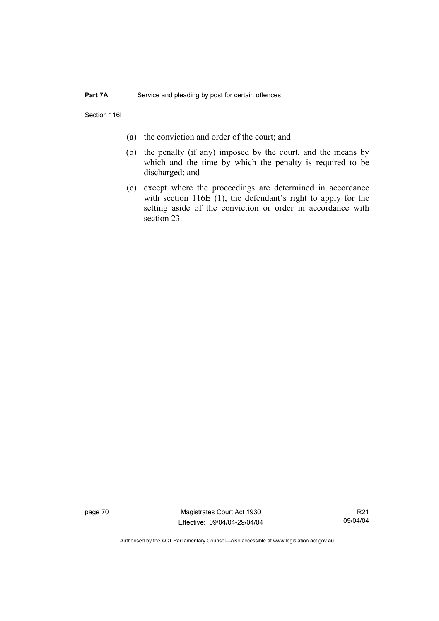Section 116I

- (a) the conviction and order of the court; and
- (b) the penalty (if any) imposed by the court, and the means by which and the time by which the penalty is required to be discharged; and
- (c) except where the proceedings are determined in accordance with section 116E (1), the defendant's right to apply for the setting aside of the conviction or order in accordance with section 23.

page 70 Magistrates Court Act 1930 Effective: 09/04/04-29/04/04

R21 09/04/04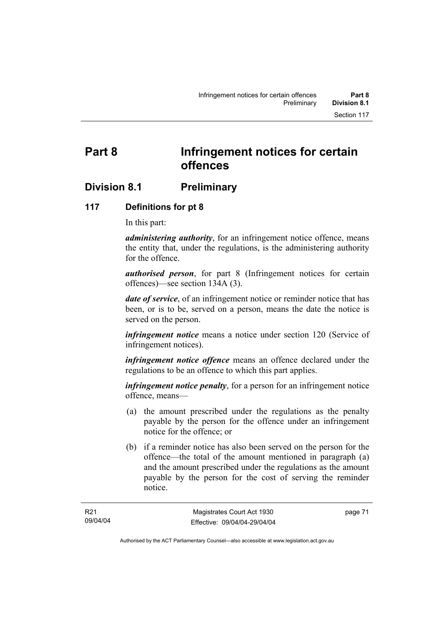# **Division 8.1 Preliminary**

#### **117 Definitions for pt 8**

In this part:

*administering authority*, for an infringement notice offence, means the entity that, under the regulations, is the administering authority for the offence.

*authorised person*, for part 8 (Infringement notices for certain offences)—see section 134A (3).

*date of service*, of an infringement notice or reminder notice that has been, or is to be, served on a person, means the date the notice is served on the person.

*infringement notice* means a notice under section 120 (Service of infringement notices).

*infringement notice offence* means an offence declared under the regulations to be an offence to which this part applies.

*infringement notice penalty*, for a person for an infringement notice offence, means—

- (a) the amount prescribed under the regulations as the penalty payable by the person for the offence under an infringement notice for the offence; or
- (b) if a reminder notice has also been served on the person for the offence—the total of the amount mentioned in paragraph (a) and the amount prescribed under the regulations as the amount payable by the person for the cost of serving the reminder notice.

page 71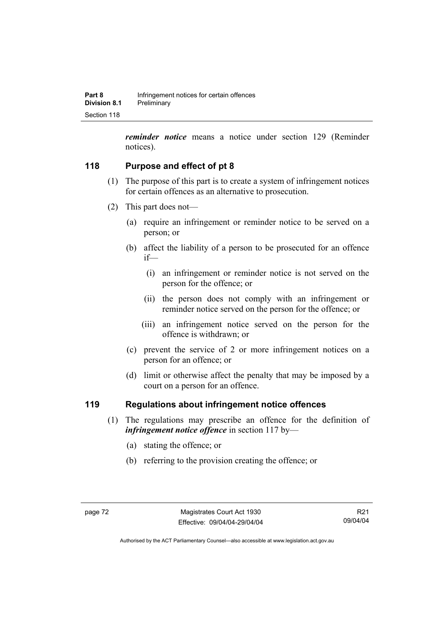*reminder notice* means a notice under section 129 (Reminder notices).

# **118 Purpose and effect of pt 8**

- (1) The purpose of this part is to create a system of infringement notices for certain offences as an alternative to prosecution.
- (2) This part does not—
	- (a) require an infringement or reminder notice to be served on a person; or
	- (b) affect the liability of a person to be prosecuted for an offence if—
		- (i) an infringement or reminder notice is not served on the person for the offence; or
		- (ii) the person does not comply with an infringement or reminder notice served on the person for the offence; or
		- (iii) an infringement notice served on the person for the offence is withdrawn; or
	- (c) prevent the service of 2 or more infringement notices on a person for an offence; or
	- (d) limit or otherwise affect the penalty that may be imposed by a court on a person for an offence.

## **119 Regulations about infringement notice offences**

- (1) The regulations may prescribe an offence for the definition of *infringement notice offence* in section 117 by—
	- (a) stating the offence; or
	- (b) referring to the provision creating the offence; or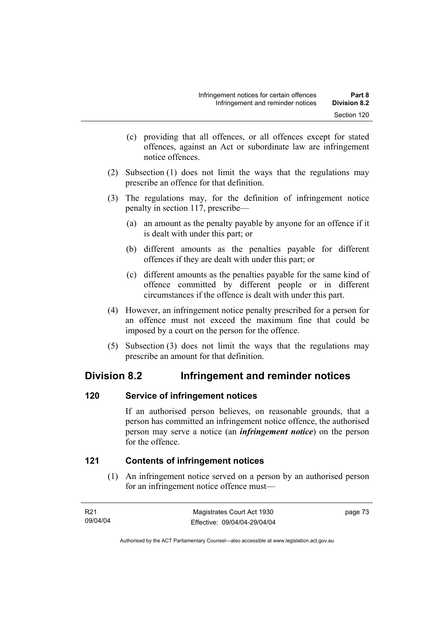- (c) providing that all offences, or all offences except for stated offences, against an Act or subordinate law are infringement notice offences.
- (2) Subsection (1) does not limit the ways that the regulations may prescribe an offence for that definition.
- (3) The regulations may, for the definition of infringement notice penalty in section 117, prescribe—
	- (a) an amount as the penalty payable by anyone for an offence if it is dealt with under this part; or
	- (b) different amounts as the penalties payable for different offences if they are dealt with under this part; or
	- (c) different amounts as the penalties payable for the same kind of offence committed by different people or in different circumstances if the offence is dealt with under this part.
- (4) However, an infringement notice penalty prescribed for a person for an offence must not exceed the maximum fine that could be imposed by a court on the person for the offence.
- (5) Subsection (3) does not limit the ways that the regulations may prescribe an amount for that definition.

# **Division 8.2 Infringement and reminder notices**

# **120 Service of infringement notices**

If an authorised person believes, on reasonable grounds, that a person has committed an infringement notice offence, the authorised person may serve a notice (an *infringement notice*) on the person for the offence.

# **121 Contents of infringement notices**

 (1) An infringement notice served on a person by an authorised person for an infringement notice offence must—

| R21      | Magistrates Court Act 1930   | page 73 |
|----------|------------------------------|---------|
| 09/04/04 | Effective: 09/04/04-29/04/04 |         |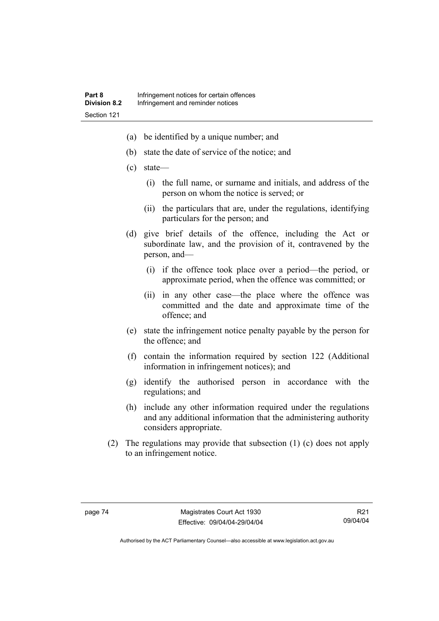- (a) be identified by a unique number; and
- (b) state the date of service of the notice; and
- (c) state—
	- (i) the full name, or surname and initials, and address of the person on whom the notice is served; or
	- (ii) the particulars that are, under the regulations, identifying particulars for the person; and
- (d) give brief details of the offence, including the Act or subordinate law, and the provision of it, contravened by the person, and—
	- (i) if the offence took place over a period—the period, or approximate period, when the offence was committed; or
	- (ii) in any other case—the place where the offence was committed and the date and approximate time of the offence; and
- (e) state the infringement notice penalty payable by the person for the offence; and
- (f) contain the information required by section 122 (Additional information in infringement notices); and
- (g) identify the authorised person in accordance with the regulations; and
- (h) include any other information required under the regulations and any additional information that the administering authority considers appropriate.
- (2) The regulations may provide that subsection (1) (c) does not apply to an infringement notice.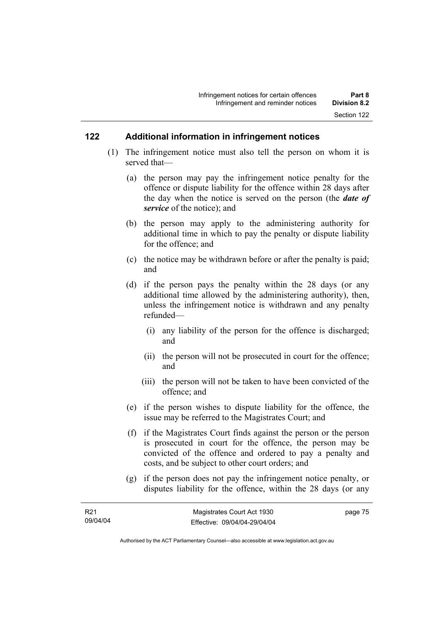#### **122 Additional information in infringement notices**

- (1) The infringement notice must also tell the person on whom it is served that—
	- (a) the person may pay the infringement notice penalty for the offence or dispute liability for the offence within 28 days after the day when the notice is served on the person (the *date of service* of the notice); and
	- (b) the person may apply to the administering authority for additional time in which to pay the penalty or dispute liability for the offence; and
	- (c) the notice may be withdrawn before or after the penalty is paid; and
	- (d) if the person pays the penalty within the 28 days (or any additional time allowed by the administering authority), then, unless the infringement notice is withdrawn and any penalty refunded—
		- (i) any liability of the person for the offence is discharged; and
		- (ii) the person will not be prosecuted in court for the offence; and
		- (iii) the person will not be taken to have been convicted of the offence; and
	- (e) if the person wishes to dispute liability for the offence, the issue may be referred to the Magistrates Court; and
	- (f) if the Magistrates Court finds against the person or the person is prosecuted in court for the offence, the person may be convicted of the offence and ordered to pay a penalty and costs, and be subject to other court orders; and
	- (g) if the person does not pay the infringement notice penalty, or disputes liability for the offence, within the 28 days (or any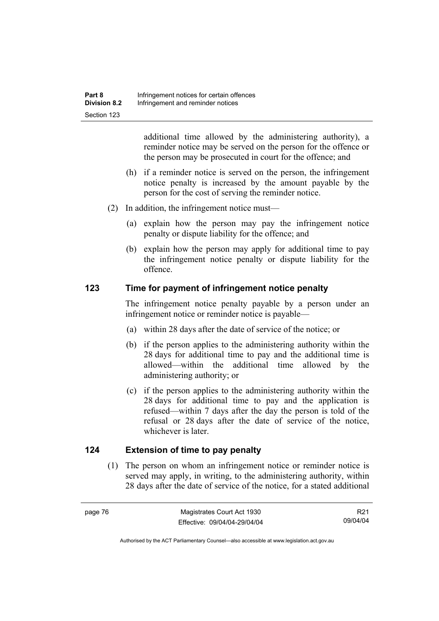additional time allowed by the administering authority), a reminder notice may be served on the person for the offence or the person may be prosecuted in court for the offence; and

- (h) if a reminder notice is served on the person, the infringement notice penalty is increased by the amount payable by the person for the cost of serving the reminder notice.
- (2) In addition, the infringement notice must—
	- (a) explain how the person may pay the infringement notice penalty or dispute liability for the offence; and
	- (b) explain how the person may apply for additional time to pay the infringement notice penalty or dispute liability for the offence.

## **123 Time for payment of infringement notice penalty**

The infringement notice penalty payable by a person under an infringement notice or reminder notice is payable—

- (a) within 28 days after the date of service of the notice; or
- (b) if the person applies to the administering authority within the 28 days for additional time to pay and the additional time is allowed—within the additional time allowed by the administering authority; or
- (c) if the person applies to the administering authority within the 28 days for additional time to pay and the application is refused—within 7 days after the day the person is told of the refusal or 28 days after the date of service of the notice, whichever is later.

## **124 Extension of time to pay penalty**

 (1) The person on whom an infringement notice or reminder notice is served may apply, in writing, to the administering authority, within 28 days after the date of service of the notice, for a stated additional

R21 09/04/04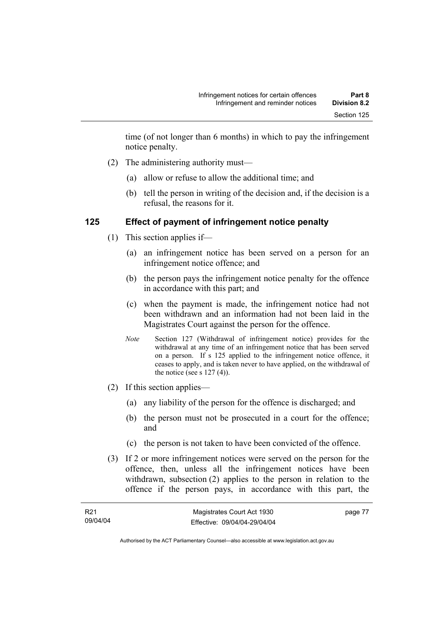time (of not longer than 6 months) in which to pay the infringement notice penalty.

- (2) The administering authority must—
	- (a) allow or refuse to allow the additional time; and
	- (b) tell the person in writing of the decision and, if the decision is a refusal, the reasons for it.

#### **125 Effect of payment of infringement notice penalty**

- (1) This section applies if—
	- (a) an infringement notice has been served on a person for an infringement notice offence; and
	- (b) the person pays the infringement notice penalty for the offence in accordance with this part; and
	- (c) when the payment is made, the infringement notice had not been withdrawn and an information had not been laid in the Magistrates Court against the person for the offence.
	- *Note* Section 127 (Withdrawal of infringement notice) provides for the withdrawal at any time of an infringement notice that has been served on a person. If s 125 applied to the infringement notice offence, it ceases to apply, and is taken never to have applied, on the withdrawal of the notice (see s  $127(4)$ ).
- (2) If this section applies—
	- (a) any liability of the person for the offence is discharged; and
	- (b) the person must not be prosecuted in a court for the offence; and
	- (c) the person is not taken to have been convicted of the offence.
- (3) If 2 or more infringement notices were served on the person for the offence, then, unless all the infringement notices have been withdrawn, subsection (2) applies to the person in relation to the offence if the person pays, in accordance with this part, the

| R21      | Magistrates Court Act 1930   | page 77 |
|----------|------------------------------|---------|
| 09/04/04 | Effective: 09/04/04-29/04/04 |         |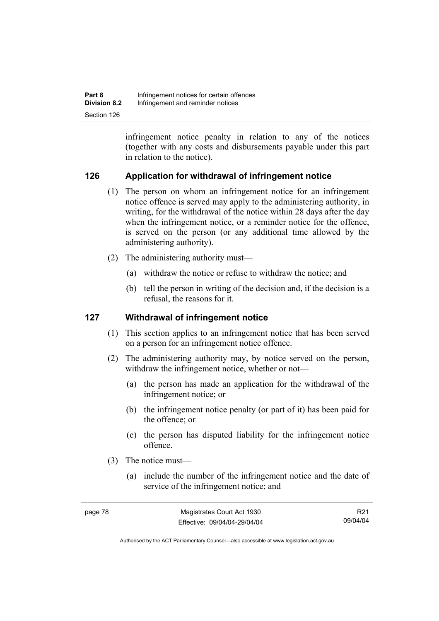| Part 8              | Infringement notices for certain offences |
|---------------------|-------------------------------------------|
| <b>Division 8.2</b> | Infringement and reminder notices         |
| Section 126         |                                           |

infringement notice penalty in relation to any of the notices (together with any costs and disbursements payable under this part in relation to the notice).

## **126 Application for withdrawal of infringement notice**

- (1) The person on whom an infringement notice for an infringement notice offence is served may apply to the administering authority, in writing, for the withdrawal of the notice within 28 days after the day when the infringement notice, or a reminder notice for the offence, is served on the person (or any additional time allowed by the administering authority).
- (2) The administering authority must—
	- (a) withdraw the notice or refuse to withdraw the notice; and
	- (b) tell the person in writing of the decision and, if the decision is a refusal, the reasons for it.

#### **127 Withdrawal of infringement notice**

- (1) This section applies to an infringement notice that has been served on a person for an infringement notice offence.
- (2) The administering authority may, by notice served on the person, withdraw the infringement notice, whether or not—
	- (a) the person has made an application for the withdrawal of the infringement notice; or
	- (b) the infringement notice penalty (or part of it) has been paid for the offence; or
	- (c) the person has disputed liability for the infringement notice offence.
- (3) The notice must—
	- (a) include the number of the infringement notice and the date of service of the infringement notice; and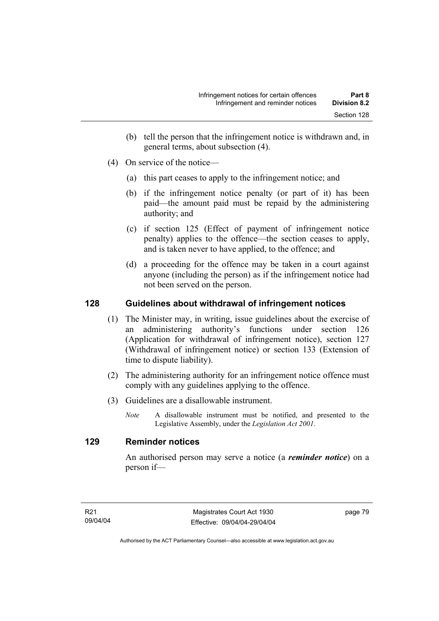- (b) tell the person that the infringement notice is withdrawn and, in general terms, about subsection (4).
- (4) On service of the notice—
	- (a) this part ceases to apply to the infringement notice; and
	- (b) if the infringement notice penalty (or part of it) has been paid—the amount paid must be repaid by the administering authority; and
	- (c) if section 125 (Effect of payment of infringement notice penalty) applies to the offence—the section ceases to apply, and is taken never to have applied, to the offence; and
	- (d) a proceeding for the offence may be taken in a court against anyone (including the person) as if the infringement notice had not been served on the person.

## **128 Guidelines about withdrawal of infringement notices**

- (1) The Minister may, in writing, issue guidelines about the exercise of an administering authority's functions under section 126 (Application for withdrawal of infringement notice), section 127 (Withdrawal of infringement notice) or section 133 (Extension of time to dispute liability).
- (2) The administering authority for an infringement notice offence must comply with any guidelines applying to the offence.
- (3) Guidelines are a disallowable instrument.
	- *Note* A disallowable instrument must be notified, and presented to the Legislative Assembly, under the *Legislation Act 2001*.

#### **129 Reminder notices**

An authorised person may serve a notice (a *reminder notice*) on a person if—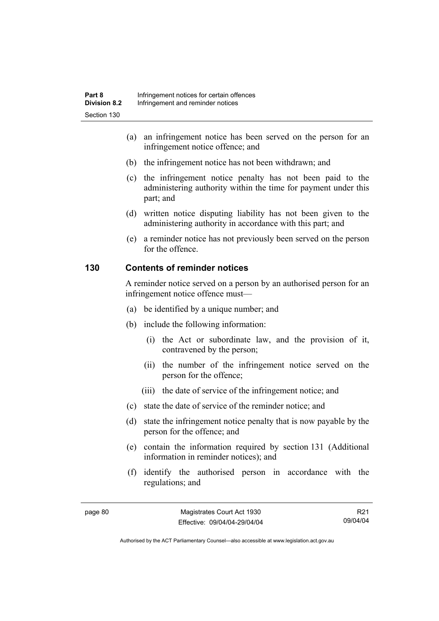- (a) an infringement notice has been served on the person for an infringement notice offence; and
- (b) the infringement notice has not been withdrawn; and
- (c) the infringement notice penalty has not been paid to the administering authority within the time for payment under this part; and
- (d) written notice disputing liability has not been given to the administering authority in accordance with this part; and
- (e) a reminder notice has not previously been served on the person for the offence.

#### **130 Contents of reminder notices**

A reminder notice served on a person by an authorised person for an infringement notice offence must—

- (a) be identified by a unique number; and
- (b) include the following information:
	- (i) the Act or subordinate law, and the provision of it, contravened by the person;
	- (ii) the number of the infringement notice served on the person for the offence;
	- (iii) the date of service of the infringement notice; and
- (c) state the date of service of the reminder notice; and
- (d) state the infringement notice penalty that is now payable by the person for the offence; and
- (e) contain the information required by section 131 (Additional information in reminder notices); and
- (f) identify the authorised person in accordance with the regulations; and

R21 09/04/04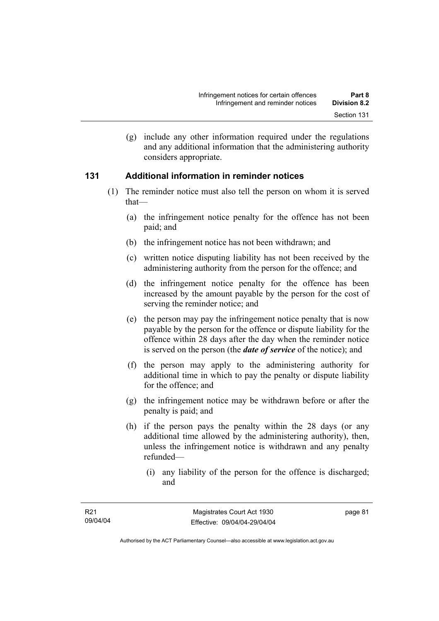(g) include any other information required under the regulations and any additional information that the administering authority considers appropriate.

#### **131 Additional information in reminder notices**

- (1) The reminder notice must also tell the person on whom it is served that—
	- (a) the infringement notice penalty for the offence has not been paid; and
	- (b) the infringement notice has not been withdrawn; and
	- (c) written notice disputing liability has not been received by the administering authority from the person for the offence; and
	- (d) the infringement notice penalty for the offence has been increased by the amount payable by the person for the cost of serving the reminder notice; and
	- (e) the person may pay the infringement notice penalty that is now payable by the person for the offence or dispute liability for the offence within 28 days after the day when the reminder notice is served on the person (the *date of service* of the notice); and
	- (f) the person may apply to the administering authority for additional time in which to pay the penalty or dispute liability for the offence; and
	- (g) the infringement notice may be withdrawn before or after the penalty is paid; and
	- (h) if the person pays the penalty within the 28 days (or any additional time allowed by the administering authority), then, unless the infringement notice is withdrawn and any penalty refunded—
		- (i) any liability of the person for the offence is discharged; and

page 81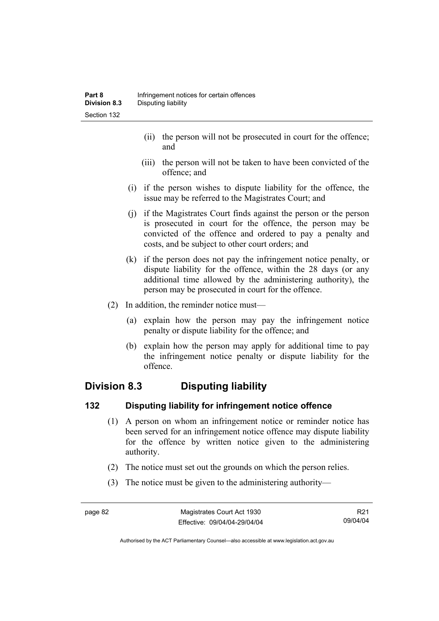- (ii) the person will not be prosecuted in court for the offence; and
- (iii) the person will not be taken to have been convicted of the offence; and
- (i) if the person wishes to dispute liability for the offence, the issue may be referred to the Magistrates Court; and
- (j) if the Magistrates Court finds against the person or the person is prosecuted in court for the offence, the person may be convicted of the offence and ordered to pay a penalty and costs, and be subject to other court orders; and
- (k) if the person does not pay the infringement notice penalty, or dispute liability for the offence, within the 28 days (or any additional time allowed by the administering authority), the person may be prosecuted in court for the offence.
- (2) In addition, the reminder notice must—
	- (a) explain how the person may pay the infringement notice penalty or dispute liability for the offence; and
	- (b) explain how the person may apply for additional time to pay the infringement notice penalty or dispute liability for the offence.

# **Division 8.3 Disputing liability**

## **132 Disputing liability for infringement notice offence**

- (1) A person on whom an infringement notice or reminder notice has been served for an infringement notice offence may dispute liability for the offence by written notice given to the administering authority.
- (2) The notice must set out the grounds on which the person relies.
- (3) The notice must be given to the administering authority—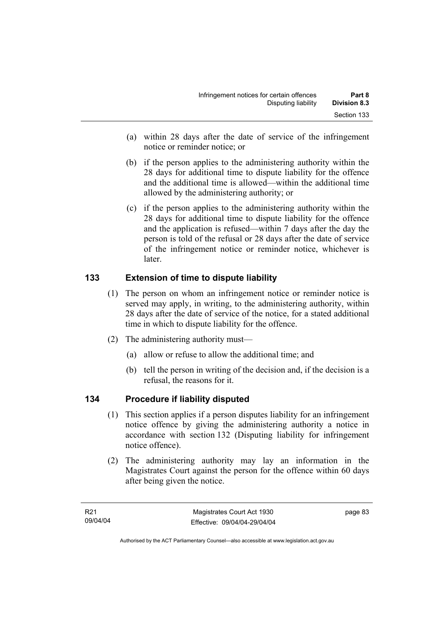- (a) within 28 days after the date of service of the infringement notice or reminder notice; or
- (b) if the person applies to the administering authority within the 28 days for additional time to dispute liability for the offence and the additional time is allowed—within the additional time allowed by the administering authority; or
- (c) if the person applies to the administering authority within the 28 days for additional time to dispute liability for the offence and the application is refused—within 7 days after the day the person is told of the refusal or 28 days after the date of service of the infringement notice or reminder notice, whichever is later.

# **133 Extension of time to dispute liability**

- (1) The person on whom an infringement notice or reminder notice is served may apply, in writing, to the administering authority, within 28 days after the date of service of the notice, for a stated additional time in which to dispute liability for the offence.
- (2) The administering authority must—
	- (a) allow or refuse to allow the additional time; and
	- (b) tell the person in writing of the decision and, if the decision is a refusal, the reasons for it.

# **134 Procedure if liability disputed**

- (1) This section applies if a person disputes liability for an infringement notice offence by giving the administering authority a notice in accordance with section 132 (Disputing liability for infringement notice offence).
- (2) The administering authority may lay an information in the Magistrates Court against the person for the offence within 60 days after being given the notice.

page 83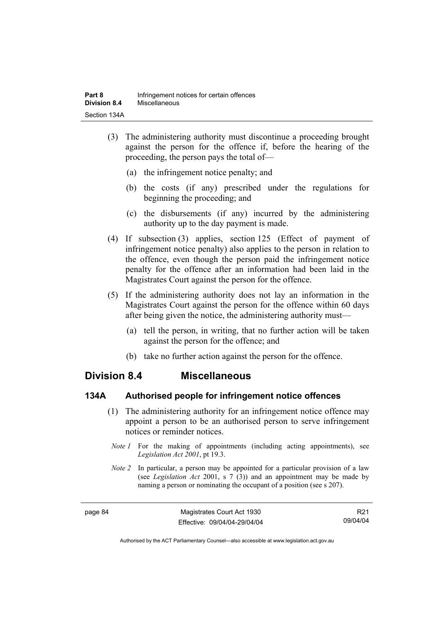- (3) The administering authority must discontinue a proceeding brought against the person for the offence if, before the hearing of the proceeding, the person pays the total of—
	- (a) the infringement notice penalty; and
	- (b) the costs (if any) prescribed under the regulations for beginning the proceeding; and
	- (c) the disbursements (if any) incurred by the administering authority up to the day payment is made.
- (4) If subsection (3) applies, section 125 (Effect of payment of infringement notice penalty) also applies to the person in relation to the offence, even though the person paid the infringement notice penalty for the offence after an information had been laid in the Magistrates Court against the person for the offence.
- (5) If the administering authority does not lay an information in the Magistrates Court against the person for the offence within 60 days after being given the notice, the administering authority must—
	- (a) tell the person, in writing, that no further action will be taken against the person for the offence; and
	- (b) take no further action against the person for the offence.

## **Division 8.4 Miscellaneous**

#### **134A Authorised people for infringement notice offences**

- (1) The administering authority for an infringement notice offence may appoint a person to be an authorised person to serve infringement notices or reminder notices.
	- *Note 1* For the making of appointments (including acting appointments), see *Legislation Act 2001*, pt 19.3.
- *Note 2* In particular, a person may be appointed for a particular provision of a law (see *Legislation Act* 2001, s 7 (3)) and an appointment may be made by naming a person or nominating the occupant of a position (see s 207).

R21 09/04/04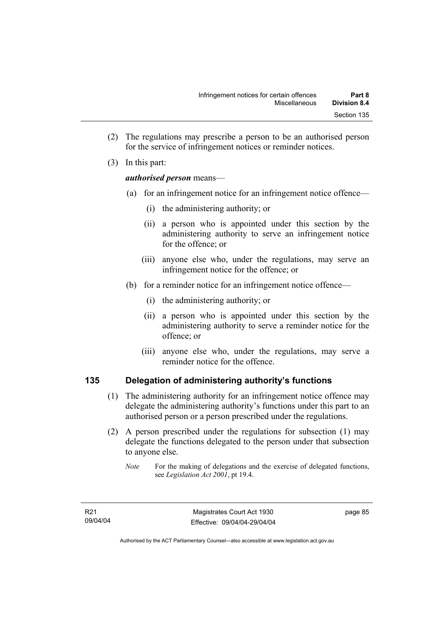- (2) The regulations may prescribe a person to be an authorised person for the service of infringement notices or reminder notices.
- (3) In this part:

#### *authorised person* means—

- (a) for an infringement notice for an infringement notice offence—
	- (i) the administering authority; or
	- (ii) a person who is appointed under this section by the administering authority to serve an infringement notice for the offence; or
	- (iii) anyone else who, under the regulations, may serve an infringement notice for the offence; or
- (b) for a reminder notice for an infringement notice offence—
	- (i) the administering authority; or
	- (ii) a person who is appointed under this section by the administering authority to serve a reminder notice for the offence; or
	- (iii) anyone else who, under the regulations, may serve a reminder notice for the offence.

## **135 Delegation of administering authority's functions**

- (1) The administering authority for an infringement notice offence may delegate the administering authority's functions under this part to an authorised person or a person prescribed under the regulations.
- (2) A person prescribed under the regulations for subsection (1) may delegate the functions delegated to the person under that subsection to anyone else.
	- *Note* For the making of delegations and the exercise of delegated functions, see *Legislation Act 2001*, pt 19.4.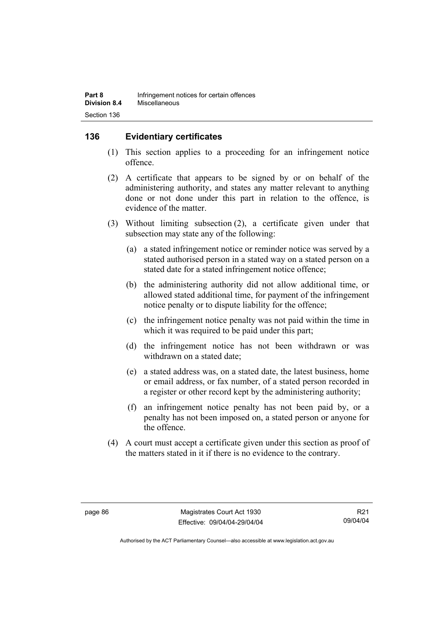## **136 Evidentiary certificates**

- (1) This section applies to a proceeding for an infringement notice offence.
- (2) A certificate that appears to be signed by or on behalf of the administering authority, and states any matter relevant to anything done or not done under this part in relation to the offence, is evidence of the matter.
- (3) Without limiting subsection (2), a certificate given under that subsection may state any of the following:
	- (a) a stated infringement notice or reminder notice was served by a stated authorised person in a stated way on a stated person on a stated date for a stated infringement notice offence;
	- (b) the administering authority did not allow additional time, or allowed stated additional time, for payment of the infringement notice penalty or to dispute liability for the offence;
	- (c) the infringement notice penalty was not paid within the time in which it was required to be paid under this part;
	- (d) the infringement notice has not been withdrawn or was withdrawn on a stated date;
	- (e) a stated address was, on a stated date, the latest business, home or email address, or fax number, of a stated person recorded in a register or other record kept by the administering authority;
	- (f) an infringement notice penalty has not been paid by, or a penalty has not been imposed on, a stated person or anyone for the offence.
- (4) A court must accept a certificate given under this section as proof of the matters stated in it if there is no evidence to the contrary.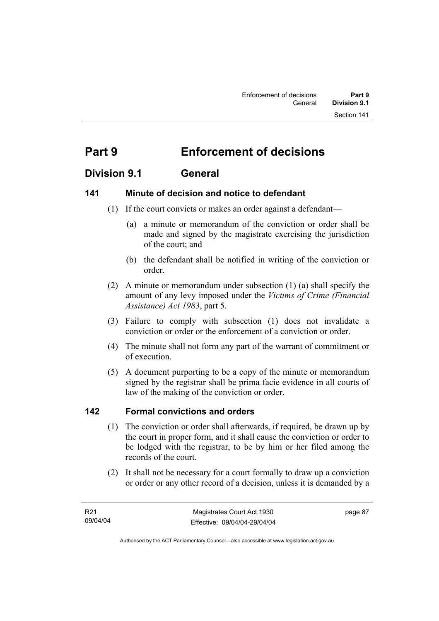# **Part 9 Enforcement of decisions**

# **Division 9.1 General**

## **141 Minute of decision and notice to defendant**

- (1) If the court convicts or makes an order against a defendant—
	- (a) a minute or memorandum of the conviction or order shall be made and signed by the magistrate exercising the jurisdiction of the court; and
	- (b) the defendant shall be notified in writing of the conviction or order.
- (2) A minute or memorandum under subsection (1) (a) shall specify the amount of any levy imposed under the *Victims of Crime (Financial Assistance) Act 1983*, part 5.
- (3) Failure to comply with subsection (1) does not invalidate a conviction or order or the enforcement of a conviction or order.
- (4) The minute shall not form any part of the warrant of commitment or of execution.
- (5) A document purporting to be a copy of the minute or memorandum signed by the registrar shall be prima facie evidence in all courts of law of the making of the conviction or order.

## **142 Formal convictions and orders**

- (1) The conviction or order shall afterwards, if required, be drawn up by the court in proper form, and it shall cause the conviction or order to be lodged with the registrar, to be by him or her filed among the records of the court.
- (2) It shall not be necessary for a court formally to draw up a conviction or order or any other record of a decision, unless it is demanded by a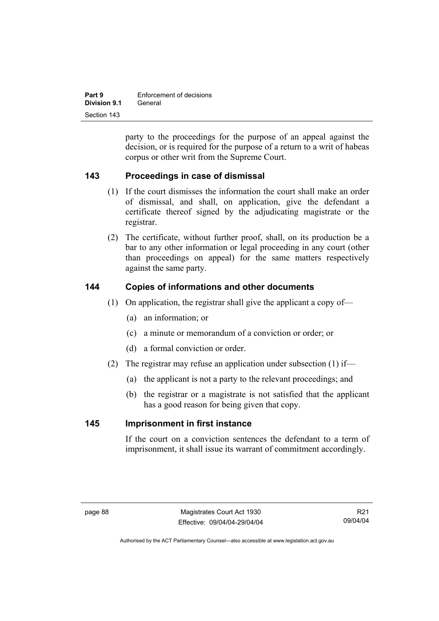| Part 9       | Enforcement of decisions |
|--------------|--------------------------|
| Division 9.1 | General                  |
| Section 143  |                          |

party to the proceedings for the purpose of an appeal against the decision, or is required for the purpose of a return to a writ of habeas corpus or other writ from the Supreme Court.

## **143 Proceedings in case of dismissal**

- (1) If the court dismisses the information the court shall make an order of dismissal, and shall, on application, give the defendant a certificate thereof signed by the adjudicating magistrate or the registrar.
- (2) The certificate, without further proof, shall, on its production be a bar to any other information or legal proceeding in any court (other than proceedings on appeal) for the same matters respectively against the same party.

#### **144 Copies of informations and other documents**

- (1) On application, the registrar shall give the applicant a copy of—
	- (a) an information; or
	- (c) a minute or memorandum of a conviction or order; or
	- (d) a formal conviction or order.
- (2) The registrar may refuse an application under subsection (1) if—
	- (a) the applicant is not a party to the relevant proceedings; and
	- (b) the registrar or a magistrate is not satisfied that the applicant has a good reason for being given that copy.

#### **145 Imprisonment in first instance**

If the court on a conviction sentences the defendant to a term of imprisonment, it shall issue its warrant of commitment accordingly.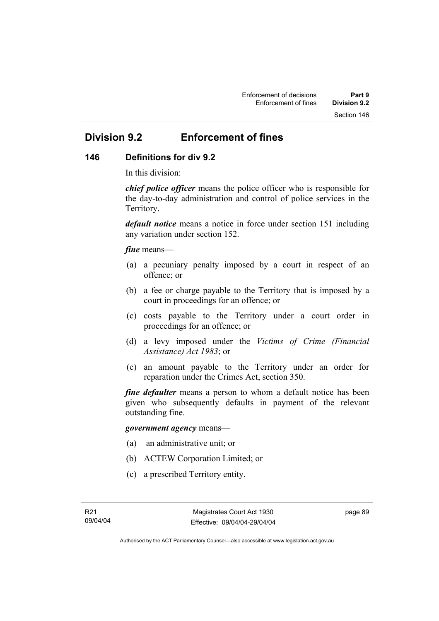# **Division 9.2 Enforcement of fines**

# **146 Definitions for div 9.2**

In this division:

*chief police officer* means the police officer who is responsible for the day-to-day administration and control of police services in the Territory.

*default notice* means a notice in force under section 151 including any variation under section 152.

#### *fine* means—

- (a) a pecuniary penalty imposed by a court in respect of an offence; or
- (b) a fee or charge payable to the Territory that is imposed by a court in proceedings for an offence; or
- (c) costs payable to the Territory under a court order in proceedings for an offence; or
- (d) a levy imposed under the *Victims of Crime (Financial Assistance) Act 1983*; or
- (e) an amount payable to the Territory under an order for reparation under the Crimes Act, section 350.

*fine defaulter* means a person to whom a default notice has been given who subsequently defaults in payment of the relevant outstanding fine.

#### *government agency* means—

- (a) an administrative unit; or
- (b) ACTEW Corporation Limited; or
- (c) a prescribed Territory entity.

page 89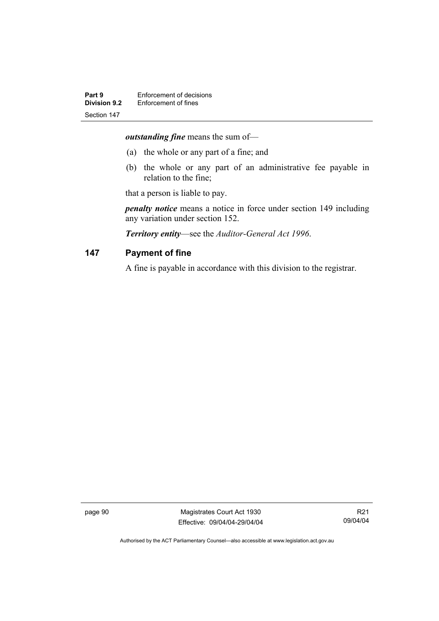*outstanding fine* means the sum of—

- (a) the whole or any part of a fine; and
- (b) the whole or any part of an administrative fee payable in relation to the fine;

that a person is liable to pay.

*penalty notice* means a notice in force under section 149 including any variation under section 152.

*Territory entity*—see the *Auditor-General Act 1996*.

#### **147 Payment of fine**

A fine is payable in accordance with this division to the registrar.

page 90 Magistrates Court Act 1930 Effective: 09/04/04-29/04/04

R21 09/04/04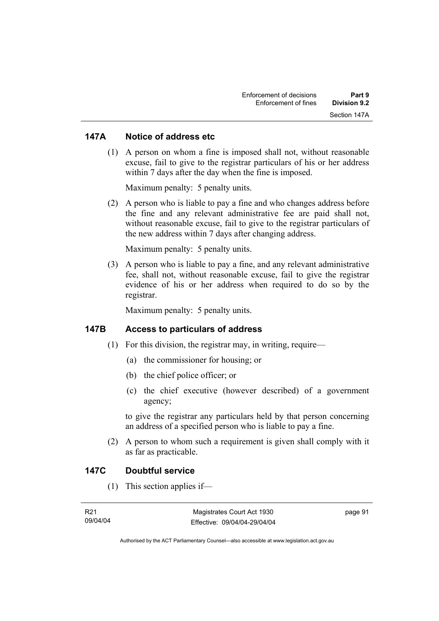#### **147A Notice of address etc**

 (1) A person on whom a fine is imposed shall not, without reasonable excuse, fail to give to the registrar particulars of his or her address within 7 days after the day when the fine is imposed.

Maximum penalty: 5 penalty units.

 (2) A person who is liable to pay a fine and who changes address before the fine and any relevant administrative fee are paid shall not, without reasonable excuse, fail to give to the registrar particulars of the new address within 7 days after changing address.

Maximum penalty: 5 penalty units.

 (3) A person who is liable to pay a fine, and any relevant administrative fee, shall not, without reasonable excuse, fail to give the registrar evidence of his or her address when required to do so by the registrar.

Maximum penalty: 5 penalty units.

#### **147B Access to particulars of address**

- $(1)$  For this division, the registrar may, in writing, require—
	- (a) the commissioner for housing; or
	- (b) the chief police officer; or
	- (c) the chief executive (however described) of a government agency;

to give the registrar any particulars held by that person concerning an address of a specified person who is liable to pay a fine.

 (2) A person to whom such a requirement is given shall comply with it as far as practicable.

#### **147C Doubtful service**

(1) This section applies if—

| R21      | Magistrates Court Act 1930   | page 91 |
|----------|------------------------------|---------|
| 09/04/04 | Effective: 09/04/04-29/04/04 |         |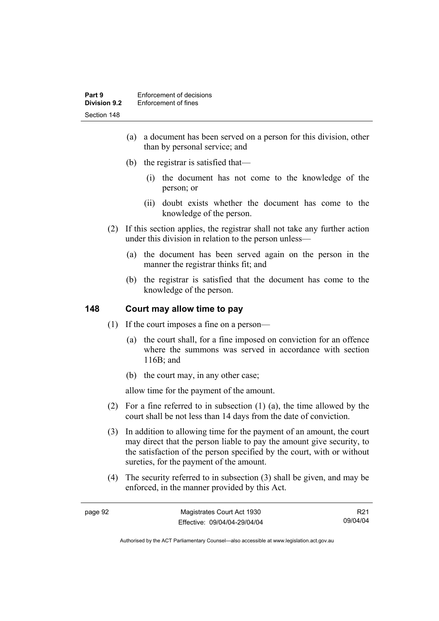- (a) a document has been served on a person for this division, other than by personal service; and
- (b) the registrar is satisfied that—
	- (i) the document has not come to the knowledge of the person; or
	- (ii) doubt exists whether the document has come to the knowledge of the person.
- (2) If this section applies, the registrar shall not take any further action under this division in relation to the person unless—
	- (a) the document has been served again on the person in the manner the registrar thinks fit; and
	- (b) the registrar is satisfied that the document has come to the knowledge of the person.

## **148 Court may allow time to pay**

- (1) If the court imposes a fine on a person—
	- (a) the court shall, for a fine imposed on conviction for an offence where the summons was served in accordance with section 116B; and
	- (b) the court may, in any other case;

allow time for the payment of the amount.

- (2) For a fine referred to in subsection (1) (a), the time allowed by the court shall be not less than 14 days from the date of conviction.
- (3) In addition to allowing time for the payment of an amount, the court may direct that the person liable to pay the amount give security, to the satisfaction of the person specified by the court, with or without sureties, for the payment of the amount.
- (4) The security referred to in subsection (3) shall be given, and may be enforced, in the manner provided by this Act.

| page 92 | Magistrates Court Act 1930   | R21      |
|---------|------------------------------|----------|
|         | Effective: 09/04/04-29/04/04 | 09/04/04 |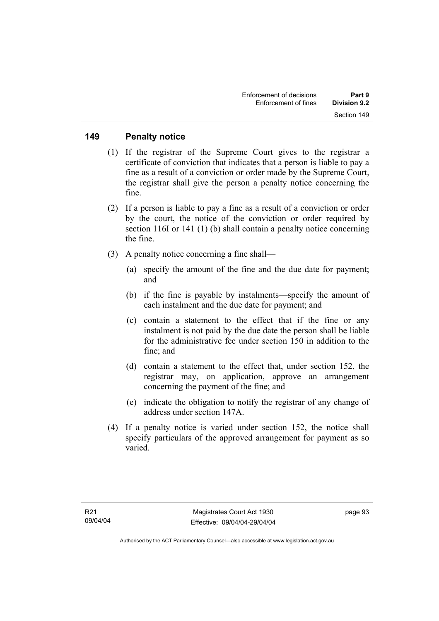#### **149 Penalty notice**

- (1) If the registrar of the Supreme Court gives to the registrar a certificate of conviction that indicates that a person is liable to pay a fine as a result of a conviction or order made by the Supreme Court, the registrar shall give the person a penalty notice concerning the fine.
- (2) If a person is liable to pay a fine as a result of a conviction or order by the court, the notice of the conviction or order required by section 116I or 141 (1) (b) shall contain a penalty notice concerning the fine.
- (3) A penalty notice concerning a fine shall—
	- (a) specify the amount of the fine and the due date for payment; and
	- (b) if the fine is payable by instalments—specify the amount of each instalment and the due date for payment; and
	- (c) contain a statement to the effect that if the fine or any instalment is not paid by the due date the person shall be liable for the administrative fee under section 150 in addition to the fine; and
	- (d) contain a statement to the effect that, under section 152, the registrar may, on application, approve an arrangement concerning the payment of the fine; and
	- (e) indicate the obligation to notify the registrar of any change of address under section 147A.
- (4) If a penalty notice is varied under section 152, the notice shall specify particulars of the approved arrangement for payment as so varied.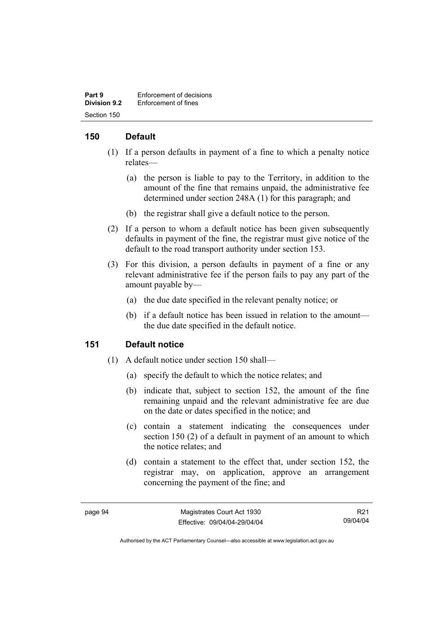| Part 9              | Enforcement of decisions |
|---------------------|--------------------------|
| <b>Division 9.2</b> | Enforcement of fines     |
| Section 150         |                          |

## **150 Default**

- (1) If a person defaults in payment of a fine to which a penalty notice relates—
	- (a) the person is liable to pay to the Territory, in addition to the amount of the fine that remains unpaid, the administrative fee determined under section 248A (1) for this paragraph; and
	- (b) the registrar shall give a default notice to the person.
- (2) If a person to whom a default notice has been given subsequently defaults in payment of the fine, the registrar must give notice of the default to the road transport authority under section 153.
- (3) For this division, a person defaults in payment of a fine or any relevant administrative fee if the person fails to pay any part of the amount payable by—
	- (a) the due date specified in the relevant penalty notice; or
	- (b) if a default notice has been issued in relation to the amount the due date specified in the default notice.

#### **151 Default notice**

- (1) A default notice under section 150 shall—
	- (a) specify the default to which the notice relates; and
	- (b) indicate that, subject to section 152, the amount of the fine remaining unpaid and the relevant administrative fee are due on the date or dates specified in the notice; and
	- (c) contain a statement indicating the consequences under section 150 (2) of a default in payment of an amount to which the notice relates; and
	- (d) contain a statement to the effect that, under section 152, the registrar may, on application, approve an arrangement concerning the payment of the fine; and

R21 09/04/04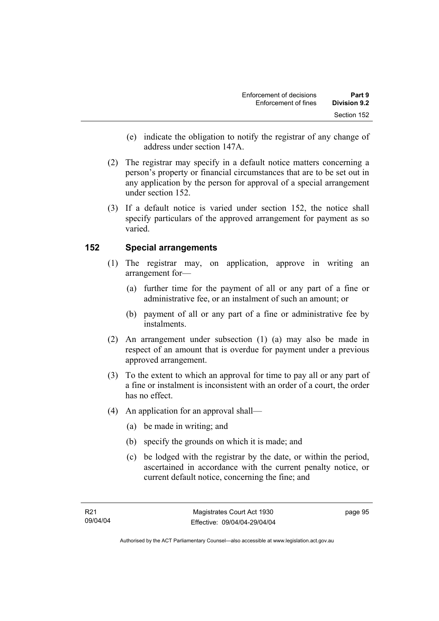- (e) indicate the obligation to notify the registrar of any change of address under section 147A.
- (2) The registrar may specify in a default notice matters concerning a person's property or financial circumstances that are to be set out in any application by the person for approval of a special arrangement under section 152.
- (3) If a default notice is varied under section 152, the notice shall specify particulars of the approved arrangement for payment as so varied.

# **152 Special arrangements**

- (1) The registrar may, on application, approve in writing an arrangement for—
	- (a) further time for the payment of all or any part of a fine or administrative fee, or an instalment of such an amount; or
	- (b) payment of all or any part of a fine or administrative fee by instalments.
- (2) An arrangement under subsection (1) (a) may also be made in respect of an amount that is overdue for payment under a previous approved arrangement.
- (3) To the extent to which an approval for time to pay all or any part of a fine or instalment is inconsistent with an order of a court, the order has no effect.
- (4) An application for an approval shall—
	- (a) be made in writing; and
	- (b) specify the grounds on which it is made; and
	- (c) be lodged with the registrar by the date, or within the period, ascertained in accordance with the current penalty notice, or current default notice, concerning the fine; and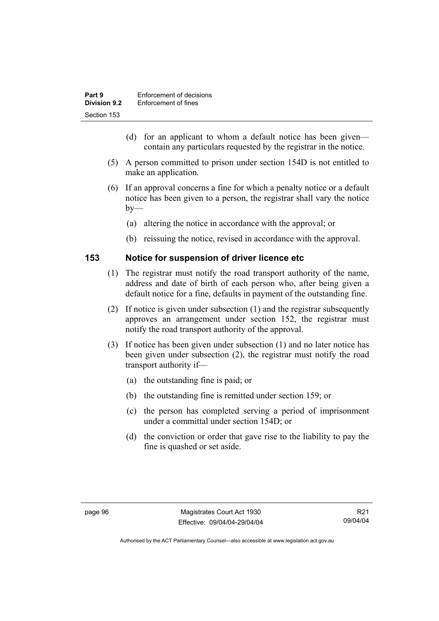| Part 9              | Enforcement of decisions |
|---------------------|--------------------------|
| <b>Division 9.2</b> | Enforcement of fines     |
| Section 153         |                          |

- (d) for an applicant to whom a default notice has been given contain any particulars requested by the registrar in the notice.
- (5) A person committed to prison under section 154D is not entitled to make an application.
- (6) If an approval concerns a fine for which a penalty notice or a default notice has been given to a person, the registrar shall vary the notice  $by-$ 
	- (a) altering the notice in accordance with the approval; or
	- (b) reissuing the notice, revised in accordance with the approval.

#### **153 Notice for suspension of driver licence etc**

- (1) The registrar must notify the road transport authority of the name, address and date of birth of each person who, after being given a default notice for a fine, defaults in payment of the outstanding fine.
- (2) If notice is given under subsection (1) and the registrar subsequently approves an arrangement under section 152, the registrar must notify the road transport authority of the approval.
- (3) If notice has been given under subsection (1) and no later notice has been given under subsection (2), the registrar must notify the road transport authority if—
	- (a) the outstanding fine is paid; or
	- (b) the outstanding fine is remitted under section 159; or
	- (c) the person has completed serving a period of imprisonment under a committal under section 154D; or
	- (d) the conviction or order that gave rise to the liability to pay the fine is quashed or set aside.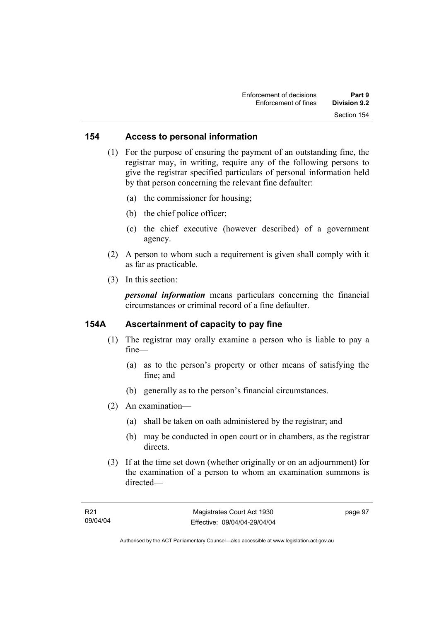#### **154 Access to personal information**

 (1) For the purpose of ensuring the payment of an outstanding fine, the registrar may, in writing, require any of the following persons to give the registrar specified particulars of personal information held by that person concerning the relevant fine defaulter:

- (a) the commissioner for housing;
- (b) the chief police officer;
- (c) the chief executive (however described) of a government agency.
- (2) A person to whom such a requirement is given shall comply with it as far as practicable.
- (3) In this section:

*personal information* means particulars concerning the financial circumstances or criminal record of a fine defaulter.

#### **154A Ascertainment of capacity to pay fine**

- (1) The registrar may orally examine a person who is liable to pay a fine—
	- (a) as to the person's property or other means of satisfying the fine; and
	- (b) generally as to the person's financial circumstances.
- (2) An examination—
	- (a) shall be taken on oath administered by the registrar; and
	- (b) may be conducted in open court or in chambers, as the registrar directs.
- (3) If at the time set down (whether originally or on an adjournment) for the examination of a person to whom an examination summons is directed—

page 97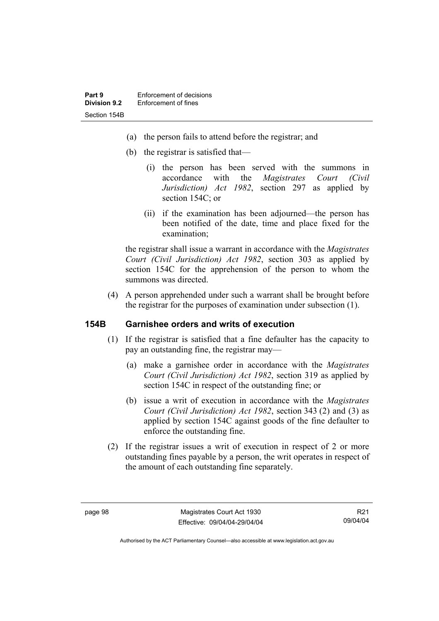- (a) the person fails to attend before the registrar; and
- (b) the registrar is satisfied that—
	- (i) the person has been served with the summons in accordance with the *Magistrates Court (Civil Jurisdiction) Act 1982*, section 297 as applied by section 154C; or
	- (ii) if the examination has been adjourned—the person has been notified of the date, time and place fixed for the examination;

the registrar shall issue a warrant in accordance with the *Magistrates Court (Civil Jurisdiction) Act 1982*, section 303 as applied by section 154C for the apprehension of the person to whom the summons was directed.

 (4) A person apprehended under such a warrant shall be brought before the registrar for the purposes of examination under subsection (1).

#### **154B Garnishee orders and writs of execution**

- (1) If the registrar is satisfied that a fine defaulter has the capacity to pay an outstanding fine, the registrar may—
	- (a) make a garnishee order in accordance with the *Magistrates Court (Civil Jurisdiction) Act 1982*, section 319 as applied by section 154C in respect of the outstanding fine; or
	- (b) issue a writ of execution in accordance with the *Magistrates Court (Civil Jurisdiction) Act 1982*, section 343 (2) and (3) as applied by section 154C against goods of the fine defaulter to enforce the outstanding fine.
- (2) If the registrar issues a writ of execution in respect of 2 or more outstanding fines payable by a person, the writ operates in respect of the amount of each outstanding fine separately.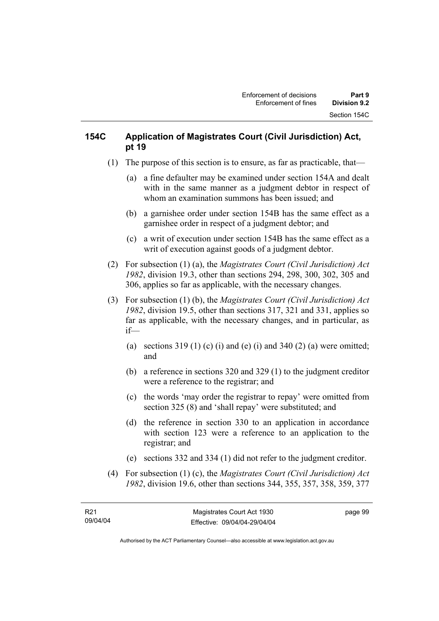# **154C Application of Magistrates Court (Civil Jurisdiction) Act, pt 19**

- (1) The purpose of this section is to ensure, as far as practicable, that—
	- (a) a fine defaulter may be examined under section 154A and dealt with in the same manner as a judgment debtor in respect of whom an examination summons has been issued; and
	- (b) a garnishee order under section 154B has the same effect as a garnishee order in respect of a judgment debtor; and
	- (c) a writ of execution under section 154B has the same effect as a writ of execution against goods of a judgment debtor.
- (2) For subsection (1) (a), the *Magistrates Court (Civil Jurisdiction) Act 1982*, division 19.3, other than sections 294, 298, 300, 302, 305 and 306, applies so far as applicable, with the necessary changes.
- (3) For subsection (1) (b), the *Magistrates Court (Civil Jurisdiction) Act 1982*, division 19.5, other than sections 317, 321 and 331, applies so far as applicable, with the necessary changes, and in particular, as if—
	- (a) sections  $319(1)$  (c) (i) and (e) (i) and  $340(2)$  (a) were omitted; and
	- (b) a reference in sections 320 and 329 (1) to the judgment creditor were a reference to the registrar; and
	- (c) the words 'may order the registrar to repay' were omitted from section 325 (8) and 'shall repay' were substituted; and
	- (d) the reference in section 330 to an application in accordance with section 123 were a reference to an application to the registrar; and
	- (e) sections 332 and 334 (1) did not refer to the judgment creditor.
- (4) For subsection (1) (c), the *Magistrates Court (Civil Jurisdiction) Act 1982*, division 19.6, other than sections 344, 355, 357, 358, 359, 377

page 99

Authorised by the ACT Parliamentary Counsel—also accessible at www.legislation.act.gov.au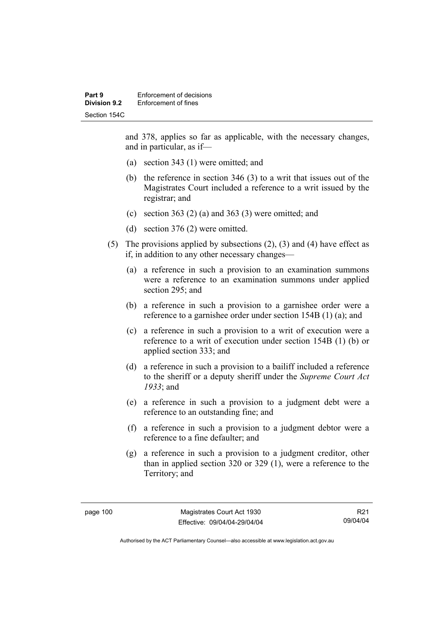and 378, applies so far as applicable, with the necessary changes, and in particular, as if—

- (a) section 343 (1) were omitted; and
- (b) the reference in section 346 (3) to a writ that issues out of the Magistrates Court included a reference to a writ issued by the registrar; and
- (c) section 363 (2) (a) and 363 (3) were omitted; and
- (d) section 376 (2) were omitted.
- (5) The provisions applied by subsections (2), (3) and (4) have effect as if, in addition to any other necessary changes—
	- (a) a reference in such a provision to an examination summons were a reference to an examination summons under applied section 295; and
	- (b) a reference in such a provision to a garnishee order were a reference to a garnishee order under section 154B (1) (a); and
	- (c) a reference in such a provision to a writ of execution were a reference to a writ of execution under section 154B (1) (b) or applied section 333; and
	- (d) a reference in such a provision to a bailiff included a reference to the sheriff or a deputy sheriff under the *Supreme Court Act 1933*; and
	- (e) a reference in such a provision to a judgment debt were a reference to an outstanding fine; and
	- (f) a reference in such a provision to a judgment debtor were a reference to a fine defaulter; and
	- (g) a reference in such a provision to a judgment creditor, other than in applied section 320 or 329 (1), were a reference to the Territory; and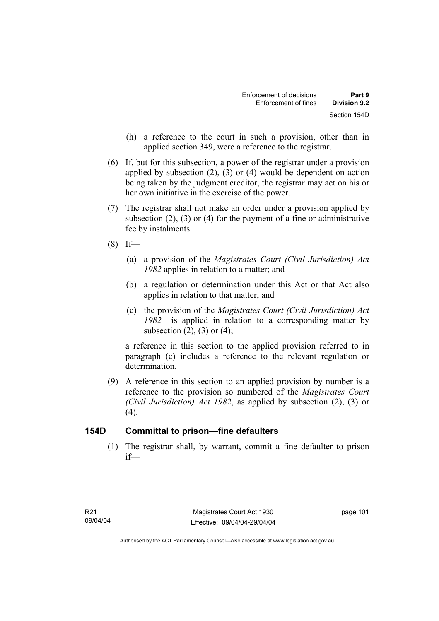- (h) a reference to the court in such a provision, other than in applied section 349, were a reference to the registrar.
- (6) If, but for this subsection, a power of the registrar under a provision applied by subsection (2), (3) or (4) would be dependent on action being taken by the judgment creditor, the registrar may act on his or her own initiative in the exercise of the power.
- (7) The registrar shall not make an order under a provision applied by subsection (2), (3) or (4) for the payment of a fine or administrative fee by instalments.
- $(8)$  If—
	- (a) a provision of the *Magistrates Court (Civil Jurisdiction) Act 1982* applies in relation to a matter; and
	- (b) a regulation or determination under this Act or that Act also applies in relation to that matter; and
	- (c) the provision of the *Magistrates Court (Civil Jurisdiction) Act 1982* is applied in relation to a corresponding matter by subsection  $(2)$ ,  $(3)$  or  $(4)$ ;

a reference in this section to the applied provision referred to in paragraph (c) includes a reference to the relevant regulation or determination.

 (9) A reference in this section to an applied provision by number is a reference to the provision so numbered of the *Magistrates Court (Civil Jurisdiction) Act 1982*, as applied by subsection (2), (3) or  $(4)$ .

# **154D Committal to prison—fine defaulters**

 (1) The registrar shall, by warrant, commit a fine defaulter to prison if—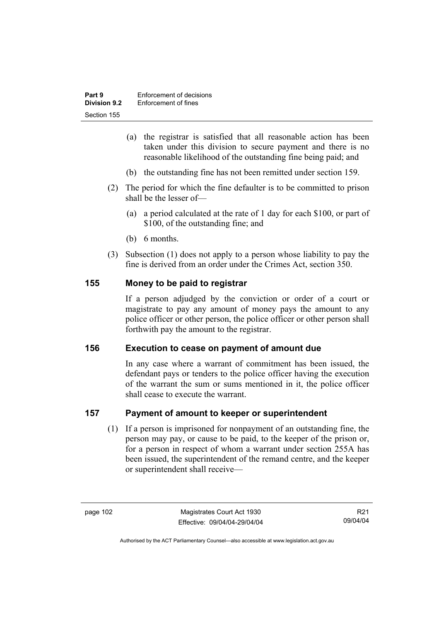| Part 9              | Enforcement of decisions |
|---------------------|--------------------------|
| <b>Division 9.2</b> | Enforcement of fines     |
| Section 155         |                          |

- (a) the registrar is satisfied that all reasonable action has been taken under this division to secure payment and there is no reasonable likelihood of the outstanding fine being paid; and
- (b) the outstanding fine has not been remitted under section 159.
- (2) The period for which the fine defaulter is to be committed to prison shall be the lesser of—
	- (a) a period calculated at the rate of 1 day for each \$100, or part of \$100, of the outstanding fine; and
	- (b) 6 months.
- (3) Subsection (1) does not apply to a person whose liability to pay the fine is derived from an order under the Crimes Act, section 350.

#### **155 Money to be paid to registrar**

If a person adjudged by the conviction or order of a court or magistrate to pay any amount of money pays the amount to any police officer or other person, the police officer or other person shall forthwith pay the amount to the registrar.

#### **156 Execution to cease on payment of amount due**

In any case where a warrant of commitment has been issued, the defendant pays or tenders to the police officer having the execution of the warrant the sum or sums mentioned in it, the police officer shall cease to execute the warrant.

#### **157 Payment of amount to keeper or superintendent**

 (1) If a person is imprisoned for nonpayment of an outstanding fine, the person may pay, or cause to be paid, to the keeper of the prison or, for a person in respect of whom a warrant under section 255A has been issued, the superintendent of the remand centre, and the keeper or superintendent shall receive—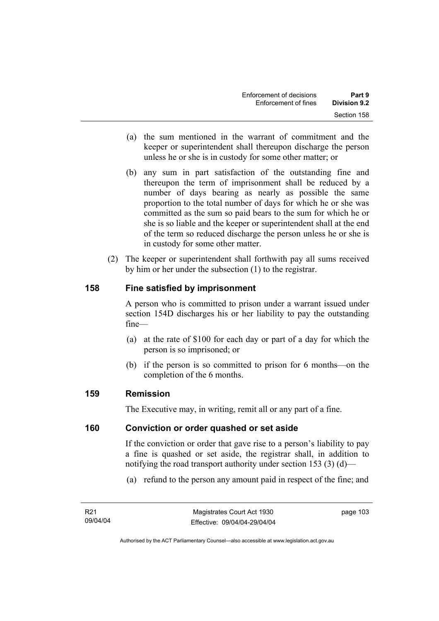- (a) the sum mentioned in the warrant of commitment and the keeper or superintendent shall thereupon discharge the person unless he or she is in custody for some other matter; or
- (b) any sum in part satisfaction of the outstanding fine and thereupon the term of imprisonment shall be reduced by a number of days bearing as nearly as possible the same proportion to the total number of days for which he or she was committed as the sum so paid bears to the sum for which he or she is so liable and the keeper or superintendent shall at the end of the term so reduced discharge the person unless he or she is in custody for some other matter.
- (2) The keeper or superintendent shall forthwith pay all sums received by him or her under the subsection (1) to the registrar.

# **158 Fine satisfied by imprisonment**

A person who is committed to prison under a warrant issued under section 154D discharges his or her liability to pay the outstanding fine—

- (a) at the rate of \$100 for each day or part of a day for which the person is so imprisoned; or
- (b) if the person is so committed to prison for 6 months—on the completion of the 6 months.

# **159 Remission**

The Executive may, in writing, remit all or any part of a fine.

#### **160 Conviction or order quashed or set aside**

If the conviction or order that gave rise to a person's liability to pay a fine is quashed or set aside, the registrar shall, in addition to notifying the road transport authority under section 153 (3) (d)—

(a) refund to the person any amount paid in respect of the fine; and

page 103

Authorised by the ACT Parliamentary Counsel—also accessible at www.legislation.act.gov.au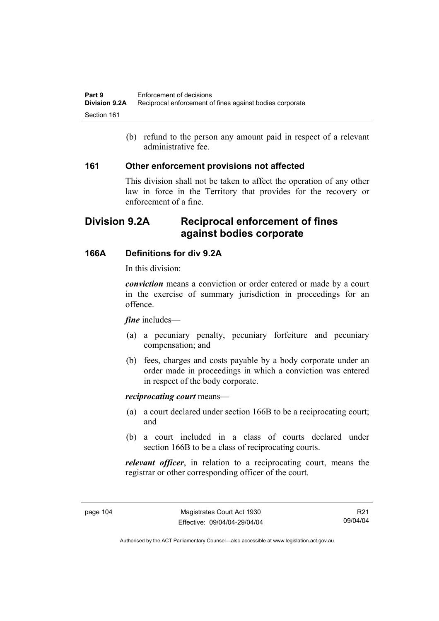(b) refund to the person any amount paid in respect of a relevant administrative fee.

#### **161 Other enforcement provisions not affected**

This division shall not be taken to affect the operation of any other law in force in the Territory that provides for the recovery or enforcement of a fine.

# **Division 9.2A Reciprocal enforcement of fines against bodies corporate**

# **166A Definitions for div 9.2A**

In this division:

*conviction* means a conviction or order entered or made by a court in the exercise of summary jurisdiction in proceedings for an offence.

#### *fine* includes—

- (a) a pecuniary penalty, pecuniary forfeiture and pecuniary compensation; and
- (b) fees, charges and costs payable by a body corporate under an order made in proceedings in which a conviction was entered in respect of the body corporate.

#### *reciprocating court* means—

- (a) a court declared under section 166B to be a reciprocating court; and
- (b) a court included in a class of courts declared under section 166B to be a class of reciprocating courts.

*relevant officer*, in relation to a reciprocating court, means the registrar or other corresponding officer of the court.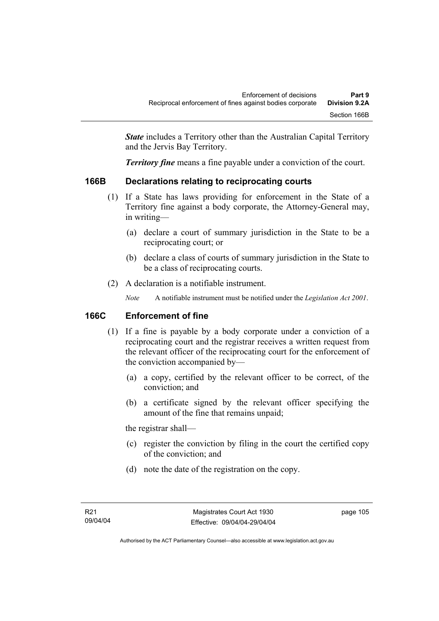*State* includes a Territory other than the Australian Capital Territory and the Jervis Bay Territory.

*Territory fine* means a fine payable under a conviction of the court.

# **166B Declarations relating to reciprocating courts**

- (1) If a State has laws providing for enforcement in the State of a Territory fine against a body corporate, the Attorney-General may, in writing—
	- (a) declare a court of summary jurisdiction in the State to be a reciprocating court; or
	- (b) declare a class of courts of summary jurisdiction in the State to be a class of reciprocating courts.
- (2) A declaration is a notifiable instrument.

*Note* A notifiable instrument must be notified under the *Legislation Act 2001*.

# **166C Enforcement of fine**

- (1) If a fine is payable by a body corporate under a conviction of a reciprocating court and the registrar receives a written request from the relevant officer of the reciprocating court for the enforcement of the conviction accompanied by—
	- (a) a copy, certified by the relevant officer to be correct, of the conviction; and
	- (b) a certificate signed by the relevant officer specifying the amount of the fine that remains unpaid;

the registrar shall—

- (c) register the conviction by filing in the court the certified copy of the conviction; and
- (d) note the date of the registration on the copy.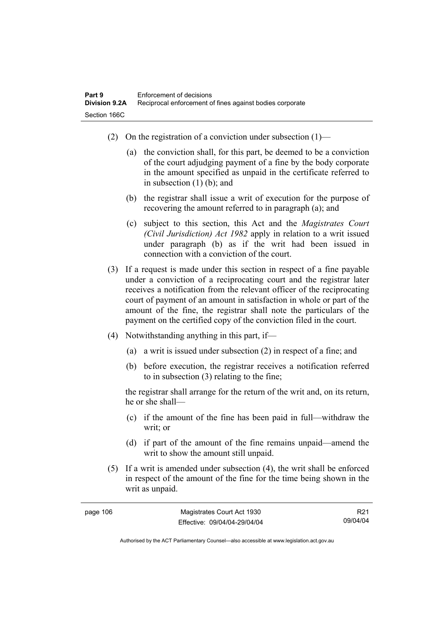- (2) On the registration of a conviction under subsection  $(1)$ 
	- (a) the conviction shall, for this part, be deemed to be a conviction of the court adjudging payment of a fine by the body corporate in the amount specified as unpaid in the certificate referred to in subsection (1) (b); and
	- (b) the registrar shall issue a writ of execution for the purpose of recovering the amount referred to in paragraph (a); and
	- (c) subject to this section, this Act and the *Magistrates Court (Civil Jurisdiction) Act 1982* apply in relation to a writ issued under paragraph (b) as if the writ had been issued in connection with a conviction of the court.
- (3) If a request is made under this section in respect of a fine payable under a conviction of a reciprocating court and the registrar later receives a notification from the relevant officer of the reciprocating court of payment of an amount in satisfaction in whole or part of the amount of the fine, the registrar shall note the particulars of the payment on the certified copy of the conviction filed in the court.
- (4) Notwithstanding anything in this part, if—
	- (a) a writ is issued under subsection (2) in respect of a fine; and
	- (b) before execution, the registrar receives a notification referred to in subsection (3) relating to the fine;

the registrar shall arrange for the return of the writ and, on its return, he or she shall—

- (c) if the amount of the fine has been paid in full—withdraw the writ; or
- (d) if part of the amount of the fine remains unpaid—amend the writ to show the amount still unpaid.
- (5) If a writ is amended under subsection (4), the writ shall be enforced in respect of the amount of the fine for the time being shown in the writ as unpaid.

| page 106 | Magistrates Court Act 1930   | R <sub>21</sub> |
|----------|------------------------------|-----------------|
|          | Effective: 09/04/04-29/04/04 | 09/04/04        |

Authorised by the ACT Parliamentary Counsel—also accessible at www.legislation.act.gov.au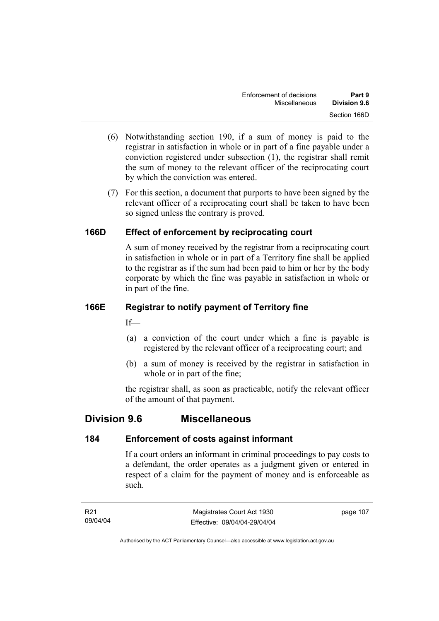- (6) Notwithstanding section 190, if a sum of money is paid to the registrar in satisfaction in whole or in part of a fine payable under a conviction registered under subsection (1), the registrar shall remit the sum of money to the relevant officer of the reciprocating court by which the conviction was entered.
- (7) For this section, a document that purports to have been signed by the relevant officer of a reciprocating court shall be taken to have been so signed unless the contrary is proved.

# **166D Effect of enforcement by reciprocating court**

A sum of money received by the registrar from a reciprocating court in satisfaction in whole or in part of a Territory fine shall be applied to the registrar as if the sum had been paid to him or her by the body corporate by which the fine was payable in satisfaction in whole or in part of the fine.

# **166E Registrar to notify payment of Territory fine**

 $If$ —

- (a) a conviction of the court under which a fine is payable is registered by the relevant officer of a reciprocating court; and
- (b) a sum of money is received by the registrar in satisfaction in whole or in part of the fine;

the registrar shall, as soon as practicable, notify the relevant officer of the amount of that payment.

# **Division 9.6 Miscellaneous**

# **184 Enforcement of costs against informant**

If a court orders an informant in criminal proceedings to pay costs to a defendant, the order operates as a judgment given or entered in respect of a claim for the payment of money and is enforceable as such.

| R21      | Magistrates Court Act 1930   | page 107 |
|----------|------------------------------|----------|
| 09/04/04 | Effective: 09/04/04-29/04/04 |          |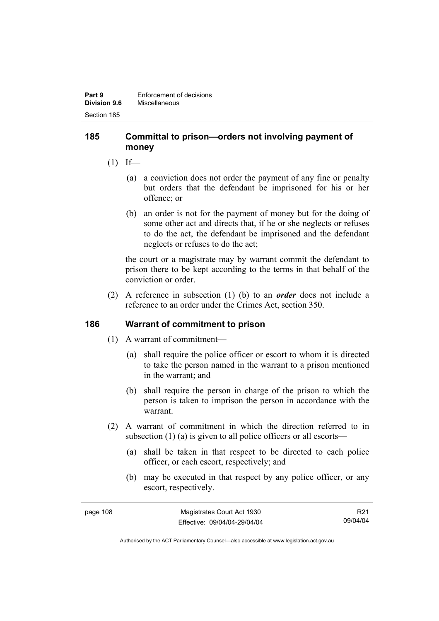#### **185 Committal to prison—orders not involving payment of money**

- $(1)$  If—
	- (a) a conviction does not order the payment of any fine or penalty but orders that the defendant be imprisoned for his or her offence; or
	- (b) an order is not for the payment of money but for the doing of some other act and directs that, if he or she neglects or refuses to do the act, the defendant be imprisoned and the defendant neglects or refuses to do the act;

the court or a magistrate may by warrant commit the defendant to prison there to be kept according to the terms in that behalf of the conviction or order.

 (2) A reference in subsection (1) (b) to an *order* does not include a reference to an order under the Crimes Act, section 350.

# **186 Warrant of commitment to prison**

- (1) A warrant of commitment—
	- (a) shall require the police officer or escort to whom it is directed to take the person named in the warrant to a prison mentioned in the warrant; and
	- (b) shall require the person in charge of the prison to which the person is taken to imprison the person in accordance with the warrant.
- (2) A warrant of commitment in which the direction referred to in subsection (1) (a) is given to all police officers or all escorts—
	- (a) shall be taken in that respect to be directed to each police officer, or each escort, respectively; and
	- (b) may be executed in that respect by any police officer, or any escort, respectively.

| page 108 | Magistrates Court Act 1930   | R <sub>21</sub> |
|----------|------------------------------|-----------------|
|          | Effective: 09/04/04-29/04/04 | 09/04/04        |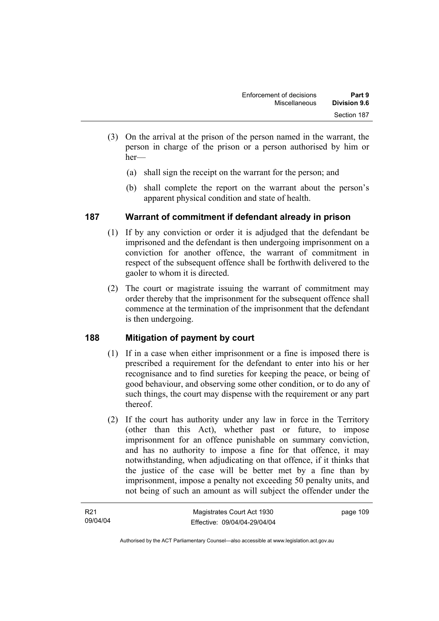- (3) On the arrival at the prison of the person named in the warrant, the person in charge of the prison or a person authorised by him or her—
	- (a) shall sign the receipt on the warrant for the person; and
	- (b) shall complete the report on the warrant about the person's apparent physical condition and state of health.

# **187 Warrant of commitment if defendant already in prison**

- (1) If by any conviction or order it is adjudged that the defendant be imprisoned and the defendant is then undergoing imprisonment on a conviction for another offence, the warrant of commitment in respect of the subsequent offence shall be forthwith delivered to the gaoler to whom it is directed.
- (2) The court or magistrate issuing the warrant of commitment may order thereby that the imprisonment for the subsequent offence shall commence at the termination of the imprisonment that the defendant is then undergoing.

# **188 Mitigation of payment by court**

- (1) If in a case when either imprisonment or a fine is imposed there is prescribed a requirement for the defendant to enter into his or her recognisance and to find sureties for keeping the peace, or being of good behaviour, and observing some other condition, or to do any of such things, the court may dispense with the requirement or any part thereof.
- (2) If the court has authority under any law in force in the Territory (other than this Act), whether past or future, to impose imprisonment for an offence punishable on summary conviction, and has no authority to impose a fine for that offence, it may notwithstanding, when adjudicating on that offence, if it thinks that the justice of the case will be better met by a fine than by imprisonment, impose a penalty not exceeding 50 penalty units, and not being of such an amount as will subject the offender under the

| R <sub>21</sub> | Magistrates Court Act 1930   | page 109 |
|-----------------|------------------------------|----------|
| 09/04/04        | Effective: 09/04/04-29/04/04 |          |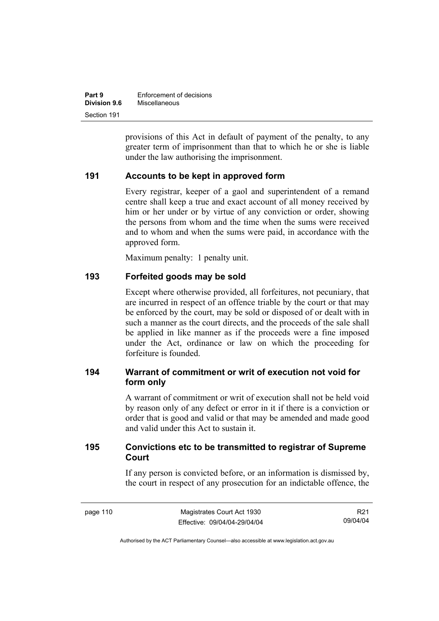| Part 9              | Enforcement of decisions |
|---------------------|--------------------------|
| <b>Division 9.6</b> | Miscellaneous            |
| Section 191         |                          |

provisions of this Act in default of payment of the penalty, to any greater term of imprisonment than that to which he or she is liable under the law authorising the imprisonment.

#### **191 Accounts to be kept in approved form**

Every registrar, keeper of a gaol and superintendent of a remand centre shall keep a true and exact account of all money received by him or her under or by virtue of any conviction or order, showing the persons from whom and the time when the sums were received and to whom and when the sums were paid, in accordance with the approved form.

Maximum penalty: 1 penalty unit.

#### **193 Forfeited goods may be sold**

Except where otherwise provided, all forfeitures, not pecuniary, that are incurred in respect of an offence triable by the court or that may be enforced by the court, may be sold or disposed of or dealt with in such a manner as the court directs, and the proceeds of the sale shall be applied in like manner as if the proceeds were a fine imposed under the Act, ordinance or law on which the proceeding for forfeiture is founded.

# **194 Warrant of commitment or writ of execution not void for form only**

A warrant of commitment or writ of execution shall not be held void by reason only of any defect or error in it if there is a conviction or order that is good and valid or that may be amended and made good and valid under this Act to sustain it.

# **195 Convictions etc to be transmitted to registrar of Supreme Court**

If any person is convicted before, or an information is dismissed by, the court in respect of any prosecution for an indictable offence, the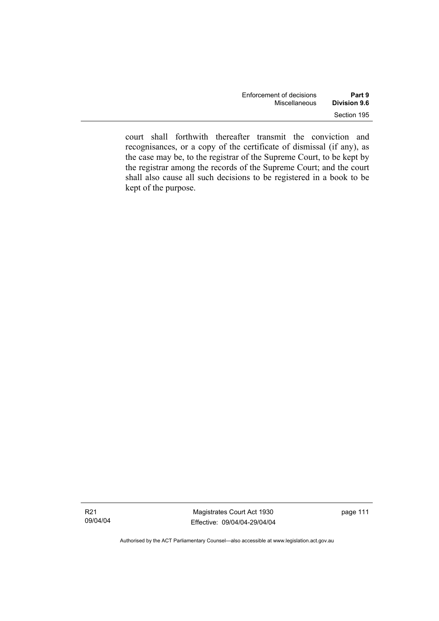| Enforcement of decisions | Part 9       |
|--------------------------|--------------|
| Miscellaneous            | Division 9.6 |
|                          | Section 195  |

court shall forthwith thereafter transmit the conviction and recognisances, or a copy of the certificate of dismissal (if any), as the case may be, to the registrar of the Supreme Court, to be kept by the registrar among the records of the Supreme Court; and the court shall also cause all such decisions to be registered in a book to be kept of the purpose.

Authorised by the ACT Parliamentary Counsel—also accessible at www.legislation.act.gov.au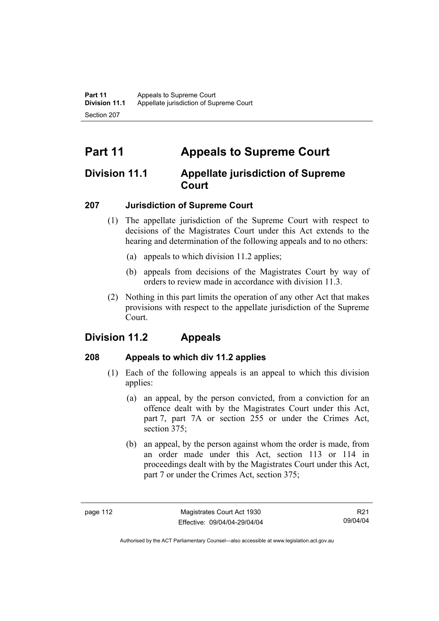# **Part 11 Appeals to Supreme Court**

# **Division 11.1 Appellate jurisdiction of Supreme Court**

# **207 Jurisdiction of Supreme Court**

- (1) The appellate jurisdiction of the Supreme Court with respect to decisions of the Magistrates Court under this Act extends to the hearing and determination of the following appeals and to no others:
	- (a) appeals to which division 11.2 applies;
	- (b) appeals from decisions of the Magistrates Court by way of orders to review made in accordance with division 11.3.
- (2) Nothing in this part limits the operation of any other Act that makes provisions with respect to the appellate jurisdiction of the Supreme Court.

# **Division 11.2 Appeals**

# **208 Appeals to which div 11.2 applies**

- (1) Each of the following appeals is an appeal to which this division applies:
	- (a) an appeal, by the person convicted, from a conviction for an offence dealt with by the Magistrates Court under this Act, part 7, part 7A or section 255 or under the Crimes Act, section 375:
	- (b) an appeal, by the person against whom the order is made, from an order made under this Act, section 113 or 114 in proceedings dealt with by the Magistrates Court under this Act, part 7 or under the Crimes Act, section 375;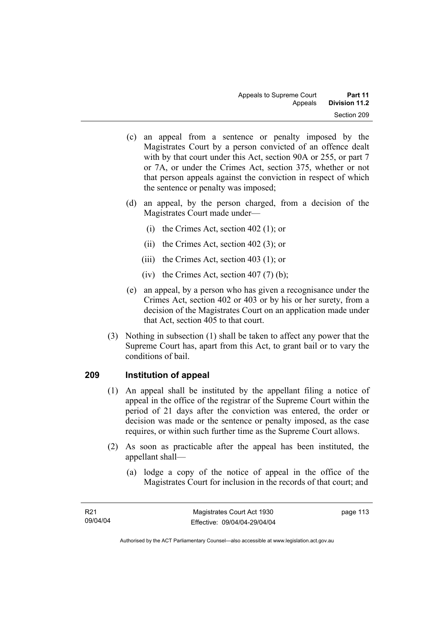- (c) an appeal from a sentence or penalty imposed by the Magistrates Court by a person convicted of an offence dealt with by that court under this Act, section 90A or 255, or part 7 or 7A, or under the Crimes Act, section 375, whether or not that person appeals against the conviction in respect of which the sentence or penalty was imposed;
- (d) an appeal, by the person charged, from a decision of the Magistrates Court made under—
	- (i) the Crimes Act, section 402 (1); or
	- (ii) the Crimes Act, section 402 (3); or
	- (iii) the Crimes Act, section 403 (1); or
	- (iv) the Crimes Act, section  $407(7)$  (b);
- (e) an appeal, by a person who has given a recognisance under the Crimes Act, section 402 or 403 or by his or her surety, from a decision of the Magistrates Court on an application made under that Act, section 405 to that court.
- (3) Nothing in subsection (1) shall be taken to affect any power that the Supreme Court has, apart from this Act, to grant bail or to vary the conditions of bail.

# **209 Institution of appeal**

- (1) An appeal shall be instituted by the appellant filing a notice of appeal in the office of the registrar of the Supreme Court within the period of 21 days after the conviction was entered, the order or decision was made or the sentence or penalty imposed, as the case requires, or within such further time as the Supreme Court allows.
- (2) As soon as practicable after the appeal has been instituted, the appellant shall—
	- (a) lodge a copy of the notice of appeal in the office of the Magistrates Court for inclusion in the records of that court; and

page 113

Authorised by the ACT Parliamentary Counsel—also accessible at www.legislation.act.gov.au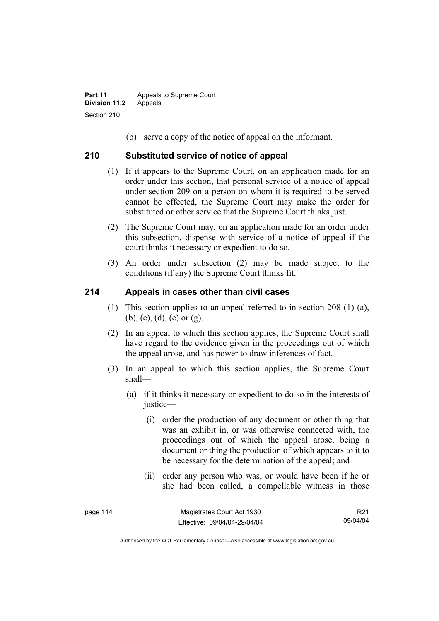(b) serve a copy of the notice of appeal on the informant.

#### **210 Substituted service of notice of appeal**

- (1) If it appears to the Supreme Court, on an application made for an order under this section, that personal service of a notice of appeal under section 209 on a person on whom it is required to be served cannot be effected, the Supreme Court may make the order for substituted or other service that the Supreme Court thinks just.
- (2) The Supreme Court may, on an application made for an order under this subsection, dispense with service of a notice of appeal if the court thinks it necessary or expedient to do so.
- (3) An order under subsection (2) may be made subject to the conditions (if any) the Supreme Court thinks fit.

#### **214 Appeals in cases other than civil cases**

- (1) This section applies to an appeal referred to in section 208 (1) (a), (b), (c), (d), (e) or (g).
- (2) In an appeal to which this section applies, the Supreme Court shall have regard to the evidence given in the proceedings out of which the appeal arose, and has power to draw inferences of fact.
- (3) In an appeal to which this section applies, the Supreme Court shall—
	- (a) if it thinks it necessary or expedient to do so in the interests of justice—
		- (i) order the production of any document or other thing that was an exhibit in, or was otherwise connected with, the proceedings out of which the appeal arose, being a document or thing the production of which appears to it to be necessary for the determination of the appeal; and
		- (ii) order any person who was, or would have been if he or she had been called, a compellable witness in those

| page | 1 | 14 |
|------|---|----|
|------|---|----|

R21 09/04/04

Authorised by the ACT Parliamentary Counsel—also accessible at www.legislation.act.gov.au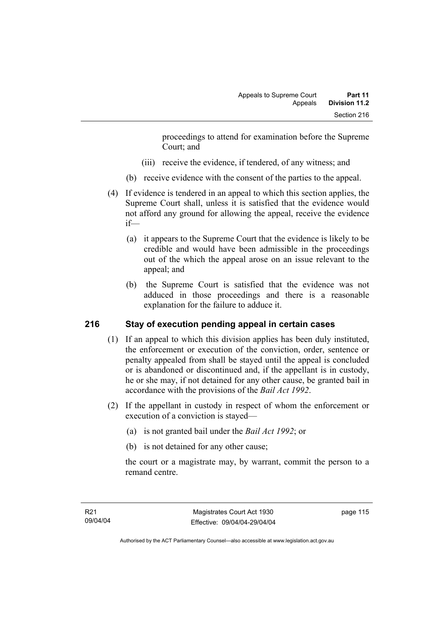proceedings to attend for examination before the Supreme Court; and

- (iii) receive the evidence, if tendered, of any witness; and
- (b) receive evidence with the consent of the parties to the appeal.
- (4) If evidence is tendered in an appeal to which this section applies, the Supreme Court shall, unless it is satisfied that the evidence would not afford any ground for allowing the appeal, receive the evidence if—
	- (a) it appears to the Supreme Court that the evidence is likely to be credible and would have been admissible in the proceedings out of the which the appeal arose on an issue relevant to the appeal; and
	- (b) the Supreme Court is satisfied that the evidence was not adduced in those proceedings and there is a reasonable explanation for the failure to adduce it.

# **216 Stay of execution pending appeal in certain cases**

- (1) If an appeal to which this division applies has been duly instituted, the enforcement or execution of the conviction, order, sentence or penalty appealed from shall be stayed until the appeal is concluded or is abandoned or discontinued and, if the appellant is in custody, he or she may, if not detained for any other cause, be granted bail in accordance with the provisions of the *Bail Act 1992*.
- (2) If the appellant in custody in respect of whom the enforcement or execution of a conviction is stayed—
	- (a) is not granted bail under the *Bail Act 1992*; or
	- (b) is not detained for any other cause;

the court or a magistrate may, by warrant, commit the person to a remand centre.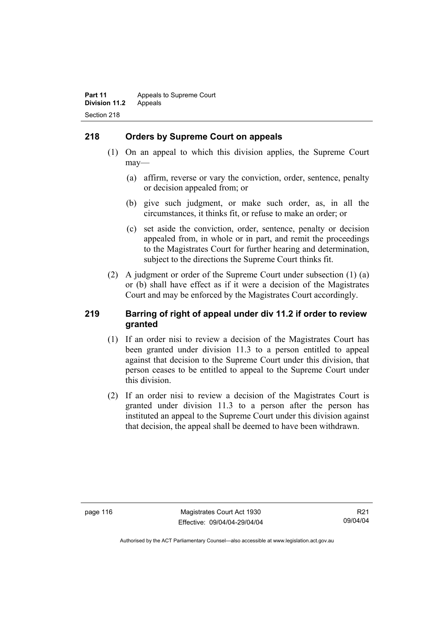# **218 Orders by Supreme Court on appeals**

- (1) On an appeal to which this division applies, the Supreme Court may—
	- (a) affirm, reverse or vary the conviction, order, sentence, penalty or decision appealed from; or
	- (b) give such judgment, or make such order, as, in all the circumstances, it thinks fit, or refuse to make an order; or
	- (c) set aside the conviction, order, sentence, penalty or decision appealed from, in whole or in part, and remit the proceedings to the Magistrates Court for further hearing and determination, subject to the directions the Supreme Court thinks fit.
- (2) A judgment or order of the Supreme Court under subsection (1) (a) or (b) shall have effect as if it were a decision of the Magistrates Court and may be enforced by the Magistrates Court accordingly.

#### **219 Barring of right of appeal under div 11.2 if order to review granted**

- (1) If an order nisi to review a decision of the Magistrates Court has been granted under division 11.3 to a person entitled to appeal against that decision to the Supreme Court under this division, that person ceases to be entitled to appeal to the Supreme Court under this division.
- (2) If an order nisi to review a decision of the Magistrates Court is granted under division 11.3 to a person after the person has instituted an appeal to the Supreme Court under this division against that decision, the appeal shall be deemed to have been withdrawn.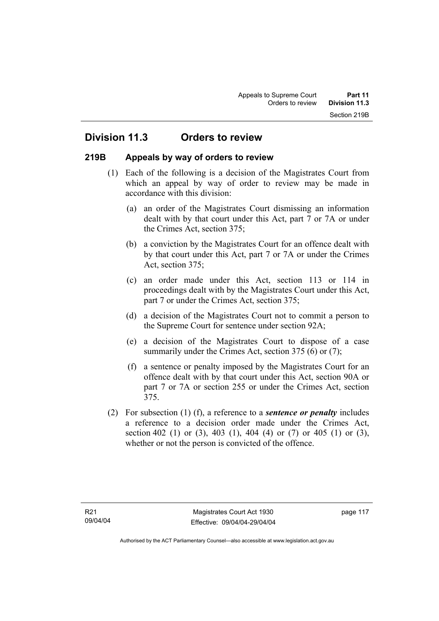# **Division 11.3 Orders to review**

#### **219B Appeals by way of orders to review**

- (1) Each of the following is a decision of the Magistrates Court from which an appeal by way of order to review may be made in accordance with this division:
	- (a) an order of the Magistrates Court dismissing an information dealt with by that court under this Act, part 7 or 7A or under the Crimes Act, section 375;
	- (b) a conviction by the Magistrates Court for an offence dealt with by that court under this Act, part 7 or 7A or under the Crimes Act, section 375;
	- (c) an order made under this Act, section 113 or 114 in proceedings dealt with by the Magistrates Court under this Act, part 7 or under the Crimes Act, section 375;
	- (d) a decision of the Magistrates Court not to commit a person to the Supreme Court for sentence under section 92A;
	- (e) a decision of the Magistrates Court to dispose of a case summarily under the Crimes Act, section 375 (6) or (7);
	- (f) a sentence or penalty imposed by the Magistrates Court for an offence dealt with by that court under this Act, section 90A or part 7 or 7A or section 255 or under the Crimes Act, section 375.
- (2) For subsection (1) (f), a reference to a *sentence or penalty* includes a reference to a decision order made under the Crimes Act, section 402 (1) or (3), 403 (1), 404 (4) or (7) or 405 (1) or (3), whether or not the person is convicted of the offence.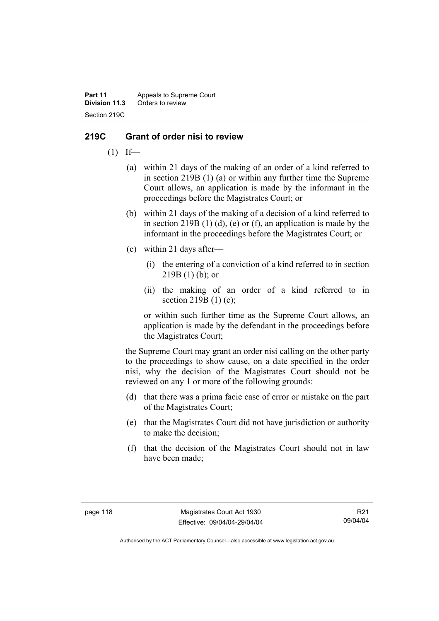**Part 11** Appeals to Supreme Court<br>**Division 11.3** Orders to review **Division 11.3** Orders to review Section 219C

#### **219C Grant of order nisi to review**

- $(1)$  If—
	- (a) within 21 days of the making of an order of a kind referred to in section 219B (1) (a) or within any further time the Supreme Court allows, an application is made by the informant in the proceedings before the Magistrates Court; or
	- (b) within 21 days of the making of a decision of a kind referred to in section 219B  $(1)$   $(d)$ ,  $(e)$  or  $(f)$ , an application is made by the informant in the proceedings before the Magistrates Court; or
	- (c) within 21 days after—
		- (i) the entering of a conviction of a kind referred to in section  $219B(1)$  (b); or
		- (ii) the making of an order of a kind referred to in section 219B (1) (c);

or within such further time as the Supreme Court allows, an application is made by the defendant in the proceedings before the Magistrates Court;

the Supreme Court may grant an order nisi calling on the other party to the proceedings to show cause, on a date specified in the order nisi, why the decision of the Magistrates Court should not be reviewed on any 1 or more of the following grounds:

- (d) that there was a prima facie case of error or mistake on the part of the Magistrates Court;
- (e) that the Magistrates Court did not have jurisdiction or authority to make the decision;
- (f) that the decision of the Magistrates Court should not in law have been made;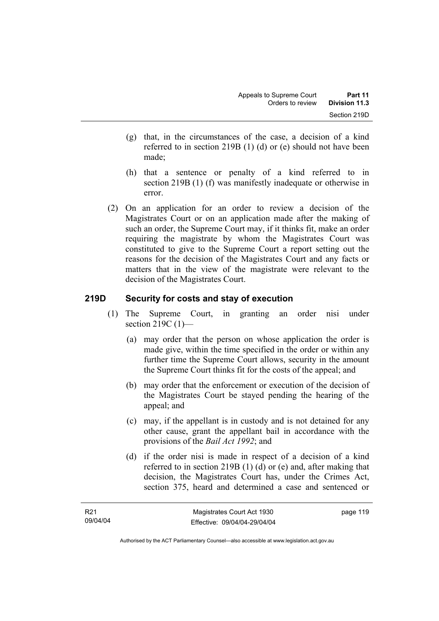- (g) that, in the circumstances of the case, a decision of a kind referred to in section 219B (1) (d) or (e) should not have been made;
- (h) that a sentence or penalty of a kind referred to in section 219B (1) (f) was manifestly inadequate or otherwise in error.
- (2) On an application for an order to review a decision of the Magistrates Court or on an application made after the making of such an order, the Supreme Court may, if it thinks fit, make an order requiring the magistrate by whom the Magistrates Court was constituted to give to the Supreme Court a report setting out the reasons for the decision of the Magistrates Court and any facts or matters that in the view of the magistrate were relevant to the decision of the Magistrates Court.

#### **219D Security for costs and stay of execution**

- (1) The Supreme Court, in granting an order nisi under section 219C (1)-
	- (a) may order that the person on whose application the order is made give, within the time specified in the order or within any further time the Supreme Court allows, security in the amount the Supreme Court thinks fit for the costs of the appeal; and
	- (b) may order that the enforcement or execution of the decision of the Magistrates Court be stayed pending the hearing of the appeal; and
	- (c) may, if the appellant is in custody and is not detained for any other cause, grant the appellant bail in accordance with the provisions of the *Bail Act 1992*; and
	- (d) if the order nisi is made in respect of a decision of a kind referred to in section 219B (1) (d) or (e) and, after making that decision, the Magistrates Court has, under the Crimes Act, section 375, heard and determined a case and sentenced or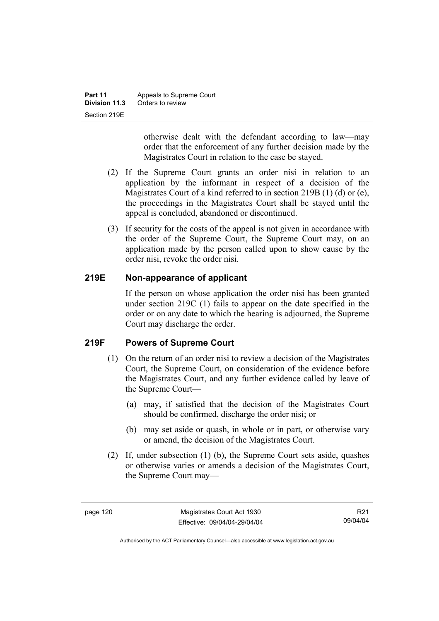| Part 11       | Appeals to Supreme Court |  |
|---------------|--------------------------|--|
| Division 11.3 | Orders to review         |  |
| Section 219E  |                          |  |

otherwise dealt with the defendant according to law—may order that the enforcement of any further decision made by the Magistrates Court in relation to the case be stayed.

- (2) If the Supreme Court grants an order nisi in relation to an application by the informant in respect of a decision of the Magistrates Court of a kind referred to in section 219B (1) (d) or (e), the proceedings in the Magistrates Court shall be stayed until the appeal is concluded, abandoned or discontinued.
- (3) If security for the costs of the appeal is not given in accordance with the order of the Supreme Court, the Supreme Court may, on an application made by the person called upon to show cause by the order nisi, revoke the order nisi.

# **219E Non-appearance of applicant**

If the person on whose application the order nisi has been granted under section 219C (1) fails to appear on the date specified in the order or on any date to which the hearing is adjourned, the Supreme Court may discharge the order.

# **219F Powers of Supreme Court**

- (1) On the return of an order nisi to review a decision of the Magistrates Court, the Supreme Court, on consideration of the evidence before the Magistrates Court, and any further evidence called by leave of the Supreme Court—
	- (a) may, if satisfied that the decision of the Magistrates Court should be confirmed, discharge the order nisi; or
	- (b) may set aside or quash, in whole or in part, or otherwise vary or amend, the decision of the Magistrates Court.
- (2) If, under subsection (1) (b), the Supreme Court sets aside, quashes or otherwise varies or amends a decision of the Magistrates Court, the Supreme Court may—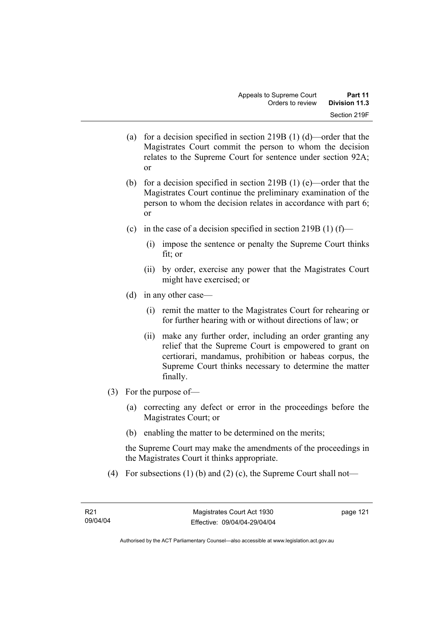- (a) for a decision specified in section 219B (1) (d)—order that the Magistrates Court commit the person to whom the decision relates to the Supreme Court for sentence under section 92A; or
- (b) for a decision specified in section 219B (1) (e)—order that the Magistrates Court continue the preliminary examination of the person to whom the decision relates in accordance with part 6; or
- (c) in the case of a decision specified in section 219B (1) (f)—
	- (i) impose the sentence or penalty the Supreme Court thinks fit; or
	- (ii) by order, exercise any power that the Magistrates Court might have exercised; or
- (d) in any other case—
	- (i) remit the matter to the Magistrates Court for rehearing or for further hearing with or without directions of law; or
	- (ii) make any further order, including an order granting any relief that the Supreme Court is empowered to grant on certiorari, mandamus, prohibition or habeas corpus, the Supreme Court thinks necessary to determine the matter finally.
- (3) For the purpose of—
	- (a) correcting any defect or error in the proceedings before the Magistrates Court; or
	- (b) enabling the matter to be determined on the merits;

the Supreme Court may make the amendments of the proceedings in the Magistrates Court it thinks appropriate.

(4) For subsections (1) (b) and (2) (c), the Supreme Court shall not—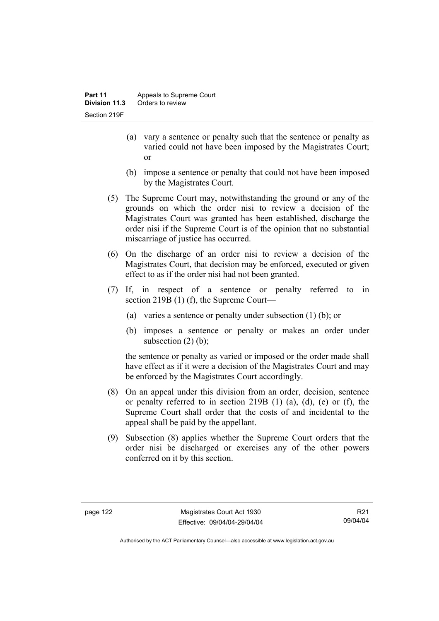- (a) vary a sentence or penalty such that the sentence or penalty as varied could not have been imposed by the Magistrates Court; or
- (b) impose a sentence or penalty that could not have been imposed by the Magistrates Court.
- (5) The Supreme Court may, notwithstanding the ground or any of the grounds on which the order nisi to review a decision of the Magistrates Court was granted has been established, discharge the order nisi if the Supreme Court is of the opinion that no substantial miscarriage of justice has occurred.
- (6) On the discharge of an order nisi to review a decision of the Magistrates Court, that decision may be enforced, executed or given effect to as if the order nisi had not been granted.
- (7) If, in respect of a sentence or penalty referred to in section 219B (1) (f), the Supreme Court—
	- (a) varies a sentence or penalty under subsection (1) (b); or
	- (b) imposes a sentence or penalty or makes an order under subsection  $(2)$  (b);

the sentence or penalty as varied or imposed or the order made shall have effect as if it were a decision of the Magistrates Court and may be enforced by the Magistrates Court accordingly.

- (8) On an appeal under this division from an order, decision, sentence or penalty referred to in section 219B  $(1)$   $(a)$ ,  $(d)$ ,  $(e)$  or  $(f)$ , the Supreme Court shall order that the costs of and incidental to the appeal shall be paid by the appellant.
- (9) Subsection (8) applies whether the Supreme Court orders that the order nisi be discharged or exercises any of the other powers conferred on it by this section.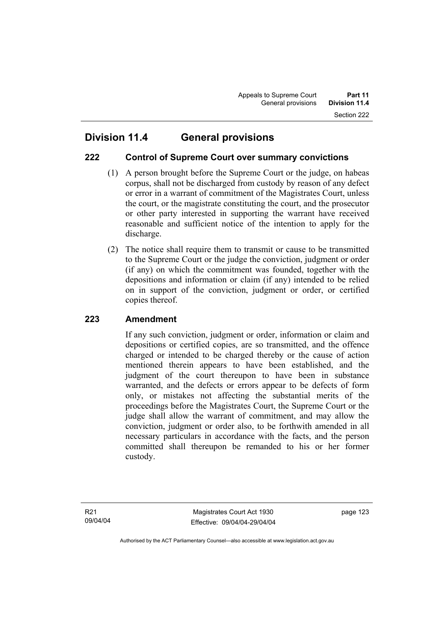# **222 Control of Supreme Court over summary convictions**

- (1) A person brought before the Supreme Court or the judge, on habeas corpus, shall not be discharged from custody by reason of any defect or error in a warrant of commitment of the Magistrates Court, unless the court, or the magistrate constituting the court, and the prosecutor or other party interested in supporting the warrant have received reasonable and sufficient notice of the intention to apply for the discharge.
- (2) The notice shall require them to transmit or cause to be transmitted to the Supreme Court or the judge the conviction, judgment or order (if any) on which the commitment was founded, together with the depositions and information or claim (if any) intended to be relied on in support of the conviction, judgment or order, or certified copies thereof.

# **223 Amendment**

If any such conviction, judgment or order, information or claim and depositions or certified copies, are so transmitted, and the offence charged or intended to be charged thereby or the cause of action mentioned therein appears to have been established, and the judgment of the court thereupon to have been in substance warranted, and the defects or errors appear to be defects of form only, or mistakes not affecting the substantial merits of the proceedings before the Magistrates Court, the Supreme Court or the judge shall allow the warrant of commitment, and may allow the conviction, judgment or order also, to be forthwith amended in all necessary particulars in accordance with the facts, and the person committed shall thereupon be remanded to his or her former custody.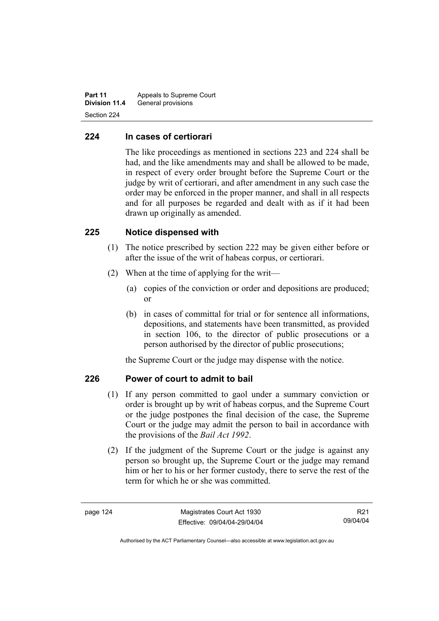**Part 11** Appeals to Supreme Court **Division 11.4** General provisions Section 224

#### **224 In cases of certiorari**

The like proceedings as mentioned in sections 223 and 224 shall be had, and the like amendments may and shall be allowed to be made, in respect of every order brought before the Supreme Court or the judge by writ of certiorari, and after amendment in any such case the order may be enforced in the proper manner, and shall in all respects and for all purposes be regarded and dealt with as if it had been drawn up originally as amended.

#### **225 Notice dispensed with**

- (1) The notice prescribed by section 222 may be given either before or after the issue of the writ of habeas corpus, or certiorari.
- (2) When at the time of applying for the writ—
	- (a) copies of the conviction or order and depositions are produced; or
	- (b) in cases of committal for trial or for sentence all informations, depositions, and statements have been transmitted, as provided in section 106, to the director of public prosecutions or a person authorised by the director of public prosecutions;

the Supreme Court or the judge may dispense with the notice.

# **226 Power of court to admit to bail**

- (1) If any person committed to gaol under a summary conviction or order is brought up by writ of habeas corpus, and the Supreme Court or the judge postpones the final decision of the case, the Supreme Court or the judge may admit the person to bail in accordance with the provisions of the *Bail Act 1992*.
- (2) If the judgment of the Supreme Court or the judge is against any person so brought up, the Supreme Court or the judge may remand him or her to his or her former custody, there to serve the rest of the term for which he or she was committed.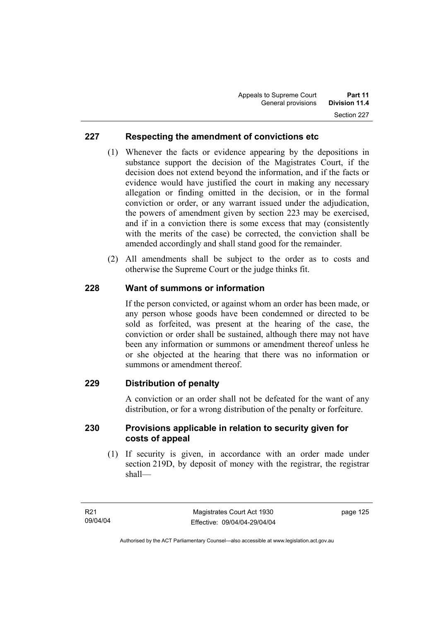# **227 Respecting the amendment of convictions etc**

- (1) Whenever the facts or evidence appearing by the depositions in substance support the decision of the Magistrates Court, if the decision does not extend beyond the information, and if the facts or evidence would have justified the court in making any necessary allegation or finding omitted in the decision, or in the formal conviction or order, or any warrant issued under the adjudication, the powers of amendment given by section 223 may be exercised, and if in a conviction there is some excess that may (consistently with the merits of the case) be corrected, the conviction shall be amended accordingly and shall stand good for the remainder.
- (2) All amendments shall be subject to the order as to costs and otherwise the Supreme Court or the judge thinks fit.

# **228 Want of summons or information**

If the person convicted, or against whom an order has been made, or any person whose goods have been condemned or directed to be sold as forfeited, was present at the hearing of the case, the conviction or order shall be sustained, although there may not have been any information or summons or amendment thereof unless he or she objected at the hearing that there was no information or summons or amendment thereof.

# **229 Distribution of penalty**

A conviction or an order shall not be defeated for the want of any distribution, or for a wrong distribution of the penalty or forfeiture.

#### **230 Provisions applicable in relation to security given for costs of appeal**

 (1) If security is given, in accordance with an order made under section 219D, by deposit of money with the registrar, the registrar shall—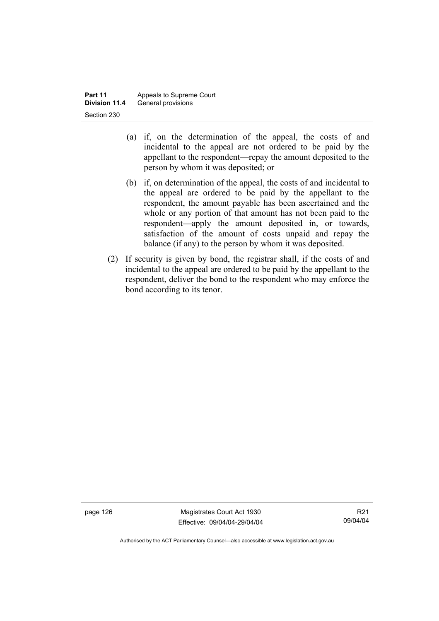- (a) if, on the determination of the appeal, the costs of and incidental to the appeal are not ordered to be paid by the appellant to the respondent—repay the amount deposited to the person by whom it was deposited; or
- (b) if, on determination of the appeal, the costs of and incidental to the appeal are ordered to be paid by the appellant to the respondent, the amount payable has been ascertained and the whole or any portion of that amount has not been paid to the respondent—apply the amount deposited in, or towards, satisfaction of the amount of costs unpaid and repay the balance (if any) to the person by whom it was deposited.
- (2) If security is given by bond, the registrar shall, if the costs of and incidental to the appeal are ordered to be paid by the appellant to the respondent, deliver the bond to the respondent who may enforce the bond according to its tenor.

page 126 Magistrates Court Act 1930 Effective: 09/04/04-29/04/04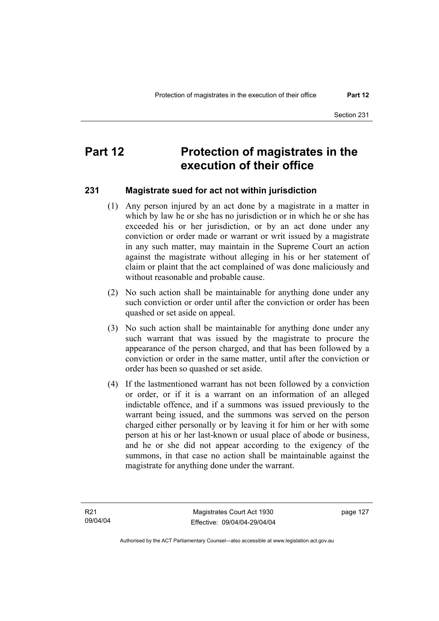# **Part 12** Protection of magistrates in the **execution of their office**

#### **231 Magistrate sued for act not within jurisdiction**

- (1) Any person injured by an act done by a magistrate in a matter in which by law he or she has no jurisdiction or in which he or she has exceeded his or her jurisdiction, or by an act done under any conviction or order made or warrant or writ issued by a magistrate in any such matter, may maintain in the Supreme Court an action against the magistrate without alleging in his or her statement of claim or plaint that the act complained of was done maliciously and without reasonable and probable cause.
- (2) No such action shall be maintainable for anything done under any such conviction or order until after the conviction or order has been quashed or set aside on appeal.
- (3) No such action shall be maintainable for anything done under any such warrant that was issued by the magistrate to procure the appearance of the person charged, and that has been followed by a conviction or order in the same matter, until after the conviction or order has been so quashed or set aside.
- (4) If the lastmentioned warrant has not been followed by a conviction or order, or if it is a warrant on an information of an alleged indictable offence, and if a summons was issued previously to the warrant being issued, and the summons was served on the person charged either personally or by leaving it for him or her with some person at his or her last-known or usual place of abode or business, and he or she did not appear according to the exigency of the summons, in that case no action shall be maintainable against the magistrate for anything done under the warrant.

page 127

Authorised by the ACT Parliamentary Counsel—also accessible at www.legislation.act.gov.au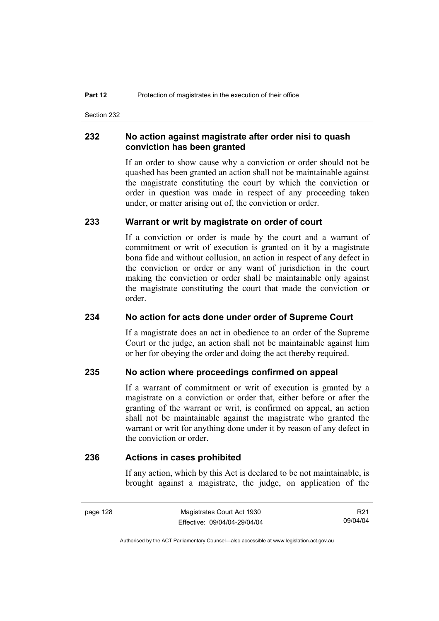Section 232

#### **232 No action against magistrate after order nisi to quash conviction has been granted**

If an order to show cause why a conviction or order should not be quashed has been granted an action shall not be maintainable against the magistrate constituting the court by which the conviction or order in question was made in respect of any proceeding taken under, or matter arising out of, the conviction or order.

#### **233 Warrant or writ by magistrate on order of court**

If a conviction or order is made by the court and a warrant of commitment or writ of execution is granted on it by a magistrate bona fide and without collusion, an action in respect of any defect in the conviction or order or any want of jurisdiction in the court making the conviction or order shall be maintainable only against the magistrate constituting the court that made the conviction or order.

#### **234 No action for acts done under order of Supreme Court**

If a magistrate does an act in obedience to an order of the Supreme Court or the judge, an action shall not be maintainable against him or her for obeying the order and doing the act thereby required.

#### **235 No action where proceedings confirmed on appeal**

If a warrant of commitment or writ of execution is granted by a magistrate on a conviction or order that, either before or after the granting of the warrant or writ, is confirmed on appeal, an action shall not be maintainable against the magistrate who granted the warrant or writ for anything done under it by reason of any defect in the conviction or order.

#### **236 Actions in cases prohibited**

If any action, which by this Act is declared to be not maintainable, is brought against a magistrate, the judge, on application of the

R21 09/04/04

Authorised by the ACT Parliamentary Counsel—also accessible at www.legislation.act.gov.au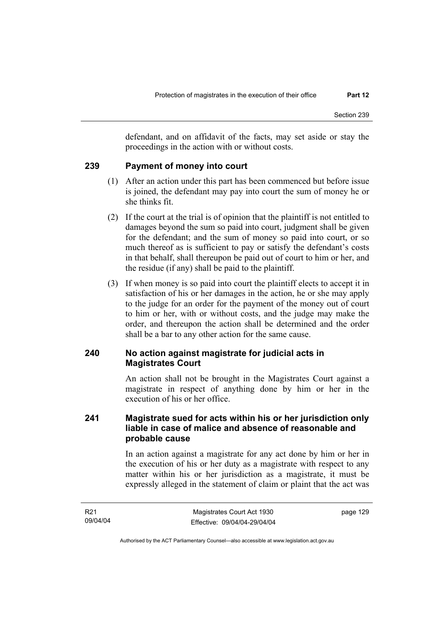defendant, and on affidavit of the facts, may set aside or stay the proceedings in the action with or without costs.

# **239 Payment of money into court**

- (1) After an action under this part has been commenced but before issue is joined, the defendant may pay into court the sum of money he or she thinks fit.
- (2) If the court at the trial is of opinion that the plaintiff is not entitled to damages beyond the sum so paid into court, judgment shall be given for the defendant; and the sum of money so paid into court, or so much thereof as is sufficient to pay or satisfy the defendant's costs in that behalf, shall thereupon be paid out of court to him or her, and the residue (if any) shall be paid to the plaintiff.
- (3) If when money is so paid into court the plaintiff elects to accept it in satisfaction of his or her damages in the action, he or she may apply to the judge for an order for the payment of the money out of court to him or her, with or without costs, and the judge may make the order, and thereupon the action shall be determined and the order shall be a bar to any other action for the same cause.

# **240 No action against magistrate for judicial acts in Magistrates Court**

An action shall not be brought in the Magistrates Court against a magistrate in respect of anything done by him or her in the execution of his or her office.

# **241 Magistrate sued for acts within his or her jurisdiction only liable in case of malice and absence of reasonable and probable cause**

In an action against a magistrate for any act done by him or her in the execution of his or her duty as a magistrate with respect to any matter within his or her jurisdiction as a magistrate, it must be expressly alleged in the statement of claim or plaint that the act was

page 129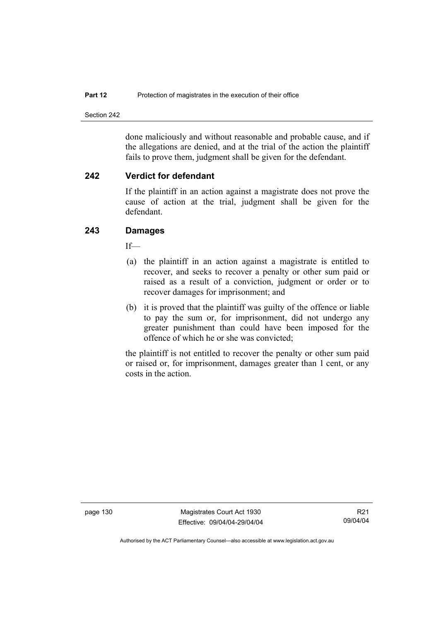Section 242

done maliciously and without reasonable and probable cause, and if the allegations are denied, and at the trial of the action the plaintiff fails to prove them, judgment shall be given for the defendant.

#### **242 Verdict for defendant**

If the plaintiff in an action against a magistrate does not prove the cause of action at the trial, judgment shall be given for the defendant.

# **243 Damages**

If—

- (a) the plaintiff in an action against a magistrate is entitled to recover, and seeks to recover a penalty or other sum paid or raised as a result of a conviction, judgment or order or to recover damages for imprisonment; and
- (b) it is proved that the plaintiff was guilty of the offence or liable to pay the sum or, for imprisonment, did not undergo any greater punishment than could have been imposed for the offence of which he or she was convicted;

the plaintiff is not entitled to recover the penalty or other sum paid or raised or, for imprisonment, damages greater than 1 cent, or any costs in the action.

page 130 Magistrates Court Act 1930 Effective: 09/04/04-29/04/04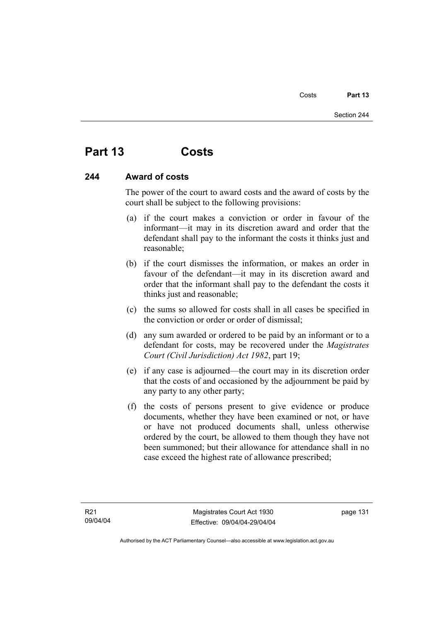# **Part 13 Costs**

# **244 Award of costs**

The power of the court to award costs and the award of costs by the court shall be subject to the following provisions:

- (a) if the court makes a conviction or order in favour of the informant—it may in its discretion award and order that the defendant shall pay to the informant the costs it thinks just and reasonable;
- (b) if the court dismisses the information, or makes an order in favour of the defendant—it may in its discretion award and order that the informant shall pay to the defendant the costs it thinks just and reasonable;
- (c) the sums so allowed for costs shall in all cases be specified in the conviction or order or order of dismissal;
- (d) any sum awarded or ordered to be paid by an informant or to a defendant for costs, may be recovered under the *Magistrates Court (Civil Jurisdiction) Act 1982*, part 19;
- (e) if any case is adjourned—the court may in its discretion order that the costs of and occasioned by the adjournment be paid by any party to any other party;
- (f) the costs of persons present to give evidence or produce documents, whether they have been examined or not, or have or have not produced documents shall, unless otherwise ordered by the court, be allowed to them though they have not been summoned; but their allowance for attendance shall in no case exceed the highest rate of allowance prescribed;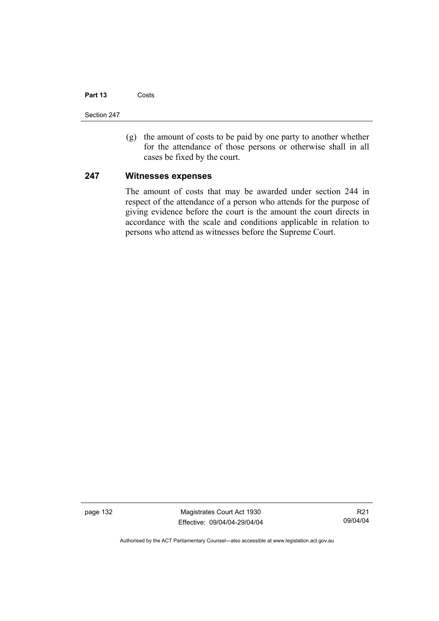## **Part 13** Costs

Section 247

 (g) the amount of costs to be paid by one party to another whether for the attendance of those persons or otherwise shall in all cases be fixed by the court.

## **247 Witnesses expenses**

The amount of costs that may be awarded under section 244 in respect of the attendance of a person who attends for the purpose of giving evidence before the court is the amount the court directs in accordance with the scale and conditions applicable in relation to persons who attend as witnesses before the Supreme Court.

page 132 Magistrates Court Act 1930 Effective: 09/04/04-29/04/04

R21 09/04/04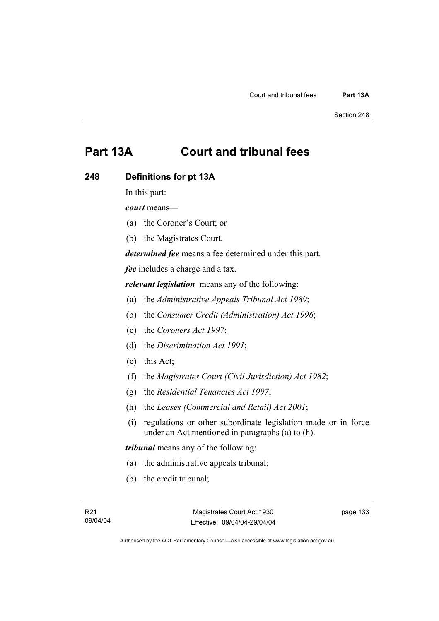# **Part 13A Court and tribunal fees**

# **248 Definitions for pt 13A**

In this part:

*court* means—

- (a) the Coroner's Court; or
- (b) the Magistrates Court.

*determined fee* means a fee determined under this part.

*fee* includes a charge and a tax.

*relevant legislation* means any of the following:

- (a) the *Administrative Appeals Tribunal Act 1989*;
- (b) the *Consumer Credit (Administration) Act 1996*;
- (c) the *Coroners Act 1997*;
- (d) the *Discrimination Act 1991*;
- (e) this Act;
- (f) the *Magistrates Court (Civil Jurisdiction) Act 1982*;
- (g) the *Residential Tenancies Act 1997*;
- (h) the *Leases (Commercial and Retail) Act 2001*;
- (i) regulations or other subordinate legislation made or in force under an Act mentioned in paragraphs (a) to (h).

*tribunal* means any of the following:

- (a) the administrative appeals tribunal;
- (b) the credit tribunal;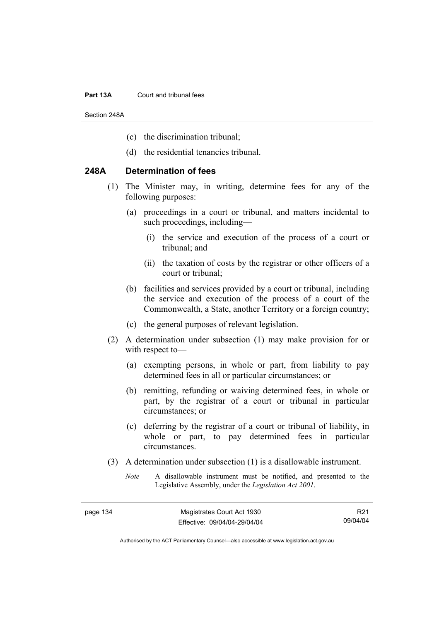#### **Part 13A** Court and tribunal fees

Section 248A

- (c) the discrimination tribunal;
- (d) the residential tenancies tribunal.

# **248A Determination of fees**

- (1) The Minister may, in writing, determine fees for any of the following purposes:
	- (a) proceedings in a court or tribunal, and matters incidental to such proceedings, including—
		- (i) the service and execution of the process of a court or tribunal; and
		- (ii) the taxation of costs by the registrar or other officers of a court or tribunal;
	- (b) facilities and services provided by a court or tribunal, including the service and execution of the process of a court of the Commonwealth, a State, another Territory or a foreign country;
	- (c) the general purposes of relevant legislation.
- (2) A determination under subsection (1) may make provision for or with respect to—
	- (a) exempting persons, in whole or part, from liability to pay determined fees in all or particular circumstances; or
	- (b) remitting, refunding or waiving determined fees, in whole or part, by the registrar of a court or tribunal in particular circumstances; or
	- (c) deferring by the registrar of a court or tribunal of liability, in whole or part, to pay determined fees in particular circumstances.
- (3) A determination under subsection (1) is a disallowable instrument.
	- *Note* A disallowable instrument must be notified, and presented to the Legislative Assembly, under the *Legislation Act 2001*.

R21 09/04/04

Authorised by the ACT Parliamentary Counsel—also accessible at www.legislation.act.gov.au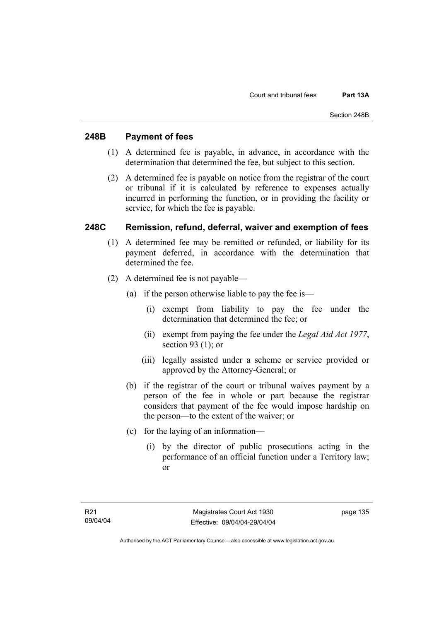# **248B Payment of fees**

- (1) A determined fee is payable, in advance, in accordance with the determination that determined the fee, but subject to this section.
- (2) A determined fee is payable on notice from the registrar of the court or tribunal if it is calculated by reference to expenses actually incurred in performing the function, or in providing the facility or service, for which the fee is payable.

# **248C Remission, refund, deferral, waiver and exemption of fees**

- (1) A determined fee may be remitted or refunded, or liability for its payment deferred, in accordance with the determination that determined the fee.
- (2) A determined fee is not payable—
	- (a) if the person otherwise liable to pay the fee is—
		- (i) exempt from liability to pay the fee under the determination that determined the fee; or
		- (ii) exempt from paying the fee under the *Legal Aid Act 1977*, section 93 (1); or
		- (iii) legally assisted under a scheme or service provided or approved by the Attorney-General; or
	- (b) if the registrar of the court or tribunal waives payment by a person of the fee in whole or part because the registrar considers that payment of the fee would impose hardship on the person—to the extent of the waiver; or
	- (c) for the laying of an information—
		- (i) by the director of public prosecutions acting in the performance of an official function under a Territory law; or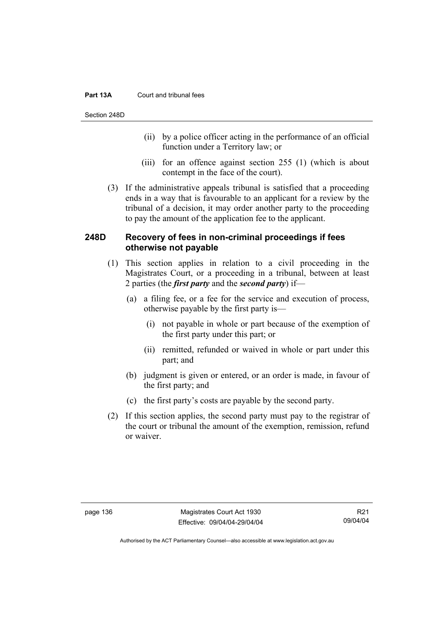## **Part 13A** Court and tribunal fees

Section 248D

- (ii) by a police officer acting in the performance of an official function under a Territory law; or
- (iii) for an offence against section 255 (1) (which is about contempt in the face of the court).
- (3) If the administrative appeals tribunal is satisfied that a proceeding ends in a way that is favourable to an applicant for a review by the tribunal of a decision, it may order another party to the proceeding to pay the amount of the application fee to the applicant.

# **248D Recovery of fees in non-criminal proceedings if fees otherwise not payable**

- (1) This section applies in relation to a civil proceeding in the Magistrates Court, or a proceeding in a tribunal, between at least 2 parties (the *first party* and the *second party*) if—
	- (a) a filing fee, or a fee for the service and execution of process, otherwise payable by the first party is—
		- (i) not payable in whole or part because of the exemption of the first party under this part; or
		- (ii) remitted, refunded or waived in whole or part under this part; and
	- (b) judgment is given or entered, or an order is made, in favour of the first party; and
	- (c) the first party's costs are payable by the second party.
- (2) If this section applies, the second party must pay to the registrar of the court or tribunal the amount of the exemption, remission, refund or waiver.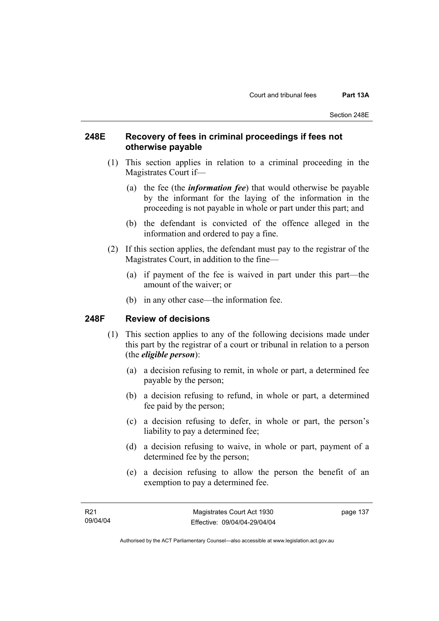# **248E Recovery of fees in criminal proceedings if fees not otherwise payable**

- (1) This section applies in relation to a criminal proceeding in the Magistrates Court if—
	- (a) the fee (the *information fee*) that would otherwise be payable by the informant for the laying of the information in the proceeding is not payable in whole or part under this part; and
	- (b) the defendant is convicted of the offence alleged in the information and ordered to pay a fine.
- (2) If this section applies, the defendant must pay to the registrar of the Magistrates Court, in addition to the fine—
	- (a) if payment of the fee is waived in part under this part—the amount of the waiver; or
	- (b) in any other case—the information fee.

# **248F Review of decisions**

- (1) This section applies to any of the following decisions made under this part by the registrar of a court or tribunal in relation to a person (the *eligible person*):
	- (a) a decision refusing to remit, in whole or part, a determined fee payable by the person;
	- (b) a decision refusing to refund, in whole or part, a determined fee paid by the person;
	- (c) a decision refusing to defer, in whole or part, the person's liability to pay a determined fee;
	- (d) a decision refusing to waive, in whole or part, payment of a determined fee by the person;
	- (e) a decision refusing to allow the person the benefit of an exemption to pay a determined fee.

page 137

Authorised by the ACT Parliamentary Counsel—also accessible at www.legislation.act.gov.au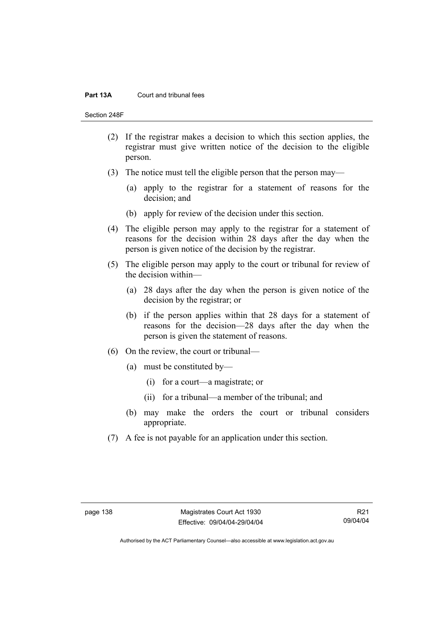#### **Part 13A** Court and tribunal fees

Section 248F

- (2) If the registrar makes a decision to which this section applies, the registrar must give written notice of the decision to the eligible person.
- (3) The notice must tell the eligible person that the person may—
	- (a) apply to the registrar for a statement of reasons for the decision; and
	- (b) apply for review of the decision under this section.
- (4) The eligible person may apply to the registrar for a statement of reasons for the decision within 28 days after the day when the person is given notice of the decision by the registrar.
- (5) The eligible person may apply to the court or tribunal for review of the decision within—
	- (a) 28 days after the day when the person is given notice of the decision by the registrar; or
	- (b) if the person applies within that 28 days for a statement of reasons for the decision—28 days after the day when the person is given the statement of reasons.
- (6) On the review, the court or tribunal—
	- (a) must be constituted by—
		- (i) for a court—a magistrate; or
		- (ii) for a tribunal—a member of the tribunal; and
	- (b) may make the orders the court or tribunal considers appropriate.
- (7) A fee is not payable for an application under this section.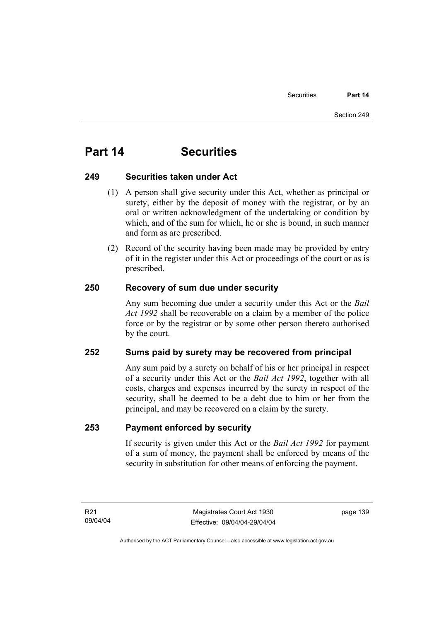# **Part 14 Securities**

# **249 Securities taken under Act**

- (1) A person shall give security under this Act, whether as principal or surety, either by the deposit of money with the registrar, or by an oral or written acknowledgment of the undertaking or condition by which, and of the sum for which, he or she is bound, in such manner and form as are prescribed.
- (2) Record of the security having been made may be provided by entry of it in the register under this Act or proceedings of the court or as is prescribed.

# **250 Recovery of sum due under security**

Any sum becoming due under a security under this Act or the *Bail Act 1992* shall be recoverable on a claim by a member of the police force or by the registrar or by some other person thereto authorised by the court.

# **252 Sums paid by surety may be recovered from principal**

Any sum paid by a surety on behalf of his or her principal in respect of a security under this Act or the *Bail Act 1992*, together with all costs, charges and expenses incurred by the surety in respect of the security, shall be deemed to be a debt due to him or her from the principal, and may be recovered on a claim by the surety.

# **253 Payment enforced by security**

If security is given under this Act or the *Bail Act 1992* for payment of a sum of money, the payment shall be enforced by means of the security in substitution for other means of enforcing the payment.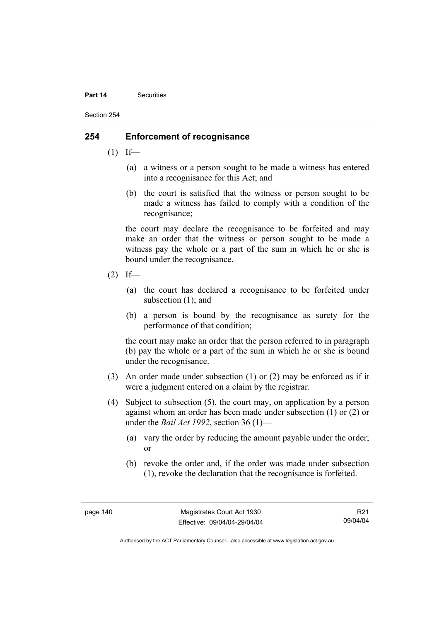#### **Part 14** Securities

Section 254

# **254 Enforcement of recognisance**

- $(1)$  If—
	- (a) a witness or a person sought to be made a witness has entered into a recognisance for this Act; and
	- (b) the court is satisfied that the witness or person sought to be made a witness has failed to comply with a condition of the recognisance;

the court may declare the recognisance to be forfeited and may make an order that the witness or person sought to be made a witness pay the whole or a part of the sum in which he or she is bound under the recognisance.

- $(2)$  If—
	- (a) the court has declared a recognisance to be forfeited under subsection (1); and
	- (b) a person is bound by the recognisance as surety for the performance of that condition;

the court may make an order that the person referred to in paragraph (b) pay the whole or a part of the sum in which he or she is bound under the recognisance.

- (3) An order made under subsection (1) or (2) may be enforced as if it were a judgment entered on a claim by the registrar.
- (4) Subject to subsection (5), the court may, on application by a person against whom an order has been made under subsection (1) or (2) or under the *Bail Act 1992*, section 36 (1)—
	- (a) vary the order by reducing the amount payable under the order; or
	- (b) revoke the order and, if the order was made under subsection (1), revoke the declaration that the recognisance is forfeited.

R21 09/04/04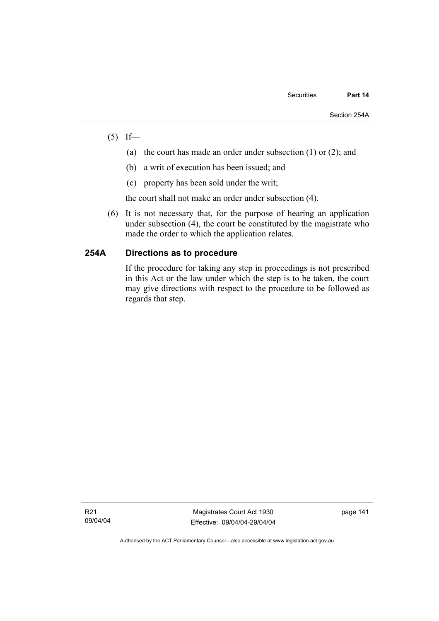- $(5)$  If—
	- (a) the court has made an order under subsection (1) or (2); and
	- (b) a writ of execution has been issued; and
	- (c) property has been sold under the writ;

the court shall not make an order under subsection (4).

 (6) It is not necessary that, for the purpose of hearing an application under subsection (4), the court be constituted by the magistrate who made the order to which the application relates.

# **254A Directions as to procedure**

If the procedure for taking any step in proceedings is not prescribed in this Act or the law under which the step is to be taken, the court may give directions with respect to the procedure to be followed as regards that step.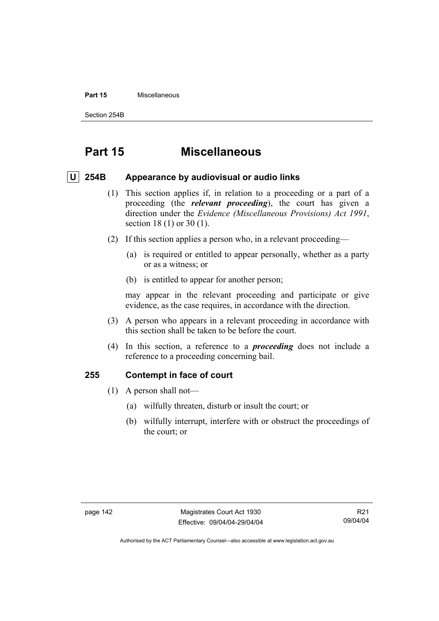#### **Part 15** Miscellaneous

Section 254B

# **Part 15 Miscellaneous**

# **U 254B Appearance by audiovisual or audio links**

- (1) This section applies if, in relation to a proceeding or a part of a proceeding (the *relevant proceeding*), the court has given a direction under the *Evidence (Miscellaneous Provisions) Act 1991*, section 18 (1) or 30 (1).
- (2) If this section applies a person who, in a relevant proceeding—
	- (a) is required or entitled to appear personally, whether as a party or as a witness; or
	- (b) is entitled to appear for another person;

may appear in the relevant proceeding and participate or give evidence, as the case requires, in accordance with the direction.

- (3) A person who appears in a relevant proceeding in accordance with this section shall be taken to be before the court.
- (4) In this section, a reference to a *proceeding* does not include a reference to a proceeding concerning bail.

# **255 Contempt in face of court**

- (1) A person shall not—
	- (a) wilfully threaten, disturb or insult the court; or
	- (b) wilfully interrupt, interfere with or obstruct the proceedings of the court; or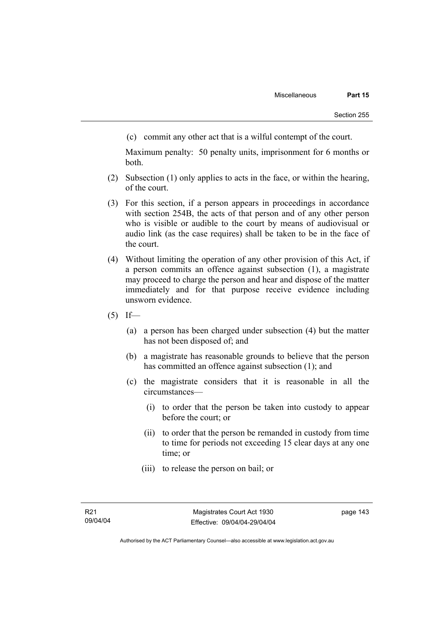(c) commit any other act that is a wilful contempt of the court.

Maximum penalty: 50 penalty units, imprisonment for 6 months or both.

- (2) Subsection (1) only applies to acts in the face, or within the hearing, of the court.
- (3) For this section, if a person appears in proceedings in accordance with section 254B, the acts of that person and of any other person who is visible or audible to the court by means of audiovisual or audio link (as the case requires) shall be taken to be in the face of the court.
- (4) Without limiting the operation of any other provision of this Act, if a person commits an offence against subsection (1), a magistrate may proceed to charge the person and hear and dispose of the matter immediately and for that purpose receive evidence including unsworn evidence.
- $(5)$  If—
	- (a) a person has been charged under subsection (4) but the matter has not been disposed of; and
	- (b) a magistrate has reasonable grounds to believe that the person has committed an offence against subsection (1); and
	- (c) the magistrate considers that it is reasonable in all the circumstances—
		- (i) to order that the person be taken into custody to appear before the court; or
		- (ii) to order that the person be remanded in custody from time to time for periods not exceeding 15 clear days at any one time; or
		- (iii) to release the person on bail; or

page 143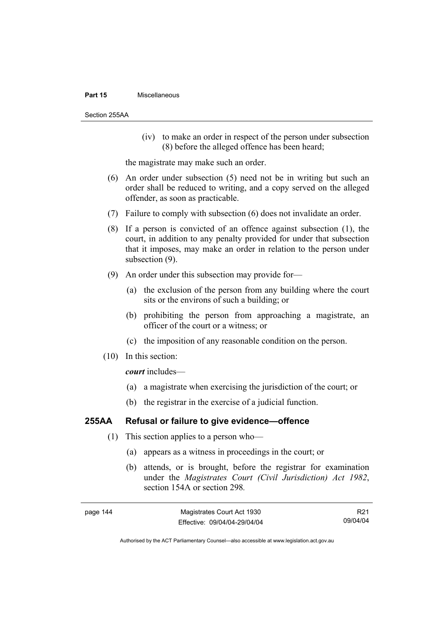#### **Part 15** Miscellaneous

Section 255AA

 (iv) to make an order in respect of the person under subsection (8) before the alleged offence has been heard;

the magistrate may make such an order.

- (6) An order under subsection (5) need not be in writing but such an order shall be reduced to writing, and a copy served on the alleged offender, as soon as practicable.
- (7) Failure to comply with subsection (6) does not invalidate an order.
- (8) If a person is convicted of an offence against subsection (1), the court, in addition to any penalty provided for under that subsection that it imposes, may make an order in relation to the person under subsection (9).
- (9) An order under this subsection may provide for—
	- (a) the exclusion of the person from any building where the court sits or the environs of such a building; or
	- (b) prohibiting the person from approaching a magistrate, an officer of the court or a witness; or
	- (c) the imposition of any reasonable condition on the person.
- (10) In this section:

*court* includes—

- (a) a magistrate when exercising the jurisdiction of the court; or
- (b) the registrar in the exercise of a judicial function.

# **255AA Refusal or failure to give evidence—offence**

- (1) This section applies to a person who—
	- (a) appears as a witness in proceedings in the court; or
	- (b) attends, or is brought, before the registrar for examination under the *Magistrates Court (Civil Jurisdiction) Act 1982*, section 154A or section 298*.*

| page 144 | Magistrates Court Act 1930   | R21      |
|----------|------------------------------|----------|
|          | Effective: 09/04/04-29/04/04 | 09/04/04 |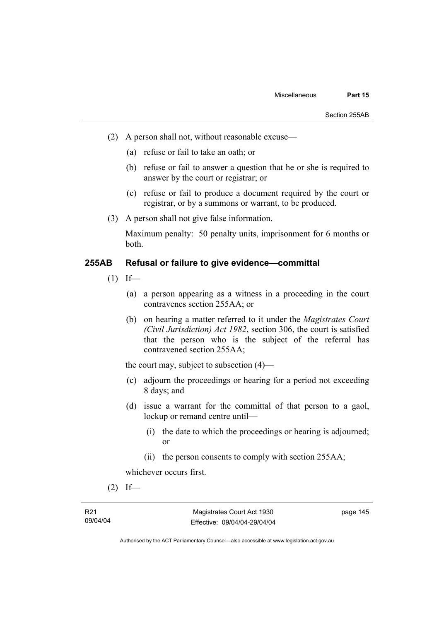- (2) A person shall not, without reasonable excuse—
	- (a) refuse or fail to take an oath; or
	- (b) refuse or fail to answer a question that he or she is required to answer by the court or registrar; or
	- (c) refuse or fail to produce a document required by the court or registrar, or by a summons or warrant, to be produced.
- (3) A person shall not give false information.

Maximum penalty: 50 penalty units, imprisonment for 6 months or both.

# **255AB Refusal or failure to give evidence—committal**

- $(1)$  If—
	- (a) a person appearing as a witness in a proceeding in the court contravenes section 255AA; or
	- (b) on hearing a matter referred to it under the *Magistrates Court (Civil Jurisdiction) Act 1982*, section 306, the court is satisfied that the person who is the subject of the referral has contravened section 255AA;

the court may, subject to subsection (4)—

- (c) adjourn the proceedings or hearing for a period not exceeding 8 days; and
- (d) issue a warrant for the committal of that person to a gaol, lockup or remand centre until—
	- (i) the date to which the proceedings or hearing is adjourned; or
	- (ii) the person consents to comply with section 255AA;

whichever occurs first.

 $(2)$  If—

page 145

Authorised by the ACT Parliamentary Counsel—also accessible at www.legislation.act.gov.au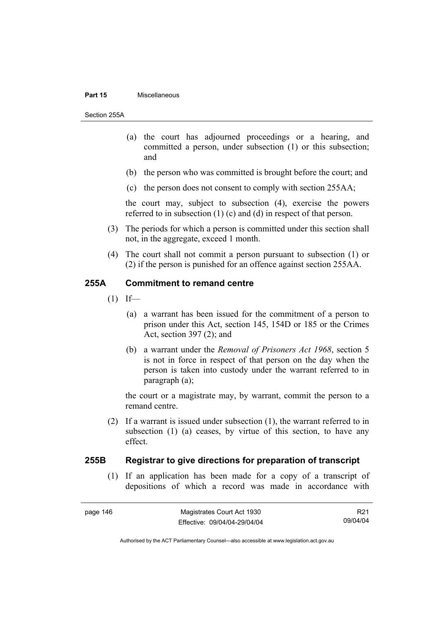#### **Part 15** Miscellaneous

Section 255A

- (a) the court has adjourned proceedings or a hearing, and committed a person, under subsection (1) or this subsection; and
- (b) the person who was committed is brought before the court; and
- (c) the person does not consent to comply with section 255AA;

the court may, subject to subsection (4), exercise the powers referred to in subsection (1) (c) and (d) in respect of that person.

- (3) The periods for which a person is committed under this section shall not, in the aggregate, exceed 1 month.
- (4) The court shall not commit a person pursuant to subsection (1) or (2) if the person is punished for an offence against section 255AA.

## **255A Commitment to remand centre**

- $(1)$  If—
	- (a) a warrant has been issued for the commitment of a person to prison under this Act, section 145, 154D or 185 or the Crimes Act, section 397 (2); and
	- (b) a warrant under the *Removal of Prisoners Act 1968*, section 5 is not in force in respect of that person on the day when the person is taken into custody under the warrant referred to in paragraph (a);

the court or a magistrate may, by warrant, commit the person to a remand centre.

 (2) If a warrant is issued under subsection (1), the warrant referred to in subsection (1) (a) ceases, by virtue of this section, to have any effect.

# **255B Registrar to give directions for preparation of transcript**

 (1) If an application has been made for a copy of a transcript of depositions of which a record was made in accordance with

R21 09/04/04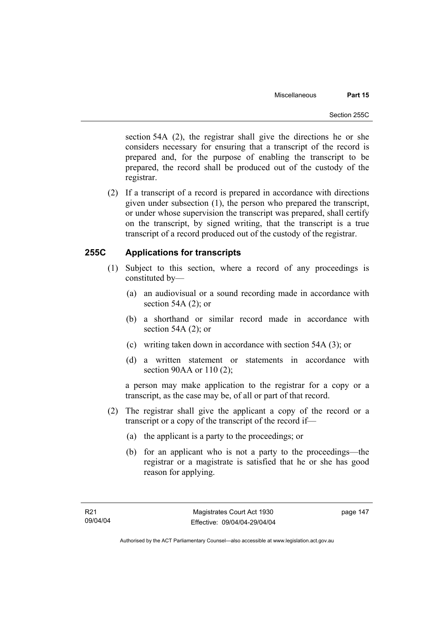section 54A (2), the registrar shall give the directions he or she considers necessary for ensuring that a transcript of the record is prepared and, for the purpose of enabling the transcript to be prepared, the record shall be produced out of the custody of the registrar.

 (2) If a transcript of a record is prepared in accordance with directions given under subsection (1), the person who prepared the transcript, or under whose supervision the transcript was prepared, shall certify on the transcript, by signed writing, that the transcript is a true transcript of a record produced out of the custody of the registrar.

# **255C Applications for transcripts**

- (1) Subject to this section, where a record of any proceedings is constituted by—
	- (a) an audiovisual or a sound recording made in accordance with section 54A (2); or
	- (b) a shorthand or similar record made in accordance with section 54A (2); or
	- (c) writing taken down in accordance with section 54A (3); or
	- (d) a written statement or statements in accordance with section 90AA or 110 (2);

a person may make application to the registrar for a copy or a transcript, as the case may be, of all or part of that record.

- (2) The registrar shall give the applicant a copy of the record or a transcript or a copy of the transcript of the record if—
	- (a) the applicant is a party to the proceedings; or
	- (b) for an applicant who is not a party to the proceedings—the registrar or a magistrate is satisfied that he or she has good reason for applying.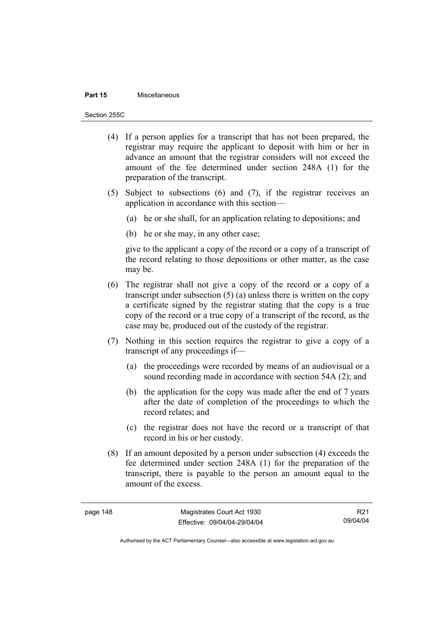#### **Part 15** Miscellaneous

Section 255C

- (4) If a person applies for a transcript that has not been prepared, the registrar may require the applicant to deposit with him or her in advance an amount that the registrar considers will not exceed the amount of the fee determined under section 248A (1) for the preparation of the transcript.
- (5) Subject to subsections (6) and (7), if the registrar receives an application in accordance with this section—
	- (a) he or she shall, for an application relating to depositions; and
	- (b) he or she may, in any other case;

give to the applicant a copy of the record or a copy of a transcript of the record relating to those depositions or other matter, as the case may be.

- (6) The registrar shall not give a copy of the record or a copy of a transcript under subsection (5) (a) unless there is written on the copy a certificate signed by the registrar stating that the copy is a true copy of the record or a true copy of a transcript of the record, as the case may be, produced out of the custody of the registrar.
- (7) Nothing in this section requires the registrar to give a copy of a transcript of any proceedings if—
	- (a) the proceedings were recorded by means of an audiovisual or a sound recording made in accordance with section 54A (2); and
	- (b) the application for the copy was made after the end of 7 years after the date of completion of the proceedings to which the record relates; and
	- (c) the registrar does not have the record or a transcript of that record in his or her custody.
- (8) If an amount deposited by a person under subsection (4) exceeds the fee determined under section 248A (1) for the preparation of the transcript, there is payable to the person an amount equal to the amount of the excess.

R21 09/04/04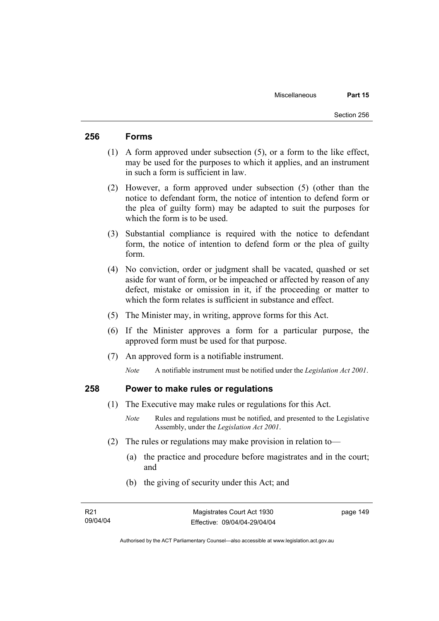# **256 Forms**

- (1) A form approved under subsection (5), or a form to the like effect, may be used for the purposes to which it applies, and an instrument in such a form is sufficient in law.
- (2) However, a form approved under subsection (5) (other than the notice to defendant form, the notice of intention to defend form or the plea of guilty form) may be adapted to suit the purposes for which the form is to be used.
- (3) Substantial compliance is required with the notice to defendant form, the notice of intention to defend form or the plea of guilty form.
- (4) No conviction, order or judgment shall be vacated, quashed or set aside for want of form, or be impeached or affected by reason of any defect, mistake or omission in it, if the proceeding or matter to which the form relates is sufficient in substance and effect.
- (5) The Minister may, in writing, approve forms for this Act.
- (6) If the Minister approves a form for a particular purpose, the approved form must be used for that purpose.
- (7) An approved form is a notifiable instrument.

*Note* A notifiable instrument must be notified under the *Legislation Act 2001*.

# **258 Power to make rules or regulations**

- (1) The Executive may make rules or regulations for this Act.
	- *Note* Rules and regulations must be notified, and presented to the Legislative Assembly, under the *Legislation Act 2001*.
- (2) The rules or regulations may make provision in relation to—
	- (a) the practice and procedure before magistrates and in the court; and
	- (b) the giving of security under this Act; and

page 149

Authorised by the ACT Parliamentary Counsel—also accessible at www.legislation.act.gov.au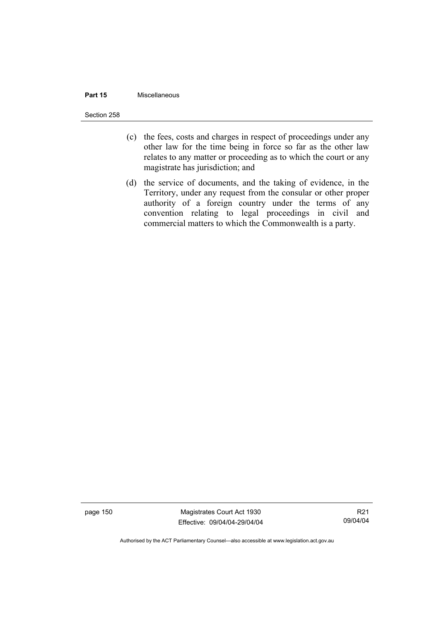#### **Part 15** Miscellaneous

Section 258

- (c) the fees, costs and charges in respect of proceedings under any other law for the time being in force so far as the other law relates to any matter or proceeding as to which the court or any magistrate has jurisdiction; and
- (d) the service of documents, and the taking of evidence, in the Territory, under any request from the consular or other proper authority of a foreign country under the terms of any convention relating to legal proceedings in civil and commercial matters to which the Commonwealth is a party.

page 150 Magistrates Court Act 1930 Effective: 09/04/04-29/04/04

R21 09/04/04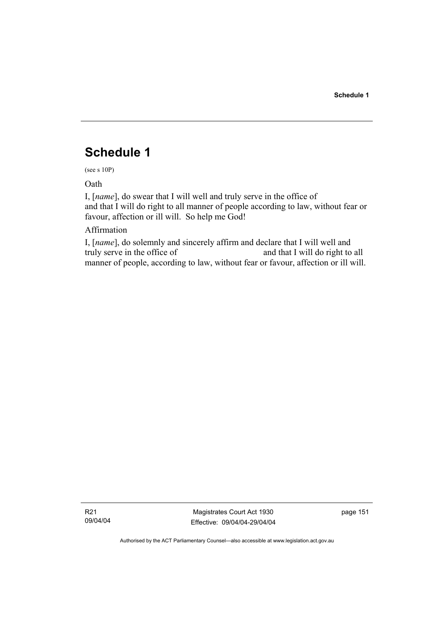# **Schedule 1**

(see s 10P)

Oath

I, [*name*], do swear that I will well and truly serve in the office of and that I will do right to all manner of people according to law, without fear or favour, affection or ill will. So help me God!

# Affirmation

I, [*name*], do solemnly and sincerely affirm and declare that I will well and truly serve in the office of and that I will do right to all manner of people, according to law, without fear or favour, affection or ill will.

R21 09/04/04

Magistrates Court Act 1930 Effective: 09/04/04-29/04/04 page 151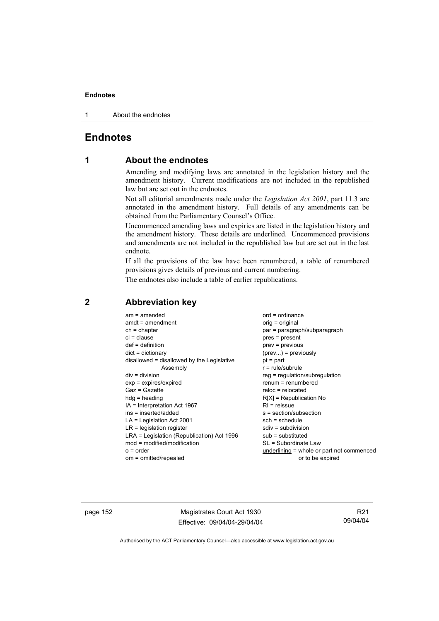1 About the endnotes

# **Endnotes**

# **1 About the endnotes**

Amending and modifying laws are annotated in the legislation history and the amendment history. Current modifications are not included in the republished law but are set out in the endnotes.

Not all editorial amendments made under the *Legislation Act 2001*, part 11.3 are annotated in the amendment history. Full details of any amendments can be obtained from the Parliamentary Counsel's Office.

Uncommenced amending laws and expiries are listed in the legislation history and the amendment history. These details are underlined. Uncommenced provisions and amendments are not included in the republished law but are set out in the last endnote.

If all the provisions of the law have been renumbered, a table of renumbered provisions gives details of previous and current numbering.

The endnotes also include a table of earlier republications.

| $am = amended$                             | $ord = ordinance$                         |
|--------------------------------------------|-------------------------------------------|
| $amdt = amendment$                         | orig = original                           |
| $ch = chapter$                             | par = paragraph/subparagraph              |
| $cl = clause$                              | $pres = present$                          |
| $def = definition$                         | $prev = previous$                         |
| $dict = dictionary$                        | $(\text{prev})$ = previously              |
| disallowed = disallowed by the Legislative | $pt = part$                               |
| Assembly                                   | $r = rule/subrule$                        |
| $div = division$                           | $reg = regulation/subregulation$          |
| $exp = expires/expired$                    | $renum = renumbered$                      |
| $Gaz = Gazette$                            | $reloc = relocated$                       |
| $hda =$ heading                            | $R[X]$ = Republication No                 |
| $IA = Interpretation Act 1967$             | $R1$ = reissue                            |
| ins = inserted/added                       | $s = section/subsection$                  |
| $LA =$ Legislation Act 2001                | $sch = schedule$                          |
| $LR =$ legislation register                | $sdiv = subdivision$                      |
| LRA = Legislation (Republication) Act 1996 | $sub =$ substituted                       |
| mod = modified/modification                | SL = Subordinate Law                      |
| $o = order$                                | underlining = whole or part not commenced |
| om = omitted/repealed                      | or to be expired                          |

# **2 Abbreviation key**

page 152 Magistrates Court Act 1930 Effective: 09/04/04-29/04/04

R21 09/04/04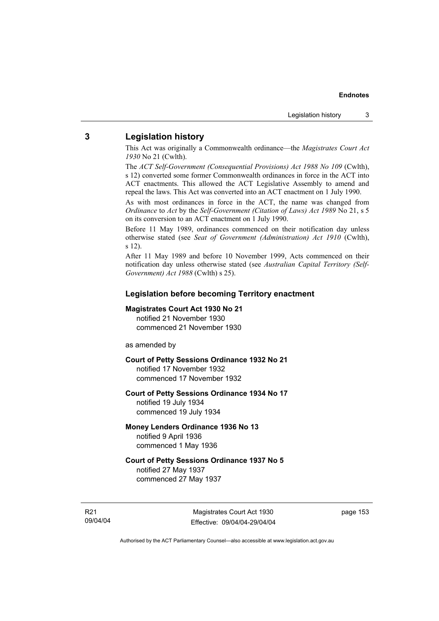## **3 Legislation history**

This Act was originally a Commonwealth ordinance—the *Magistrates Court Act 1930* No 21 (Cwlth).

The *ACT Self-Government (Consequential Provisions) Act 1988 No 109* (Cwlth), s 12) converted some former Commonwealth ordinances in force in the ACT into ACT enactments. This allowed the ACT Legislative Assembly to amend and repeal the laws. This Act was converted into an ACT enactment on 1 July 1990.

As with most ordinances in force in the ACT, the name was changed from *Ordinance* to *Act* by the *Self-Government (Citation of Laws) Act 1989* No 21, s 5 on its conversion to an ACT enactment on 1 July 1990.

Before 11 May 1989, ordinances commenced on their notification day unless otherwise stated (see *Seat of Government (Administration) Act 1910* (Cwlth), s 12).

After 11 May 1989 and before 10 November 1999, Acts commenced on their notification day unless otherwise stated (see *Australian Capital Territory (Self-Government) Act 1988* (Cwlth) s 25).

#### **Legislation before becoming Territory enactment**

#### **Magistrates Court Act 1930 No 21**

notified 21 November 1930 commenced 21 November 1930

as amended by

### **Court of Petty Sessions Ordinance 1932 No 21**

notified 17 November 1932 commenced 17 November 1932

#### **Court of Petty Sessions Ordinance 1934 No 17**

notified 19 July 1934 commenced 19 July 1934

## **Money Lenders Ordinance 1936 No 13**  notified 9 April 1936 commenced 1 May 1936

# **Court of Petty Sessions Ordinance 1937 No 5**  notified 27 May 1937

commenced 27 May 1937

R21 09/04/04 page 153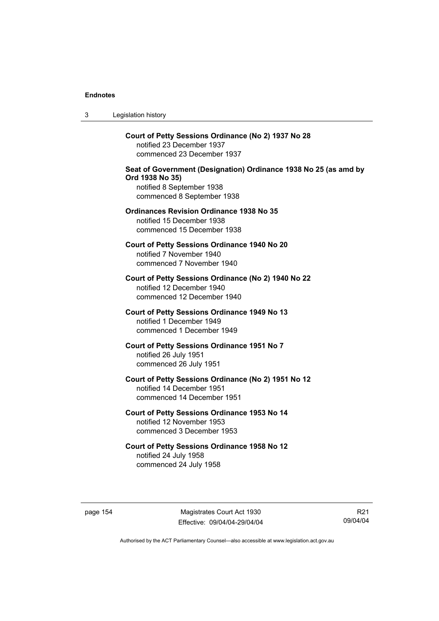3 Legislation history

**Court of Petty Sessions Ordinance (No 2) 1937 No 28**  notified 23 December 1937 commenced 23 December 1937 **Seat of Government (Designation) Ordinance 1938 No 25 (as amd by Ord 1938 No 35)**  notified 8 September 1938 commenced 8 September 1938 **Ordinances Revision Ordinance 1938 No 35**  notified 15 December 1938 commenced 15 December 1938 **Court of Petty Sessions Ordinance 1940 No 20**  notified 7 November 1940 commenced 7 November 1940 **Court of Petty Sessions Ordinance (No 2) 1940 No 22**  notified 12 December 1940 commenced 12 December 1940 **Court of Petty Sessions Ordinance 1949 No 13** 

notified 1 December 1949 commenced 1 December 1949 **Court of Petty Sessions Ordinance 1951 No 7**  notified 26 July 1951

commenced 26 July 1951

**Court of Petty Sessions Ordinance (No 2) 1951 No 12**  notified 14 December 1951 commenced 14 December 1951

**Court of Petty Sessions Ordinance 1953 No 14**  notified 12 November 1953 commenced 3 December 1953

**Court of Petty Sessions Ordinance 1958 No 12**  notified 24 July 1958 commenced 24 July 1958

page 154 Magistrates Court Act 1930 Effective: 09/04/04-29/04/04

R21 09/04/04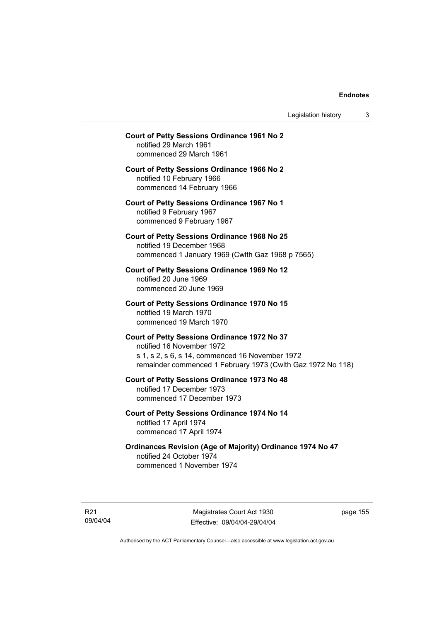Legislation history 3

# **Court of Petty Sessions Ordinance 1961 No 2**  notified 29 March 1961 commenced 29 March 1961 **Court of Petty Sessions Ordinance 1966 No 2**  notified 10 February 1966 commenced 14 February 1966 **Court of Petty Sessions Ordinance 1967 No 1**  notified 9 February 1967 commenced 9 February 1967 **Court of Petty Sessions Ordinance 1968 No 25**  notified 19 December 1968 commenced 1 January 1969 (Cwlth Gaz 1968 p 7565) **Court of Petty Sessions Ordinance 1969 No 12**  notified 20 June 1969 commenced 20 June 1969 **Court of Petty Sessions Ordinance 1970 No 15**  notified 19 March 1970 commenced 19 March 1970 **Court of Petty Sessions Ordinance 1972 No 37**  notified 16 November 1972 s 1, s 2, s 6, s 14, commenced 16 November 1972 remainder commenced 1 February 1973 (Cwlth Gaz 1972 No 118) **Court of Petty Sessions Ordinance 1973 No 48**  notified 17 December 1973 commenced 17 December 1973 **Court of Petty Sessions Ordinance 1974 No 14**

notified 17 April 1974 commenced 17 April 1974

**Ordinances Revision (Age of Majority) Ordinance 1974 No 47**  notified 24 October 1974 commenced 1 November 1974

R21 09/04/04

Magistrates Court Act 1930 Effective: 09/04/04-29/04/04 page 155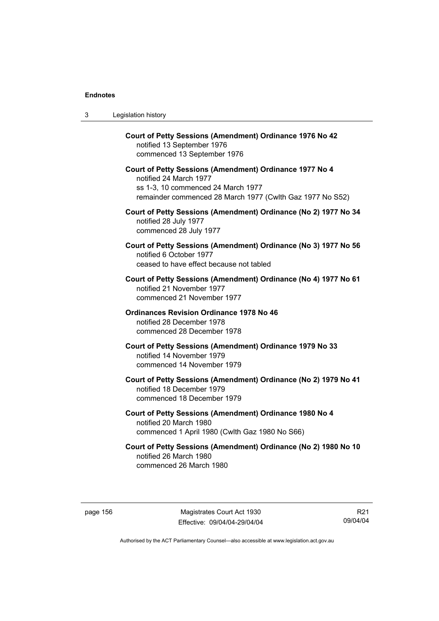| 3 | Legislation history                                                                                                                                                                  |
|---|--------------------------------------------------------------------------------------------------------------------------------------------------------------------------------------|
|   | Court of Petty Sessions (Amendment) Ordinance 1976 No 42<br>notified 13 September 1976<br>commenced 13 September 1976                                                                |
|   | Court of Petty Sessions (Amendment) Ordinance 1977 No 4<br>notified 24 March 1977<br>ss 1-3, 10 commenced 24 March 1977<br>remainder commenced 28 March 1977 (Cwlth Gaz 1977 No S52) |
|   | Court of Petty Sessions (Amendment) Ordinance (No 2) 1977 No 34<br>notified 28 July 1977<br>commenced 28 July 1977                                                                   |
|   | Court of Petty Sessions (Amendment) Ordinance (No 3) 1977 No 56<br>notified 6 October 1977<br>ceased to have effect because not tabled                                               |
|   | Court of Petty Sessions (Amendment) Ordinance (No 4) 1977 No 61<br>notified 21 November 1977<br>commenced 21 November 1977                                                           |
|   | <b>Ordinances Revision Ordinance 1978 No 46</b><br>notified 28 December 1978<br>commenced 28 December 1978                                                                           |
|   | Court of Petty Sessions (Amendment) Ordinance 1979 No 33<br>notified 14 November 1979<br>commenced 14 November 1979                                                                  |
|   | Court of Petty Sessions (Amendment) Ordinance (No 2) 1979 No 41<br>notified 18 December 1979<br>commenced 18 December 1979                                                           |
|   | Court of Petty Sessions (Amendment) Ordinance 1980 No 4<br>notified 20 March 1980<br>commenced 1 April 1980 (Cwlth Gaz 1980 No S66)                                                  |
|   | Court of Petty Sessions (Amendment) Ordinance (No 2) 1980 No 10<br>notified 26 March 1980<br>commenced 26 March 1980                                                                 |

R21 09/04/04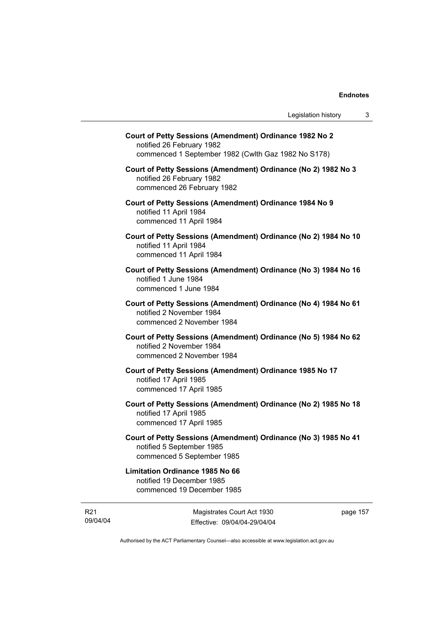| Court of Petty Sessions (Amendment) Ordinance 1982 No 2<br>notified 26 February 1982<br>commenced 1 September 1982 (Cwlth Gaz 1982 No S178) |  |
|---------------------------------------------------------------------------------------------------------------------------------------------|--|
| Court of Petty Sessions (Amendment) Ordinance (No 2) 1982 No 3<br>notified 26 February 1982<br>commenced 26 February 1982                   |  |
| Court of Petty Sessions (Amendment) Ordinance 1984 No 9<br>notified 11 April 1984<br>commenced 11 April 1984                                |  |
| Court of Petty Sessions (Amendment) Ordinance (No 2) 1984 No 10<br>notified 11 April 1984<br>commenced 11 April 1984                        |  |
| Court of Petty Sessions (Amendment) Ordinance (No 3) 1984 No 16<br>notified 1 June 1984<br>commenced 1 June 1984                            |  |
| Court of Petty Sessions (Amendment) Ordinance (No 4) 1984 No 61<br>notified 2 November 1984<br>commenced 2 November 1984                    |  |
| Court of Petty Sessions (Amendment) Ordinance (No 5) 1984 No 62<br>notified 2 November 1984<br>commenced 2 November 1984                    |  |
| Court of Petty Sessions (Amendment) Ordinance 1985 No 17<br>notified 17 April 1985<br>commenced 17 April 1985                               |  |
| Court of Petty Sessions (Amendment) Ordinance (No 2) 1985 No 18<br>notified 17 April 1985<br>commenced 17 April 1985                        |  |
| Court of Petty Sessions (Amendment) Ordinance (No 3) 1985 No 41<br>notified 5 September 1985<br>commenced 5 September 1985                  |  |
| <b>Limitation Ordinance 1985 No 66</b><br>notified 19 December 1985<br>commenced 19 December 1985                                           |  |
|                                                                                                                                             |  |

R21 09/04/04

Magistrates Court Act 1930 Effective: 09/04/04-29/04/04 page 157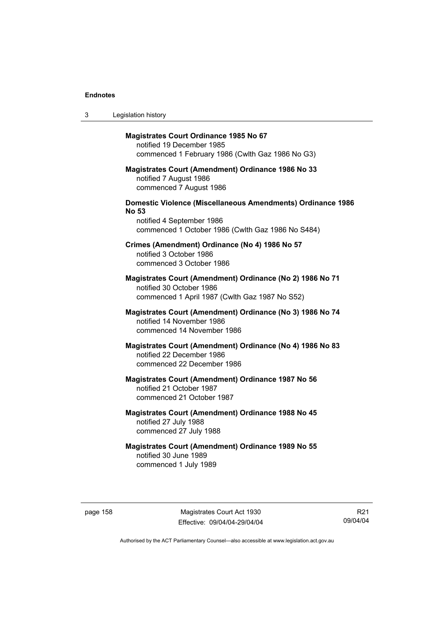| 3 | Legislation history                                                                                                                                                  |
|---|----------------------------------------------------------------------------------------------------------------------------------------------------------------------|
|   | <b>Magistrates Court Ordinance 1985 No 67</b><br>notified 19 December 1985<br>commenced 1 February 1986 (Cwlth Gaz 1986 No G3)                                       |
|   | <b>Magistrates Court (Amendment) Ordinance 1986 No 33</b><br>notified 7 August 1986<br>commenced 7 August 1986                                                       |
|   | <b>Domestic Violence (Miscellaneous Amendments) Ordinance 1986</b><br><b>No 53</b><br>notified 4 September 1986<br>commenced 1 October 1986 (Cwlth Gaz 1986 No S484) |
|   | Crimes (Amendment) Ordinance (No 4) 1986 No 57<br>notified 3 October 1986<br>commenced 3 October 1986                                                                |
|   | Magistrates Court (Amendment) Ordinance (No 2) 1986 No 71<br>notified 30 October 1986<br>commenced 1 April 1987 (Cwlth Gaz 1987 No S52)                              |
|   | Magistrates Court (Amendment) Ordinance (No 3) 1986 No 74<br>notified 14 November 1986<br>commenced 14 November 1986                                                 |
|   | Magistrates Court (Amendment) Ordinance (No 4) 1986 No 83<br>notified 22 December 1986<br>commenced 22 December 1986                                                 |
|   | <b>Magistrates Court (Amendment) Ordinance 1987 No 56</b><br>notified 21 October 1987<br>commenced 21 October 1987                                                   |
|   | <b>Magistrates Court (Amendment) Ordinance 1988 No 45</b><br>notified 27 July 1988<br>commenced 27 July 1988                                                         |
|   | <b>Magistrates Court (Amendment) Ordinance 1989 No 55</b><br>notified 30 June 1989<br>commenced 1 July 1989                                                          |

page 158 Magistrates Court Act 1930 Effective: 09/04/04-29/04/04

R21 09/04/04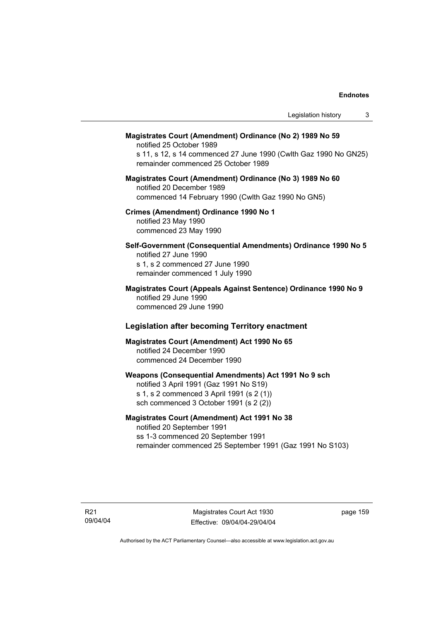| Legislation history<br>3                                                                                                                                                                         |
|--------------------------------------------------------------------------------------------------------------------------------------------------------------------------------------------------|
| Magistrates Court (Amendment) Ordinance (No 2) 1989 No 59<br>notified 25 October 1989<br>s 11, s 12, s 14 commenced 27 June 1990 (Cwlth Gaz 1990 No GN25)<br>remainder commenced 25 October 1989 |
| Magistrates Court (Amendment) Ordinance (No 3) 1989 No 60<br>notified 20 December 1989<br>commenced 14 February 1990 (Cwlth Gaz 1990 No GN5)                                                     |
| Crimes (Amendment) Ordinance 1990 No 1<br>notified 23 May 1990<br>commenced 23 May 1990                                                                                                          |
| Self-Government (Consequential Amendments) Ordinance 1990 No 5<br>notified 27 June 1990<br>s 1, s 2 commenced 27 June 1990<br>remainder commenced 1 July 1990                                    |
| Magistrates Court (Appeals Against Sentence) Ordinance 1990 No 9<br>notified 29 June 1990<br>commenced 29 June 1990                                                                              |
| <b>Legislation after becoming Territory enactment</b>                                                                                                                                            |
| Magistrates Court (Amendment) Act 1990 No 65<br>notified 24 December 1990<br>commenced 24 December 1990                                                                                          |
| Weapons (Consequential Amendments) Act 1991 No 9 sch<br>notified 3 April 1991 (Gaz 1991 No S19)<br>s 1, s 2 commenced 3 April 1991 (s 2 (1))<br>sch commenced 3 October 1991 (s 2 (2))           |
| Manistrates Court (Amendment) Act 1991 No 38                                                                                                                                                     |

## **Magistrates Court (Amendment) Act 1991 No 38**

notified 20 September 1991 ss 1-3 commenced 20 September 1991 remainder commenced 25 September 1991 (Gaz 1991 No S103)

page 159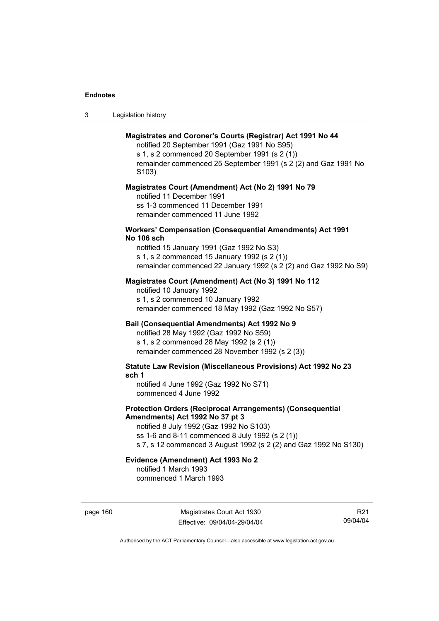| -3 | Legislation history |  |
|----|---------------------|--|
|----|---------------------|--|

## **Magistrates and Coroner's Courts (Registrar) Act 1991 No 44**

notified 20 September 1991 (Gaz 1991 No S95) s 1, s 2 commenced 20 September 1991 (s 2 (1)) remainder commenced 25 September 1991 (s 2 (2) and Gaz 1991 No S103)

#### **Magistrates Court (Amendment) Act (No 2) 1991 No 79**

notified 11 December 1991 ss 1-3 commenced 11 December 1991 remainder commenced 11 June 1992

#### **Workers' Compensation (Consequential Amendments) Act 1991 No 106 sch**

notified 15 January 1991 (Gaz 1992 No S3) s 1, s 2 commenced 15 January 1992 (s 2 (1)) remainder commenced 22 January 1992 (s 2 (2) and Gaz 1992 No S9)

## **Magistrates Court (Amendment) Act (No 3) 1991 No 112**

notified 10 January 1992 s 1, s 2 commenced 10 January 1992 remainder commenced 18 May 1992 (Gaz 1992 No S57)

## **Bail (Consequential Amendments) Act 1992 No 9**

notified 28 May 1992 (Gaz 1992 No S59) s 1, s 2 commenced 28 May 1992 (s 2 (1)) remainder commenced 28 November 1992 (s 2 (3))

**Statute Law Revision (Miscellaneous Provisions) Act 1992 No 23 sch 1** 

notified 4 June 1992 (Gaz 1992 No S71) commenced 4 June 1992

## **Protection Orders (Reciprocal Arrangements) (Consequential Amendments) Act 1992 No 37 pt 3**

notified 8 July 1992 (Gaz 1992 No S103) ss 1-6 and 8-11 commenced 8 July 1992 (s 2 (1)) s 7, s 12 commenced 3 August 1992 (s 2 (2) and Gaz 1992 No S130)

# **Evidence (Amendment) Act 1993 No 2**

notified 1 March 1993 commenced 1 March 1993

page 160 Magistrates Court Act 1930 Effective: 09/04/04-29/04/04

R21 09/04/04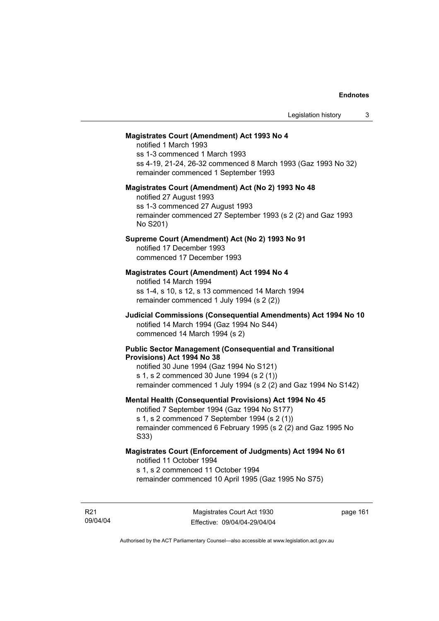#### **Magistrates Court (Amendment) Act 1993 No 4**

notified 1 March 1993 ss 1-3 commenced 1 March 1993 ss 4-19, 21-24, 26-32 commenced 8 March 1993 (Gaz 1993 No 32) remainder commenced 1 September 1993

#### **Magistrates Court (Amendment) Act (No 2) 1993 No 48**

notified 27 August 1993 ss 1-3 commenced 27 August 1993 remainder commenced 27 September 1993 (s 2 (2) and Gaz 1993 No S201)

## **Supreme Court (Amendment) Act (No 2) 1993 No 91**

notified 17 December 1993 commenced 17 December 1993

## **Magistrates Court (Amendment) Act 1994 No 4**

notified 14 March 1994 ss 1-4, s 10, s 12, s 13 commenced 14 March 1994 remainder commenced 1 July 1994 (s 2 (2))

## **Judicial Commissions (Consequential Amendments) Act 1994 No 10**  notified 14 March 1994 (Gaz 1994 No S44) commenced 14 March 1994 (s 2)

#### **Public Sector Management (Consequential and Transitional Provisions) Act 1994 No 38**

notified 30 June 1994 (Gaz 1994 No S121) s 1, s 2 commenced 30 June 1994 (s 2 (1)) remainder commenced 1 July 1994 (s 2 (2) and Gaz 1994 No S142)

#### **Mental Health (Consequential Provisions) Act 1994 No 45**

notified 7 September 1994 (Gaz 1994 No S177) s 1, s 2 commenced 7 September 1994 (s 2 (1)) remainder commenced 6 February 1995 (s 2 (2) and Gaz 1995 No S33)

#### **Magistrates Court (Enforcement of Judgments) Act 1994 No 61**  notified 11 October 1994

s 1, s 2 commenced 11 October 1994

remainder commenced 10 April 1995 (Gaz 1995 No S75)

R21 09/04/04 page 161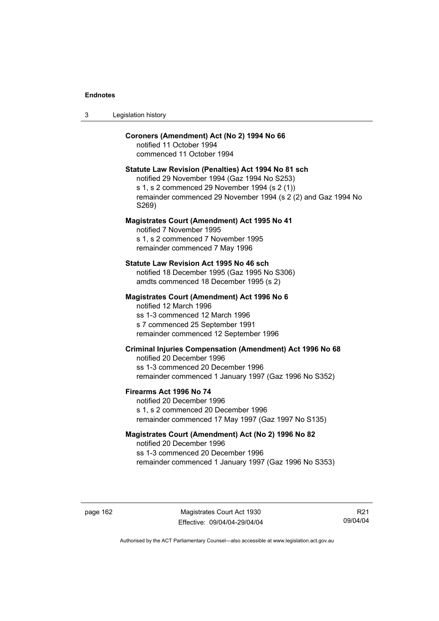| Legislation history<br>-3 |  |
|---------------------------|--|
|---------------------------|--|

## **Coroners (Amendment) Act (No 2) 1994 No 66**

notified 11 October 1994 commenced 11 October 1994

#### **Statute Law Revision (Penalties) Act 1994 No 81 sch**

notified 29 November 1994 (Gaz 1994 No S253) s 1, s 2 commenced 29 November 1994 (s 2 (1)) remainder commenced 29 November 1994 (s 2 (2) and Gaz 1994 No S269)

#### **Magistrates Court (Amendment) Act 1995 No 41**

notified 7 November 1995 s 1, s 2 commenced 7 November 1995 remainder commenced 7 May 1996

#### **Statute Law Revision Act 1995 No 46 sch**

notified 18 December 1995 (Gaz 1995 No S306) amdts commenced 18 December 1995 (s 2)

#### **Magistrates Court (Amendment) Act 1996 No 6**

notified 12 March 1996 ss 1-3 commenced 12 March 1996 s 7 commenced 25 September 1991 remainder commenced 12 September 1996

## **Criminal Injuries Compensation (Amendment) Act 1996 No 68**

notified 20 December 1996 ss 1-3 commenced 20 December 1996 remainder commenced 1 January 1997 (Gaz 1996 No S352)

#### **Firearms Act 1996 No 74**

notified 20 December 1996 s 1, s 2 commenced 20 December 1996 remainder commenced 17 May 1997 (Gaz 1997 No S135)

## **Magistrates Court (Amendment) Act (No 2) 1996 No 82**

notified 20 December 1996 ss 1-3 commenced 20 December 1996 remainder commenced 1 January 1997 (Gaz 1996 No S353)

page 162 Magistrates Court Act 1930 Effective: 09/04/04-29/04/04

R21 09/04/04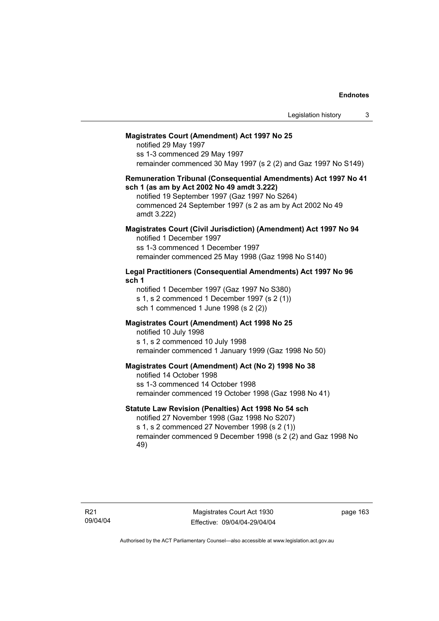#### **Magistrates Court (Amendment) Act 1997 No 25**

notified 29 May 1997 ss 1-3 commenced 29 May 1997 remainder commenced 30 May 1997 (s 2 (2) and Gaz 1997 No S149)

#### **Remuneration Tribunal (Consequential Amendments) Act 1997 No 41 sch 1 (as am by Act 2002 No 49 amdt 3.222)**

notified 19 September 1997 (Gaz 1997 No S264) commenced 24 September 1997 (s 2 as am by Act 2002 No 49 amdt 3.222)

#### **Magistrates Court (Civil Jurisdiction) (Amendment) Act 1997 No 94**  notified 1 December 1997

ss 1-3 commenced 1 December 1997 remainder commenced 25 May 1998 (Gaz 1998 No S140)

## **Legal Practitioners (Consequential Amendments) Act 1997 No 96 sch 1**

notified 1 December 1997 (Gaz 1997 No S380) s 1, s 2 commenced 1 December 1997 (s 2 (1)) sch 1 commenced 1 June 1998 (s 2 (2))

## **Magistrates Court (Amendment) Act 1998 No 25**

notified 10 July 1998 s 1, s 2 commenced 10 July 1998 remainder commenced 1 January 1999 (Gaz 1998 No 50)

## **Magistrates Court (Amendment) Act (No 2) 1998 No 38**

notified 14 October 1998 ss 1-3 commenced 14 October 1998 remainder commenced 19 October 1998 (Gaz 1998 No 41)

## **Statute Law Revision (Penalties) Act 1998 No 54 sch**

notified 27 November 1998 (Gaz 1998 No S207) s 1, s 2 commenced 27 November 1998 (s 2 (1)) remainder commenced 9 December 1998 (s 2 (2) and Gaz 1998 No 49)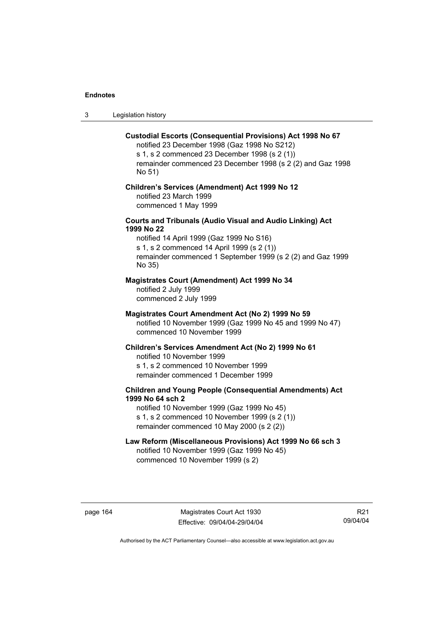3 Legislation history

#### **Custodial Escorts (Consequential Provisions) Act 1998 No 67**

notified 23 December 1998 (Gaz 1998 No S212) s 1, s 2 commenced 23 December 1998 (s 2 (1)) remainder commenced 23 December 1998 (s 2 (2) and Gaz 1998 No 51)

## **Children's Services (Amendment) Act 1999 No 12**  notified 23 March 1999 commenced 1 May 1999

## **Courts and Tribunals (Audio Visual and Audio Linking) Act 1999 No 22**

notified 14 April 1999 (Gaz 1999 No S16) s 1, s 2 commenced 14 April 1999 (s 2 (1)) remainder commenced 1 September 1999 (s 2 (2) and Gaz 1999 No 35)

## **Magistrates Court (Amendment) Act 1999 No 34**

notified 2 July 1999 commenced 2 July 1999

#### **Magistrates Court Amendment Act (No 2) 1999 No 59**

notified 10 November 1999 (Gaz 1999 No 45 and 1999 No 47) commenced 10 November 1999

#### **Children's Services Amendment Act (No 2) 1999 No 61**

notified 10 November 1999 s 1, s 2 commenced 10 November 1999 remainder commenced 1 December 1999

## **Children and Young People (Consequential Amendments) Act 1999 No 64 sch 2**

notified 10 November 1999 (Gaz 1999 No 45) s 1, s 2 commenced 10 November 1999 (s 2 (1)) remainder commenced 10 May 2000 (s 2 (2))

# **Law Reform (Miscellaneous Provisions) Act 1999 No 66 sch 3**

notified 10 November 1999 (Gaz 1999 No 45) commenced 10 November 1999 (s 2)

page 164 Magistrates Court Act 1930 Effective: 09/04/04-29/04/04

R21 09/04/04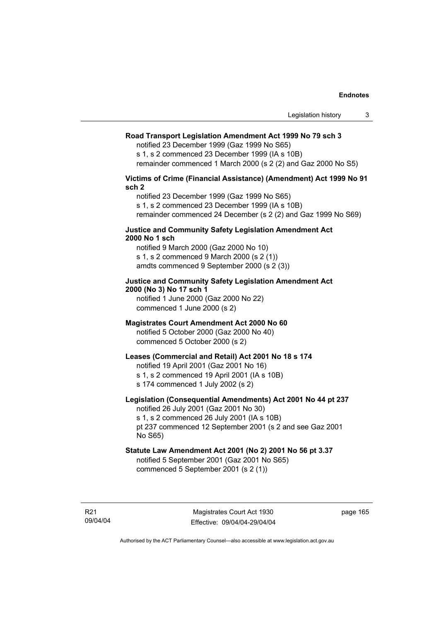#### **Road Transport Legislation Amendment Act 1999 No 79 sch 3**

notified 23 December 1999 (Gaz 1999 No S65)

s 1, s 2 commenced 23 December 1999 (IA s 10B) remainder commenced 1 March 2000 (s 2 (2) and Gaz 2000 No S5)

# **Victims of Crime (Financial Assistance) (Amendment) Act 1999 No 91 sch 2**

notified 23 December 1999 (Gaz 1999 No S65) s 1, s 2 commenced 23 December 1999 (IA s 10B) remainder commenced 24 December (s 2 (2) and Gaz 1999 No S69)

#### **Justice and Community Safety Legislation Amendment Act 2000 No 1 sch**

notified 9 March 2000 (Gaz 2000 No 10) s 1, s 2 commenced 9 March 2000 (s 2 (1)) amdts commenced 9 September 2000 (s 2 (3))

## **Justice and Community Safety Legislation Amendment Act 2000 (No 3) No 17 sch 1**

notified 1 June 2000 (Gaz 2000 No 22) commenced 1 June 2000 (s 2)

## **Magistrates Court Amendment Act 2000 No 60**

notified 5 October 2000 (Gaz 2000 No 40) commenced 5 October 2000 (s 2)

## **Leases (Commercial and Retail) Act 2001 No 18 s 174**

notified 19 April 2001 (Gaz 2001 No 16)

s 1, s 2 commenced 19 April 2001 (IA s 10B)

s 174 commenced 1 July 2002 (s 2)

## **Legislation (Consequential Amendments) Act 2001 No 44 pt 237**

notified 26 July 2001 (Gaz 2001 No 30) s 1, s 2 commenced 26 July 2001 (IA s 10B)

pt 237 commenced 12 September 2001 (s 2 and see Gaz 2001 No S65)

# **Statute Law Amendment Act 2001 (No 2) 2001 No 56 pt 3.37**

notified 5 September 2001 (Gaz 2001 No S65) commenced 5 September 2001 (s 2 (1))

R21 09/04/04 page 165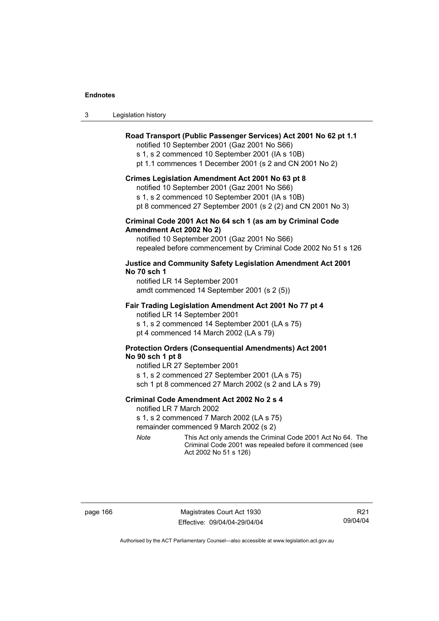| Legislation history<br>-3 |  |
|---------------------------|--|
|---------------------------|--|

## **Road Transport (Public Passenger Services) Act 2001 No 62 pt 1.1**

notified 10 September 2001 (Gaz 2001 No S66)

s 1, s 2 commenced 10 September 2001 (IA s 10B)

pt 1.1 commences 1 December 2001 (s 2 and CN 2001 No 2)

#### **Crimes Legislation Amendment Act 2001 No 63 pt 8**

notified 10 September 2001 (Gaz 2001 No S66)

s 1, s 2 commenced 10 September 2001 (IA s 10B)

pt 8 commenced 27 September 2001 (s 2 (2) and CN 2001 No 3)

## **Criminal Code 2001 Act No 64 sch 1 (as am by Criminal Code Amendment Act 2002 No 2)**

notified 10 September 2001 (Gaz 2001 No S66) repealed before commencement by Criminal Code 2002 No 51 s 126

## **Justice and Community Safety Legislation Amendment Act 2001 No 70 sch 1**

notified LR 14 September 2001 amdt commenced 14 September 2001 (s 2 (5))

### **Fair Trading Legislation Amendment Act 2001 No 77 pt 4**

notified LR 14 September 2001 s 1, s 2 commenced 14 September 2001 (LA s 75) pt 4 commenced 14 March 2002 (LA s 79)

## **Protection Orders (Consequential Amendments) Act 2001 No 90 sch 1 pt 8**

notified LR 27 September 2001 s 1, s 2 commenced 27 September 2001 (LA s 75) sch 1 pt 8 commenced 27 March 2002 (s 2 and LA s 79)

#### **Criminal Code Amendment Act 2002 No 2 s 4**

notified LR 7 March 2002

s 1, s 2 commenced 7 March 2002 (LA s 75)

remainder commenced 9 March 2002 (s 2)

*Note* This Act only amends the Criminal Code 2001 Act No 64. The Criminal Code 2001 was repealed before it commenced (see Act 2002 No 51 s 126)

page 166 Magistrates Court Act 1930 Effective: 09/04/04-29/04/04

R21 09/04/04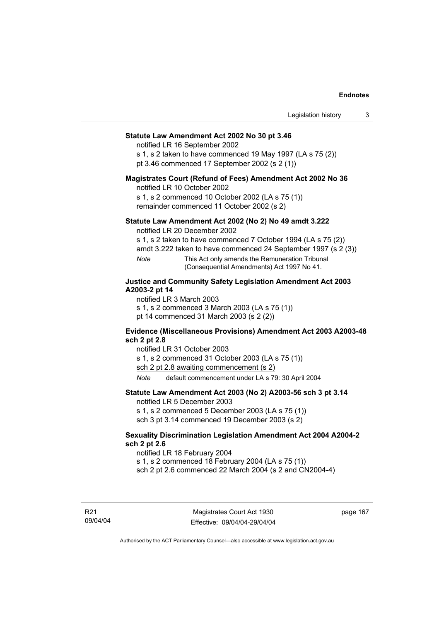### **Statute Law Amendment Act 2002 No 30 pt 3.46**

notified LR 16 September 2002

s 1, s 2 taken to have commenced 19 May 1997 (LA s 75 (2)) pt 3.46 commenced 17 September 2002 (s 2 (1))

### **Magistrates Court (Refund of Fees) Amendment Act 2002 No 36**

notified LR 10 October 2002

s 1, s 2 commenced 10 October 2002 (LA s 75 (1)) remainder commenced 11 October 2002 (s 2)

### **Statute Law Amendment Act 2002 (No 2) No 49 amdt 3.222**

notified LR 20 December 2002

s 1, s 2 taken to have commenced 7 October 1994 (LA s 75 (2))

amdt 3.222 taken to have commenced 24 September 1997 (s 2 (3))

*Note* This Act only amends the Remuneration Tribunal (Consequential Amendments) Act 1997 No 41.

### **Justice and Community Safety Legislation Amendment Act 2003 A2003-2 pt 14**

notified LR 3 March 2003

s 1, s 2 commenced 3 March 2003 (LA s 75 (1))

pt 14 commenced 31 March 2003 (s 2 (2))

### **Evidence (Miscellaneous Provisions) Amendment Act 2003 A2003-48 sch 2 pt 2.8**

notified LR 31 October 2003

s 1, s 2 commenced 31 October 2003 (LA s 75 (1))

sch 2 pt 2.8 awaiting commencement (s 2)

*Note* default commencement under LA s 79: 30 April 2004

### **Statute Law Amendment Act 2003 (No 2) A2003-56 sch 3 pt 3.14**

notified LR 5 December 2003

s 1, s 2 commenced 5 December 2003 (LA s 75 (1))

sch 3 pt 3.14 commenced 19 December 2003 (s 2)

### **Sexuality Discrimination Legislation Amendment Act 2004 A2004-2 sch 2 pt 2.6**

notified LR 18 February 2004

s 1, s 2 commenced 18 February 2004 (LA s 75 (1))

sch 2 pt 2.6 commenced 22 March 2004 (s 2 and CN2004-4)

R21 09/04/04 page 167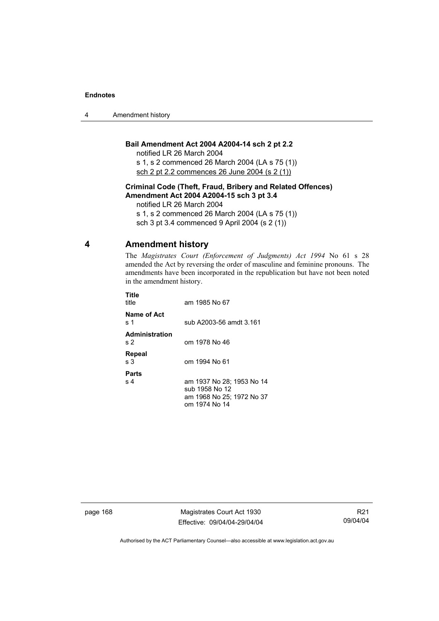4 Amendment history

### **Bail Amendment Act 2004 A2004-14 sch 2 pt 2.2**

notified LR 26 March 2004

s 1, s 2 commenced 26 March 2004 (LA s 75 (1)) sch 2 pt 2.2 commences 26 June 2004 (s 2 (1))

### **Criminal Code (Theft, Fraud, Bribery and Related Offences) Amendment Act 2004 A2004-15 sch 3 pt 3.4**

notified LR 26 March 2004

s 1, s 2 commenced 26 March 2004 (LA s 75 (1))

sch 3 pt 3.4 commenced 9 April 2004 (s 2 (1))

### **4 Amendment history**

The *Magistrates Court (Enforcement of Judgments) Act 1994* No 61 s 28 amended the Act by reversing the order of masculine and feminine pronouns. The amendments have been incorporated in the republication but have not been noted in the amendment history.

| Title<br>title                          | am 1985 No 67                                                                             |
|-----------------------------------------|-------------------------------------------------------------------------------------------|
| Name of Act<br>s 1                      | sub A2003-56 amdt 3.161                                                                   |
| <b>Administration</b><br>s <sub>2</sub> | om 1978 No 46                                                                             |
| Repeal<br>s 3                           | om 1994 No 61                                                                             |
| Parts<br>s <sub>4</sub>                 | am 1937 No 28; 1953 No 14<br>sub 1958 No 12<br>am 1968 No 25; 1972 No 37<br>om 1974 No 14 |

page 168 Magistrates Court Act 1930 Effective: 09/04/04-29/04/04

R21 09/04/04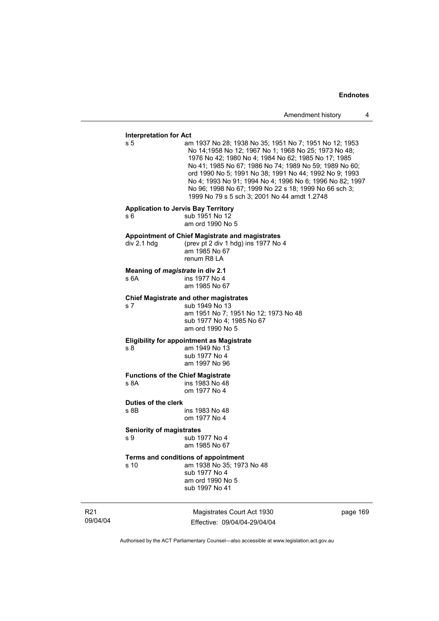### **Interpretation for Act**

s 5 am 1937 No 28; 1938 No 35; 1951 No 7; 1951 No 12; 1953 No 14;1958 No 12; 1967 No 1; 1968 No 25; 1973 No 48; 1976 No 42; 1980 No 4; 1984 No 62; 1985 No 17; 1985 No 41; 1985 No 67; 1986 No 74; 1989 No 59; 1989 No 60; ord 1990 No 5; 1991 No 38; 1991 No 44; 1992 No 9; 1993 No 4; 1993 No 91; 1994 No 4; 1996 No 6; 1996 No 82; 1997 No 96; 1998 No 67; 1999 No 22 s 18; 1999 No 66 sch 3; 1999 No 79 s 5 sch 3; 2001 No 44 amdt 1.2748

#### **Application to Jervis Bay Territory**

s 6 5 sub 1951 No 12

am ord 1990 No 5

#### **Appointment of Chief Magistrate and magistrates**

div 2.1 hdg (prev pt 2 div 1 hdg) ins 1977 No 4 am 1985 No 67 renum R8 LA

#### **Meaning of** *magistrate* **in div 2.1**

s 6A ins 1977 No 4 am 1985 No 67

#### **Chief Magistrate and other magistrates**

s 7 sub 1949 No 13 am 1951 No 7; 1951 No 12; 1973 No 48 sub 1977 No 4; 1985 No 67 am ord 1990 No 5

#### **Eligibility for appointment as Magistrate**

s 8 am 1949 No 13 sub 1977 No 4 am 1997 No 96

# **Functions of the Chief Magistrate**

ins 1983 No 48 om 1977 No 4

## **Duties of the clerk**

ins 1983 No 48 om 1977 No 4

#### **Seniority of magistrates**

s 9 sub 1977 No 4 am 1985 No 67

### **Terms and conditions of appointment**

s 10 am 1938 No 35; 1973 No 48 sub 1977 No 4 am ord 1990 No 5 sub 1997 No 41

R21 09/04/04

Magistrates Court Act 1930 Effective: 09/04/04-29/04/04 page 169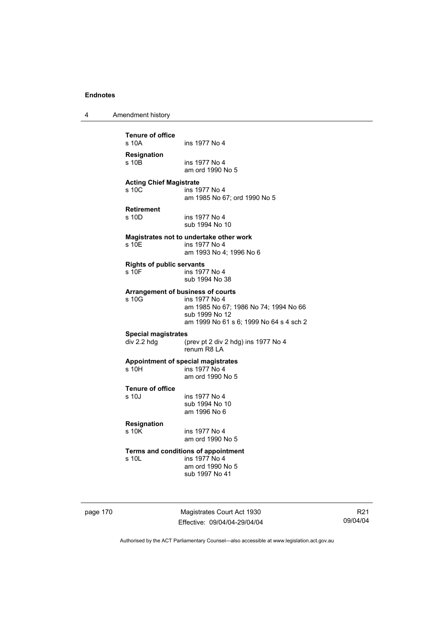4 Amendment history

**Tenure of office**  ins 1977 No 4 **Resignation**  ins 1977 No 4 am ord 1990 No 5 **Acting Chief Magistrate**  s 10C ins 1977 No 4 am 1985 No 67; ord 1990 No 5 **Retirement**  s 10D ins 1977 No 4 sub 1994 No 10 **Magistrates not to undertake other work**  s 10E ins 1977 No 4 am 1993 No 4; 1996 No 6 **Rights of public servants**  s 10F ins 1977 No 4 sub 1994 No 38 **Arrangement of business of courts**  s 10G ins 1977 No 4 am 1985 No 67; 1986 No 74; 1994 No 66 sub 1999 No 12 am 1999 No 61 s 6; 1999 No 64 s 4 sch 2 **Special magistrates**  div 2.2 hdg (prev pt 2 div 2 hdg) ins 1977 No 4 renum R8 LA **Appointment of special magistrates**  ins 1977 No 4 am ord 1990 No 5 **Tenure of office**  s 10J ins 1977 No 4 sub 1994 No 10 am 1996 No 6 **Resignation**  ins 1977 No 4 am ord 1990 No 5 **Terms and conditions of appointment**  s 10L ins 1977 No 4 am ord 1990 No 5 sub 1997 No 41

page 170 Magistrates Court Act 1930 Effective: 09/04/04-29/04/04

R21 09/04/04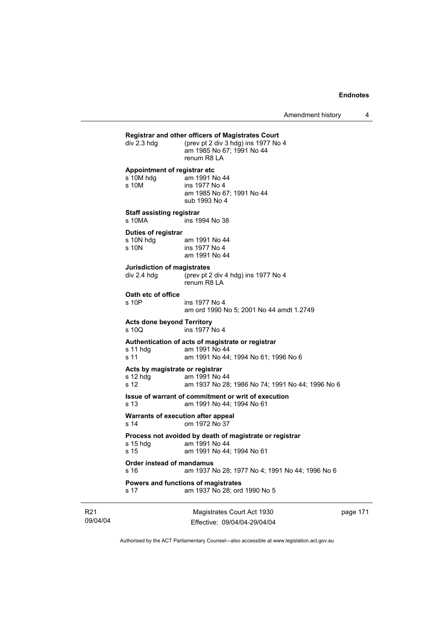|                                                       | Magistrates Court Act 1930                                                                                 | nage 17 |
|-------------------------------------------------------|------------------------------------------------------------------------------------------------------------|---------|
| s 17                                                  | Powers and functions of magistrates<br>am 1937 No 28; ord 1990 No 5                                        |         |
| Order instead of mandamus<br>s 16                     | am 1937 No 28; 1977 No 4; 1991 No 44; 1996 No 6                                                            |         |
| s 15 hdg<br>s 15                                      | Process not avoided by death of magistrate or registrar<br>am 1991 No 44<br>am 1991 No 44; 1994 No 61      |         |
| s 14                                                  | Warrants of execution after appeal<br>om 1972 No 37                                                        |         |
| s 13                                                  | Issue of warrant of commitment or writ of execution<br>am 1991 No 44; 1994 No 61                           |         |
| Acts by magistrate or registrar<br>$s$ 12 hdg<br>s 12 | am 1991 No 44<br>am 1937 No 28; 1986 No 74; 1991 No 44; 1996 No 6                                          |         |
| s 11 hdq<br>s 11                                      | Authentication of acts of magistrate or registrar<br>am 1991 No 44<br>am 1991 No 44; 1994 No 61; 1996 No 6 |         |
| <b>Acts done beyond Territory</b><br>s 10Q            | ins 1977 No 4                                                                                              |         |
| Oath etc of office<br>s 10P                           | ins 1977 No 4<br>am ord 1990 No 5; 2001 No 44 amdt 1.2749                                                  |         |
| <b>Jurisdiction of magistrates</b><br>div 2.4 hdg     | (prev pt 2 div 4 hdg) ins 1977 No 4<br>renum R8 LA                                                         |         |
| Duties of registrar<br>s 10N hdg<br>s 10N             | am 1991 No 44<br>ins 1977 No 4<br>am 1991 No 44                                                            |         |
| <b>Staff assisting registrar</b><br>s 10MA            | ins 1994 No 38                                                                                             |         |
| Appointment of registrar etc<br>s 10M hdg<br>s 10M    | am 1991 No 44<br>ins 1977 No 4<br>am 1985 No 67; 1991 No 44<br>sub 1993 No 4                               |         |
| div 2.3 hdg                                           | (prev pt 2 div 3 hdg) ins 1977 No 4<br>am 1985 No 67; 1991 No 44<br>renum R8 LA                            |         |

R21 09/04/04

Magistrates Court Act 1930 Effective: 09/04/04-29/04/04 page 171

 $\overline{\phantom{a}}$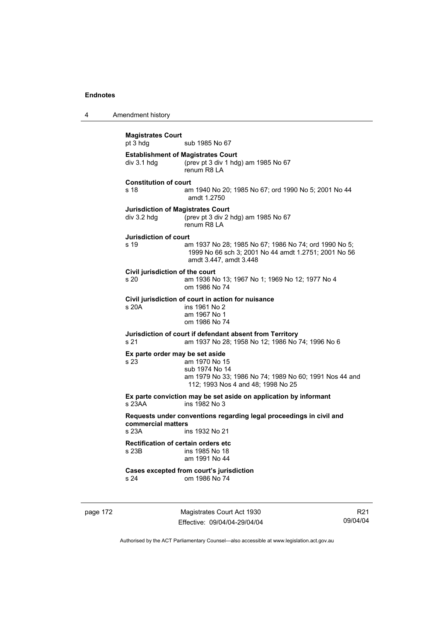4 Amendment history

**Magistrates Court**  sub 1985 No 67 **Establishment of Magistrates Court**  div 3.1 hdg (prev pt 3 div 1 hdg) am 1985 No 67 renum R8 LA **Constitution of court**  s 18 am 1940 No 20; 1985 No 67; ord 1990 No 5; 2001 No 44 amdt 1.2750 **Jurisdiction of Magistrates Court**  div 3.2 hdg (prev pt 3 div 2 hdg) am 1985 No 67 renum R8 LA **Jurisdiction of court**  s 19 am 1937 No 28; 1985 No 67; 1986 No 74; ord 1990 No 5; 1999 No 66 sch 3; 2001 No 44 amdt 1.2751; 2001 No 56 amdt 3.447, amdt 3.448 **Civil jurisdiction of the court**  am 1936 No 13; 1967 No 1; 1969 No 12; 1977 No 4 om 1986 No 74 **Civil jurisdiction of court in action for nuisance**  s 20A ins 1961 No 2 am 1967 No 1 om 1986 No 74 **Jurisdiction of court if defendant absent from Territory**  s 21 am 1937 No 28; 1958 No 12; 1986 No 74; 1996 No 6 **Ex parte order may be set aside**  s 23 am 1970 No 15 sub 1974 No 14 am 1979 No 33; 1986 No 74; 1989 No 60; 1991 Nos 44 and 112; 1993 Nos 4 and 48; 1998 No 25 **Ex parte conviction may be set aside on application by informant**  s 23AA ins 1982 No 3 **Requests under conventions regarding legal proceedings in civil and commercial matters**  ins 1932 No 21 **Rectification of certain orders etc**  s 23B ins 1985 No 18 am 1991 No 44 **Cases excepted from court's jurisdiction**  s 24 om 1986 No 74

page 172 Magistrates Court Act 1930 Effective: 09/04/04-29/04/04

R21 09/04/04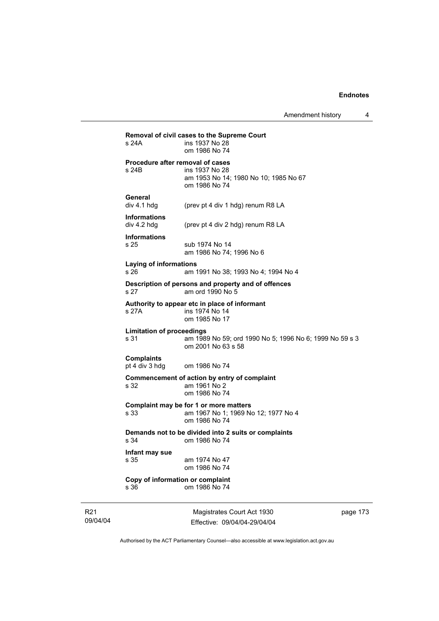| s 24A                                    | Removal of civil cases to the Supreme Court<br>ins 1937 No 28<br>om 1986 No 74                               |
|------------------------------------------|--------------------------------------------------------------------------------------------------------------|
| s 24B                                    | Procedure after removal of cases<br>ins 1937 No 28<br>am 1953 No 14; 1980 No 10; 1985 No 67<br>om 1986 No 74 |
| General<br>div 4.1 hdg                   | (prev pt 4 div 1 hdg) renum R8 LA                                                                            |
| <b>Informations</b><br>div 4.2 hdg       | (prev pt 4 div 2 hdg) renum R8 LA                                                                            |
| <b>Informations</b><br>s 25              | sub 1974 No 14<br>am 1986 No 74; 1996 No 6                                                                   |
| <b>Laying of informations</b><br>s 26    | am 1991 No 38; 1993 No 4; 1994 No 4                                                                          |
| s 27                                     | Description of persons and property and of offences<br>am ord 1990 No 5                                      |
| s 27A                                    | Authority to appear etc in place of informant<br>ins 1974 No 14<br>om 1985 No 17                             |
| <b>Limitation of proceedings</b><br>s 31 | am 1989 No 59; ord 1990 No 5; 1996 No 6; 1999 No 59 s 3<br>om 2001 No 63 s 58                                |
| <b>Complaints</b><br>pt 4 div 3 hdg      | om 1986 No 74                                                                                                |
| s 32                                     | Commencement of action by entry of complaint<br>am 1961 No 2<br>om 1986 No 74                                |
| s 33                                     | Complaint may be for 1 or more matters<br>am 1967 No 1; 1969 No 12; 1977 No 4<br>om 1986 No 74               |
| s 34                                     | Demands not to be divided into 2 suits or complaints<br>om 1986 No 74                                        |
| Infant may sue                           | am 1974 No 47                                                                                                |
| s 35                                     | om 1986 No 74                                                                                                |

R21 09/04/04

J.

Magistrates Court Act 1930 Effective: 09/04/04-29/04/04 page 173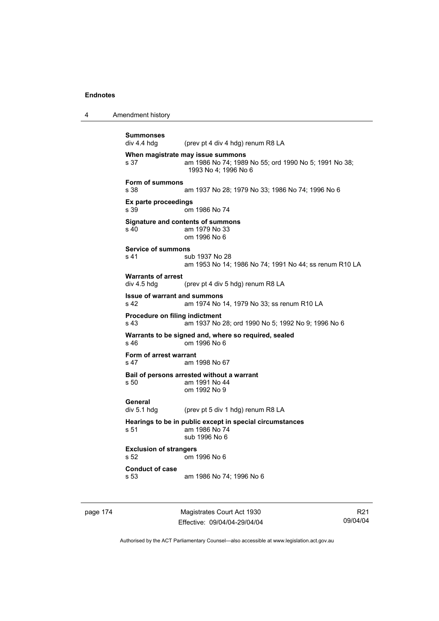4 Amendment history

```
Summonses 
                (prev pt 4 div 4 hdg) renum R8 LA
When magistrate may issue summons 
s 37 am 1986 No 74; 1989 No 55; ord 1990 No 5; 1991 No 38; 
                 1993 No 4; 1996 No 6 
Form of summons 
s 38 am 1937 No 28; 1979 No 33; 1986 No 74; 1996 No 6 
Ex parte proceedings 
s 39 om 1986 No 74 
Signature and contents of summons 
s 40 am 1979 No 33 
                 om 1996 No 6 
Service of summons 
s 41 sub 1937 No 28
                 am 1953 No 14; 1986 No 74; 1991 No 44; ss renum R10 LA 
Warrants of arrest 
div 4.5 hdg (prev pt 4 div 5 hdg) renum R8 LA 
Issue of warrant and summons 
s 42 am 1974 No 14, 1979 No 33; ss renum R10 LA 
Procedure on filing indictment 
s 43 am 1937 No 28; ord 1990 No 5; 1992 No 9; 1996 No 6 
Warrants to be signed and, where so required, sealed 
s 46 om 1996 No 6 
Form of arrest warrant 
s 47 am 1998 No 67 
Bail of persons arrested without a warrant 
s 50 am 1991 No 44 
                 om 1992 No 9 
General 
div 5.1 hdg (prev pt 5 div 1 hdg) renum R8 LA 
Hearings to be in public except in special circumstances 
s 51 am 1986 No 74 
                 sub 1996 No 6 
Exclusion of strangers 
s 52 om 1996 No 6 
Conduct of case 
s 53 am 1986 No 74; 1996 No 6
```
page 174 Magistrates Court Act 1930 Effective: 09/04/04-29/04/04

R21 09/04/04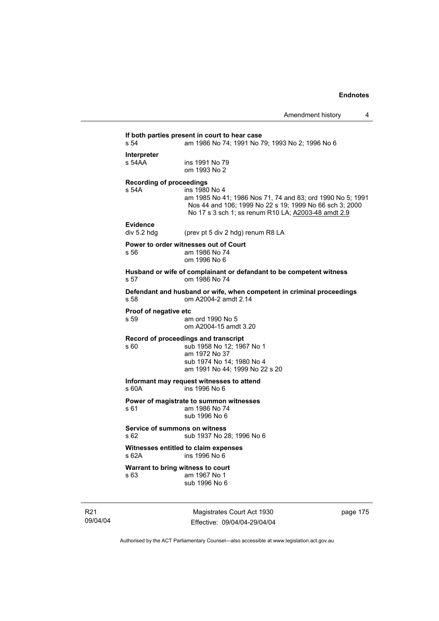### **If both parties present in court to hear case**  am 1986 No 74; 1991 No 79; 1993 No 2; 1996 No 6 **Interpreter**  ins 1991 No 79 om 1993 No 2 **Recording of proceedings**  s 54A ins 1980 No 4 am 1985 No 41; 1986 Nos 71, 74 and 83; ord 1990 No 5; 1991 Nos 44 and 106; 1999 No 22 s 19; 1999 No 66 sch 3; 2000 No 17 s 3 sch 1; ss renum R10 LA; A2003-48 amdt 2.9 **Evidence**  (prev pt 5 div 2 hdg) renum R8 LA **Power to order witnesses out of Court**  s 56 am 1986 No 74 om 1996 No 6 **Husband or wife of complainant or defandant to be competent witness**  s 57 om 1986 No 74 **Defendant and husband or wife, when competent in criminal proceedings**  s 58 om A2004-2 amdt 2.14 **Proof of negative etc**  s 59 am ord 1990 No 5 om A2004-15 amdt 3.20 **Record of proceedings and transcript**  s 60 sub 1958 No 12; 1967 No 1 am 1972 No 37 sub 1974 No 14; 1980 No 4 am 1991 No 44; 1999 No 22 s 20 **Informant may request witnesses to attend**  s 60A ins 1996 No 6 **Power of magistrate to summon witnesses**<br>s 61 am 1986 No 74 am 1986 No 74 sub 1996 No 6 **Service of summons on witness**  s 62 sub 1937 No 28; 1996 No 6 **Witnesses entitled to claim expenses**  s 62A ins 1996 No 6 **Warrant to bring witness to court**  s 63 am 1967 No 1 sub 1996 No 6

R21 09/04/04

Magistrates Court Act 1930 Effective: 09/04/04-29/04/04 page 175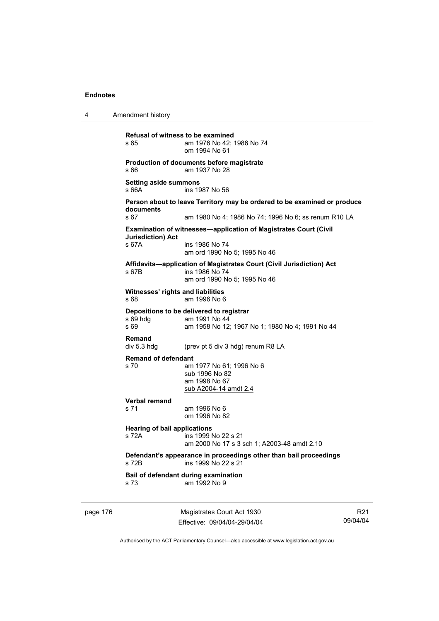4 Amendment history page 176 Magistrates Court Act 1930 **Refusal of witness to be examined**  s 65 am 1976 No 42; 1986 No 74 om 1994 No 61 **Production of documents before magistrate**  s 66 am 1937 No 28 **Setting aside summons**  s 66A ins 1987 No 56 **Person about to leave Territory may be ordered to be examined or produce documents**  s 67 am 1980 No 4; 1986 No 74; 1996 No 6; ss renum R10 LA **Examination of witnesses—application of Magistrates Court (Civil Jurisdiction) Act**  s 67A ins 1986 No 74 am ord 1990 No 5; 1995 No 46 **Affidavits—application of Magistrates Court (Civil Jurisdiction) Act**  s 67B ins 1986 No 74 am ord 1990 No 5; 1995 No 46 **Witnesses' rights and liabilities**  s 68 am 1996 No 6 **Depositions to be delivered to registrar**  s 69 hdg am 1991 No 44<br>s 69 am 1958 No 12 am 1958 No 12; 1967 No 1; 1980 No 4; 1991 No 44 **Remand**  div 5.3 hdg (prev pt 5 div 3 hdg) renum R8 LA **Remand of defendant**  s 70 am 1977 No 61; 1996 No 6 sub 1996 No 82 am 1998 No 67 sub A2004-14 amdt 2.4 **Verbal remand**  am 1996 No 6 om 1996 No 82 **Hearing of bail applications**  s 72A ins 1999 No 22 s 21 am 2000 No 17 s 3 sch 1; A2003-48 amdt 2.10 **Defendant's appearance in proceedings other than bail proceedings**  s 72B ins 1999 No 22 s 21 **Bail of defendant during examination**  s 73 am 1992 No 9

Effective: 09/04/04-29/04/04

R21 09/04/04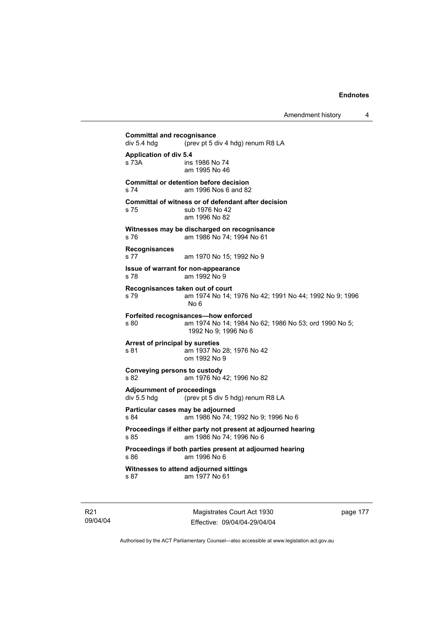**Committal and recognisance**<br>div 5.4 hdg (prev pt 5 d) (prev pt 5 div 4 hdg) renum R8 LA **Application of div 5.4**  s 73A ins 1986 No 74 am 1995 No 46 **Committal or detention before decision**  s 74 am 1996 Nos 6 and 82 **Committal of witness or of defendant after decision**  s 75 sub 1976 No 42 am 1996 No 82 **Witnesses may be discharged on recognisance**  s 76 am 1986 No 74; 1994 No 61 **Recognisances**  s 77 am 1970 No 15; 1992 No 9 **Issue of warrant for non-appearance**  s 78 am 1992 No 9 **Recognisances taken out of court**  s 79 am 1974 No 14; 1976 No 42; 1991 No 44; 1992 No 9; 1996 No 6 **Forfeited recognisances—how enforced**  s 80 am 1974 No 14; 1984 No 62; 1986 No 53; ord 1990 No 5; 1992 No 9; 1996 No 6 **Arrest of principal by sureties**  s 81 am 1937 No 28; 1976 No 42 om 1992 No 9 **Conveying persons to custody**  s 82 am 1976 No 42; 1996 No 82 **Adjournment of proceedings**  div 5.5 hdg (prev pt 5 div 5 hdg) renum R8 LA **Particular cases may be adjourned**  s 84 am 1986 No 74; 1992 No 9; 1996 No 6 **Proceedings if either party not present at adjourned hearing**  s 85 am 1986 No 74; 1996 No 6 **Proceedings if both parties present at adjourned hearing**  s 86 am 1996 No 6 **Witnesses to attend adjourned sittings**  s 87 am 1977 No 61

R21 09/04/04

Magistrates Court Act 1930 Effective: 09/04/04-29/04/04 page 177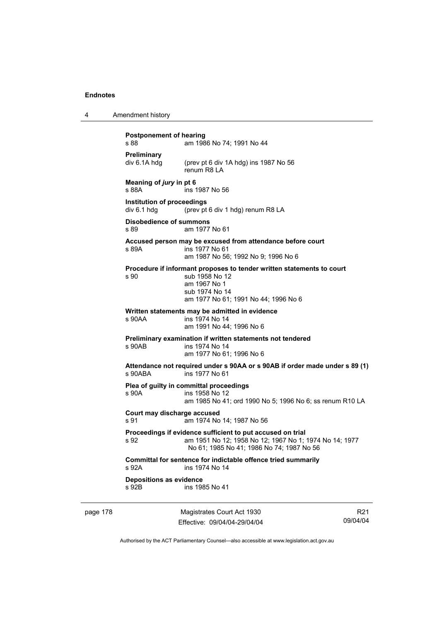| 4 | Amendment history |
|---|-------------------|
|---|-------------------|

**Postponement of hearing**  s 88 **am 1986 No 74: 1991 No 44 Preliminary**  div 6.1A hdg (prev pt 6 div 1A hdg) ins 1987 No 56 renum R8 LA **Meaning of** *jury* **in pt 6**  s 88A ins 1987 No 56 **Institution of proceedings**  div 6.1 hdg (prev pt 6 div 1 hdg) renum R8 LA **Disobedience of summons**  s 89 am 1977 No 61 **Accused person may be excused from attendance before court**  s 89A ins 1977 No 61 am 1987 No 56; 1992 No 9; 1996 No 6 **Procedure if informant proposes to tender written statements to court**  s 90 sub 1958 No 12 am 1967 No 1 sub 1974 No 14 am 1977 No 61; 1991 No 44; 1996 No 6 **Written statements may be admitted in evidence**  ins 1974 No 14 am 1991 No 44; 1996 No 6 **Preliminary examination if written statements not tendered**  s 90AB ins 1974 No 14 am 1977 No 61; 1996 No 6 **Attendance not required under s 90AA or s 90AB if order made under s 89 (1)**  s 90ABA ins 1977 No 61 **Plea of guilty in committal proceedings**  s 90A ins 1958 No 12 am 1985 No 41; ord 1990 No 5; 1996 No 6; ss renum R10 LA **Court may discharge accused**  s 91 am 1974 No 14; 1987 No 56 **Proceedings if evidence sufficient to put accused on trial**  s 92 am 1951 No 12; 1958 No 12; 1967 No 1; 1974 No 14; 1977 No 61; 1985 No 41; 1986 No 74; 1987 No 56 **Committal for sentence for indictable offence tried summarily**  s 92A ins 1974 No 14 **Depositions as evidence**  s 92B ins 1985 No 41

page 178 Magistrates Court Act 1930 Effective: 09/04/04-29/04/04

R21 09/04/04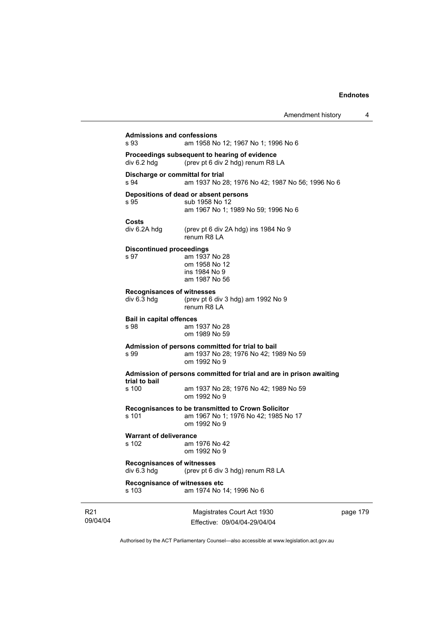| s 93                                             | am 1958 No 12; 1967 No 1; 1996 No 6                                                                        |  |
|--------------------------------------------------|------------------------------------------------------------------------------------------------------------|--|
| div 6.2 hdg                                      | Proceedings subsequent to hearing of evidence<br>(prev pt 6 div 2 hdg) renum R8 LA                         |  |
| Discharge or committal for trial<br>s 94         | am 1937 No 28; 1976 No 42; 1987 No 56; 1996 No 6                                                           |  |
| s 95                                             | Depositions of dead or absent persons<br>sub 1958 No 12<br>am 1967 No 1; 1989 No 59; 1996 No 6             |  |
| Costs<br>div 6.2A hdg                            | (prev pt 6 div 2A hdg) ins 1984 No 9<br>renum R8 LA                                                        |  |
| <b>Discontinued proceedings</b><br>s 97          | am 1937 No 28<br>om 1958 No 12<br>ins 1984 No 9<br>am 1987 No 56                                           |  |
| <b>Recognisances of witnesses</b><br>div 6.3 hdg | (prev pt 6 div 3 hdg) am 1992 No 9<br>renum R8 LA                                                          |  |
| <b>Bail in capital offences</b><br>s 98          | am 1937 No 28<br>om 1989 No 59                                                                             |  |
| s 99                                             | Admission of persons committed for trial to bail<br>am 1937 No 28; 1976 No 42; 1989 No 59<br>om 1992 No 9  |  |
| trial to bail                                    | Admission of persons committed for trial and are in prison awaiting                                        |  |
| s 100                                            | am 1937 No 28; 1976 No 42; 1989 No 59<br>om 1992 No 9                                                      |  |
| s 101                                            | Recognisances to be transmitted to Crown Solicitor<br>am 1967 No 1; 1976 No 42; 1985 No 17<br>om 1992 No 9 |  |
| <b>Warrant of deliverance</b><br>s 102           | am 1976 No 42<br>om 1992 No 9                                                                              |  |
| <b>Recognisances of witnesses</b><br>div 6.3 hdg | (prev pt 6 div 3 hdg) renum R8 LA                                                                          |  |
| Recognisance of witnesses etc<br>s 103           | am 1974 No 14; 1996 No 6                                                                                   |  |
|                                                  | Magistrates Court Act 1930                                                                                 |  |

R21 09/04/04

Effective: 09/04/04-29/04/04

ge 179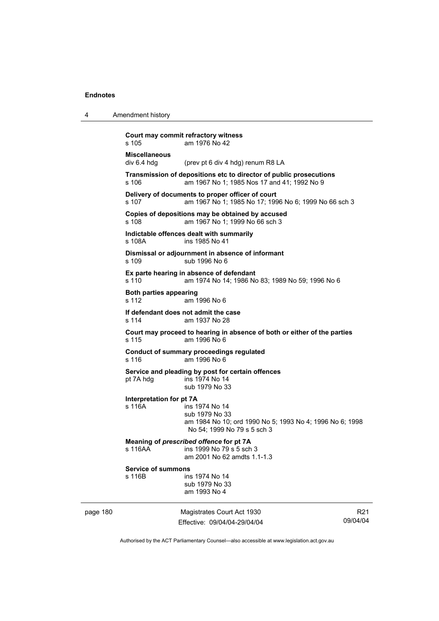4 Amendment history

|          | s 105                               | Court may commit refractory witness<br>am 1976 No 42                                                                        |                             |
|----------|-------------------------------------|-----------------------------------------------------------------------------------------------------------------------------|-----------------------------|
|          | <b>Miscellaneous</b><br>div 6.4 hdg | (prev pt 6 div 4 hdg) renum R8 LA                                                                                           |                             |
|          | s 106                               | Transmission of depositions etc to director of public prosecutions<br>am 1967 No 1; 1985 Nos 17 and 41; 1992 No 9           |                             |
|          | s 107                               | Delivery of documents to proper officer of court<br>am 1967 No 1; 1985 No 17; 1996 No 6; 1999 No 66 sch 3                   |                             |
|          | s 108                               | Copies of depositions may be obtained by accused<br>am 1967 No 1; 1999 No 66 sch 3                                          |                             |
|          | s 108A                              | Indictable offences dealt with summarily<br>ins 1985 No 41                                                                  |                             |
|          | s 109                               | Dismissal or adjournment in absence of informant<br>sub 1996 No 6                                                           |                             |
|          | s 110                               | Ex parte hearing in absence of defendant<br>am 1974 No 14; 1986 No 83; 1989 No 59; 1996 No 6                                |                             |
|          | Both parties appearing<br>s 112     | am 1996 No 6                                                                                                                |                             |
|          | s 114                               | If defendant does not admit the case<br>am 1937 No 28                                                                       |                             |
|          | s 115                               | Court may proceed to hearing in absence of both or either of the parties<br>am 1996 No 6                                    |                             |
|          | s 116                               | <b>Conduct of summary proceedings regulated</b><br>am 1996 No 6                                                             |                             |
|          | pt 7A hdg                           | Service and pleading by post for certain offences<br>ins 1974 No 14<br>sub 1979 No 33                                       |                             |
|          | Interpretation for pt 7A<br>s 116A  | ins 1974 No 14<br>sub 1979 No 33<br>am 1984 No 10; ord 1990 No 5; 1993 No 4; 1996 No 6; 1998<br>No 54: 1999 No 79 s 5 sch 3 |                             |
|          | s 116AA                             | Meaning of prescribed offence for pt 7A<br>ins 1999 No 79 s 5 sch 3<br>am 2001 No 62 amdts 1.1-1.3                          |                             |
|          | <b>Service of summons</b><br>s 116B | ins 1974 No 14<br>sub 1979 No 33<br>am 1993 No 4                                                                            |                             |
| page 180 |                                     | Magistrates Court Act 1930<br>Effective: 09/04/04-29/04/04                                                                  | R <sub>21</sub><br>09/04/04 |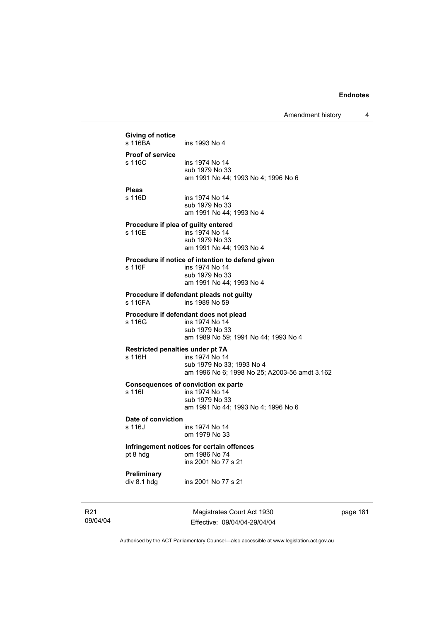|                 | Giving of notice                 |                                                  |
|-----------------|----------------------------------|--------------------------------------------------|
|                 | s 116BA                          | ins 1993 No 4                                    |
|                 | <b>Proof of service</b>          |                                                  |
|                 | s 116C                           | ins 1974 No 14<br>sub 1979 No 33                 |
|                 |                                  | am 1991 No 44; 1993 No 4; 1996 No 6              |
|                 | <b>Pleas</b>                     |                                                  |
|                 | s 116D                           | ins 1974 No 14<br>sub 1979 No 33                 |
|                 |                                  | am 1991 No 44; 1993 No 4                         |
|                 |                                  | Procedure if plea of guilty entered              |
|                 | s 116E                           | ins 1974 No 14<br>sub 1979 No 33                 |
|                 |                                  | am 1991 No 44; 1993 No 4                         |
|                 |                                  | Procedure if notice of intention to defend given |
|                 | s 116F                           | ins 1974 No 14                                   |
|                 |                                  | sub 1979 No 33<br>am 1991 No 44; 1993 No 4       |
|                 |                                  | Procedure if defendant pleads not guilty         |
|                 | ins 1989 No 59<br>s 116FA        |                                                  |
|                 |                                  | Procedure if defendant does not plead            |
|                 | s 116G                           | ins 1974 No 14<br>sub 1979 No 33                 |
|                 |                                  | am 1989 No 59; 1991 No 44; 1993 No 4             |
|                 | Restricted penalties under pt 7A |                                                  |
|                 | s 116H                           | ins 1974 No 14<br>sub 1979 No 33; 1993 No 4      |
|                 |                                  | am 1996 No 6; 1998 No 25; A2003-56 amdt 3.162    |
|                 |                                  | <b>Consequences of conviction ex parte</b>       |
|                 | s 116I                           | ins 1974 No 14<br>sub 1979 No 33                 |
|                 |                                  | am 1991 No 44; 1993 No 4; 1996 No 6              |
|                 | Date of conviction               |                                                  |
|                 | s 116J                           | ins 1974 No 14<br>om 1979 No 33                  |
|                 |                                  | Infringement notices for certain offences        |
|                 | pt 8 hdg                         | om 1986 No 74                                    |
|                 |                                  | ins 2001 No 77 s 21                              |
|                 | Preliminary                      |                                                  |
|                 | div 8.1 hdg                      | ins 2001 No 77 s 21                              |
| R <sub>21</sub> |                                  | Magistrates Court Act 1930                       |
| 09/04/04        |                                  | Effective: 09/04/04-29/04/04                     |

page 181

 $\overline{\phantom{a}}$ 

Authorised by the ACT Parliamentary Counsel—also accessible at www.legislation.act.gov.au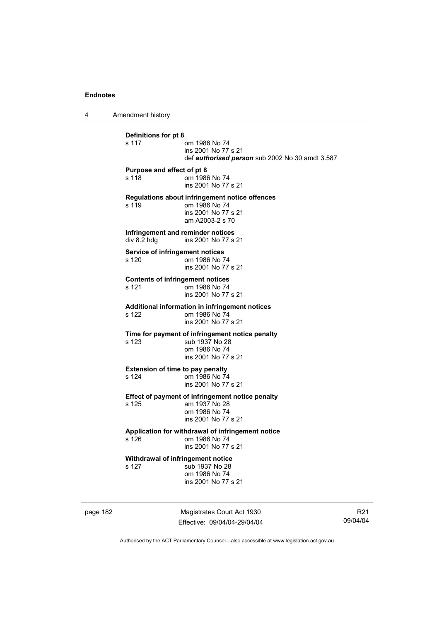4 Amendment history

**Definitions for pt 8**  om 1986 No 74 ins 2001 No 77 s 21 def *authorised person* sub 2002 No 30 amdt 3.587 **Purpose and effect of pt 8**  s 118 om 1986 No 74 ins 2001 No 77 s 21 **Regulations about infringement notice offences**  om 1986 No 74 ins 2001 No 77 s 21 am A2003-2 s 70 **Infringement and reminder notices**<br>div 8.2 hdg ins 2001 No 77 s ins 2001 No 77 s 21 **Service of infringement notices**  s 120 om 1986 No 74 ins 2001 No 77 s 21 **Contents of infringement notices**  s 121 om 1986 No 74 ins 2001 No 77 s 21 **Additional information in infringement notices**  s 122 om 1986 No 74 ins 2001 No 77 s 21 **Time for payment of infringement notice penalty**  s 123 sub 1937 No 28 om 1986 No 74 ins 2001 No 77 s 21 **Extension of time to pay penalty**<br>s 124 om 1986 No 74 om 1986 No 74 ins 2001 No 77 s 21 **Effect of payment of infringement notice penalty**  s 125 am 1937 No 28 om 1986 No 74 ins 2001 No 77 s 21 **Application for withdrawal of infringement notice**  om 1986 No 74 ins 2001 No 77 s 21 **Withdrawal of infringement notice**<br>s 127 sub 1937 No 28 sub 1937 No 28 om 1986 No 74 ins 2001 No 77 s 21

page 182 Magistrates Court Act 1930 Effective: 09/04/04-29/04/04

R21 09/04/04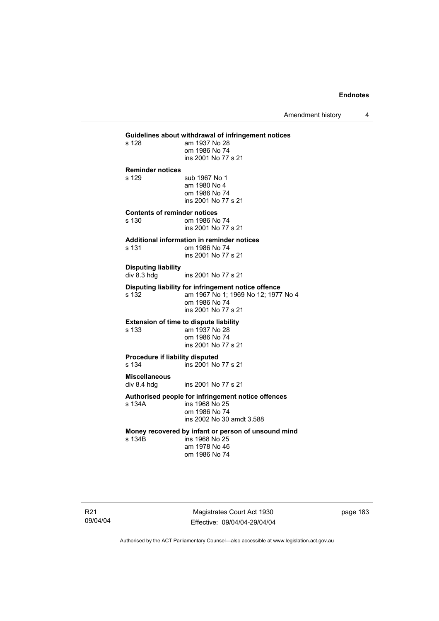Amendment history 4

### **Guidelines about withdrawal of infringement notices**  am 1937 No 28 om 1986 No 74 ins 2001 No 77 s 21 **Reminder notices**  s 129 sub 1967 No 1 am 1980 No 4 om 1986 No 74 ins 2001 No 77 s 21 **Contents of reminder notices**  om 1986 No 74 ins 2001 No 77 s 21 **Additional information in reminder notices**  s 131 om 1986 No 74 ins 2001 No 77 s 21 **Disputing liability**  div 8.3 hdg ins 2001 No 77 s 21 **Disputing liability for infringement notice offence**  am 1967 No 1; 1969 No 12; 1977 No 4 om 1986 No 74 ins 2001 No 77 s 21 **Extension of time to dispute liability**  s 133 am 1937 No 28 om 1986 No 74 ins 2001 No 77 s 21 **Procedure if liability disputed**  s 134 ins 2001 No 77 s 21 **Miscellaneous**  ins 2001 No 77 s 21 **Authorised people for infringement notice offences**  s 134A ins 1968 No 25 om 1986 No 74 ins 2002 No 30 amdt 3.588 **Money recovered by infant or person of unsound mind**  ins 1968 No 25 am 1978 No 46 om 1986 No 74

R21 09/04/04

Magistrates Court Act 1930 Effective: 09/04/04-29/04/04 page 183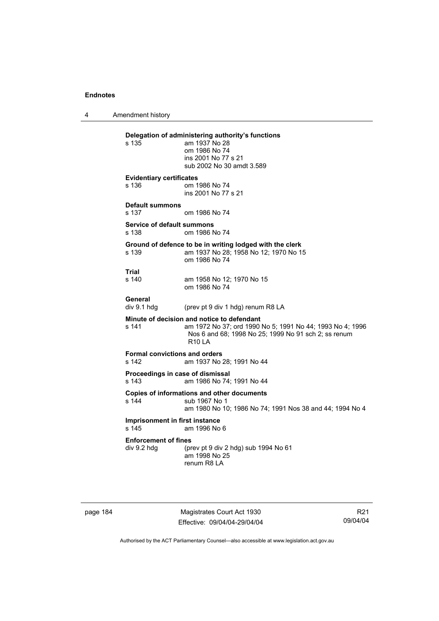4 Amendment history

| s 135                                         | Delegation of administering authority's functions<br>am 1937 No 28<br>om 1986 No 74<br>ins 2001 No 77 s 21<br>sub 2002 No 30 amdt 3.589                                          |
|-----------------------------------------------|----------------------------------------------------------------------------------------------------------------------------------------------------------------------------------|
| <b>Evidentiary certificates</b><br>s 136      | om 1986 No 74<br>ins 2001 No 77 s 21                                                                                                                                             |
| <b>Default summons</b><br>s 137               | om 1986 No 74                                                                                                                                                                    |
| Service of default summons<br>s 138           | om 1986 No 74                                                                                                                                                                    |
| s 139                                         | Ground of defence to be in writing lodged with the clerk<br>am 1937 No 28; 1958 No 12; 1970 No 15<br>om 1986 No 74                                                               |
| Trial<br>s 140                                | am 1958 No 12; 1970 No 15<br>om 1986 No 74                                                                                                                                       |
| General<br>div 9.1 hdg                        | (prev pt 9 div 1 hdg) renum R8 LA                                                                                                                                                |
| s 141                                         | Minute of decision and notice to defendant<br>am 1972 No 37; ord 1990 No 5; 1991 No 44; 1993 No 4; 1996<br>Nos 6 and 68; 1998 No 25; 1999 No 91 sch 2; ss renum<br><b>R10 LA</b> |
| <b>Formal convictions and orders</b><br>s 142 | am 1937 No 28; 1991 No 44                                                                                                                                                        |
| Proceedings in case of dismissal<br>s 143     | am 1986 No 74; 1991 No 44                                                                                                                                                        |
| s 144                                         | Copies of informations and other documents<br>sub 1967 No 1<br>am 1980 No 10; 1986 No 74; 1991 Nos 38 and 44; 1994 No 4                                                          |
| Imprisonment in first instance<br>s 145       | am 1996 No 6                                                                                                                                                                     |
| <b>Enforcement of fines</b><br>div 9.2 hdg    | (prev pt 9 div 2 hdg) sub 1994 No 61<br>am 1998 No 25<br>renum R8 LA                                                                                                             |

page 184 Magistrates Court Act 1930 Effective: 09/04/04-29/04/04

R21 09/04/04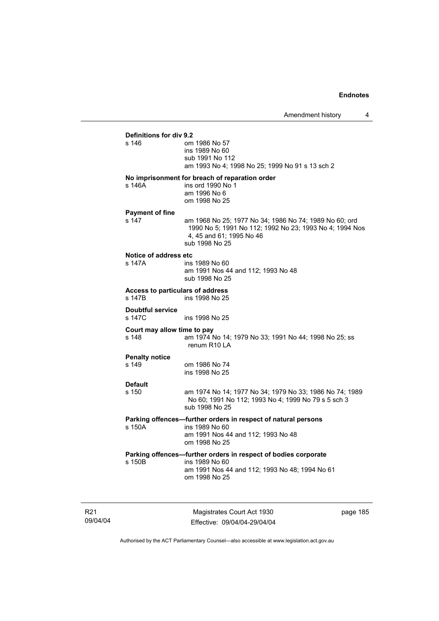### **Definitions for div 9.2**

| s 146                                      | om 1986 No 57<br>ins 1989 No 60<br>sub 1991 No 112<br>am 1993 No 4; 1998 No 25; 1999 No 91 s 13 sch 2                                                           |
|--------------------------------------------|-----------------------------------------------------------------------------------------------------------------------------------------------------------------|
| s 146A                                     | No imprisonment for breach of reparation order<br>ins ord 1990 No 1<br>am 1996 No 6<br>om 1998 No 25                                                            |
| <b>Payment of fine</b>                     |                                                                                                                                                                 |
| s 147                                      | am 1968 No 25; 1977 No 34; 1986 No 74; 1989 No 60; ord<br>1990 No 5; 1991 No 112; 1992 No 23; 1993 No 4; 1994 Nos<br>4, 45 and 61; 1995 No 46<br>sub 1998 No 25 |
| Notice of address etc                      |                                                                                                                                                                 |
| s 147A                                     | ins 1989 No 60<br>am 1991 Nos 44 and 112; 1993 No 48<br>sub 1998 No 25                                                                                          |
| Access to particulars of address<br>s 147B | ins 1998 No 25                                                                                                                                                  |
| <b>Doubtful service</b><br>s 147C          | ins 1998 No 25                                                                                                                                                  |
| Court may allow time to pay<br>s 148       | am 1974 No 14; 1979 No 33; 1991 No 44; 1998 No 25; ss<br>renum R10 LA                                                                                           |
| <b>Penalty notice</b>                      |                                                                                                                                                                 |
| s 149                                      | om 1986 No 74<br>ins 1998 No 25                                                                                                                                 |
| <b>Default</b>                             |                                                                                                                                                                 |
| s 150                                      | am 1974 No 14; 1977 No 34; 1979 No 33; 1986 No 74; 1989<br>No 60; 1991 No 112; 1993 No 4; 1999 No 79 s 5 sch 3<br>sub 1998 No 25                                |
|                                            | Parking offences-further orders in respect of natural persons                                                                                                   |
| s 150A                                     | ins 1989 No 60<br>am 1991 Nos 44 and 112; 1993 No 48<br>om 1998 No 25                                                                                           |
|                                            | Parking offences-further orders in respect of bodies corporate                                                                                                  |
| s 150B                                     | ins 1989 No 60<br>am 1991 Nos 44 and 112; 1993 No 48; 1994 No 61<br>om 1998 No 25                                                                               |
|                                            |                                                                                                                                                                 |

R21 09/04/04

Magistrates Court Act 1930 Effective: 09/04/04-29/04/04 page 185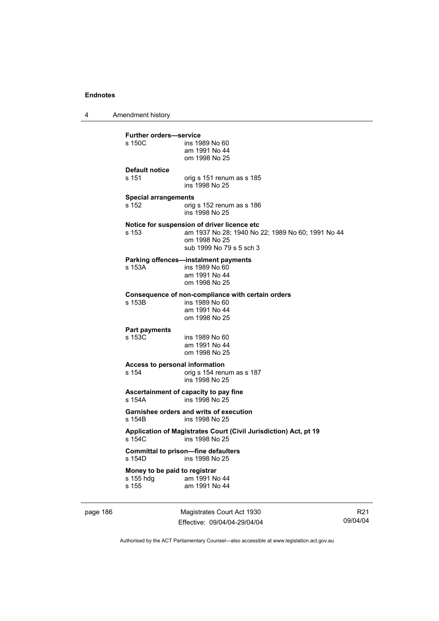4 Amendment history

| s 150C                        | ins 1989 No 60<br>am 1991 No 44<br>om 1998 No 25                                                 |
|-------------------------------|--------------------------------------------------------------------------------------------------|
| <b>Default notice</b>         |                                                                                                  |
| s 151                         | orig s 151 renum as s 185<br>ins 1998 No 25                                                      |
| <b>Special arrangements</b>   |                                                                                                  |
| s 152                         | orig s 152 renum as s 186<br>ins 1998 No 25                                                      |
| s 153                         | Notice for suspension of driver licence etc<br>am 1937 No 28; 1940 No 22; 1989 No 60; 1991 No 44 |
|                               | om 1998 No 25<br>sub 1999 No 79 s 5 sch 3                                                        |
|                               | Parking offences-instalment payments                                                             |
| s 153A                        | ins 1989 No 60<br>am 1991 No 44                                                                  |
|                               | om 1998 No 25                                                                                    |
|                               | Consequence of non-compliance with certain orders                                                |
| s 153B                        | ins 1989 No 60<br>am 1991 No 44                                                                  |
|                               | om 1998 No 25                                                                                    |
| Part payments                 |                                                                                                  |
| s 153C                        | ins 1989 No 60<br>am 1991 No 44                                                                  |
|                               | om 1998 No 25                                                                                    |
|                               | Access to personal information                                                                   |
| s 154                         | orig s 154 renum as s 187<br>ins 1998 No 25                                                      |
| s 154A                        | Ascertainment of capacity to pay fine<br>ins 1998 No 25                                          |
| s 154B                        | Garnishee orders and writs of execution<br>ins 1998 No 25                                        |
| s 154C                        | Application of Magistrates Court (Civil Jurisdiction) Act, pt 19<br>ins 1998 No 25               |
| s 154D                        | <b>Committal to prison-fine defaulters</b><br>ins 1998 No 25                                     |
| Money to be paid to registrar |                                                                                                  |
| s 155 hdq                     | am 1991 No 44                                                                                    |

page 186 Magistrates Court Act 1930 Effective: 09/04/04-29/04/04

R21 09/04/04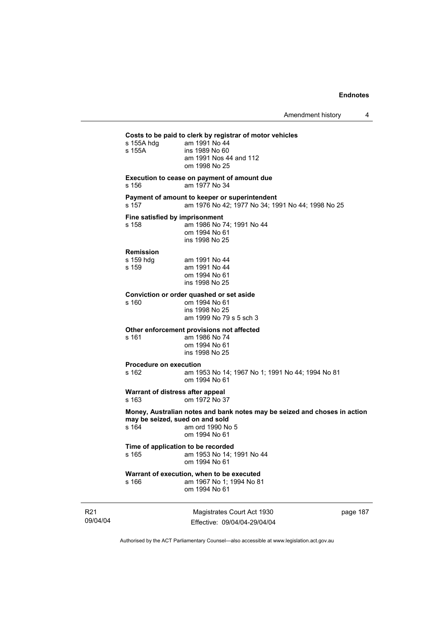| s 155A hdg<br>s 155A                        | Costs to be paid to clerk by registrar of motor vehicles<br>am 1991 No 44<br>ins 1989 No 60<br>am 1991 Nos 44 and 112<br>om 1998 No 25 |
|---------------------------------------------|----------------------------------------------------------------------------------------------------------------------------------------|
| s 156                                       | Execution to cease on payment of amount due<br>am 1977 No 34                                                                           |
| s 157                                       | Payment of amount to keeper or superintendent<br>am 1976 No 42; 1977 No 34; 1991 No 44; 1998 No 25                                     |
| Fine satisfied by imprisonment<br>s 158     | am 1986 No 74; 1991 No 44<br>om 1994 No 61<br>ins 1998 No 25                                                                           |
| <b>Remission</b><br>s 159 hdg<br>s 159      | am 1991 No 44<br>am 1991 No 44<br>om 1994 No 61<br>ins 1998 No 25                                                                      |
| s 160                                       | Conviction or order quashed or set aside<br>om 1994 No 61<br>ins 1998 No 25<br>am 1999 No 79 s 5 sch 3                                 |
| s 161                                       | Other enforcement provisions not affected<br>am 1986 No 74<br>om 1994 No 61<br>ins 1998 No 25                                          |
| <b>Procedure on execution</b><br>s 162      | am 1953 No 14; 1967 No 1; 1991 No 44; 1994 No 81<br>om 1994 No 61                                                                      |
| Warrant of distress after appeal<br>s 163   | om 1972 No 37                                                                                                                          |
| may be seized, sued on and sold<br>s 164    | Money, Australian notes and bank notes may be seized and choses in action<br>am ord 1990 No 5<br>om 1994 No 61                         |
| Time of application to be recorded<br>s 165 | am 1953 No 14; 1991 No 44<br>om 1994 No 61                                                                                             |
| s 166                                       | Warrant of execution, when to be executed<br>am 1967 No 1: 1994 No 81<br>om 1994 No 61                                                 |

R21 09/04/04

Magistrates Court Act 1930 Effective: 09/04/04-29/04/04 page 187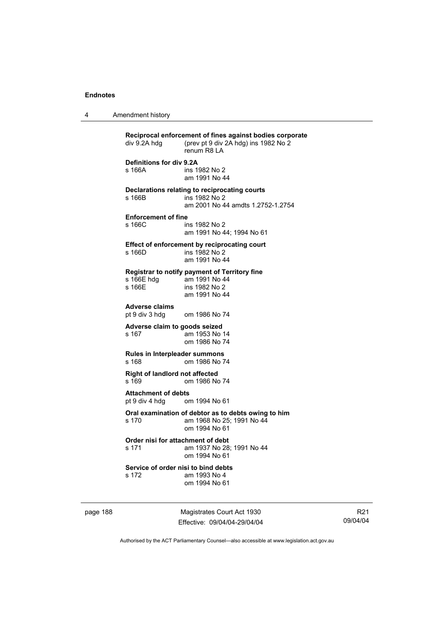4 Amendment history

| div 9.2A hdg                                                                             | Reciprocal enforcement of fines against bodies corporate<br>(prev pt 9 div 2A hdg) ins 1982 No 2<br>renum R8   A |  |
|------------------------------------------------------------------------------------------|------------------------------------------------------------------------------------------------------------------|--|
| Definitions for div 9.2A<br>s 166A                                                       | ins 1982 No 2<br>am 1991 No 44                                                                                   |  |
| s 166B                                                                                   | Declarations relating to reciprocating courts<br>ins 1982 No 2<br>am 2001 No 44 amdts 1.2752-1.2754              |  |
| <b>Enforcement of fine</b><br>s 166C                                                     | ins 1982 No 2<br>am 1991 No 44; 1994 No 61                                                                       |  |
| s 166D                                                                                   | Effect of enforcement by reciprocating court<br>ins 1982 No 2<br>am 1991 No 44                                   |  |
| s 166E hdg<br>s 166E                                                                     | Registrar to notify payment of Territory fine<br>am 1991 No 44<br>ins 1982 No 2<br>am 1991 No 44                 |  |
| <b>Adverse claims</b><br>pt 9 div 3 hdg                                                  | om 1986 No 74                                                                                                    |  |
| Adverse claim to goods seized<br>s 167                                                   | am 1953 No 14<br>om 1986 No 74                                                                                   |  |
| <b>Rules in Interpleader summons</b><br>s 168                                            | om 1986 No 74                                                                                                    |  |
| Right of landlord not affected<br>s 169                                                  | om 1986 No 74                                                                                                    |  |
| <b>Attachment of debts</b><br>pt 9 div 4 hdg                                             | om 1994 No 61                                                                                                    |  |
| s 170                                                                                    | Oral examination of debtor as to debts owing to him<br>am 1968 No 25; 1991 No 44<br>om 1994 No 61                |  |
| Order nisi for attachment of debt<br>s 171<br>am 1937 No 28; 1991 No 44<br>om 1994 No 61 |                                                                                                                  |  |
| Service of order nisi to bind debts<br>s 172                                             | am 1993 No 4<br>om 1994 No 61                                                                                    |  |
|                                                                                          |                                                                                                                  |  |

page 188 Magistrates Court Act 1930 Effective: 09/04/04-29/04/04

R21 09/04/04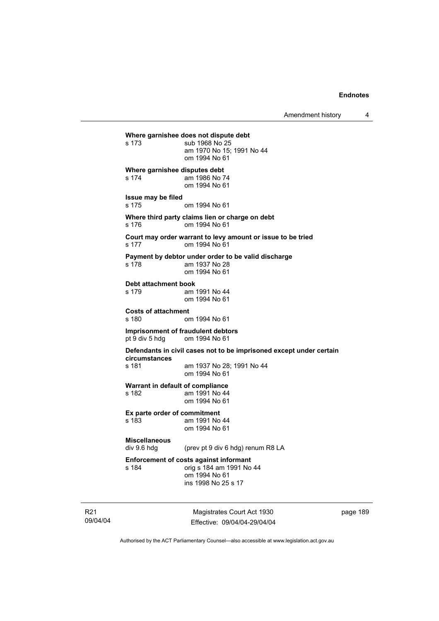Amendment history 4

```
Where garnishee does not dispute debt 
s 173 sub 1968 No 25 
                 am 1970 No 15; 1991 No 44 
                 om 1994 No 61 
Where garnishee disputes debt 
s 174 am 1986 No 74 
                 om 1994 No 61 
Issue may be filed 
s 175 om 1994 No 61 
Where third party claims lien or charge on debt 
s 176 om 1994 No 61 
Court may order warrant to levy amount or issue to be tried 
s 177 om 1994 No 61 
Payment by debtor under order to be valid discharge 
s 178 am 1937 No 28 
                 om 1994 No 61 
Debt attachment book 
s 179 am 1991 No 44 
                 om 1994 No 61 
Costs of attachment 
                om 1994 No 61
Imprisonment of fraudulent debtors 
pt 9 div 5 hdg om 1994 No 61 
Defendants in civil cases not to be imprisoned except under certain 
circumstances 
s 181 am 1937 No 28; 1991 No 44 
                 om 1994 No 61 
Warrant in default of compliance 
s 182 am 1991 No 44 
                 om 1994 No 61 
Ex parte order of commitment 
s 183 am 1991 No 44 
                 om 1994 No 61 
Miscellaneous 
                (prev pt 9 div 6 hdg) renum R8 LA
Enforcement of costs against informant 
s 184 orig s 184 am 1991 No 44 
                 om 1994 No 61 
                 ins 1998 No 25 s 17
```
R21 09/04/04

Magistrates Court Act 1930 Effective: 09/04/04-29/04/04 page 189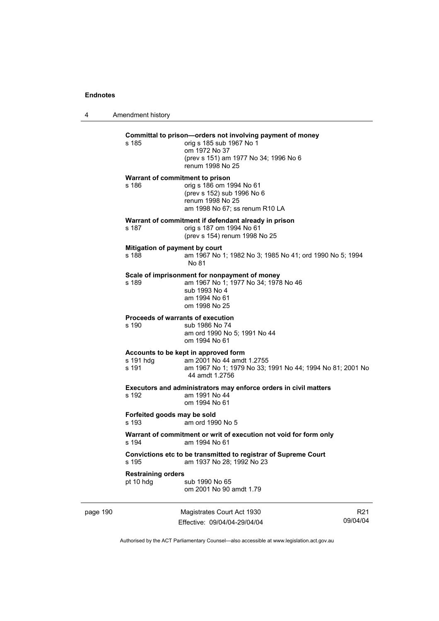4 Amendment history page 190 Magistrates Court Act 1930 R21 09/04/04 **Committal to prison—orders not involving payment of money**  s 185 orig s 185 sub 1967 No 1 om 1972 No 37 (prev s 151) am 1977 No 34; 1996 No 6 renum 1998 No 25 **Warrant of commitment to prison**  s 186 orig s 186 om 1994 No 61 (prev s 152) sub 1996 No 6 renum 1998 No 25 am 1998 No 67; ss renum R10 LA **Warrant of commitment if defendant already in prison**  s 187 orig s 187 om 1994 No 61 (prev s 154) renum 1998 No 25 **Mitigation of payment by court**<br>**s** 188 **am** 1967 No am 1967 No 1; 1982 No 3; 1985 No 41; ord 1990 No 5; 1994 No 81 **Scale of imprisonment for nonpayment of money**  s 189 am 1967 No 1; 1977 No 34; 1978 No 46 sub 1993 No 4 am 1994 No 61 om 1998 No 25 **Proceeds of warrants of execution**  s 190 sub 1986 No 74 am ord 1990 No 5; 1991 No 44 om 1994 No 61 **Accounts to be kept in approved form**  s 191 hdg am 2001 No 44 amdt 1.2755<br>s 191 am 1967 No 1: 1979 No 33: am 1967 No 1; 1979 No 33; 1991 No 44; 1994 No 81; 2001 No 44 amdt 1.2756 **Executors and administrators may enforce orders in civil matters**  s 192 am 1991 No 44 om 1994 No 61 **Forfeited goods may be sold**  s 193 am ord 1990 No 5 **Warrant of commitment or writ of execution not void for form only**  s 194 am 1994 No 61 **Convictions etc to be transmitted to registrar of Supreme Court**  s 195 am 1937 No 28; 1992 No 23 **Restraining orders**  pt 10 hdg sub 1990 No 65 om 2001 No 90 amdt 1.79

Authorised by the ACT Parliamentary Counsel—also accessible at www.legislation.act.gov.au

Effective: 09/04/04-29/04/04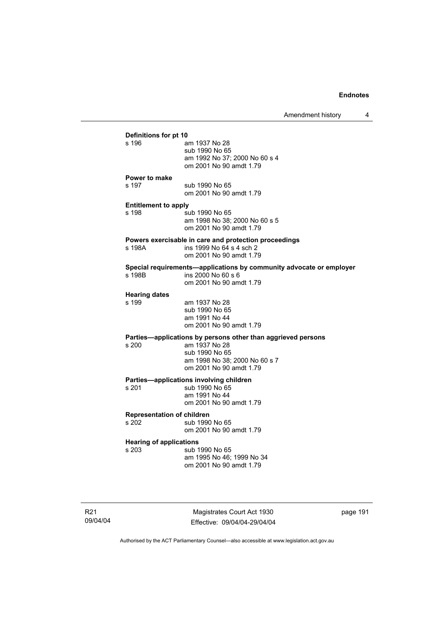| Amendment history |  |
|-------------------|--|
|-------------------|--|

|                                         |                                                                     | <u>TUININIINIIN IINUU Y</u> |
|-----------------------------------------|---------------------------------------------------------------------|-----------------------------|
| Definitions for pt 10                   |                                                                     |                             |
| s 196                                   | am 1937 No 28                                                       |                             |
|                                         | sub 1990 No 65                                                      |                             |
|                                         | am 1992 No 37; 2000 No 60 s 4                                       |                             |
|                                         | om 2001 No 90 amdt 1.79                                             |                             |
| <b>Power to make</b>                    |                                                                     |                             |
| s 197                                   | sub 1990 No 65                                                      |                             |
|                                         | om 2001 No 90 amdt 1.79                                             |                             |
|                                         |                                                                     |                             |
| <b>Entitlement to apply</b>             |                                                                     |                             |
| s 198                                   | sub 1990 No 65<br>am 1998 No 38; 2000 No 60 s 5                     |                             |
|                                         | om 2001 No 90 amdt 1.79                                             |                             |
|                                         |                                                                     |                             |
|                                         | Powers exercisable in care and protection proceedings               |                             |
| s 198A                                  | ins 1999 No 64 s 4 sch 2                                            |                             |
|                                         | om 2001 No 90 amdt 1.79                                             |                             |
|                                         | Special requirements-applications by community advocate or employer |                             |
| s 198B                                  | ins 2000 No 60 s 6                                                  |                             |
|                                         | om 2001 No 90 amdt 1.79                                             |                             |
| <b>Hearing dates</b>                    |                                                                     |                             |
| s 199                                   | am 1937 No 28                                                       |                             |
|                                         | sub 1990 No 65                                                      |                             |
|                                         | am 1991 No 44                                                       |                             |
|                                         | om 2001 No 90 amdt 1.79                                             |                             |
|                                         | Parties—applications by persons other than aggrieved persons        |                             |
| s 200                                   | am 1937 No 28                                                       |                             |
|                                         | sub 1990 No 65                                                      |                             |
|                                         | am 1998 No 38; 2000 No 60 s 7                                       |                             |
|                                         | om 2001 No 90 amdt 1.79                                             |                             |
|                                         | Parties-applications involving children                             |                             |
| s 201                                   | sub 1990 No 65                                                      |                             |
|                                         | am 1991 No 44                                                       |                             |
|                                         | om 2001 No 90 amdt 1.79                                             |                             |
| <b>Representation of children</b>       |                                                                     |                             |
| s 202                                   | sub 1990 No 65                                                      |                             |
|                                         | om 2001 No 90 amdt 1.79                                             |                             |
|                                         |                                                                     |                             |
| <b>Hearing of applications</b><br>s 203 | sub 1990 No 65                                                      |                             |
|                                         | am 1995 No 46; 1999 No 34                                           |                             |
|                                         | om 2001 No 90 amdt 1.79                                             |                             |
|                                         |                                                                     |                             |

R21 09/04/04

Magistrates Court Act 1930 Effective: 09/04/04-29/04/04 page 191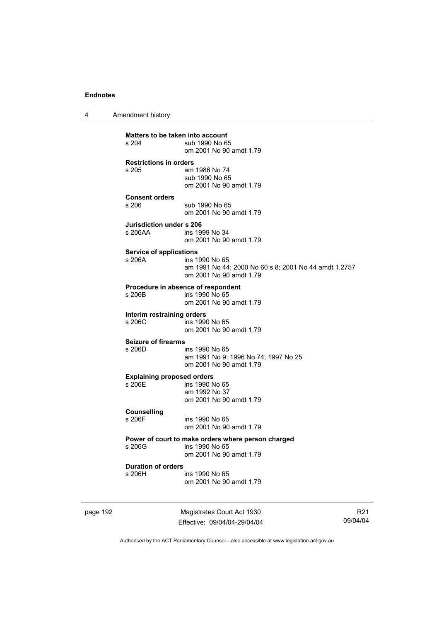4 Amendment history

page 192 Magistrates Court Act 1930 **Matters to be taken into account**<br>s 204 sub 1990 No 6 sub 1990 No 65 om 2001 No 90 amdt 1.79 **Restrictions in orders**  am 1986 No 74 sub 1990 No 65 om 2001 No 90 amdt 1.79 **Consent orders**  sub 1990 No 65 om 2001 No 90 amdt 1.79 **Jurisdiction under s 206**  ins 1999 No 34 om 2001 No 90 amdt 1.79 **Service of applications**  s 206A ins 1990 No 65 am 1991 No 44; 2000 No 60 s 8; 2001 No 44 amdt 1.2757 om 2001 No 90 amdt 1.79 **Procedure in absence of respondent**  ins 1990 No 65 om 2001 No 90 amdt 1.79 **Interim restraining orders**  s 206C ins 1990 No 65 om 2001 No 90 amdt 1.79 **Seizure of firearms**  s 206D ins 1990 No 65 am 1991 No 9; 1996 No 74; 1997 No 25 om 2001 No 90 amdt 1.79 **Explaining proposed orders**  ins 1990 No 65 am 1992 No 37 om 2001 No 90 amdt 1.79 **Counselling**  ins 1990 No 65 om 2001 No 90 amdt 1.79 **Power of court to make orders where person charged**  s 206G ins 1990 No 65 om 2001 No 90 amdt 1.79 **Duration of orders**  s 206H ins 1990 No 65 om 2001 No 90 amdt 1.79

Effective: 09/04/04-29/04/04

R21 09/04/04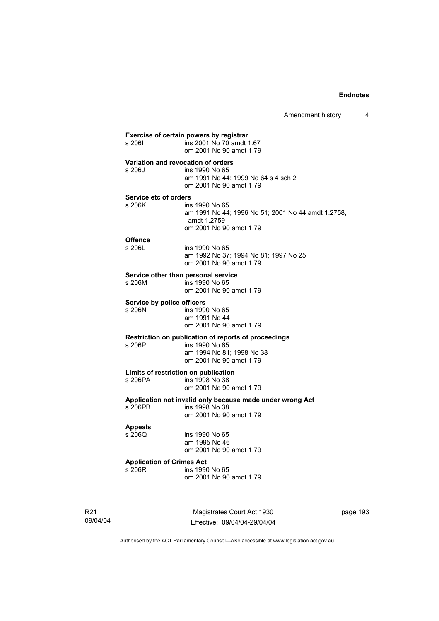| s 2061                                     | ins 2001 No 70 amdt 1.67<br>om 2001 No 90 amdt 1.79                                                                            |
|--------------------------------------------|--------------------------------------------------------------------------------------------------------------------------------|
| s 206J                                     | Variation and revocation of orders<br>ins 1990 No 65<br>am 1991 No 44; 1999 No 64 s 4 sch 2<br>om 2001 No 90 amdt 1.79         |
| Service etc of orders<br>s 206K            | ins 1990 No 65<br>am 1991 No 44; 1996 No 51; 2001 No 44 amdt 1.2758,<br>amdt 1.2759<br>om 2001 No 90 amdt 1.79                 |
| <b>Offence</b><br>s 206L                   | ins 1990 No 65<br>am 1992 No 37; 1994 No 81; 1997 No 25<br>om 2001 No 90 amdt 1.79                                             |
| s 206M                                     | Service other than personal service<br>ins 1990 No 65<br>om 2001 No 90 amdt 1.79                                               |
| Service by police officers<br>s 206N       | ins 1990 No 65<br>am 1991 No 44<br>om 2001 No 90 amdt 1.79                                                                     |
| s 206P                                     | Restriction on publication of reports of proceedings<br>ins 1990 No 65<br>am 1994 No 81; 1998 No 38<br>om 2001 No 90 amdt 1.79 |
|                                            | Limits of restriction on publication<br>ins 1998 No 38<br>om 2001 No 90 amdt 1.79                                              |
| s 206PB                                    | Application not invalid only because made under wrong Act<br>ins 1998 No 38<br>om 2001 No 90 amdt 1.79                         |
| <b>Appeals</b><br>s 206Q                   | ins 1990 No 65<br>am 1995 No 46<br>om 2001 No 90 amdt 1.79                                                                     |
| <b>Application of Crimes Act</b><br>s 206R | ins 1990 No 65<br>om 2001 No 90 amdt 1.79                                                                                      |

R21 09/04/04

Magistrates Court Act 1930 Effective: 09/04/04-29/04/04 page 193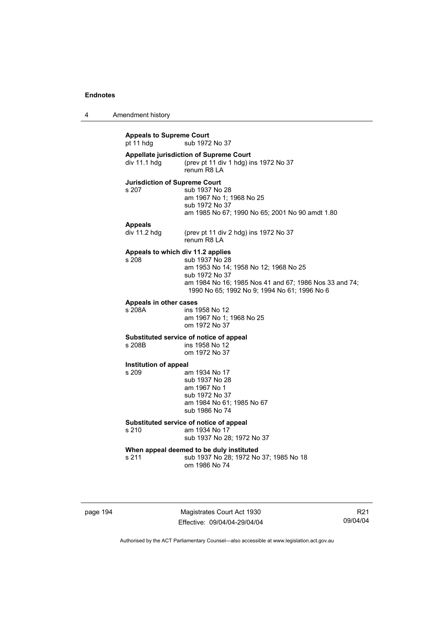4 Amendment history

**Appeals to Supreme Court**  pt 11 hdg sub 1972 No 37 **Appellate jurisdiction of Supreme Court**  div 11.1 hdg (prev pt 11 div 1 hdg) ins 1972 No 37 renum R8 LA **Jurisdiction of Supreme Court**  s 207 sub 1937 No 28 am 1967 No 1; 1968 No 25 sub 1972 No 37 am 1985 No 67; 1990 No 65; 2001 No 90 amdt 1.80 **Appeals**  (prev pt 11 div 2 hdg) ins 1972 No 37 renum R8 LA **Appeals to which div 11.2 applies**  s 208 sub 1937 No 28 am 1953 No 14; 1958 No 12; 1968 No 25 sub 1972 No 37 am 1984 No 16; 1985 Nos 41 and 67; 1986 Nos 33 and 74; 1990 No 65; 1992 No 9; 1994 No 61; 1996 No 6 **Appeals in other cases**  s 208A ins 1958 No 12 am 1967 No 1; 1968 No 25 om 1972 No 37 **Substituted service of notice of appeal**  ins 1958 No 12 om 1972 No 37 **Institution of appeal**  s 209 am 1934 No 17 sub 1937 No 28 am 1967 No 1 sub 1972 No 37 am 1984 No 61; 1985 No 67 sub 1986 No 74 **Substituted service of notice of appeal**  s 210 am 1934 No 17 sub 1937 No 28; 1972 No 37 **When appeal deemed to be duly instituted**  s 211 sub 1937 No 28; 1972 No 37; 1985 No 18 om 1986 No 74

page 194 Magistrates Court Act 1930 Effective: 09/04/04-29/04/04

R21 09/04/04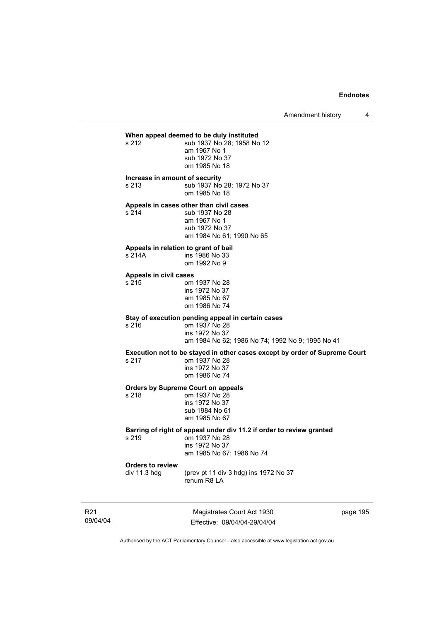## **When appeal deemed to be duly instituted**<br>s 212 **b** sub 1937 No 28: 1958 No

sub 1937 No 28; 1958 No 12 am 1967 No 1 sub 1972 No 37 om 1985 No 18

#### **Increase in amount of security**

s 213 sub 1937 No 28; 1972 No 37 om 1985 No 18

### **Appeals in cases other than civil cases**

s 214 sub 1937 No 28 am 1967 No 1 sub 1972 No 37 am 1984 No 61; 1990 No 65

#### **Appeals in relation to grant of bail**

| s 214A | ins 1986 No 33 |
|--------|----------------|
|        | om 1992 No 9   |

#### **Appeals in civil cases**

| s 215 | om 1937 No 28  |
|-------|----------------|
|       | ins 1972 No 37 |
|       | am 1985 No 67  |
|       | om 1986 No 74  |

#### **Stay of execution pending appeal in certain cases**   $s<sub>216</sub>$

| s 216 | om 1937 No 28                                    |
|-------|--------------------------------------------------|
|       | ins 1972 No 37                                   |
|       | am 1984 No 62: 1986 No 74: 1992 No 9: 1995 No 41 |

## **Execution not to be stayed in other cases except by order of Supreme Court**

| s 217 | om 1937 No 28  |
|-------|----------------|
|       | ins 1972 No 37 |
|       | om 1986 No 74  |

#### **Orders by Supreme Court on appeals**

| s 218 | om 1937 No 28  |
|-------|----------------|
|       | ins 1972 No 37 |
|       | sub 1984 No 61 |
|       | am 1985 No 67  |
|       |                |

## **Barring of right of appeal under div 11.2 if order to review granted**

s 219 om 1937 No 28 ins 1972 No 37 am 1985 No 67; 1986 No 74

# **Orders to review**

s 217

s 218

(prev pt 11 div 3 hdg) ins 1972 No 37 renum R8 LA

R21 09/04/04

Magistrates Court Act 1930 Effective: 09/04/04-29/04/04 page 195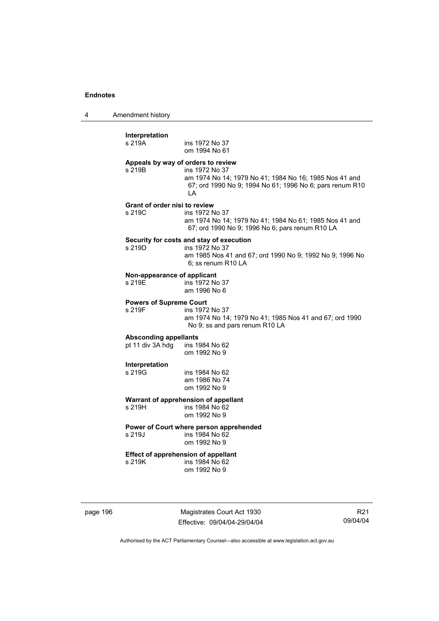4 Amendment history

| s 219A                                   | ins 1972 No 37<br>om 1994 No 61                                                                                                                                                  |
|------------------------------------------|----------------------------------------------------------------------------------------------------------------------------------------------------------------------------------|
| s 219B                                   | Appeals by way of orders to review<br>ins 1972 No 37<br>am 1974 No 14; 1979 No 41; 1984 No 16; 1985 Nos 41 and<br>67; ord 1990 No 9; 1994 No 61; 1996 No 6; pars renum R10<br>LA |
| Grant of order nisi to review<br>s 219C  | ins 1972 No 37<br>am 1974 No 14; 1979 No 41; 1984 No 61; 1985 Nos 41 and<br>67; ord 1990 No 9; 1996 No 6; pars renum R10 LA                                                      |
| s 219D                                   | Security for costs and stay of execution<br>ins 1972 No 37<br>am 1985 Nos 41 and 67; ord 1990 No 9; 1992 No 9; 1996 No<br>6; ss renum R10 LA                                     |
| Non-appearance of applicant<br>s 219E    | ins 1972 No 37<br>am 1996 No 6                                                                                                                                                   |
| <b>Powers of Supreme Court</b><br>s 219F | ins 1972 No 37<br>am 1974 No 14; 1979 No 41; 1985 Nos 41 and 67; ord 1990<br>No 9; ss and pars renum R10 LA                                                                      |
| <b>Absconding appellants</b>             |                                                                                                                                                                                  |
| pt 11 div 3A hdg                         | ins 1984 No 62<br>om 1992 No 9                                                                                                                                                   |
| Interpretation<br>s 219G                 | ins 1984 No 62<br>am 1986 No 74<br>om 1992 No 9                                                                                                                                  |
|                                          | Warrant of apprehension of appellant                                                                                                                                             |
| s 219H                                   | ins 1984 No 62<br>om 1992 No 9                                                                                                                                                   |
|                                          | Power of Court where person apprehended                                                                                                                                          |
| s 219J                                   | ins 1984 No 62<br>om 1992 No 9                                                                                                                                                   |
| s 219K                                   | <b>Effect of apprehension of appellant</b><br>ins 1984 No 62<br>om 1992 No 9                                                                                                     |

page 196 Magistrates Court Act 1930 Effective: 09/04/04-29/04/04

R21 09/04/04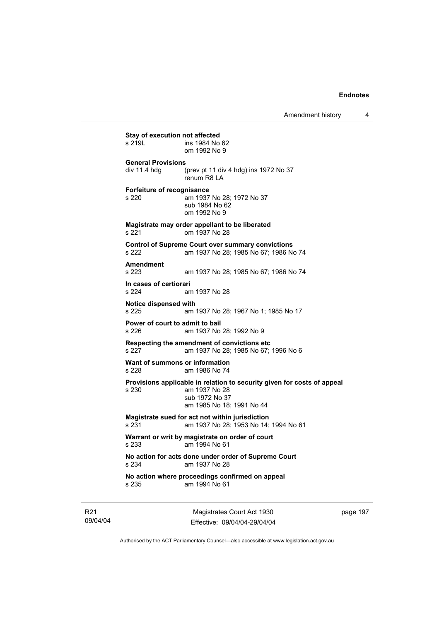Amendment history 4

**Stay of execution not affected**<br>s 219L **ins 1984** No ins 1984 No 62 om 1992 No 9 **General Provisions**  div 11.4 hdg (prev pt 11 div 4 hdg) ins 1972 No 37 renum R8 LA **Forfeiture of recognisance**  s 220 am 1937 No 28; 1972 No 37 sub 1984 No 62 om 1992 No 9 **Magistrate may order appellant to be liberated**  s 221 om 1937 No 28 **Control of Supreme Court over summary convictions**  s 222 am 1937 No 28; 1985 No 67; 1986 No 74 **Amendment**  am 1937 No 28; 1985 No 67; 1986 No 74 **In cases of certiorari**  s 224 am 1937 No 28 **Notice dispensed with**  am 1937 No 28; 1967 No 1; 1985 No 17 **Power of court to admit to bail**  s 226 am 1937 No 28; 1992 No 9 **Respecting the amendment of convictions etc**  s 227 am 1937 No 28; 1985 No 67; 1996 No 6 **Want of summons or information**  s 228 am 1986 No 74 **Provisions applicable in relation to security given for costs of appeal**  s 230 am 1937 No 28 sub 1972 No 37 am 1985 No 18; 1991 No 44 **Magistrate sued for act not within jurisdiction**  s 231 am 1937 No 28; 1953 No 14; 1994 No 61 **Warrant or writ by magistrate on order of court**  s 233 am 1994 No 61 **No action for acts done under order of Supreme Court**  s 234 am 1937 No 28 **No action where proceedings confirmed on appeal**  s 235 am 1994 No 61

R21 09/04/04

Magistrates Court Act 1930 Effective: 09/04/04-29/04/04 page 197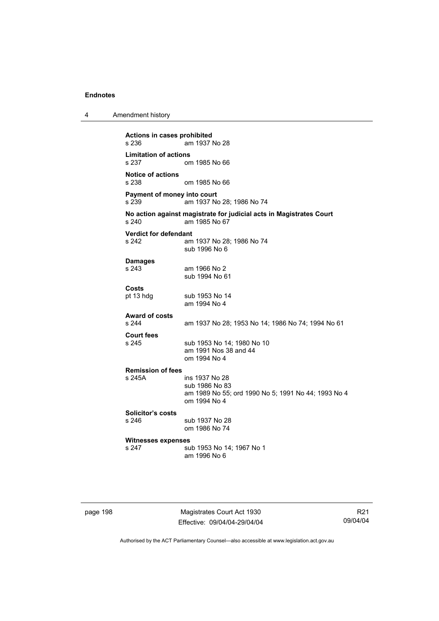**Actions in cases prohibited**  am 1937 No 28 **Limitation of actions**  om 1985 No 66 **Notice of actions**  om 1985 No 66 **Payment of money into court**  s 239 am 1937 No 28; 1986 No 74 **No action against magistrate for judicial acts in Magistrates Court**  am 1985 No 67 **Verdict for defendant**  s 242 am 1937 No 28; 1986 No 74 sub 1996 No 6 **Damages**  s 243 am 1966 No 2 sub 1994 No 61 **Costs**  sub 1953 No 14 am 1994 No 4 **Award of costs**  am 1937 No 28; 1953 No 14; 1986 No 74; 1994 No 61 **Court fees**  s 245 sub 1953 No 14; 1980 No 10 am 1991 Nos 38 and 44 om 1994 No 4 **Remission of fees**  s 245A ins 1937 No 28 sub 1986 No 83 am 1989 No 55; ord 1990 No 5; 1991 No 44; 1993 No 4 om 1994 No 4 **Solicitor's costs**  sub 1937 No 28 om 1986 No 74 **Witnesses expenses**  sub 1953 No 14; 1967 No 1 am 1996 No 6

page 198 Magistrates Court Act 1930 Effective: 09/04/04-29/04/04

R21 09/04/04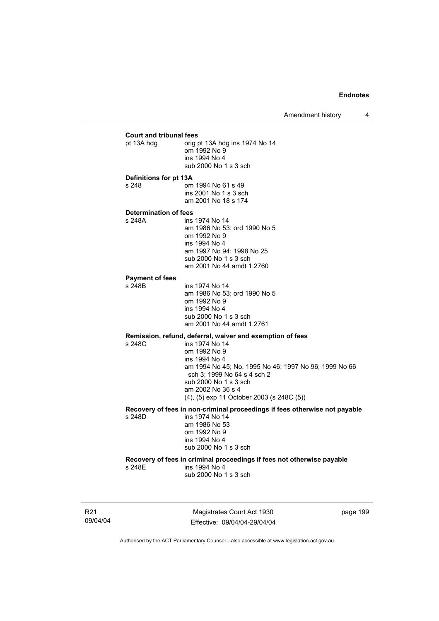### **Court and tribunal fees**  prig pt 13A hdg ins 1974 No 14 om 1992 No 9 ins 1994 No 4 sub 2000 No 1 s 3 sch **Definitions for pt 13A**  s 248 om 1994 No 61 s 49 ins 2001 No 1 s 3 sch am 2001 No 18 s 174 **Determination of fees**  ins 1974 No 14 am 1986 No 53; ord 1990 No 5 om 1992 No 9 ins 1994 No 4 am 1997 No 94; 1998 No 25 sub 2000 No 1 s 3 sch am 2001 No 44 amdt 1.2760 **Payment of fees**  ins 1974 No 14 am 1986 No 53; ord 1990 No 5 om 1992 No 9 ins 1994 No 4 sub 2000 No 1 s 3 sch am 2001 No 44 amdt 1.2761 **Remission, refund, deferral, waiver and exemption of fees**  ins 1974 No 14 om 1992 No 9 ins 1994 No 4 am 1994 No 45; No. 1995 No 46; 1997 No 96; 1999 No 66 sch 3; 1999 No 64 s 4 sch 2 sub 2000 No 1 s 3 sch am 2002 No 36 s 4 (4), (5) exp 11 October 2003 (s 248C (5)) **Recovery of fees in non-criminal proceedings if fees otherwise not payable**  ins 1974 No 14 am 1986 No 53 om 1992 No 9 ins 1994 No 4 sub 2000 No 1 s 3 sch **Recovery of fees in criminal proceedings if fees not otherwise payable**  s 248E ins 1994 No 4 sub 2000 No 1 s 3 sch

R21 09/04/04

Magistrates Court Act 1930 Effective: 09/04/04-29/04/04 page 199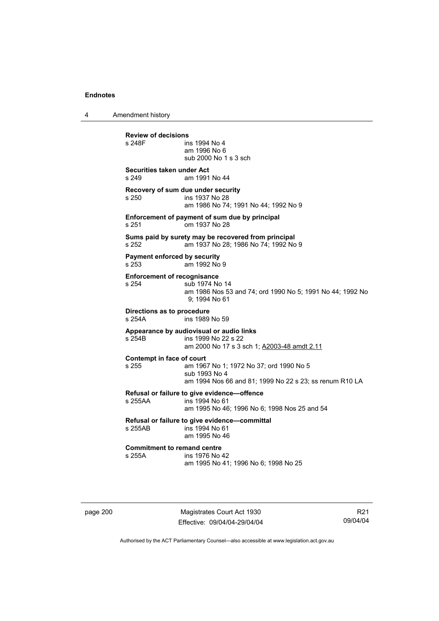4 Amendment history

**Review of decisions**  ins 1994 No 4 am 1996 No 6 sub 2000 No 1 s 3 sch **Securities taken under Act**  s 249 am 1991 No 44 **Recovery of sum due under security**  s 250 ins 1937 No 28 am 1986 No 74; 1991 No 44; 1992 No 9 **Enforcement of payment of sum due by principal**  s 251 om 1937 No 28 **Sums paid by surety may be recovered from principal**  s 252 am 1937 No 28; 1986 No 74; 1992 No 9 **Payment enforced by security**  s 253 am 1992 No 9 **Enforcement of recognisance**  s 254 sub 1974 No 14 am 1986 Nos 53 and 74; ord 1990 No 5; 1991 No 44; 1992 No 9; 1994 No 61 **Directions as to procedure**  ins 1989 No 59 **Appearance by audiovisual or audio links**  s 254B ins 1999 No 22 s 22 am 2000 No 17 s 3 sch 1; A2003-48 amdt 2.11 **Contempt in face of court**  s 255 am 1967 No 1; 1972 No 37; ord 1990 No 5 sub 1993 No 4 am 1994 Nos 66 and 81; 1999 No 22 s 23; ss renum R10 LA **Refusal or failure to give evidence—offence**   $ins$  1994 No 61 am 1995 No 46; 1996 No 6; 1998 Nos 25 and 54 **Refusal or failure to give evidence—committal**  s 255AB ins 1994 No 61 am 1995 No 46 **Commitment to remand centre**<br>s 255A **ins** 1976 No ins 1976 No 42 am 1995 No 41; 1996 No 6; 1998 No 25

page 200 Magistrates Court Act 1930 Effective: 09/04/04-29/04/04

R21 09/04/04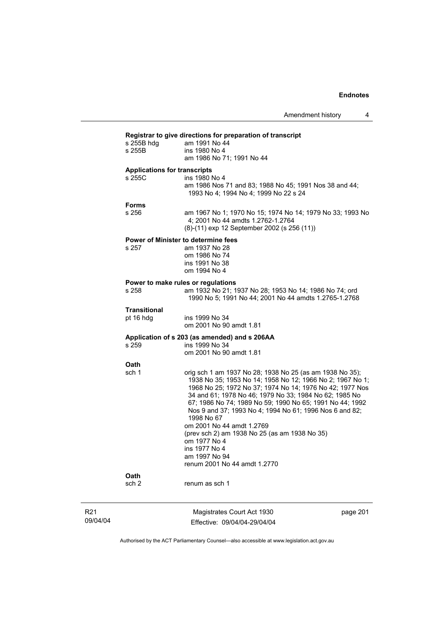| s 255B hdg                                    | Registrar to give directions for preparation of transcript<br>am 1991 No 44                                                                                                                                                                                                                                                                                                                                                                                                                                      |
|-----------------------------------------------|------------------------------------------------------------------------------------------------------------------------------------------------------------------------------------------------------------------------------------------------------------------------------------------------------------------------------------------------------------------------------------------------------------------------------------------------------------------------------------------------------------------|
| s 255B                                        | ins 1980 No 4                                                                                                                                                                                                                                                                                                                                                                                                                                                                                                    |
|                                               | am 1986 No 71; 1991 No 44                                                                                                                                                                                                                                                                                                                                                                                                                                                                                        |
| <b>Applications for transcripts</b><br>s 255C | ins 1980 No 4                                                                                                                                                                                                                                                                                                                                                                                                                                                                                                    |
|                                               | am 1986 Nos 71 and 83; 1988 No 45; 1991 Nos 38 and 44;<br>1993 No 4; 1994 No 4; 1999 No 22 s 24                                                                                                                                                                                                                                                                                                                                                                                                                  |
| <b>Forms</b>                                  |                                                                                                                                                                                                                                                                                                                                                                                                                                                                                                                  |
| s 256                                         | am 1967 No 1; 1970 No 15; 1974 No 14; 1979 No 33; 1993 No<br>4; 2001 No 44 amdts 1.2762-1.2764<br>(8)-(11) exp 12 September 2002 (s 256 (11))                                                                                                                                                                                                                                                                                                                                                                    |
|                                               | Power of Minister to determine fees                                                                                                                                                                                                                                                                                                                                                                                                                                                                              |
| s 257                                         | am 1937 No 28                                                                                                                                                                                                                                                                                                                                                                                                                                                                                                    |
|                                               | om 1986 No 74<br>ins 1991 No 38                                                                                                                                                                                                                                                                                                                                                                                                                                                                                  |
|                                               | om 1994 No 4                                                                                                                                                                                                                                                                                                                                                                                                                                                                                                     |
|                                               | Power to make rules or regulations                                                                                                                                                                                                                                                                                                                                                                                                                                                                               |
| s 258                                         | am 1932 No 21; 1937 No 28; 1953 No 14; 1986 No 74; ord<br>1990 No 5; 1991 No 44; 2001 No 44 amdts 1.2765-1.2768                                                                                                                                                                                                                                                                                                                                                                                                  |
| <b>Transitional</b>                           |                                                                                                                                                                                                                                                                                                                                                                                                                                                                                                                  |
| pt 16 hdg                                     | ins 1999 No 34<br>om 2001 No 90 amdt 1.81                                                                                                                                                                                                                                                                                                                                                                                                                                                                        |
|                                               | Application of s 203 (as amended) and s 206AA                                                                                                                                                                                                                                                                                                                                                                                                                                                                    |
| s 259                                         | ins 1999 No 34<br>om 2001 No 90 amdt 1.81                                                                                                                                                                                                                                                                                                                                                                                                                                                                        |
| <b>Oath</b>                                   |                                                                                                                                                                                                                                                                                                                                                                                                                                                                                                                  |
| sch 1                                         | orig sch 1 am 1937 No 28; 1938 No 25 (as am 1938 No 35);<br>1938 No 35; 1953 No 14; 1958 No 12; 1966 No 2; 1967 No 1;<br>1968 No 25; 1972 No 37; 1974 No 14; 1976 No 42; 1977 Nos<br>34 and 61; 1978 No 46; 1979 No 33; 1984 No 62; 1985 No<br>67; 1986 No 74; 1989 No 59; 1990 No 65; 1991 No 44; 1992<br>Nos 9 and 37; 1993 No 4; 1994 No 61; 1996 Nos 6 and 82;<br>1998 No 67<br>om 2001 No 44 amdt 1.2769<br>(prev sch 2) am 1938 No 25 (as am 1938 No 35)<br>om 1977 No 4<br>ins 1977 No 4<br>am 1997 No 94 |
|                                               | renum 2001 No 44 amdt 1.2770                                                                                                                                                                                                                                                                                                                                                                                                                                                                                     |
|                                               |                                                                                                                                                                                                                                                                                                                                                                                                                                                                                                                  |
| Oath                                          |                                                                                                                                                                                                                                                                                                                                                                                                                                                                                                                  |

R21 09/04/04

Magistrates Court Act 1930 Effective: 09/04/04-29/04/04 page 201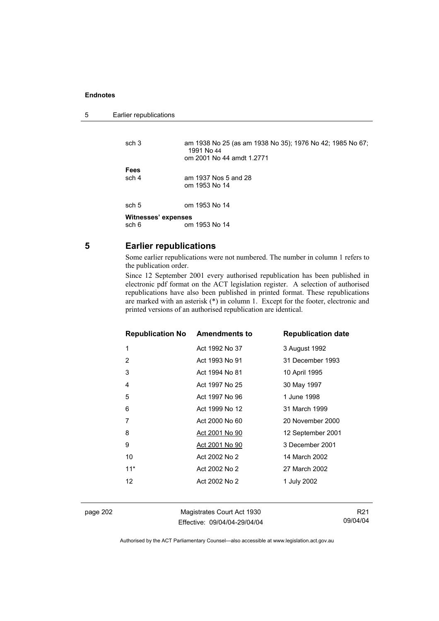```
5 Earlier republications
```

| sch <sub>3</sub>    | am 1938 No 25 (as am 1938 No 35); 1976 No 42; 1985 No 67;<br>1991 No 44<br>om 2001 No 44 amdt 1.2771 |  |
|---------------------|------------------------------------------------------------------------------------------------------|--|
| Fees                |                                                                                                      |  |
| sch 4               | am 1937 Nos 5 and 28                                                                                 |  |
|                     | om 1953 No 14                                                                                        |  |
| sch 5               | om 1953 No 14                                                                                        |  |
| Witnesses' expenses |                                                                                                      |  |
| sch 6               | om 1953 No 14                                                                                        |  |

### **5 Earlier republications**

Some earlier republications were not numbered. The number in column 1 refers to the publication order.

Since 12 September 2001 every authorised republication has been published in electronic pdf format on the ACT legislation register. A selection of authorised republications have also been published in printed format. These republications are marked with an asterisk (\*) in column 1. Except for the footer, electronic and printed versions of an authorised republication are identical.

| <b>Republication No Amendments to</b> |                | <b>Republication date</b> |
|---------------------------------------|----------------|---------------------------|
| 1                                     | Act 1992 No 37 | 3 August 1992             |
| 2                                     | Act 1993 No 91 | 31 December 1993          |
| 3                                     | Act 1994 No 81 | 10 April 1995             |
| 4                                     | Act 1997 No 25 | 30 May 1997               |
| 5                                     | Act 1997 No 96 | 1 June 1998               |
| 6                                     | Act 1999 No 12 | 31 March 1999             |
| 7                                     | Act 2000 No 60 | 20 November 2000          |
| 8                                     | Act 2001 No 90 | 12 September 2001         |
| 9                                     | Act 2001 No 90 | 3 December 2001           |
| 10                                    | Act 2002 No 2  | 14 March 2002             |
| $11*$                                 | Act 2002 No 2  | 27 March 2002             |
| 12                                    | Act 2002 No 2  | 1 July 2002               |
|                                       |                |                           |

page 202 Magistrates Court Act 1930 Effective: 09/04/04-29/04/04

R21 09/04/04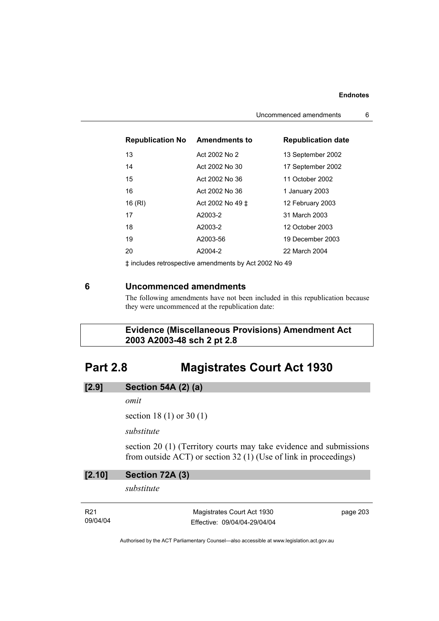#### **Endnotes**

| <b>Republication No</b> | <b>Amendments to</b> | <b>Republication date</b> |
|-------------------------|----------------------|---------------------------|
| 13                      | Act 2002 No 2        | 13 September 2002         |
| 14                      | Act 2002 No 30       | 17 September 2002         |
| 15                      | Act 2002 No 36       | 11 October 2002           |
| 16                      | Act 2002 No 36       | 1 January 2003            |
| 16 (RI)                 | Act 2002 No 49 ±     | 12 February 2003          |
| 17                      | A2003-2              | 31 March 2003             |
| 18                      | A2003-2              | 12 October 2003           |
| 19                      | A2003-56             | 19 December 2003          |
| 20                      | A2004-2              | 22 March 2004             |

‡ includes retrospective amendments by Act 2002 No 49

## **6 Uncommenced amendments**

The following amendments have not been included in this republication because they were uncommenced at the republication date:

 **Evidence (Miscellaneous Provisions) Amendment Act 2003 A2003-48 sch 2 pt 2.8** 

# **Part 2.8 Magistrates Court Act 1930**

| [2.9]<br><b>Section 54A (2) (a)</b> |
|-------------------------------------|
|-------------------------------------|

*omit* 

section 18 (1) or 30 (1)

*substitute* 

section 20 (1) (Territory courts may take evidence and submissions from outside ACT) or section 32 (1) (Use of link in proceedings)

| [2.10]                      | Section 72A (3)                                            |          |  |  |
|-----------------------------|------------------------------------------------------------|----------|--|--|
|                             | substitute                                                 |          |  |  |
| R <sub>21</sub><br>09/04/04 | Magistrates Court Act 1930<br>Effective: 09/04/04-29/04/04 | page 203 |  |  |

Authorised by the ACT Parliamentary Counsel—also accessible at www.legislation.act.gov.au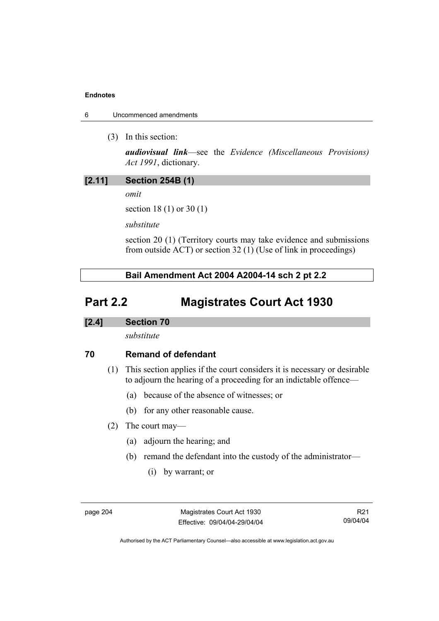### **Endnotes**

- 6 Uncommenced amendments
	- (3) In this section:

*audiovisual link*—see the *Evidence (Miscellaneous Provisions) Act 1991*, dictionary.

## **[2.11] Section 254B (1)**

*omit* 

section 18 (1) or 30 (1)

*substitute* 

section 20 (1) (Territory courts may take evidence and submissions from outside ACT) or section 32 (1) (Use of link in proceedings)

 **Bail Amendment Act 2004 A2004-14 sch 2 pt 2.2** 

# **Part 2.2 Magistrates Court Act 1930**

## **[2.4] Section 70**

*substitute* 

# **70 Remand of defendant**

- (1) This section applies if the court considers it is necessary or desirable to adjourn the hearing of a proceeding for an indictable offence—
	- (a) because of the absence of witnesses; or
	- (b) for any other reasonable cause.
- (2) The court may—
	- (a) adjourn the hearing; and
	- (b) remand the defendant into the custody of the administrator—
		- (i) by warrant; or

page 204 Magistrates Court Act 1930 Effective: 09/04/04-29/04/04

R21 09/04/04

Authorised by the ACT Parliamentary Counsel—also accessible at www.legislation.act.gov.au